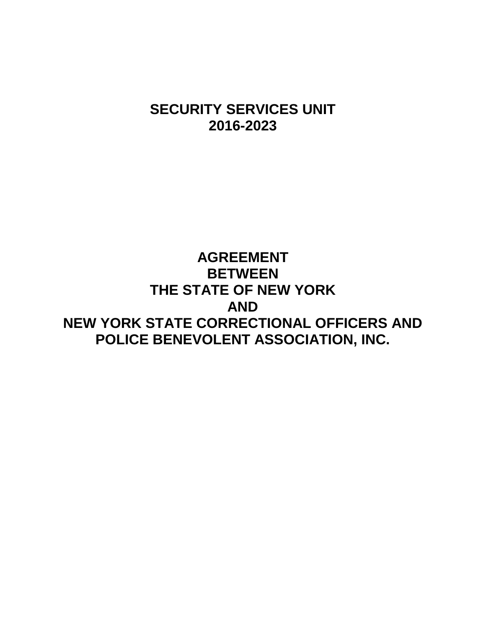# **SECURITY SERVICES UNIT 2016-2023**

# **AGREEMENT BETWEEN THE STATE OF NEW YORK AND NEW YORK STATE CORRECTIONAL OFFICERS AND POLICE BENEVOLENT ASSOCIATION, INC.**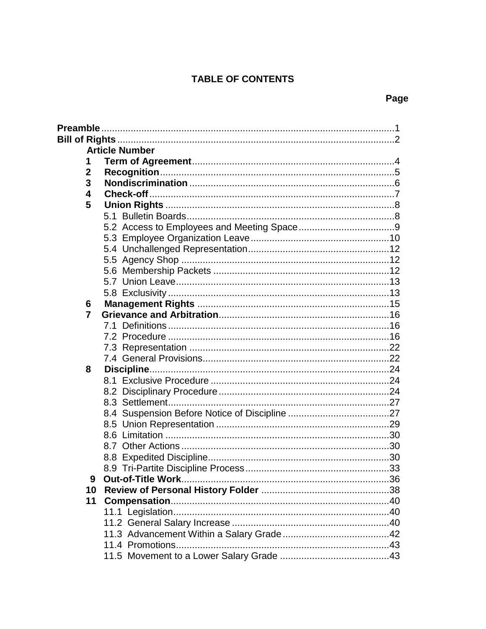# **TABLE OF CONTENTS**

# Page

| <b>Article Number</b> |  |  |  |  |  |  |
|-----------------------|--|--|--|--|--|--|
| 1                     |  |  |  |  |  |  |
| $\mathbf{2}$          |  |  |  |  |  |  |
| 3                     |  |  |  |  |  |  |
| 4                     |  |  |  |  |  |  |
| 5                     |  |  |  |  |  |  |
|                       |  |  |  |  |  |  |
|                       |  |  |  |  |  |  |
|                       |  |  |  |  |  |  |
|                       |  |  |  |  |  |  |
|                       |  |  |  |  |  |  |
|                       |  |  |  |  |  |  |
|                       |  |  |  |  |  |  |
|                       |  |  |  |  |  |  |
| 6                     |  |  |  |  |  |  |
| $\overline{7}$        |  |  |  |  |  |  |
|                       |  |  |  |  |  |  |
|                       |  |  |  |  |  |  |
|                       |  |  |  |  |  |  |
|                       |  |  |  |  |  |  |
| 8                     |  |  |  |  |  |  |
|                       |  |  |  |  |  |  |
|                       |  |  |  |  |  |  |
|                       |  |  |  |  |  |  |
|                       |  |  |  |  |  |  |
|                       |  |  |  |  |  |  |
|                       |  |  |  |  |  |  |
|                       |  |  |  |  |  |  |
|                       |  |  |  |  |  |  |
|                       |  |  |  |  |  |  |
| 9                     |  |  |  |  |  |  |
| 10                    |  |  |  |  |  |  |
| 11                    |  |  |  |  |  |  |
|                       |  |  |  |  |  |  |
|                       |  |  |  |  |  |  |
|                       |  |  |  |  |  |  |
|                       |  |  |  |  |  |  |
|                       |  |  |  |  |  |  |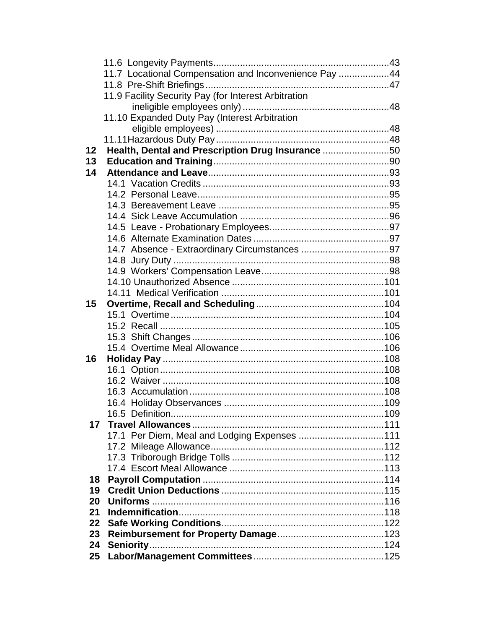|    | 11.7 Locational Compensation and Inconvenience Pay 44 |  |
|----|-------------------------------------------------------|--|
|    |                                                       |  |
|    | 11.9 Facility Security Pay (for Interest Arbitration  |  |
|    |                                                       |  |
|    | 11.10 Expanded Duty Pay (Interest Arbitration         |  |
|    |                                                       |  |
|    |                                                       |  |
| 12 | Health, Dental and Prescription Drug Insurance 50     |  |
| 13 |                                                       |  |
| 14 |                                                       |  |
|    |                                                       |  |
|    |                                                       |  |
|    |                                                       |  |
|    |                                                       |  |
|    |                                                       |  |
|    |                                                       |  |
|    |                                                       |  |
|    |                                                       |  |
|    |                                                       |  |
|    |                                                       |  |
|    |                                                       |  |
| 15 |                                                       |  |
|    |                                                       |  |
|    |                                                       |  |
|    |                                                       |  |
|    |                                                       |  |
| 16 |                                                       |  |
|    |                                                       |  |
|    |                                                       |  |
|    |                                                       |  |
|    |                                                       |  |
|    |                                                       |  |
| 17 |                                                       |  |
|    | 17.1 Per Diem, Meal and Lodging Expenses 111          |  |
|    |                                                       |  |
|    |                                                       |  |
|    |                                                       |  |
| 18 |                                                       |  |
| 19 |                                                       |  |
| 20 |                                                       |  |
| 21 |                                                       |  |
| 22 |                                                       |  |
| 23 |                                                       |  |
| 24 |                                                       |  |
| 25 |                                                       |  |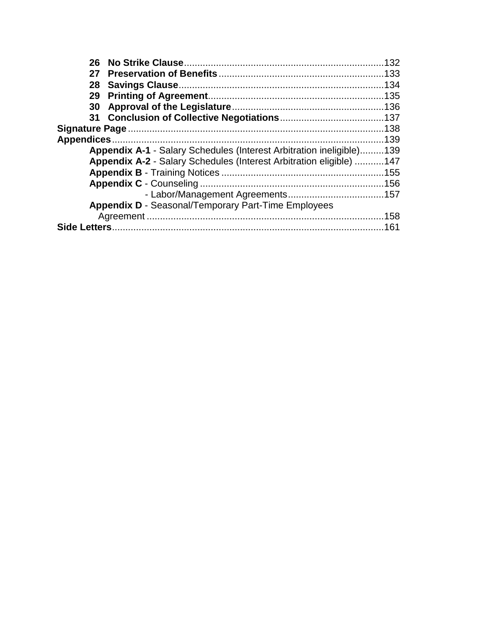|                                                                             | 27 |                                                                     |  |
|-----------------------------------------------------------------------------|----|---------------------------------------------------------------------|--|
|                                                                             |    |                                                                     |  |
|                                                                             |    |                                                                     |  |
|                                                                             | 30 |                                                                     |  |
|                                                                             |    |                                                                     |  |
|                                                                             |    |                                                                     |  |
|                                                                             |    |                                                                     |  |
| <b>Appendix A-1 - Salary Schedules (Interest Arbitration ineligible)139</b> |    |                                                                     |  |
|                                                                             |    | Appendix A-2 - Salary Schedules (Interest Arbitration eligible) 147 |  |
|                                                                             |    |                                                                     |  |
|                                                                             |    |                                                                     |  |
|                                                                             |    |                                                                     |  |
|                                                                             |    | <b>Appendix D - Seasonal/Temporary Part-Time Employees</b>          |  |
|                                                                             |    |                                                                     |  |
|                                                                             |    |                                                                     |  |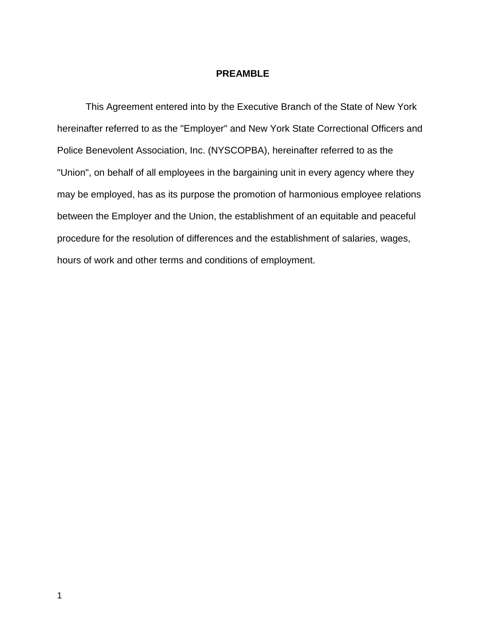## **PREAMBLE**

This Agreement entered into by the Executive Branch of the State of New York hereinafter referred to as the "Employer" and New York State Correctional Officers and Police Benevolent Association, Inc. (NYSCOPBA), hereinafter referred to as the "Union", on behalf of all employees in the bargaining unit in every agency where they may be employed, has as its purpose the promotion of harmonious employee relations between the Employer and the Union, the establishment of an equitable and peaceful procedure for the resolution of differences and the establishment of salaries, wages, hours of work and other terms and conditions of employment.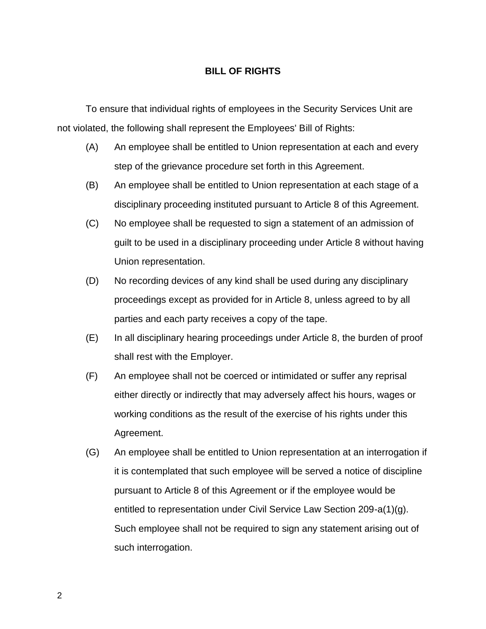## **BILL OF RIGHTS**

 To ensure that individual rights of employees in the Security Services Unit are not violated, the following shall represent the Employees' Bill of Rights:

- (A) An employee shall be entitled to Union representation at each and every step of the grievance procedure set forth in this Agreement.
- (B) An employee shall be entitled to Union representation at each stage of a disciplinary proceeding instituted pursuant to Article 8 of this Agreement.
- (C) No employee shall be requested to sign a statement of an admission of guilt to be used in a disciplinary proceeding under Article 8 without having Union representation.
- (D) No recording devices of any kind shall be used during any disciplinary proceedings except as provided for in Article 8, unless agreed to by all parties and each party receives a copy of the tape.
- (E) In all disciplinary hearing proceedings under Article 8, the burden of proof shall rest with the Employer.
- (F) An employee shall not be coerced or intimidated or suffer any reprisal either directly or indirectly that may adversely affect his hours, wages or working conditions as the result of the exercise of his rights under this Agreement.
- (G) An employee shall be entitled to Union representation at an interrogation if it is contemplated that such employee will be served a notice of discipline pursuant to Article 8 of this Agreement or if the employee would be entitled to representation under Civil Service Law Section 209-a(1)(g). Such employee shall not be required to sign any statement arising out of such interrogation.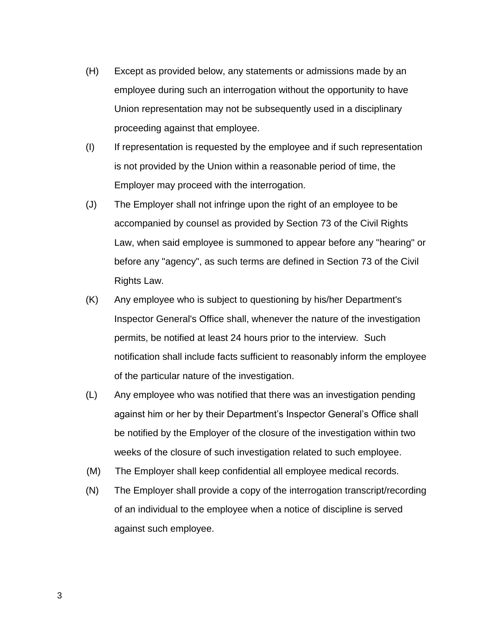- (H) Except as provided below, any statements or admissions made by an employee during such an interrogation without the opportunity to have Union representation may not be subsequently used in a disciplinary proceeding against that employee.
- (I) If representation is requested by the employee and if such representation is not provided by the Union within a reasonable period of time, the Employer may proceed with the interrogation.
- (J) The Employer shall not infringe upon the right of an employee to be accompanied by counsel as provided by Section 73 of the Civil Rights Law, when said employee is summoned to appear before any "hearing" or before any "agency", as such terms are defined in Section 73 of the Civil Rights Law.
- (K) Any employee who is subject to questioning by his/her Department's Inspector General's Office shall, whenever the nature of the investigation permits, be notified at least 24 hours prior to the interview. Such notification shall include facts sufficient to reasonably inform the employee of the particular nature of the investigation.
- (L) Any employee who was notified that there was an investigation pending against him or her by their Department's Inspector General's Office shall be notified by the Employer of the closure of the investigation within two weeks of the closure of such investigation related to such employee.
- (M) The Employer shall keep confidential all employee medical records.
- (N) The Employer shall provide a copy of the interrogation transcript/recording of an individual to the employee when a notice of discipline is served against such employee.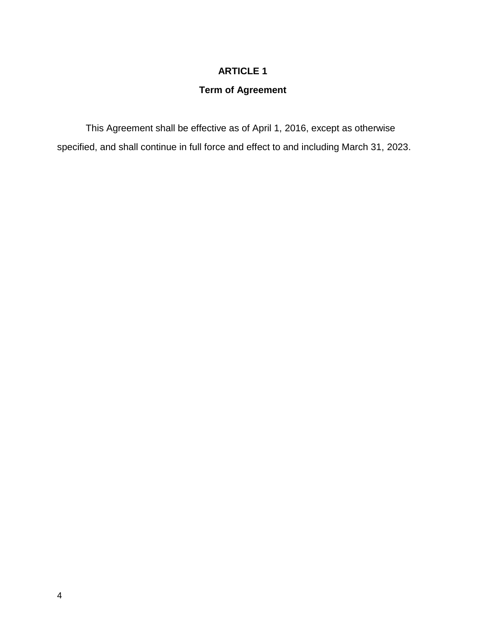## **ARTICLE 1**

# **Term of Agreement**

 This Agreement shall be effective as of April 1, 2016, except as otherwise specified, and shall continue in full force and effect to and including March 31, 2023.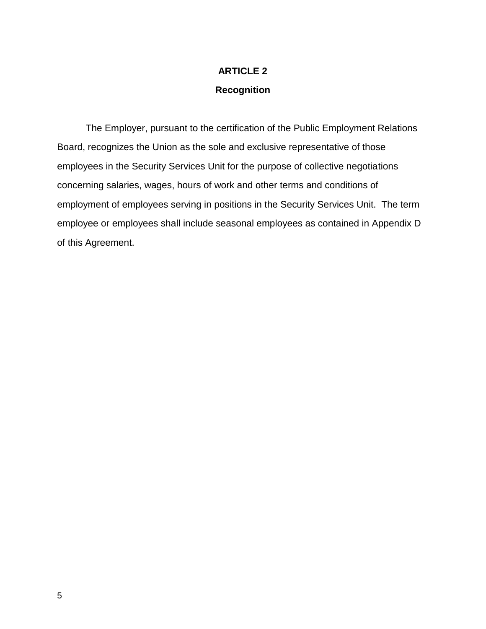# **ARTICLE 2 Recognition**

 The Employer, pursuant to the certification of the Public Employment Relations Board, recognizes the Union as the sole and exclusive representative of those employees in the Security Services Unit for the purpose of collective negotiations concerning salaries, wages, hours of work and other terms and conditions of employment of employees serving in positions in the Security Services Unit. The term employee or employees shall include seasonal employees as contained in Appendix D of this Agreement.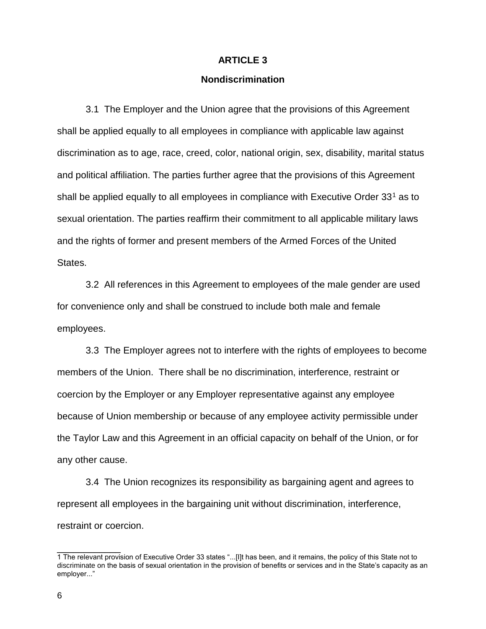#### **ARTICLE 3**

#### **Nondiscrimination**

 3.1 The Employer and the Union agree that the provisions of this Agreement shall be applied equally to all employees in compliance with applicable law against discrimination as to age, race, creed, color, national origin, sex, disability, marital status and political affiliation. The parties further agree that the provisions of this Agreement shall be applied equally to all employees in compliance with Executive Order  $33<sup>1</sup>$  as to sexual orientation. The parties reaffirm their commitment to all applicable military laws and the rights of former and present members of the Armed Forces of the United States.

 3.2 All references in this Agreement to employees of the male gender are used for convenience only and shall be construed to include both male and female employees.

 3.3 The Employer agrees not to interfere with the rights of employees to become members of the Union. There shall be no discrimination, interference, restraint or coercion by the Employer or any Employer representative against any employee because of Union membership or because of any employee activity permissible under the Taylor Law and this Agreement in an official capacity on behalf of the Union, or for any other cause.

 3.4 The Union recognizes its responsibility as bargaining agent and agrees to represent all employees in the bargaining unit without discrimination, interference, restraint or coercion.

 $\overline{\phantom{a}}$  , where  $\overline{\phantom{a}}$ 

<sup>1</sup> The relevant provision of Executive Order 33 states "...[I]t has been, and it remains, the policy of this State not to discriminate on the basis of sexual orientation in the provision of benefits or services and in the State's capacity as an employer..."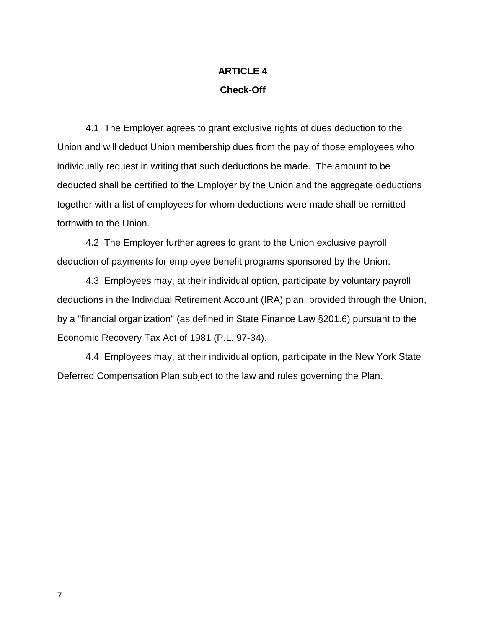# **ARTICLE 4 Check-Off**

 4.1 The Employer agrees to grant exclusive rights of dues deduction to the Union and will deduct Union membership dues from the pay of those employees who individually request in writing that such deductions be made. The amount to be deducted shall be certified to the Employer by the Union and the aggregate deductions together with a list of employees for whom deductions were made shall be remitted forthwith to the Union.

 4.2 The Employer further agrees to grant to the Union exclusive payroll deduction of payments for employee benefit programs sponsored by the Union.

 4.3 Employees may, at their individual option, participate by voluntary payroll deductions in the Individual Retirement Account (IRA) plan, provided through the Union, by a "financial organization" (as defined in State Finance Law §201.6) pursuant to the Economic Recovery Tax Act of 1981 (P.L. 97-34).

 4.4 Employees may, at their individual option, participate in the New York State Deferred Compensation Plan subject to the law and rules governing the Plan.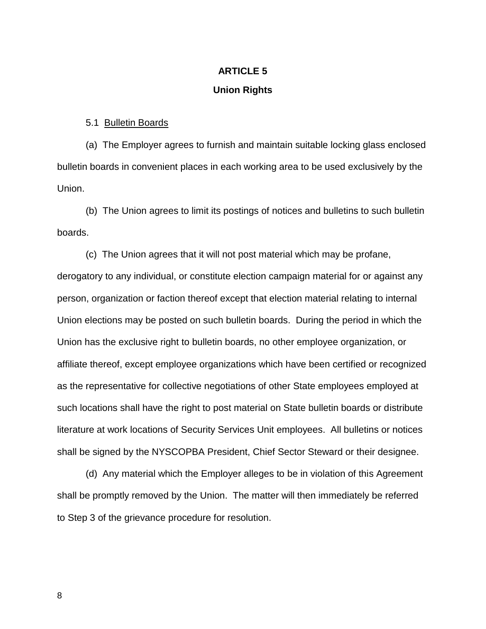### **ARTICLE 5**

#### **Union Rights**

5.1 Bulletin Boards

 (a) The Employer agrees to furnish and maintain suitable locking glass enclosed bulletin boards in convenient places in each working area to be used exclusively by the Union.

 (b) The Union agrees to limit its postings of notices and bulletins to such bulletin boards.

 (c) The Union agrees that it will not post material which may be profane, derogatory to any individual, or constitute election campaign material for or against any person, organization or faction thereof except that election material relating to internal Union elections may be posted on such bulletin boards. During the period in which the Union has the exclusive right to bulletin boards, no other employee organization, or affiliate thereof, except employee organizations which have been certified or recognized as the representative for collective negotiations of other State employees employed at such locations shall have the right to post material on State bulletin boards or distribute literature at work locations of Security Services Unit employees. All bulletins or notices shall be signed by the NYSCOPBA President, Chief Sector Steward or their designee.

 (d) Any material which the Employer alleges to be in violation of this Agreement shall be promptly removed by the Union. The matter will then immediately be referred to Step 3 of the grievance procedure for resolution.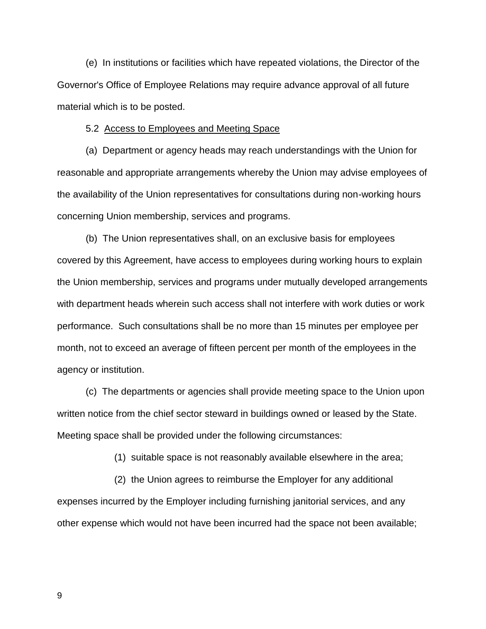(e) In institutions or facilities which have repeated violations, the Director of the Governor's Office of Employee Relations may require advance approval of all future material which is to be posted.

#### 5.2 Access to Employees and Meeting Space

 (a) Department or agency heads may reach understandings with the Union for reasonable and appropriate arrangements whereby the Union may advise employees of the availability of the Union representatives for consultations during non-working hours concerning Union membership, services and programs.

 (b) The Union representatives shall, on an exclusive basis for employees covered by this Agreement, have access to employees during working hours to explain the Union membership, services and programs under mutually developed arrangements with department heads wherein such access shall not interfere with work duties or work performance. Such consultations shall be no more than 15 minutes per employee per month, not to exceed an average of fifteen percent per month of the employees in the agency or institution.

 (c) The departments or agencies shall provide meeting space to the Union upon written notice from the chief sector steward in buildings owned or leased by the State. Meeting space shall be provided under the following circumstances:

(1) suitable space is not reasonably available elsewhere in the area;

 (2) the Union agrees to reimburse the Employer for any additional expenses incurred by the Employer including furnishing janitorial services, and any other expense which would not have been incurred had the space not been available;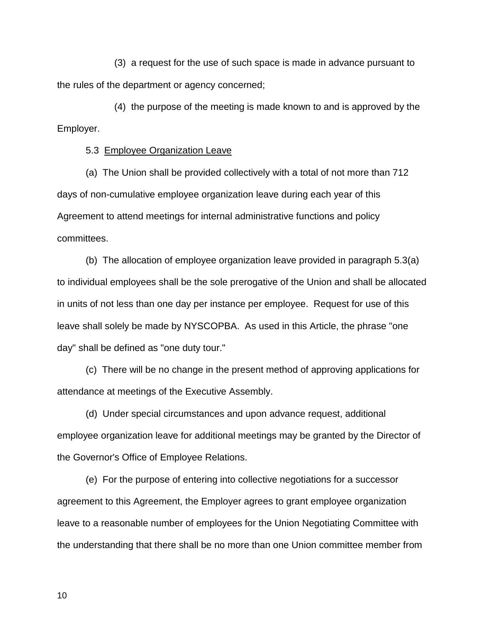(3) a request for the use of such space is made in advance pursuant to the rules of the department or agency concerned;

 (4) the purpose of the meeting is made known to and is approved by the Employer.

5.3 Employee Organization Leave

 (a) The Union shall be provided collectively with a total of not more than 712 days of non-cumulative employee organization leave during each year of this Agreement to attend meetings for internal administrative functions and policy committees.

 (b) The allocation of employee organization leave provided in paragraph 5.3(a) to individual employees shall be the sole prerogative of the Union and shall be allocated in units of not less than one day per instance per employee. Request for use of this leave shall solely be made by NYSCOPBA. As used in this Article, the phrase "one day" shall be defined as "one duty tour."

 (c) There will be no change in the present method of approving applications for attendance at meetings of the Executive Assembly.

 (d) Under special circumstances and upon advance request, additional employee organization leave for additional meetings may be granted by the Director of the Governor's Office of Employee Relations.

 (e) For the purpose of entering into collective negotiations for a successor agreement to this Agreement, the Employer agrees to grant employee organization leave to a reasonable number of employees for the Union Negotiating Committee with the understanding that there shall be no more than one Union committee member from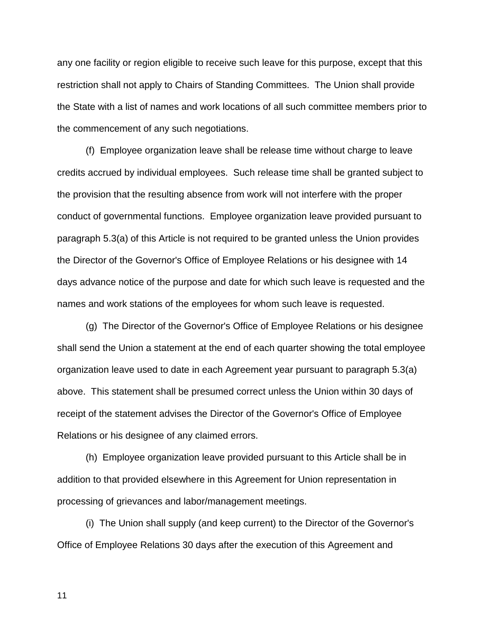any one facility or region eligible to receive such leave for this purpose, except that this restriction shall not apply to Chairs of Standing Committees. The Union shall provide the State with a list of names and work locations of all such committee members prior to the commencement of any such negotiations.

 (f) Employee organization leave shall be release time without charge to leave credits accrued by individual employees. Such release time shall be granted subject to the provision that the resulting absence from work will not interfere with the proper conduct of governmental functions. Employee organization leave provided pursuant to paragraph 5.3(a) of this Article is not required to be granted unless the Union provides the Director of the Governor's Office of Employee Relations or his designee with 14 days advance notice of the purpose and date for which such leave is requested and the names and work stations of the employees for whom such leave is requested.

 (g) The Director of the Governor's Office of Employee Relations or his designee shall send the Union a statement at the end of each quarter showing the total employee organization leave used to date in each Agreement year pursuant to paragraph 5.3(a) above. This statement shall be presumed correct unless the Union within 30 days of receipt of the statement advises the Director of the Governor's Office of Employee Relations or his designee of any claimed errors.

 (h) Employee organization leave provided pursuant to this Article shall be in addition to that provided elsewhere in this Agreement for Union representation in processing of grievances and labor/management meetings.

 (i) The Union shall supply (and keep current) to the Director of the Governor's Office of Employee Relations 30 days after the execution of this Agreement and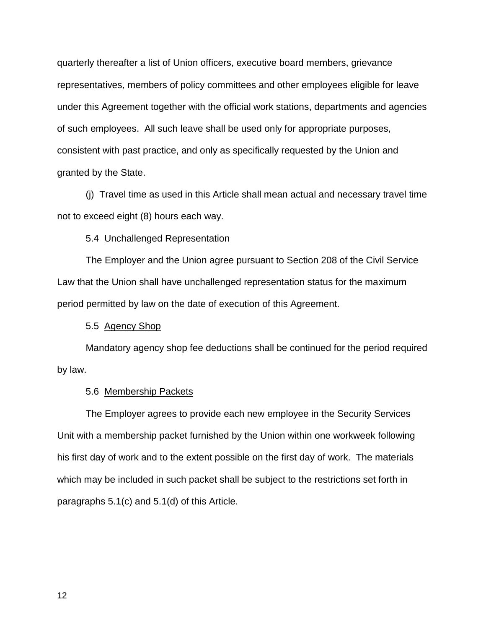quarterly thereafter a list of Union officers, executive board members, grievance representatives, members of policy committees and other employees eligible for leave under this Agreement together with the official work stations, departments and agencies of such employees. All such leave shall be used only for appropriate purposes, consistent with past practice, and only as specifically requested by the Union and granted by the State.

 (j) Travel time as used in this Article shall mean actual and necessary travel time not to exceed eight (8) hours each way.

#### 5.4 Unchallenged Representation

 The Employer and the Union agree pursuant to Section 208 of the Civil Service Law that the Union shall have unchallenged representation status for the maximum period permitted by law on the date of execution of this Agreement.

### 5.5 Agency Shop

 Mandatory agency shop fee deductions shall be continued for the period required by law.

#### 5.6 Membership Packets

 The Employer agrees to provide each new employee in the Security Services Unit with a membership packet furnished by the Union within one workweek following his first day of work and to the extent possible on the first day of work. The materials which may be included in such packet shall be subject to the restrictions set forth in paragraphs 5.1(c) and 5.1(d) of this Article.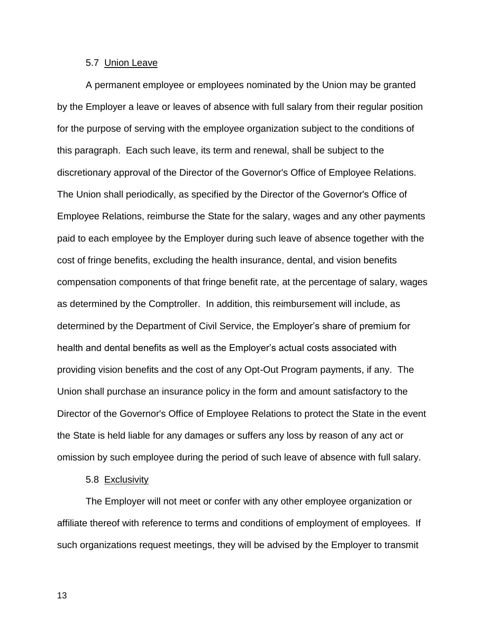#### 5.7 Union Leave

A permanent employee or employees nominated by the Union may be granted by the Employer a leave or leaves of absence with full salary from their regular position for the purpose of serving with the employee organization subject to the conditions of this paragraph. Each such leave, its term and renewal, shall be subject to the discretionary approval of the Director of the Governor's Office of Employee Relations. The Union shall periodically, as specified by the Director of the Governor's Office of Employee Relations, reimburse the State for the salary, wages and any other payments paid to each employee by the Employer during such leave of absence together with the cost of fringe benefits, excluding the health insurance, dental, and vision benefits compensation components of that fringe benefit rate, at the percentage of salary, wages as determined by the Comptroller. In addition, this reimbursement will include, as determined by the Department of Civil Service, the Employer's share of premium for health and dental benefits as well as the Employer's actual costs associated with providing vision benefits and the cost of any Opt-Out Program payments, if any. The Union shall purchase an insurance policy in the form and amount satisfactory to the Director of the Governor's Office of Employee Relations to protect the State in the event the State is held liable for any damages or suffers any loss by reason of any act or omission by such employee during the period of such leave of absence with full salary.

#### 5.8 Exclusivity

The Employer will not meet or confer with any other employee organization or affiliate thereof with reference to terms and conditions of employment of employees. If such organizations request meetings, they will be advised by the Employer to transmit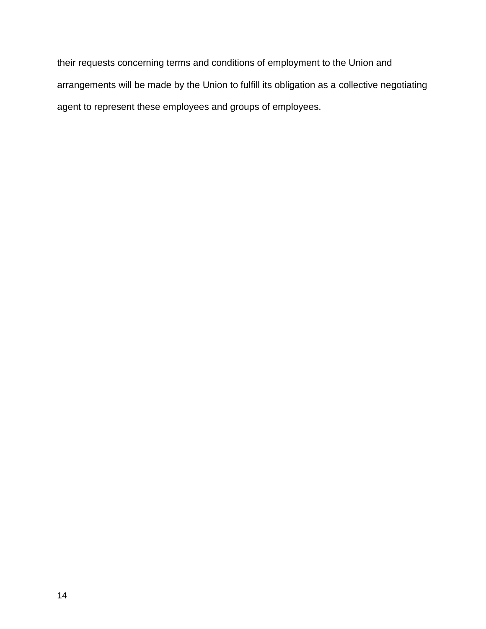their requests concerning terms and conditions of employment to the Union and arrangements will be made by the Union to fulfill its obligation as a collective negotiating agent to represent these employees and groups of employees.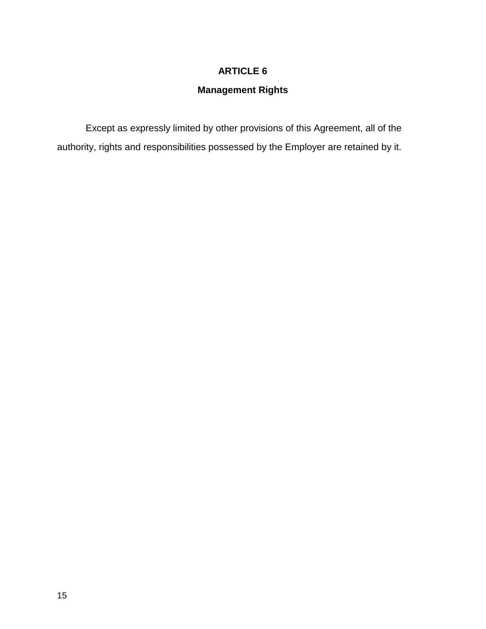## **ARTICLE 6**

# **Management Rights**

 Except as expressly limited by other provisions of this Agreement, all of the authority, rights and responsibilities possessed by the Employer are retained by it.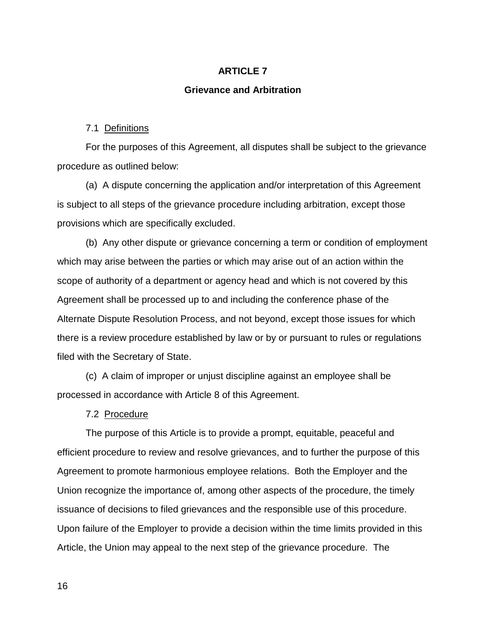### **ARTICLE 7**

#### **Grievance and Arbitration**

#### 7.1 Definitions

 For the purposes of this Agreement, all disputes shall be subject to the grievance procedure as outlined below:

 (a) A dispute concerning the application and/or interpretation of this Agreement is subject to all steps of the grievance procedure including arbitration, except those provisions which are specifically excluded.

 (b) Any other dispute or grievance concerning a term or condition of employment which may arise between the parties or which may arise out of an action within the scope of authority of a department or agency head and which is not covered by this Agreement shall be processed up to and including the conference phase of the Alternate Dispute Resolution Process, and not beyond, except those issues for which there is a review procedure established by law or by or pursuant to rules or regulations filed with the Secretary of State.

 (c) A claim of improper or unjust discipline against an employee shall be processed in accordance with Article 8 of this Agreement.

#### 7.2 Procedure

The purpose of this Article is to provide a prompt, equitable, peaceful and efficient procedure to review and resolve grievances, and to further the purpose of this Agreement to promote harmonious employee relations. Both the Employer and the Union recognize the importance of, among other aspects of the procedure, the timely issuance of decisions to filed grievances and the responsible use of this procedure. Upon failure of the Employer to provide a decision within the time limits provided in this Article, the Union may appeal to the next step of the grievance procedure. The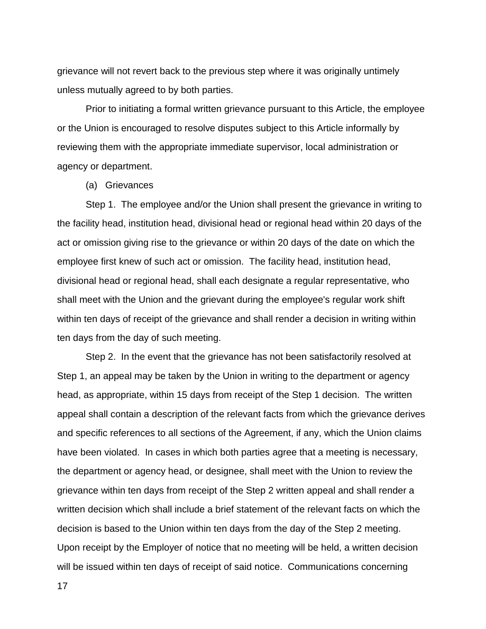grievance will not revert back to the previous step where it was originally untimely unless mutually agreed to by both parties.

 Prior to initiating a formal written grievance pursuant to this Article, the employee or the Union is encouraged to resolve disputes subject to this Article informally by reviewing them with the appropriate immediate supervisor, local administration or agency or department.

(a) Grievances

 Step 1. The employee and/or the Union shall present the grievance in writing to the facility head, institution head, divisional head or regional head within 20 days of the act or omission giving rise to the grievance or within 20 days of the date on which the employee first knew of such act or omission. The facility head, institution head, divisional head or regional head, shall each designate a regular representative, who shall meet with the Union and the grievant during the employee's regular work shift within ten days of receipt of the grievance and shall render a decision in writing within ten days from the day of such meeting.

 Step 2. In the event that the grievance has not been satisfactorily resolved at Step 1, an appeal may be taken by the Union in writing to the department or agency head, as appropriate, within 15 days from receipt of the Step 1 decision. The written appeal shall contain a description of the relevant facts from which the grievance derives and specific references to all sections of the Agreement, if any, which the Union claims have been violated. In cases in which both parties agree that a meeting is necessary, the department or agency head, or designee, shall meet with the Union to review the grievance within ten days from receipt of the Step 2 written appeal and shall render a written decision which shall include a brief statement of the relevant facts on which the decision is based to the Union within ten days from the day of the Step 2 meeting. Upon receipt by the Employer of notice that no meeting will be held, a written decision will be issued within ten days of receipt of said notice. Communications concerning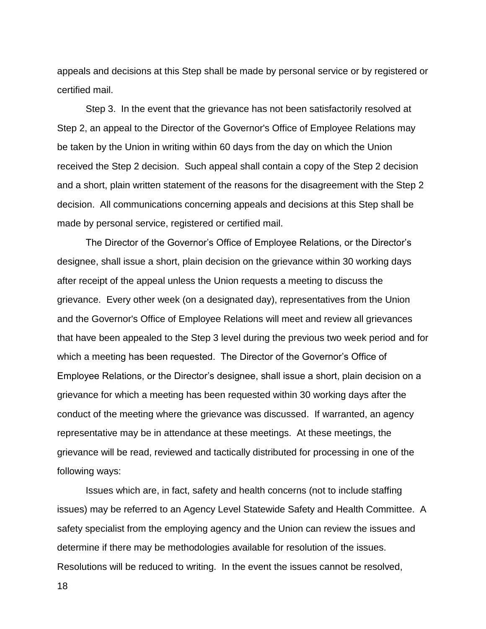appeals and decisions at this Step shall be made by personal service or by registered or certified mail.

 Step 3. In the event that the grievance has not been satisfactorily resolved at Step 2, an appeal to the Director of the Governor's Office of Employee Relations may be taken by the Union in writing within 60 days from the day on which the Union received the Step 2 decision. Such appeal shall contain a copy of the Step 2 decision and a short, plain written statement of the reasons for the disagreement with the Step 2 decision. All communications concerning appeals and decisions at this Step shall be made by personal service, registered or certified mail.

The Director of the Governor's Office of Employee Relations, or the Director's designee, shall issue a short, plain decision on the grievance within 30 working days after receipt of the appeal unless the Union requests a meeting to discuss the grievance. Every other week (on a designated day), representatives from the Union and the Governor's Office of Employee Relations will meet and review all grievances that have been appealed to the Step 3 level during the previous two week period and for which a meeting has been requested. The Director of the Governor's Office of Employee Relations, or the Director's designee, shall issue a short, plain decision on a grievance for which a meeting has been requested within 30 working days after the conduct of the meeting where the grievance was discussed. If warranted, an agency representative may be in attendance at these meetings. At these meetings, the grievance will be read, reviewed and tactically distributed for processing in one of the following ways:

 Issues which are, in fact, safety and health concerns (not to include staffing issues) may be referred to an Agency Level Statewide Safety and Health Committee. A safety specialist from the employing agency and the Union can review the issues and determine if there may be methodologies available for resolution of the issues. Resolutions will be reduced to writing. In the event the issues cannot be resolved,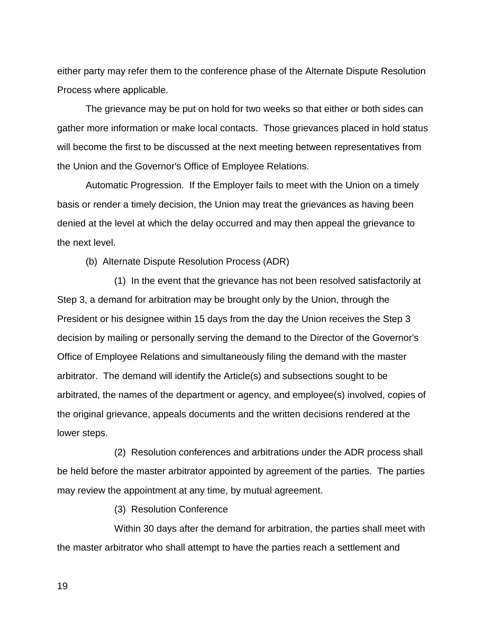either party may refer them to the conference phase of the Alternate Dispute Resolution Process where applicable.

 The grievance may be put on hold for two weeks so that either or both sides can gather more information or make local contacts. Those grievances placed in hold status will become the first to be discussed at the next meeting between representatives from the Union and the Governor's Office of Employee Relations.

 Automatic Progression. If the Employer fails to meet with the Union on a timely basis or render a timely decision, the Union may treat the grievances as having been denied at the level at which the delay occurred and may then appeal the grievance to the next level.

(b) Alternate Dispute Resolution Process (ADR)

 (1) In the event that the grievance has not been resolved satisfactorily at Step 3, a demand for arbitration may be brought only by the Union, through the President or his designee within 15 days from the day the Union receives the Step 3 decision by mailing or personally serving the demand to the Director of the Governor's Office of Employee Relations and simultaneously filing the demand with the master arbitrator. The demand will identify the Article(s) and subsections sought to be arbitrated, the names of the department or agency, and employee(s) involved, copies of the original grievance, appeals documents and the written decisions rendered at the lower steps.

 (2) Resolution conferences and arbitrations under the ADR process shall be held before the master arbitrator appointed by agreement of the parties. The parties may review the appointment at any time, by mutual agreement.

(3) Resolution Conference

 Within 30 days after the demand for arbitration, the parties shall meet with the master arbitrator who shall attempt to have the parties reach a settlement and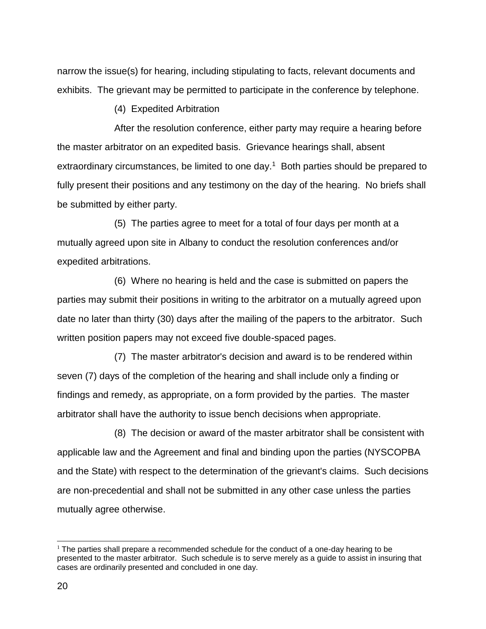narrow the issue(s) for hearing, including stipulating to facts, relevant documents and exhibits. The grievant may be permitted to participate in the conference by telephone.

(4) Expedited Arbitration

 After the resolution conference, either party may require a hearing before the master arbitrator on an expedited basis. Grievance hearings shall, absent extraordinary circumstances, be limited to one day.<sup>1</sup> Both parties should be prepared to fully present their positions and any testimony on the day of the hearing. No briefs shall be submitted by either party.

 (5) The parties agree to meet for a total of four days per month at a mutually agreed upon site in Albany to conduct the resolution conferences and/or expedited arbitrations.

 (6) Where no hearing is held and the case is submitted on papers the parties may submit their positions in writing to the arbitrator on a mutually agreed upon date no later than thirty (30) days after the mailing of the papers to the arbitrator. Such written position papers may not exceed five double-spaced pages.

 (7) The master arbitrator's decision and award is to be rendered within seven (7) days of the completion of the hearing and shall include only a finding or findings and remedy, as appropriate, on a form provided by the parties. The master arbitrator shall have the authority to issue bench decisions when appropriate.

 (8) The decision or award of the master arbitrator shall be consistent with applicable law and the Agreement and final and binding upon the parties (NYSCOPBA and the State) with respect to the determination of the grievant's claims. Such decisions are non-precedential and shall not be submitted in any other case unless the parties mutually agree otherwise.

 $\overline{a}$ 

 $<sup>1</sup>$  The parties shall prepare a recommended schedule for the conduct of a one-day hearing to be</sup> presented to the master arbitrator. Such schedule is to serve merely as a guide to assist in insuring that cases are ordinarily presented and concluded in one day.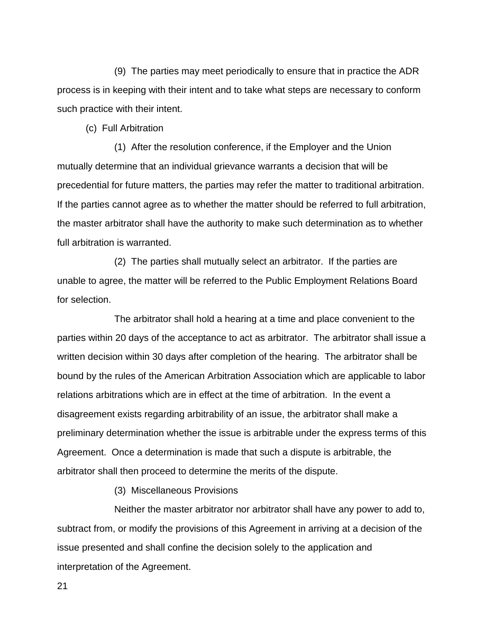(9) The parties may meet periodically to ensure that in practice the ADR process is in keeping with their intent and to take what steps are necessary to conform such practice with their intent.

(c) Full Arbitration

 (1) After the resolution conference, if the Employer and the Union mutually determine that an individual grievance warrants a decision that will be precedential for future matters, the parties may refer the matter to traditional arbitration. If the parties cannot agree as to whether the matter should be referred to full arbitration, the master arbitrator shall have the authority to make such determination as to whether full arbitration is warranted.

 (2) The parties shall mutually select an arbitrator. If the parties are unable to agree, the matter will be referred to the Public Employment Relations Board for selection.

 The arbitrator shall hold a hearing at a time and place convenient to the parties within 20 days of the acceptance to act as arbitrator. The arbitrator shall issue a written decision within 30 days after completion of the hearing. The arbitrator shall be bound by the rules of the American Arbitration Association which are applicable to labor relations arbitrations which are in effect at the time of arbitration. In the event a disagreement exists regarding arbitrability of an issue, the arbitrator shall make a preliminary determination whether the issue is arbitrable under the express terms of this Agreement. Once a determination is made that such a dispute is arbitrable, the arbitrator shall then proceed to determine the merits of the dispute.

(3) Miscellaneous Provisions

 Neither the master arbitrator nor arbitrator shall have any power to add to, subtract from, or modify the provisions of this Agreement in arriving at a decision of the issue presented and shall confine the decision solely to the application and interpretation of the Agreement.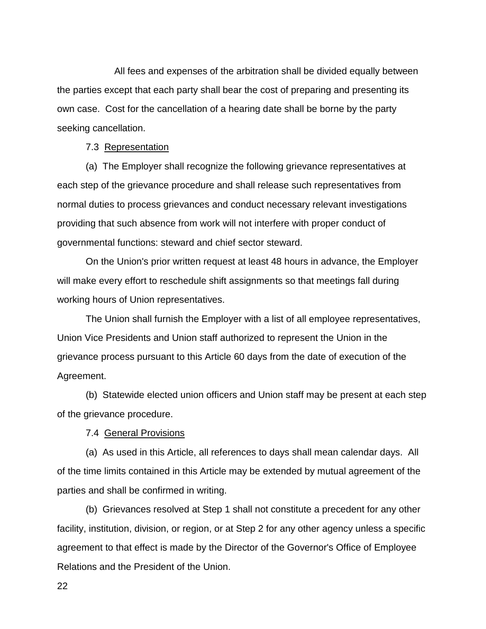All fees and expenses of the arbitration shall be divided equally between the parties except that each party shall bear the cost of preparing and presenting its own case. Cost for the cancellation of a hearing date shall be borne by the party seeking cancellation.

#### 7.3 Representation

 (a) The Employer shall recognize the following grievance representatives at each step of the grievance procedure and shall release such representatives from normal duties to process grievances and conduct necessary relevant investigations providing that such absence from work will not interfere with proper conduct of governmental functions: steward and chief sector steward.

 On the Union's prior written request at least 48 hours in advance, the Employer will make every effort to reschedule shift assignments so that meetings fall during working hours of Union representatives.

 The Union shall furnish the Employer with a list of all employee representatives, Union Vice Presidents and Union staff authorized to represent the Union in the grievance process pursuant to this Article 60 days from the date of execution of the Agreement.

 (b) Statewide elected union officers and Union staff may be present at each step of the grievance procedure.

7.4 General Provisions

 (a) As used in this Article, all references to days shall mean calendar days. All of the time limits contained in this Article may be extended by mutual agreement of the parties and shall be confirmed in writing.

 (b) Grievances resolved at Step 1 shall not constitute a precedent for any other facility, institution, division, or region, or at Step 2 for any other agency unless a specific agreement to that effect is made by the Director of the Governor's Office of Employee Relations and the President of the Union.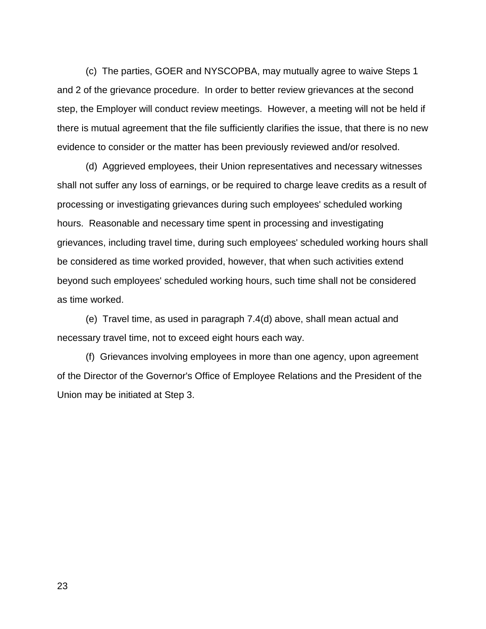(c) The parties, GOER and NYSCOPBA, may mutually agree to waive Steps 1 and 2 of the grievance procedure. In order to better review grievances at the second step, the Employer will conduct review meetings. However, a meeting will not be held if there is mutual agreement that the file sufficiently clarifies the issue, that there is no new evidence to consider or the matter has been previously reviewed and/or resolved.

 (d) Aggrieved employees, their Union representatives and necessary witnesses shall not suffer any loss of earnings, or be required to charge leave credits as a result of processing or investigating grievances during such employees' scheduled working hours. Reasonable and necessary time spent in processing and investigating grievances, including travel time, during such employees' scheduled working hours shall be considered as time worked provided, however, that when such activities extend beyond such employees' scheduled working hours, such time shall not be considered as time worked.

 (e) Travel time, as used in paragraph 7.4(d) above, shall mean actual and necessary travel time, not to exceed eight hours each way.

 (f) Grievances involving employees in more than one agency, upon agreement of the Director of the Governor's Office of Employee Relations and the President of the Union may be initiated at Step 3.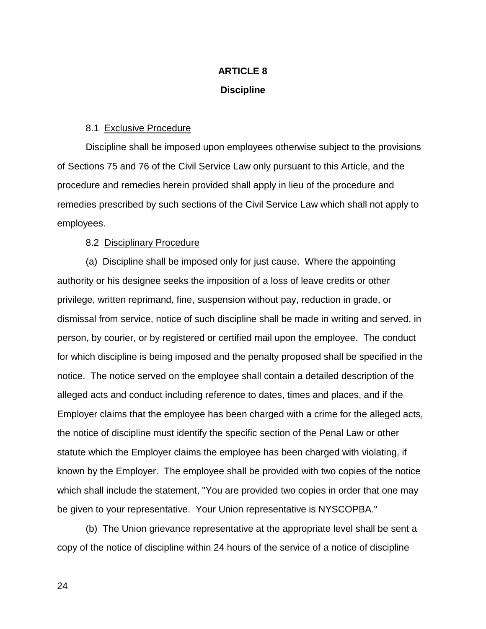# **ARTICLE 8 Discipline**

## 8.1 Exclusive Procedure

Discipline shall be imposed upon employees otherwise subject to the provisions of Sections 75 and 76 of the Civil Service Law only pursuant to this Article, and the procedure and remedies herein provided shall apply in lieu of the procedure and remedies prescribed by such sections of the Civil Service Law which shall not apply to employees.

### 8.2 Disciplinary Procedure

 (a) Discipline shall be imposed only for just cause. Where the appointing authority or his designee seeks the imposition of a loss of leave credits or other privilege, written reprimand, fine, suspension without pay, reduction in grade, or dismissal from service, notice of such discipline shall be made in writing and served, in person, by courier, or by registered or certified mail upon the employee. The conduct for which discipline is being imposed and the penalty proposed shall be specified in the notice. The notice served on the employee shall contain a detailed description of the alleged acts and conduct including reference to dates, times and places, and if the Employer claims that the employee has been charged with a crime for the alleged acts, the notice of discipline must identify the specific section of the Penal Law or other statute which the Employer claims the employee has been charged with violating, if known by the Employer. The employee shall be provided with two copies of the notice which shall include the statement, "You are provided two copies in order that one may be given to your representative. Your Union representative is NYSCOPBA."

 (b) The Union grievance representative at the appropriate level shall be sent a copy of the notice of discipline within 24 hours of the service of a notice of discipline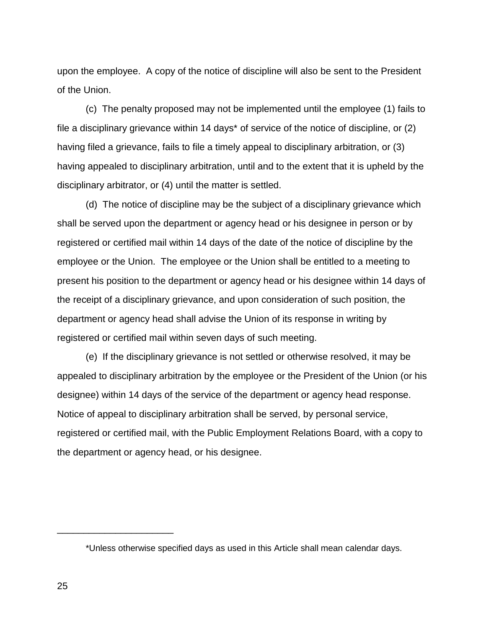upon the employee. A copy of the notice of discipline will also be sent to the President of the Union.

 (c) The penalty proposed may not be implemented until the employee (1) fails to file a disciplinary grievance within 14 days\* of service of the notice of discipline, or (2) having filed a grievance, fails to file a timely appeal to disciplinary arbitration, or (3) having appealed to disciplinary arbitration, until and to the extent that it is upheld by the disciplinary arbitrator, or (4) until the matter is settled.

 (d) The notice of discipline may be the subject of a disciplinary grievance which shall be served upon the department or agency head or his designee in person or by registered or certified mail within 14 days of the date of the notice of discipline by the employee or the Union. The employee or the Union shall be entitled to a meeting to present his position to the department or agency head or his designee within 14 days of the receipt of a disciplinary grievance, and upon consideration of such position, the department or agency head shall advise the Union of its response in writing by registered or certified mail within seven days of such meeting.

 (e) If the disciplinary grievance is not settled or otherwise resolved, it may be appealed to disciplinary arbitration by the employee or the President of the Union (or his designee) within 14 days of the service of the department or agency head response. Notice of appeal to disciplinary arbitration shall be served, by personal service, registered or certified mail, with the Public Employment Relations Board, with a copy to the department or agency head, or his designee.

\_\_\_\_\_\_\_\_\_\_\_\_\_\_\_\_\_\_\_\_\_\_

<sup>\*</sup>Unless otherwise specified days as used in this Article shall mean calendar days.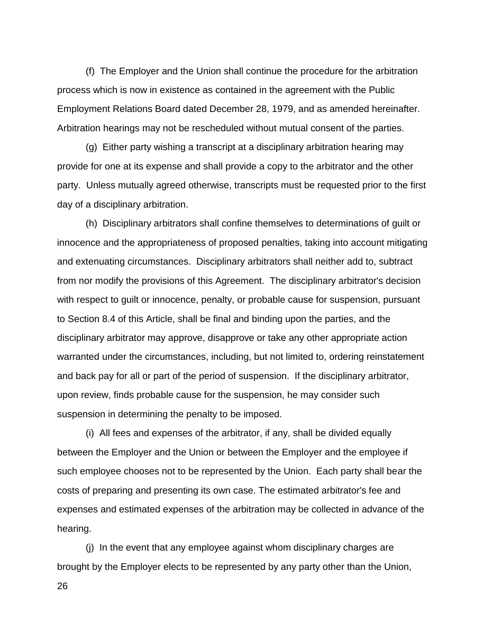(f) The Employer and the Union shall continue the procedure for the arbitration process which is now in existence as contained in the agreement with the Public Employment Relations Board dated December 28, 1979, and as amended hereinafter. Arbitration hearings may not be rescheduled without mutual consent of the parties.

 (g) Either party wishing a transcript at a disciplinary arbitration hearing may provide for one at its expense and shall provide a copy to the arbitrator and the other party. Unless mutually agreed otherwise, transcripts must be requested prior to the first day of a disciplinary arbitration.

 (h) Disciplinary arbitrators shall confine themselves to determinations of guilt or innocence and the appropriateness of proposed penalties, taking into account mitigating and extenuating circumstances. Disciplinary arbitrators shall neither add to, subtract from nor modify the provisions of this Agreement. The disciplinary arbitrator's decision with respect to guilt or innocence, penalty, or probable cause for suspension, pursuant to Section 8.4 of this Article, shall be final and binding upon the parties, and the disciplinary arbitrator may approve, disapprove or take any other appropriate action warranted under the circumstances, including, but not limited to, ordering reinstatement and back pay for all or part of the period of suspension. If the disciplinary arbitrator, upon review, finds probable cause for the suspension, he may consider such suspension in determining the penalty to be imposed.

 (i) All fees and expenses of the arbitrator, if any, shall be divided equally between the Employer and the Union or between the Employer and the employee if such employee chooses not to be represented by the Union. Each party shall bear the costs of preparing and presenting its own case. The estimated arbitrator's fee and expenses and estimated expenses of the arbitration may be collected in advance of the hearing.

 (j) In the event that any employee against whom disciplinary charges are brought by the Employer elects to be represented by any party other than the Union,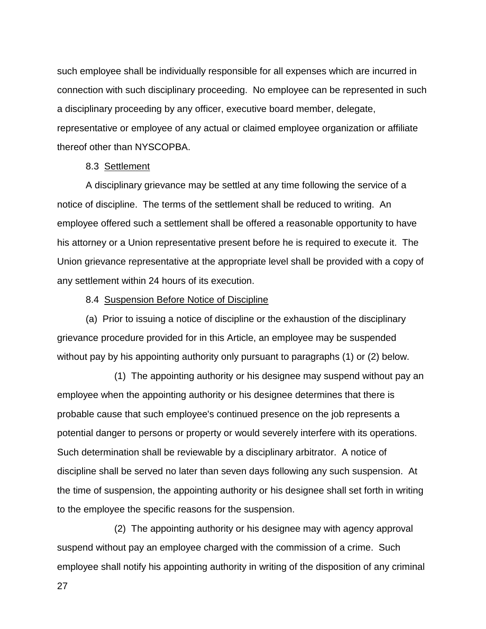such employee shall be individually responsible for all expenses which are incurred in connection with such disciplinary proceeding. No employee can be represented in such a disciplinary proceeding by any officer, executive board member, delegate, representative or employee of any actual or claimed employee organization or affiliate thereof other than NYSCOPBA.

#### 8.3 Settlement

A disciplinary grievance may be settled at any time following the service of a notice of discipline. The terms of the settlement shall be reduced to writing. An employee offered such a settlement shall be offered a reasonable opportunity to have his attorney or a Union representative present before he is required to execute it. The Union grievance representative at the appropriate level shall be provided with a copy of any settlement within 24 hours of its execution.

#### 8.4 Suspension Before Notice of Discipline

 (a) Prior to issuing a notice of discipline or the exhaustion of the disciplinary grievance procedure provided for in this Article, an employee may be suspended without pay by his appointing authority only pursuant to paragraphs (1) or (2) below.

 (1) The appointing authority or his designee may suspend without pay an employee when the appointing authority or his designee determines that there is probable cause that such employee's continued presence on the job represents a potential danger to persons or property or would severely interfere with its operations. Such determination shall be reviewable by a disciplinary arbitrator. A notice of discipline shall be served no later than seven days following any such suspension. At the time of suspension, the appointing authority or his designee shall set forth in writing to the employee the specific reasons for the suspension.

 (2) The appointing authority or his designee may with agency approval suspend without pay an employee charged with the commission of a crime. Such employee shall notify his appointing authority in writing of the disposition of any criminal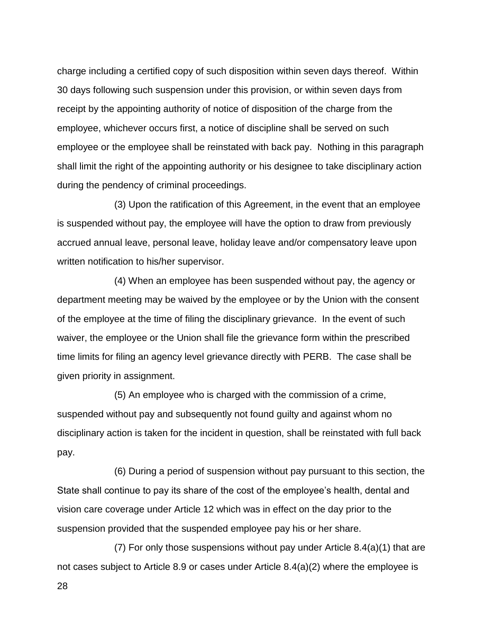charge including a certified copy of such disposition within seven days thereof. Within 30 days following such suspension under this provision, or within seven days from receipt by the appointing authority of notice of disposition of the charge from the employee, whichever occurs first, a notice of discipline shall be served on such employee or the employee shall be reinstated with back pay. Nothing in this paragraph shall limit the right of the appointing authority or his designee to take disciplinary action during the pendency of criminal proceedings.

 (3) Upon the ratification of this Agreement, in the event that an employee is suspended without pay, the employee will have the option to draw from previously accrued annual leave, personal leave, holiday leave and/or compensatory leave upon written notification to his/her supervisor.

 (4) When an employee has been suspended without pay, the agency or department meeting may be waived by the employee or by the Union with the consent of the employee at the time of filing the disciplinary grievance. In the event of such waiver, the employee or the Union shall file the grievance form within the prescribed time limits for filing an agency level grievance directly with PERB. The case shall be given priority in assignment.

 (5) An employee who is charged with the commission of a crime, suspended without pay and subsequently not found guilty and against whom no disciplinary action is taken for the incident in question, shall be reinstated with full back pay.

 (6) During a period of suspension without pay pursuant to this section, the State shall continue to pay its share of the cost of the employee's health, dental and vision care coverage under Article 12 which was in effect on the day prior to the suspension provided that the suspended employee pay his or her share.

 (7) For only those suspensions without pay under Article 8.4(a)(1) that are not cases subject to Article 8.9 or cases under Article 8.4(a)(2) where the employee is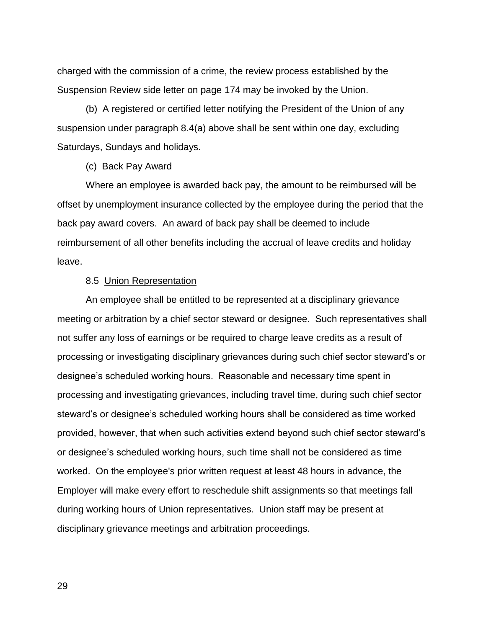charged with the commission of a crime, the review process established by the Suspension Review side letter on page 174 may be invoked by the Union.

 (b) A registered or certified letter notifying the President of the Union of any suspension under paragraph 8.4(a) above shall be sent within one day, excluding Saturdays, Sundays and holidays.

(c) Back Pay Award

 Where an employee is awarded back pay, the amount to be reimbursed will be offset by unemployment insurance collected by the employee during the period that the back pay award covers. An award of back pay shall be deemed to include reimbursement of all other benefits including the accrual of leave credits and holiday leave.

#### 8.5 Union Representation

An employee shall be entitled to be represented at a disciplinary grievance meeting or arbitration by a chief sector steward or designee. Such representatives shall not suffer any loss of earnings or be required to charge leave credits as a result of processing or investigating disciplinary grievances during such chief sector steward's or designee's scheduled working hours. Reasonable and necessary time spent in processing and investigating grievances, including travel time, during such chief sector steward's or designee's scheduled working hours shall be considered as time worked provided, however, that when such activities extend beyond such chief sector steward's or designee's scheduled working hours, such time shall not be considered as time worked. On the employee's prior written request at least 48 hours in advance, the Employer will make every effort to reschedule shift assignments so that meetings fall during working hours of Union representatives. Union staff may be present at disciplinary grievance meetings and arbitration proceedings.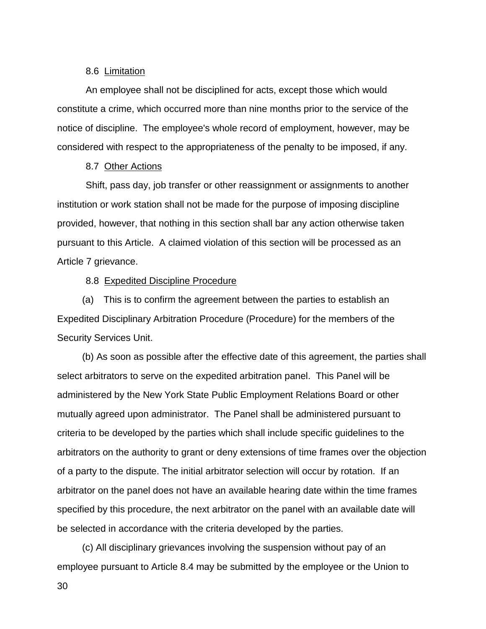#### 8.6 Limitation

An employee shall not be disciplined for acts, except those which would constitute a crime, which occurred more than nine months prior to the service of the notice of discipline. The employee's whole record of employment, however, may be considered with respect to the appropriateness of the penalty to be imposed, if any.

#### 8.7 Other Actions

Shift, pass day, job transfer or other reassignment or assignments to another institution or work station shall not be made for the purpose of imposing discipline provided, however, that nothing in this section shall bar any action otherwise taken pursuant to this Article. A claimed violation of this section will be processed as an Article 7 grievance.

#### 8.8 Expedited Discipline Procedure

(a) This is to confirm the agreement between the parties to establish an Expedited Disciplinary Arbitration Procedure (Procedure) for the members of the Security Services Unit.

(b) As soon as possible after the effective date of this agreement, the parties shall select arbitrators to serve on the expedited arbitration panel. This Panel will be administered by the New York State Public Employment Relations Board or other mutually agreed upon administrator. The Panel shall be administered pursuant to criteria to be developed by the parties which shall include specific guidelines to the arbitrators on the authority to grant or deny extensions of time frames over the objection of a party to the dispute. The initial arbitrator selection will occur by rotation. If an arbitrator on the panel does not have an available hearing date within the time frames specified by this procedure, the next arbitrator on the panel with an available date will be selected in accordance with the criteria developed by the parties.

(c) All disciplinary grievances involving the suspension without pay of an employee pursuant to Article 8.4 may be submitted by the employee or the Union to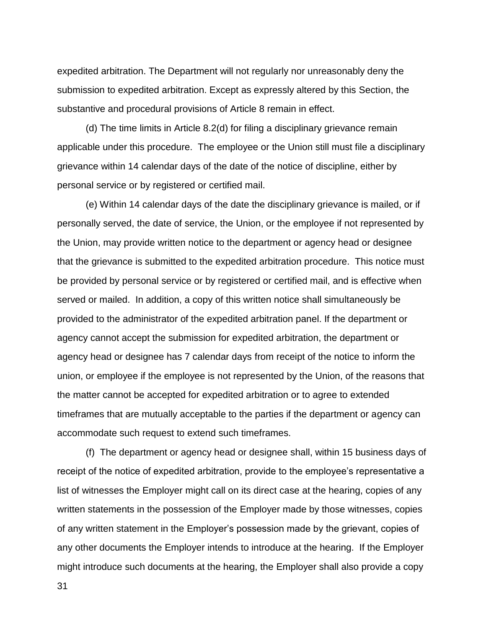expedited arbitration. The Department will not regularly nor unreasonably deny the submission to expedited arbitration. Except as expressly altered by this Section, the substantive and procedural provisions of Article 8 remain in effect.

 (d) The time limits in Article 8.2(d) for filing a disciplinary grievance remain applicable under this procedure. The employee or the Union still must file a disciplinary grievance within 14 calendar days of the date of the notice of discipline, either by personal service or by registered or certified mail.

 (e) Within 14 calendar days of the date the disciplinary grievance is mailed, or if personally served, the date of service, the Union, or the employee if not represented by the Union, may provide written notice to the department or agency head or designee that the grievance is submitted to the expedited arbitration procedure. This notice must be provided by personal service or by registered or certified mail, and is effective when served or mailed. In addition, a copy of this written notice shall simultaneously be provided to the administrator of the expedited arbitration panel. If the department or agency cannot accept the submission for expedited arbitration, the department or agency head or designee has 7 calendar days from receipt of the notice to inform the union, or employee if the employee is not represented by the Union, of the reasons that the matter cannot be accepted for expedited arbitration or to agree to extended timeframes that are mutually acceptable to the parties if the department or agency can accommodate such request to extend such timeframes.

 (f) The department or agency head or designee shall, within 15 business days of receipt of the notice of expedited arbitration, provide to the employee's representative a list of witnesses the Employer might call on its direct case at the hearing, copies of any written statements in the possession of the Employer made by those witnesses, copies of any written statement in the Employer's possession made by the grievant, copies of any other documents the Employer intends to introduce at the hearing. If the Employer might introduce such documents at the hearing, the Employer shall also provide a copy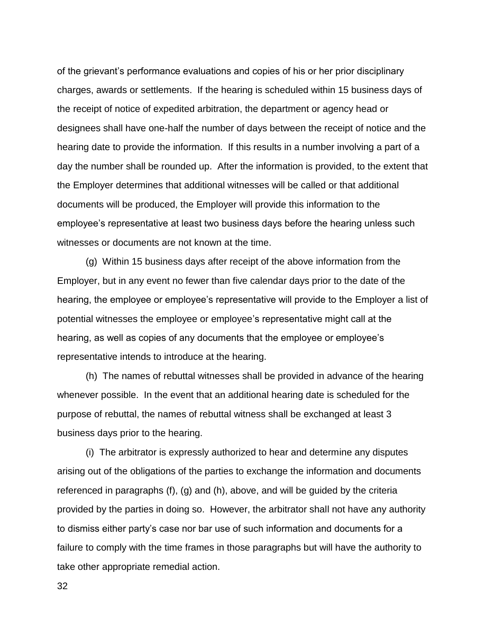of the grievant's performance evaluations and copies of his or her prior disciplinary charges, awards or settlements. If the hearing is scheduled within 15 business days of the receipt of notice of expedited arbitration, the department or agency head or designees shall have one-half the number of days between the receipt of notice and the hearing date to provide the information. If this results in a number involving a part of a day the number shall be rounded up. After the information is provided, to the extent that the Employer determines that additional witnesses will be called or that additional documents will be produced, the Employer will provide this information to the employee's representative at least two business days before the hearing unless such witnesses or documents are not known at the time.

 (g) Within 15 business days after receipt of the above information from the Employer, but in any event no fewer than five calendar days prior to the date of the hearing, the employee or employee's representative will provide to the Employer a list of potential witnesses the employee or employee's representative might call at the hearing, as well as copies of any documents that the employee or employee's representative intends to introduce at the hearing.

 (h) The names of rebuttal witnesses shall be provided in advance of the hearing whenever possible. In the event that an additional hearing date is scheduled for the purpose of rebuttal, the names of rebuttal witness shall be exchanged at least 3 business days prior to the hearing.

 (i) The arbitrator is expressly authorized to hear and determine any disputes arising out of the obligations of the parties to exchange the information and documents referenced in paragraphs (f), (g) and (h), above, and will be guided by the criteria provided by the parties in doing so. However, the arbitrator shall not have any authority to dismiss either party's case nor bar use of such information and documents for a failure to comply with the time frames in those paragraphs but will have the authority to take other appropriate remedial action.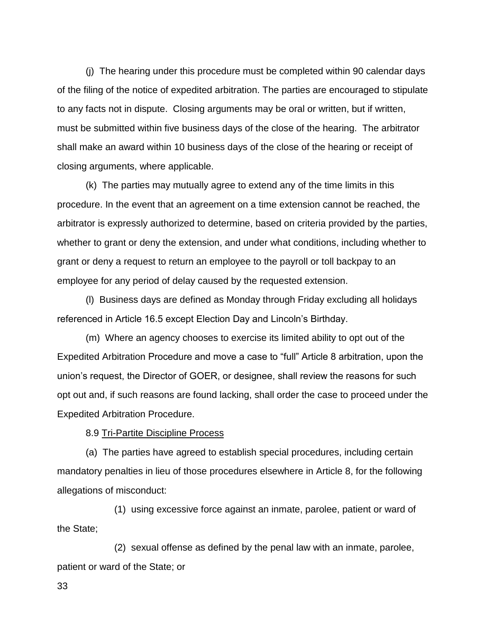(j) The hearing under this procedure must be completed within 90 calendar days of the filing of the notice of expedited arbitration. The parties are encouraged to stipulate to any facts not in dispute. Closing arguments may be oral or written, but if written, must be submitted within five business days of the close of the hearing. The arbitrator shall make an award within 10 business days of the close of the hearing or receipt of closing arguments, where applicable.

 (k) The parties may mutually agree to extend any of the time limits in this procedure. In the event that an agreement on a time extension cannot be reached, the arbitrator is expressly authorized to determine, based on criteria provided by the parties, whether to grant or deny the extension, and under what conditions, including whether to grant or deny a request to return an employee to the payroll or toll backpay to an employee for any period of delay caused by the requested extension.

 (l) Business days are defined as Monday through Friday excluding all holidays referenced in Article 16.5 except Election Day and Lincoln's Birthday.

(m) Where an agency chooses to exercise its limited ability to opt out of the Expedited Arbitration Procedure and move a case to "full" Article 8 arbitration, upon the union's request, the Director of GOER, or designee, shall review the reasons for such opt out and, if such reasons are found lacking, shall order the case to proceed under the Expedited Arbitration Procedure.

8.9 Tri-Partite Discipline Process

 (a) The parties have agreed to establish special procedures, including certain mandatory penalties in lieu of those procedures elsewhere in Article 8, for the following allegations of misconduct:

(1) using excessive force against an inmate, parolee, patient or ward of the State;

(2) sexual offense as defined by the penal law with an inmate, parolee, patient or ward of the State; or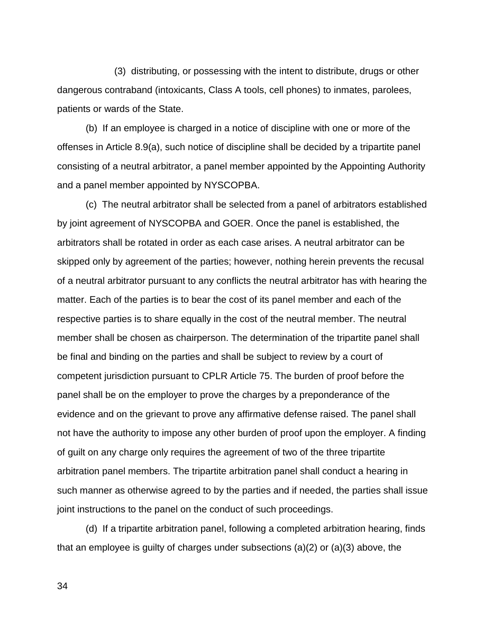(3) distributing, or possessing with the intent to distribute, drugs or other dangerous contraband (intoxicants, Class A tools, cell phones) to inmates, parolees, patients or wards of the State.

 (b) If an employee is charged in a notice of discipline with one or more of the offenses in Article 8.9(a), such notice of discipline shall be decided by a tripartite panel consisting of a neutral arbitrator, a panel member appointed by the Appointing Authority and a panel member appointed by NYSCOPBA.

 (c) The neutral arbitrator shall be selected from a panel of arbitrators established by joint agreement of NYSCOPBA and GOER. Once the panel is established, the arbitrators shall be rotated in order as each case arises. A neutral arbitrator can be skipped only by agreement of the parties; however, nothing herein prevents the recusal of a neutral arbitrator pursuant to any conflicts the neutral arbitrator has with hearing the matter. Each of the parties is to bear the cost of its panel member and each of the respective parties is to share equally in the cost of the neutral member. The neutral member shall be chosen as chairperson. The determination of the tripartite panel shall be final and binding on the parties and shall be subject to review by a court of competent jurisdiction pursuant to CPLR Article 75. The burden of proof before the panel shall be on the employer to prove the charges by a preponderance of the evidence and on the grievant to prove any affirmative defense raised. The panel shall not have the authority to impose any other burden of proof upon the employer. A finding of guilt on any charge only requires the agreement of two of the three tripartite arbitration panel members. The tripartite arbitration panel shall conduct a hearing in such manner as otherwise agreed to by the parties and if needed, the parties shall issue joint instructions to the panel on the conduct of such proceedings.

 (d) If a tripartite arbitration panel, following a completed arbitration hearing, finds that an employee is guilty of charges under subsections (a)(2) or (a)(3) above, the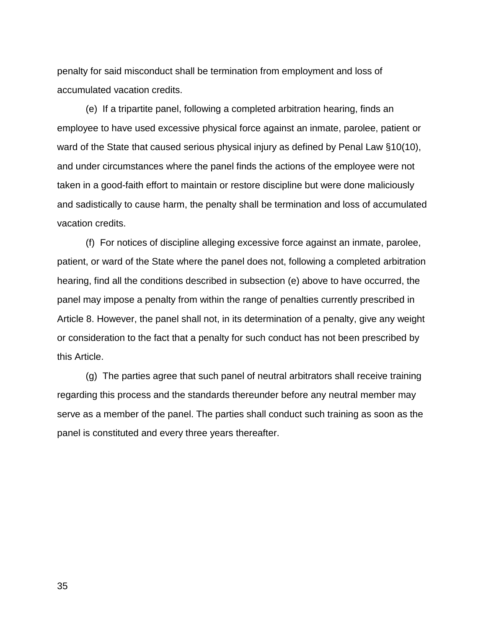penalty for said misconduct shall be termination from employment and loss of accumulated vacation credits.

 (e) If a tripartite panel, following a completed arbitration hearing, finds an employee to have used excessive physical force against an inmate, parolee, patient or ward of the State that caused serious physical injury as defined by Penal Law §10(10), and under circumstances where the panel finds the actions of the employee were not taken in a good-faith effort to maintain or restore discipline but were done maliciously and sadistically to cause harm, the penalty shall be termination and loss of accumulated vacation credits.

 (f) For notices of discipline alleging excessive force against an inmate, parolee, patient, or ward of the State where the panel does not, following a completed arbitration hearing, find all the conditions described in subsection (e) above to have occurred, the panel may impose a penalty from within the range of penalties currently prescribed in Article 8. However, the panel shall not, in its determination of a penalty, give any weight or consideration to the fact that a penalty for such conduct has not been prescribed by this Article.

 (g) The parties agree that such panel of neutral arbitrators shall receive training regarding this process and the standards thereunder before any neutral member may serve as a member of the panel. The parties shall conduct such training as soon as the panel is constituted and every three years thereafter.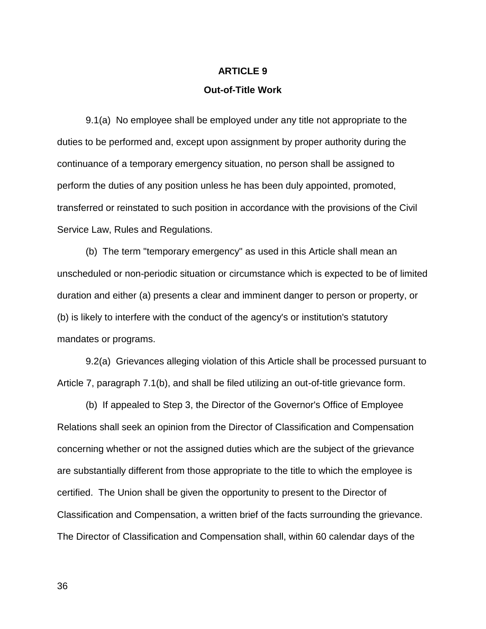# **ARTICLE 9**

# **Out-of-Title Work**

 9.1(a) No employee shall be employed under any title not appropriate to the duties to be performed and, except upon assignment by proper authority during the continuance of a temporary emergency situation, no person shall be assigned to perform the duties of any position unless he has been duly appointed, promoted, transferred or reinstated to such position in accordance with the provisions of the Civil Service Law, Rules and Regulations.

 (b) The term "temporary emergency" as used in this Article shall mean an unscheduled or non-periodic situation or circumstance which is expected to be of limited duration and either (a) presents a clear and imminent danger to person or property, or (b) is likely to interfere with the conduct of the agency's or institution's statutory mandates or programs.

 9.2(a) Grievances alleging violation of this Article shall be processed pursuant to Article 7, paragraph 7.1(b), and shall be filed utilizing an out-of-title grievance form.

 (b) If appealed to Step 3, the Director of the Governor's Office of Employee Relations shall seek an opinion from the Director of Classification and Compensation concerning whether or not the assigned duties which are the subject of the grievance are substantially different from those appropriate to the title to which the employee is certified. The Union shall be given the opportunity to present to the Director of Classification and Compensation, a written brief of the facts surrounding the grievance. The Director of Classification and Compensation shall, within 60 calendar days of the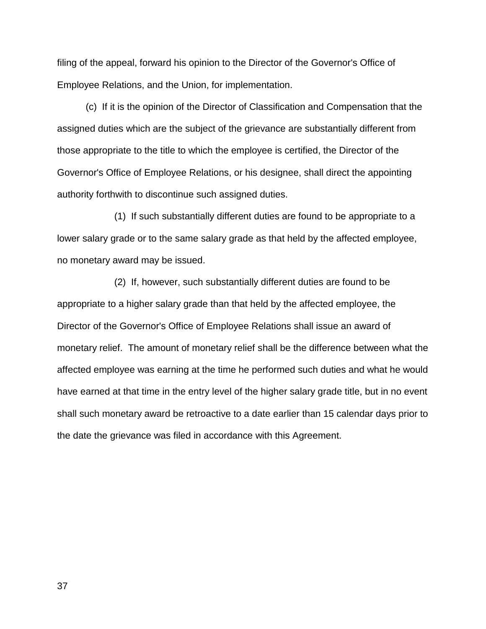filing of the appeal, forward his opinion to the Director of the Governor's Office of Employee Relations, and the Union, for implementation.

 (c) If it is the opinion of the Director of Classification and Compensation that the assigned duties which are the subject of the grievance are substantially different from those appropriate to the title to which the employee is certified, the Director of the Governor's Office of Employee Relations, or his designee, shall direct the appointing authority forthwith to discontinue such assigned duties.

 (1) If such substantially different duties are found to be appropriate to a lower salary grade or to the same salary grade as that held by the affected employee, no monetary award may be issued.

 (2) If, however, such substantially different duties are found to be appropriate to a higher salary grade than that held by the affected employee, the Director of the Governor's Office of Employee Relations shall issue an award of monetary relief. The amount of monetary relief shall be the difference between what the affected employee was earning at the time he performed such duties and what he would have earned at that time in the entry level of the higher salary grade title, but in no event shall such monetary award be retroactive to a date earlier than 15 calendar days prior to the date the grievance was filed in accordance with this Agreement.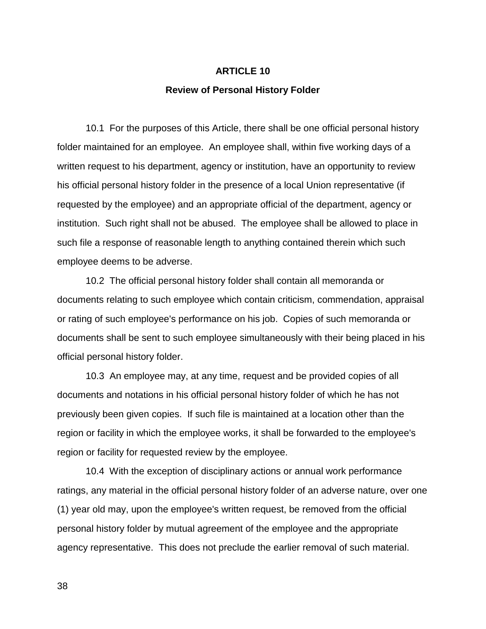## **ARTICLE 10**

#### **Review of Personal History Folder**

 10.1 For the purposes of this Article, there shall be one official personal history folder maintained for an employee. An employee shall, within five working days of a written request to his department, agency or institution, have an opportunity to review his official personal history folder in the presence of a local Union representative (if requested by the employee) and an appropriate official of the department, agency or institution. Such right shall not be abused. The employee shall be allowed to place in such file a response of reasonable length to anything contained therein which such employee deems to be adverse.

 10.2 The official personal history folder shall contain all memoranda or documents relating to such employee which contain criticism, commendation, appraisal or rating of such employee's performance on his job. Copies of such memoranda or documents shall be sent to such employee simultaneously with their being placed in his official personal history folder.

 10.3 An employee may, at any time, request and be provided copies of all documents and notations in his official personal history folder of which he has not previously been given copies. If such file is maintained at a location other than the region or facility in which the employee works, it shall be forwarded to the employee's region or facility for requested review by the employee.

 10.4 With the exception of disciplinary actions or annual work performance ratings, any material in the official personal history folder of an adverse nature, over one (1) year old may, upon the employee's written request, be removed from the official personal history folder by mutual agreement of the employee and the appropriate agency representative. This does not preclude the earlier removal of such material.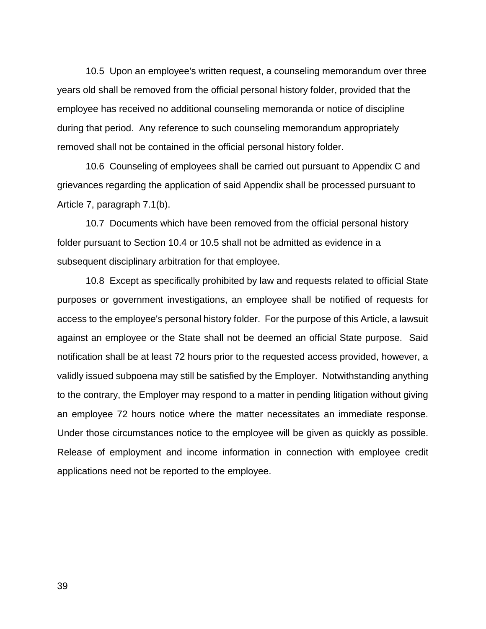10.5 Upon an employee's written request, a counseling memorandum over three years old shall be removed from the official personal history folder, provided that the employee has received no additional counseling memoranda or notice of discipline during that period. Any reference to such counseling memorandum appropriately removed shall not be contained in the official personal history folder.

 10.6 Counseling of employees shall be carried out pursuant to Appendix C and grievances regarding the application of said Appendix shall be processed pursuant to Article 7, paragraph 7.1(b).

 10.7 Documents which have been removed from the official personal history folder pursuant to Section 10.4 or 10.5 shall not be admitted as evidence in a subsequent disciplinary arbitration for that employee.

 10.8 Except as specifically prohibited by law and requests related to official State purposes or government investigations, an employee shall be notified of requests for access to the employee's personal history folder. For the purpose of this Article, a lawsuit against an employee or the State shall not be deemed an official State purpose. Said notification shall be at least 72 hours prior to the requested access provided, however, a validly issued subpoena may still be satisfied by the Employer. Notwithstanding anything to the contrary, the Employer may respond to a matter in pending litigation without giving an employee 72 hours notice where the matter necessitates an immediate response. Under those circumstances notice to the employee will be given as quickly as possible. Release of employment and income information in connection with employee credit applications need not be reported to the employee.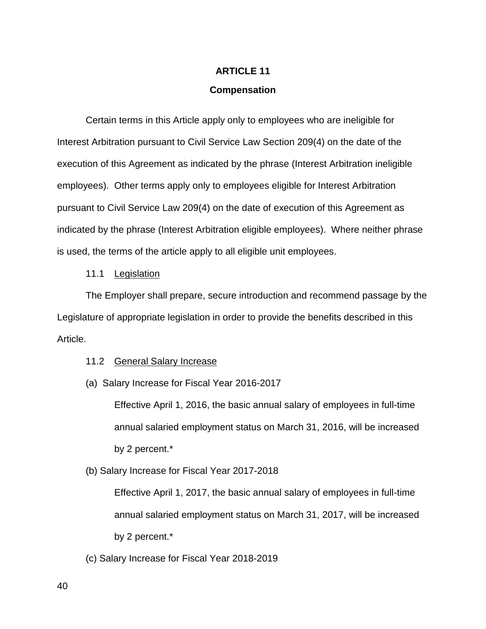# **ARTICLE 11**

## **Compensation**

Certain terms in this Article apply only to employees who are ineligible for Interest Arbitration pursuant to Civil Service Law Section 209(4) on the date of the execution of this Agreement as indicated by the phrase (Interest Arbitration ineligible employees). Other terms apply only to employees eligible for Interest Arbitration pursuant to Civil Service Law 209(4) on the date of execution of this Agreement as indicated by the phrase (Interest Arbitration eligible employees). Where neither phrase is used, the terms of the article apply to all eligible unit employees.

## 11.1 Legislation

The Employer shall prepare, secure introduction and recommend passage by the Legislature of appropriate legislation in order to provide the benefits described in this Article.

#### 11.2 General Salary Increase

(a) Salary Increase for Fiscal Year 2016-2017

Effective April 1, 2016, the basic annual salary of employees in full-time annual salaried employment status on March 31, 2016, will be increased by 2 percent.\*

(b) Salary Increase for Fiscal Year 2017-2018

Effective April 1, 2017, the basic annual salary of employees in full-time annual salaried employment status on March 31, 2017, will be increased by 2 percent.\*

(c) Salary Increase for Fiscal Year 2018-2019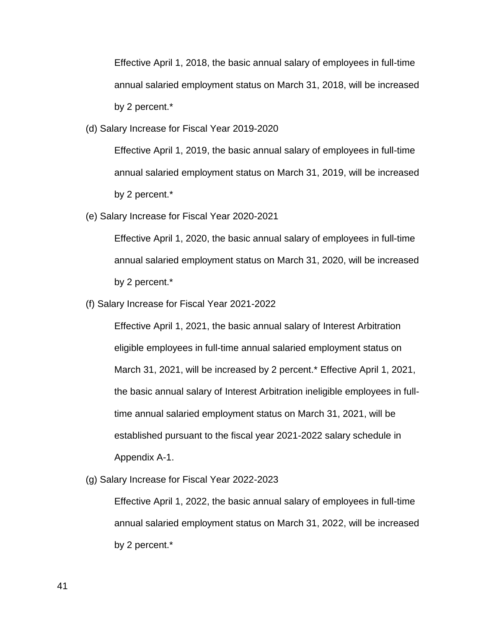Effective April 1, 2018, the basic annual salary of employees in full-time annual salaried employment status on March 31, 2018, will be increased by 2 percent.\*

(d) Salary Increase for Fiscal Year 2019-2020

Effective April 1, 2019, the basic annual salary of employees in full-time annual salaried employment status on March 31, 2019, will be increased by 2 percent.\*

(e) Salary Increase for Fiscal Year 2020-2021

Effective April 1, 2020, the basic annual salary of employees in full-time annual salaried employment status on March 31, 2020, will be increased by 2 percent.\*

(f) Salary Increase for Fiscal Year 2021-2022

Effective April 1, 2021, the basic annual salary of Interest Arbitration eligible employees in full-time annual salaried employment status on March 31, 2021, will be increased by 2 percent.\* Effective April 1, 2021, the basic annual salary of Interest Arbitration ineligible employees in fulltime annual salaried employment status on March 31, 2021, will be established pursuant to the fiscal year 2021-2022 salary schedule in Appendix A-1.

(g) Salary Increase for Fiscal Year 2022-2023

Effective April 1, 2022, the basic annual salary of employees in full-time annual salaried employment status on March 31, 2022, will be increased by 2 percent.\*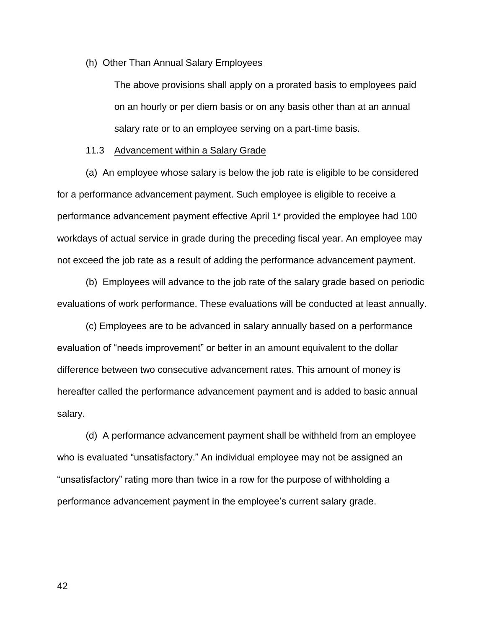(h) Other Than Annual Salary Employees

The above provisions shall apply on a prorated basis to employees paid on an hourly or per diem basis or on any basis other than at an annual salary rate or to an employee serving on a part-time basis.

#### 11.3 Advancement within a Salary Grade

 (a) An employee whose salary is below the job rate is eligible to be considered for a performance advancement payment. Such employee is eligible to receive a performance advancement payment effective April 1\* provided the employee had 100 workdays of actual service in grade during the preceding fiscal year. An employee may not exceed the job rate as a result of adding the performance advancement payment.

 (b) Employees will advance to the job rate of the salary grade based on periodic evaluations of work performance. These evaluations will be conducted at least annually.

 (c) Employees are to be advanced in salary annually based on a performance evaluation of "needs improvement" or better in an amount equivalent to the dollar difference between two consecutive advancement rates. This amount of money is hereafter called the performance advancement payment and is added to basic annual salary.

 (d) A performance advancement payment shall be withheld from an employee who is evaluated "unsatisfactory." An individual employee may not be assigned an "unsatisfactory" rating more than twice in a row for the purpose of withholding a performance advancement payment in the employee's current salary grade.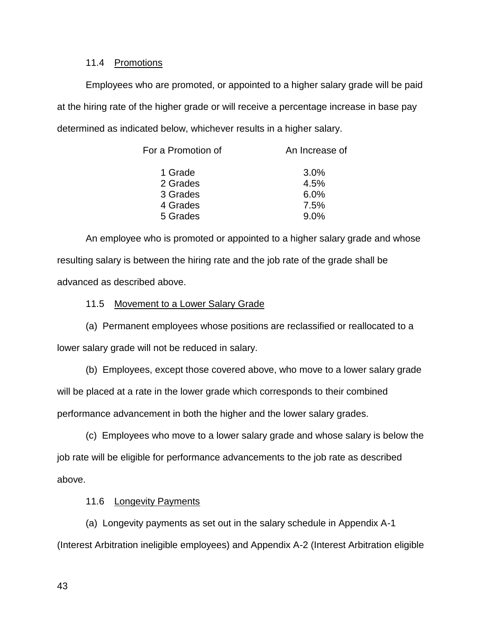# 11.4 Promotions

 Employees who are promoted, or appointed to a higher salary grade will be paid at the hiring rate of the higher grade or will receive a percentage increase in base pay determined as indicated below, whichever results in a higher salary.

| For a Promotion of | An Increase of |
|--------------------|----------------|
| 1 Grade            | 3.0%           |
| 2 Grades           | 4.5%           |
| 3 Grades           | 6.0%           |
| 4 Grades           | 7.5%           |
| 5 Grades           | 9.0%           |
|                    |                |

 An employee who is promoted or appointed to a higher salary grade and whose resulting salary is between the hiring rate and the job rate of the grade shall be advanced as described above.

# 11.5 Movement to a Lower Salary Grade

 (a) Permanent employees whose positions are reclassified or reallocated to a lower salary grade will not be reduced in salary.

(b) Employees, except those covered above, who move to a lower salary grade

will be placed at a rate in the lower grade which corresponds to their combined

performance advancement in both the higher and the lower salary grades.

 (c) Employees who move to a lower salary grade and whose salary is below the job rate will be eligible for performance advancements to the job rate as described above.

# 11.6 Longevity Payments

 (a) Longevity payments as set out in the salary schedule in Appendix A-1 (Interest Arbitration ineligible employees) and Appendix A-2 (Interest Arbitration eligible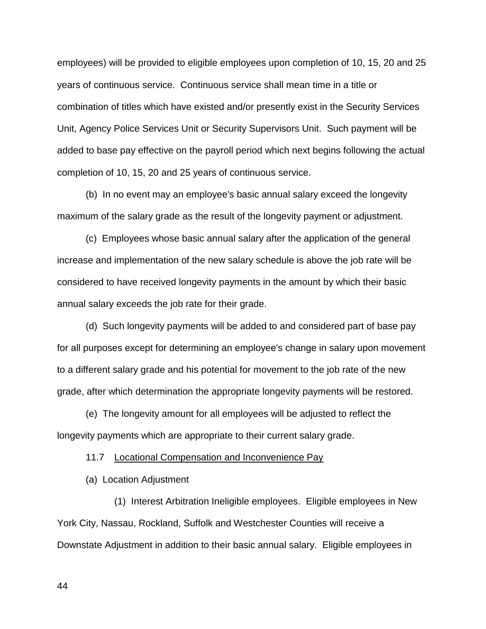employees) will be provided to eligible employees upon completion of 10, 15, 20 and 25 years of continuous service. Continuous service shall mean time in a title or combination of titles which have existed and/or presently exist in the Security Services Unit, Agency Police Services Unit or Security Supervisors Unit. Such payment will be added to base pay effective on the payroll period which next begins following the actual completion of 10, 15, 20 and 25 years of continuous service.

 (b) In no event may an employee's basic annual salary exceed the longevity maximum of the salary grade as the result of the longevity payment or adjustment.

 (c) Employees whose basic annual salary after the application of the general increase and implementation of the new salary schedule is above the job rate will be considered to have received longevity payments in the amount by which their basic annual salary exceeds the job rate for their grade.

 (d) Such longevity payments will be added to and considered part of base pay for all purposes except for determining an employee's change in salary upon movement to a different salary grade and his potential for movement to the job rate of the new grade, after which determination the appropriate longevity payments will be restored.

 (e) The longevity amount for all employees will be adjusted to reflect the longevity payments which are appropriate to their current salary grade.

11.7 Locational Compensation and Inconvenience Pay

(a) Location Adjustment

(1) Interest Arbitration Ineligible employees. Eligible employees in New York City, Nassau, Rockland, Suffolk and Westchester Counties will receive a Downstate Adjustment in addition to their basic annual salary. Eligible employees in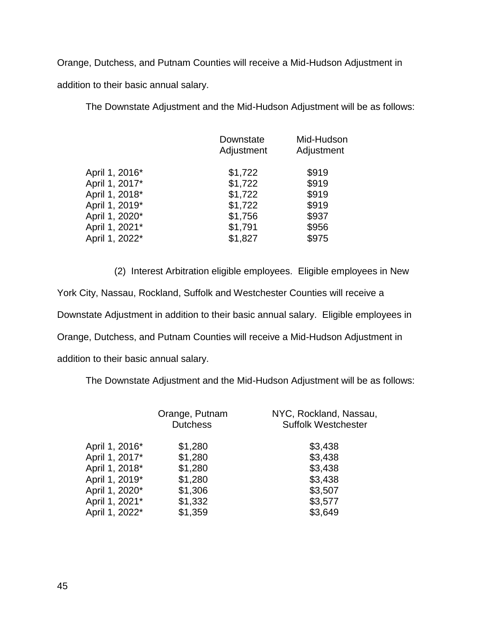Orange, Dutchess, and Putnam Counties will receive a Mid-Hudson Adjustment in addition to their basic annual salary.

The Downstate Adjustment and the Mid-Hudson Adjustment will be as follows:

|                | Downstate<br>Adjustment | Mid-Hudson<br>Adjustment |
|----------------|-------------------------|--------------------------|
| April 1, 2016* | \$1,722                 | \$919                    |
| April 1, 2017* | \$1,722                 | \$919                    |
| April 1, 2018* | \$1,722                 | \$919                    |
| April 1, 2019* | \$1,722                 | \$919                    |
| April 1, 2020* | \$1,756                 | \$937                    |
| April 1, 2021* | \$1,791                 | \$956                    |
| April 1, 2022* | \$1,827                 | \$975                    |
|                |                         |                          |

(2) Interest Arbitration eligible employees. Eligible employees in New York City, Nassau, Rockland, Suffolk and Westchester Counties will receive a Downstate Adjustment in addition to their basic annual salary. Eligible employees in Orange, Dutchess, and Putnam Counties will receive a Mid-Hudson Adjustment in addition to their basic annual salary.

The Downstate Adjustment and the Mid-Hudson Adjustment will be as follows:

|                | Orange, Putnam<br><b>Dutchess</b> | NYC, Rockland, Nassau,<br><b>Suffolk Westchester</b> |
|----------------|-----------------------------------|------------------------------------------------------|
| April 1, 2016* | \$1,280                           | \$3,438                                              |
| April 1, 2017* | \$1,280                           | \$3,438                                              |
| April 1, 2018* | \$1,280                           | \$3,438                                              |
| April 1, 2019* | \$1,280                           | \$3,438                                              |
| April 1, 2020* | \$1,306                           | \$3,507                                              |
| April 1, 2021* | \$1,332                           | \$3,577                                              |
| April 1, 2022* | \$1,359                           | \$3,649                                              |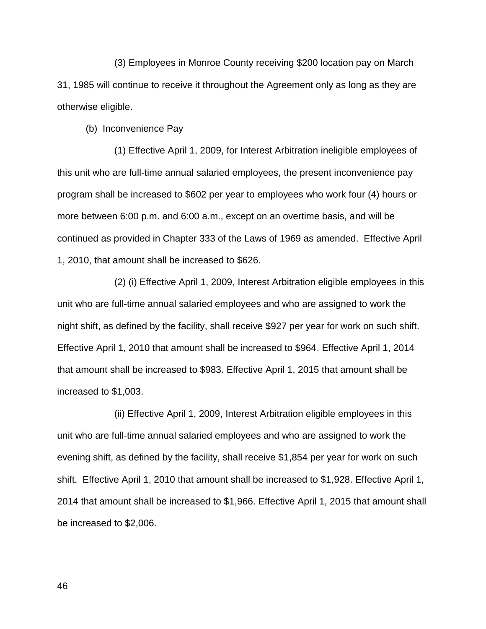(3) Employees in Monroe County receiving \$200 location pay on March 31, 1985 will continue to receive it throughout the Agreement only as long as they are otherwise eligible.

(b) Inconvenience Pay

 (1) Effective April 1, 2009, for Interest Arbitration ineligible employees of this unit who are full-time annual salaried employees, the present inconvenience pay program shall be increased to \$602 per year to employees who work four (4) hours or more between 6:00 p.m. and 6:00 a.m., except on an overtime basis, and will be continued as provided in Chapter 333 of the Laws of 1969 as amended. Effective April 1, 2010, that amount shall be increased to \$626.

 (2) (i) Effective April 1, 2009, Interest Arbitration eligible employees in this unit who are full-time annual salaried employees and who are assigned to work the night shift, as defined by the facility, shall receive \$927 per year for work on such shift. Effective April 1, 2010 that amount shall be increased to \$964. Effective April 1, 2014 that amount shall be increased to \$983. Effective April 1, 2015 that amount shall be increased to \$1,003.

 (ii) Effective April 1, 2009, Interest Arbitration eligible employees in this unit who are full-time annual salaried employees and who are assigned to work the evening shift, as defined by the facility, shall receive \$1,854 per year for work on such shift. Effective April 1, 2010 that amount shall be increased to \$1,928. Effective April 1, 2014 that amount shall be increased to \$1,966. Effective April 1, 2015 that amount shall be increased to \$2,006.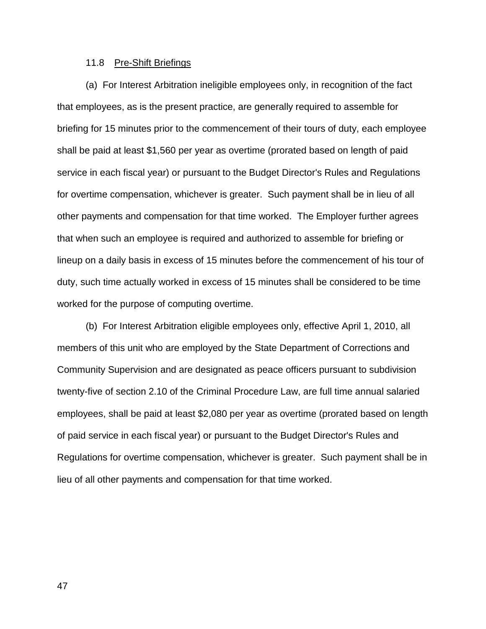## 11.8 Pre-Shift Briefings

 (a) For Interest Arbitration ineligible employees only, in recognition of the fact that employees, as is the present practice, are generally required to assemble for briefing for 15 minutes prior to the commencement of their tours of duty, each employee shall be paid at least \$1,560 per year as overtime (prorated based on length of paid service in each fiscal year) or pursuant to the Budget Director's Rules and Regulations for overtime compensation, whichever is greater. Such payment shall be in lieu of all other payments and compensation for that time worked. The Employer further agrees that when such an employee is required and authorized to assemble for briefing or lineup on a daily basis in excess of 15 minutes before the commencement of his tour of duty, such time actually worked in excess of 15 minutes shall be considered to be time worked for the purpose of computing overtime.

 (b) For Interest Arbitration eligible employees only, effective April 1, 2010, all members of this unit who are employed by the State Department of Corrections and Community Supervision and are designated as peace officers pursuant to subdivision twenty-five of section 2.10 of the Criminal Procedure Law, are full time annual salaried employees, shall be paid at least \$2,080 per year as overtime (prorated based on length of paid service in each fiscal year) or pursuant to the Budget Director's Rules and Regulations for overtime compensation, whichever is greater. Such payment shall be in lieu of all other payments and compensation for that time worked.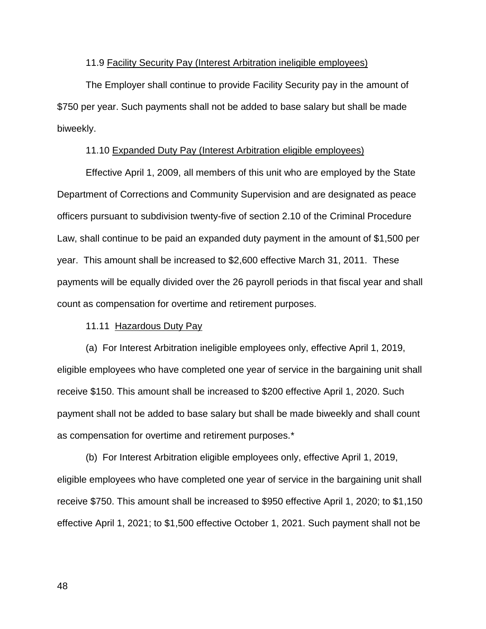#### 11.9 Facility Security Pay (Interest Arbitration ineligible employees)

The Employer shall continue to provide Facility Security pay in the amount of \$750 per year. Such payments shall not be added to base salary but shall be made biweekly.

# 11.10 Expanded Duty Pay (Interest Arbitration eligible employees)

Effective April 1, 2009, all members of this unit who are employed by the State Department of Corrections and Community Supervision and are designated as peace officers pursuant to subdivision twenty-five of section 2.10 of the Criminal Procedure Law, shall continue to be paid an expanded duty payment in the amount of \$1,500 per year. This amount shall be increased to \$2,600 effective March 31, 2011. These payments will be equally divided over the 26 payroll periods in that fiscal year and shall count as compensation for overtime and retirement purposes.

#### 11.11 Hazardous Duty Pay

 (a) For Interest Arbitration ineligible employees only, effective April 1, 2019, eligible employees who have completed one year of service in the bargaining unit shall receive \$150. This amount shall be increased to \$200 effective April 1, 2020. Such payment shall not be added to base salary but shall be made biweekly and shall count as compensation for overtime and retirement purposes.\*

 (b) For Interest Arbitration eligible employees only, effective April 1, 2019, eligible employees who have completed one year of service in the bargaining unit shall receive \$750. This amount shall be increased to \$950 effective April 1, 2020; to \$1,150 effective April 1, 2021; to \$1,500 effective October 1, 2021. Such payment shall not be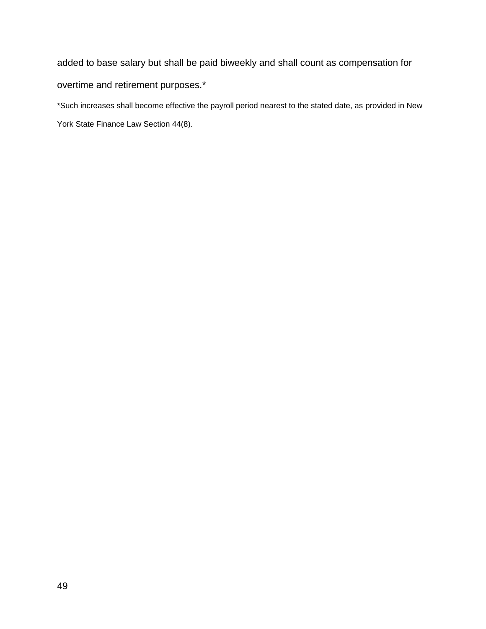added to base salary but shall be paid biweekly and shall count as compensation for overtime and retirement purposes.\*

\*Such increases shall become effective the payroll period nearest to the stated date, as provided in New York State Finance Law Section 44(8).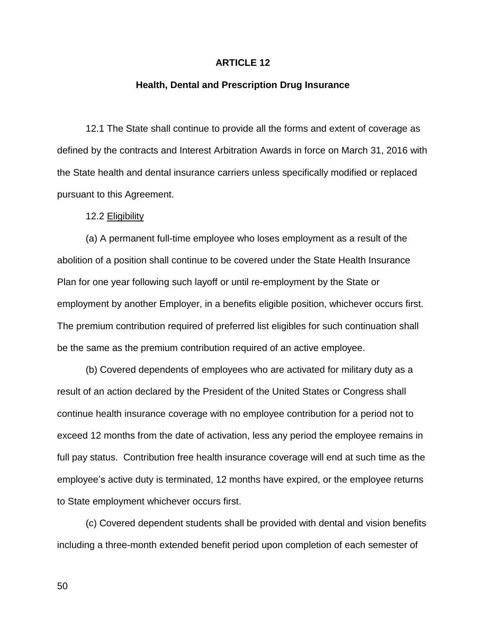## **ARTICLE 12**

# **Health, Dental and Prescription Drug Insurance**

 12.1 The State shall continue to provide all the forms and extent of coverage as defined by the contracts and Interest Arbitration Awards in force on March 31, 2016 with the State health and dental insurance carriers unless specifically modified or replaced pursuant to this Agreement.

12.2 Eligibility

 (a) A permanent full-time employee who loses employment as a result of the abolition of a position shall continue to be covered under the State Health Insurance Plan for one year following such layoff or until re-employment by the State or employment by another Employer, in a benefits eligible position, whichever occurs first. The premium contribution required of preferred list eligibles for such continuation shall be the same as the premium contribution required of an active employee.

 (b) Covered dependents of employees who are activated for military duty as a result of an action declared by the President of the United States or Congress shall continue health insurance coverage with no employee contribution for a period not to exceed 12 months from the date of activation, less any period the employee remains in full pay status. Contribution free health insurance coverage will end at such time as the employee's active duty is terminated, 12 months have expired, or the employee returns to State employment whichever occurs first.

 (c) Covered dependent students shall be provided with dental and vision benefits including a three-month extended benefit period upon completion of each semester of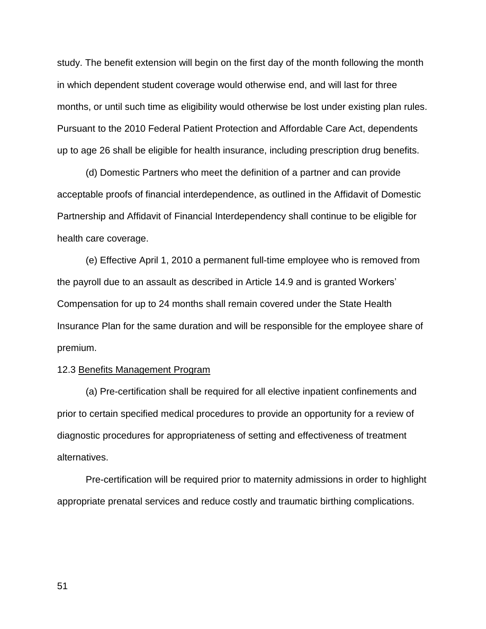study. The benefit extension will begin on the first day of the month following the month in which dependent student coverage would otherwise end, and will last for three months, or until such time as eligibility would otherwise be lost under existing plan rules. Pursuant to the 2010 Federal Patient Protection and Affordable Care Act, dependents up to age 26 shall be eligible for health insurance, including prescription drug benefits.

(d) Domestic Partners who meet the definition of a partner and can provide acceptable proofs of financial interdependence, as outlined in the Affidavit of Domestic Partnership and Affidavit of Financial Interdependency shall continue to be eligible for health care coverage.

(e) Effective April 1, 2010 a permanent full-time employee who is removed from the payroll due to an assault as described in Article 14.9 and is granted Workers' Compensation for up to 24 months shall remain covered under the State Health Insurance Plan for the same duration and will be responsible for the employee share of premium.

#### 12.3 Benefits Management Program

 (a) Pre-certification shall be required for all elective inpatient confinements and prior to certain specified medical procedures to provide an opportunity for a review of diagnostic procedures for appropriateness of setting and effectiveness of treatment alternatives.

 Pre-certification will be required prior to maternity admissions in order to highlight appropriate prenatal services and reduce costly and traumatic birthing complications.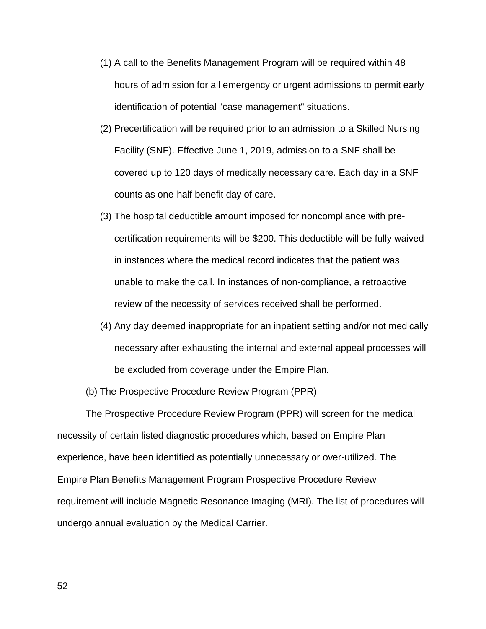- (1) A call to the Benefits Management Program will be required within 48 hours of admission for all emergency or urgent admissions to permit early identification of potential "case management" situations.
- (2) Precertification will be required prior to an admission to a Skilled Nursing Facility (SNF). Effective June 1, 2019, admission to a SNF shall be covered up to 120 days of medically necessary care. Each day in a SNF counts as one-half benefit day of care.
- (3) The hospital deductible amount imposed for noncompliance with precertification requirements will be \$200. This deductible will be fully waived in instances where the medical record indicates that the patient was unable to make the call. In instances of non-compliance, a retroactive review of the necessity of services received shall be performed.
- (4) Any day deemed inappropriate for an inpatient setting and/or not medically necessary after exhausting the internal and external appeal processes will be excluded from coverage under the Empire Plan*.*
- (b) The Prospective Procedure Review Program (PPR)

 The Prospective Procedure Review Program (PPR) will screen for the medical necessity of certain listed diagnostic procedures which, based on Empire Plan experience, have been identified as potentially unnecessary or over-utilized. The Empire Plan Benefits Management Program Prospective Procedure Review requirement will include Magnetic Resonance Imaging (MRI). The list of procedures will undergo annual evaluation by the Medical Carrier.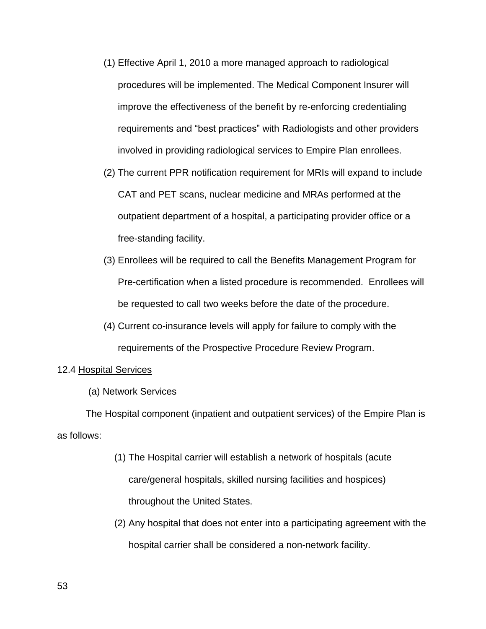- (1) Effective April 1, 2010 a more managed approach to radiological procedures will be implemented. The Medical Component Insurer will improve the effectiveness of the benefit by re-enforcing credentialing requirements and "best practices" with Radiologists and other providers involved in providing radiological services to Empire Plan enrollees.
- (2) The current PPR notification requirement for MRIs will expand to include CAT and PET scans, nuclear medicine and MRAs performed at the outpatient department of a hospital, a participating provider office or a free-standing facility.
- (3) Enrollees will be required to call the Benefits Management Program for Pre-certification when a listed procedure is recommended. Enrollees will be requested to call two weeks before the date of the procedure.
- (4) Current co-insurance levels will apply for failure to comply with the requirements of the Prospective Procedure Review Program.

# 12.4 Hospital Services

(a) Network Services

The Hospital component (inpatient and outpatient services) of the Empire Plan is as follows:

- (1) The Hospital carrier will establish a network of hospitals (acute care/general hospitals, skilled nursing facilities and hospices) throughout the United States.
- (2) Any hospital that does not enter into a participating agreement with the hospital carrier shall be considered a non-network facility.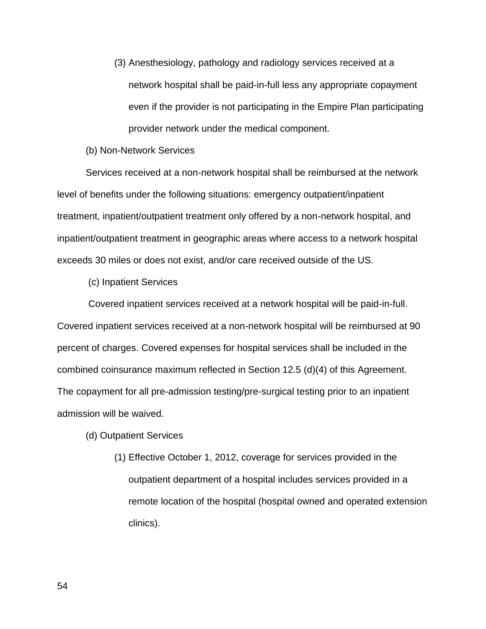- (3) Anesthesiology, pathology and radiology services received at a network hospital shall be paid-in-full less any appropriate copayment even if the provider is not participating in the Empire Plan participating provider network under the medical component.
- (b) Non-Network Services

 Services received at a non-network hospital shall be reimbursed at the network level of benefits under the following situations: emergency outpatient/inpatient treatment, inpatient/outpatient treatment only offered by a non-network hospital, and inpatient/outpatient treatment in geographic areas where access to a network hospital exceeds 30 miles or does not exist, and/or care received outside of the US.

(c) Inpatient Services

 Covered inpatient services received at a network hospital will be paid-in-full. Covered inpatient services received at a non-network hospital will be reimbursed at 90 percent of charges. Covered expenses for hospital services shall be included in the combined coinsurance maximum reflected in Section 12.5 (d)(4) of this Agreement. The copayment for all pre-admission testing/pre-surgical testing prior to an inpatient admission will be waived.

- (d) Outpatient Services
	- (1) Effective October 1, 2012, coverage for services provided in the outpatient department of a hospital includes services provided in a remote location of the hospital (hospital owned and operated extension clinics).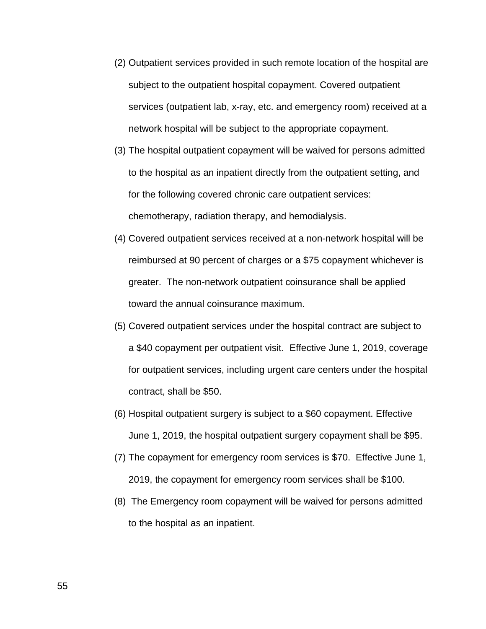- (2) Outpatient services provided in such remote location of the hospital are subject to the outpatient hospital copayment. Covered outpatient services (outpatient lab, x-ray, etc. and emergency room) received at a network hospital will be subject to the appropriate copayment.
- (3) The hospital outpatient copayment will be waived for persons admitted to the hospital as an inpatient directly from the outpatient setting, and for the following covered chronic care outpatient services: chemotherapy, radiation therapy, and hemodialysis.
- (4) Covered outpatient services received at a non-network hospital will be reimbursed at 90 percent of charges or a \$75 copayment whichever is greater. The non-network outpatient coinsurance shall be applied toward the annual coinsurance maximum.
- (5) Covered outpatient services under the hospital contract are subject to a \$40 copayment per outpatient visit. Effective June 1, 2019, coverage for outpatient services, including urgent care centers under the hospital contract, shall be \$50.
- (6) Hospital outpatient surgery is subject to a \$60 copayment. Effective June 1, 2019, the hospital outpatient surgery copayment shall be \$95.
- (7) The copayment for emergency room services is \$70. Effective June 1, 2019, the copayment for emergency room services shall be \$100.
- (8) The Emergency room copayment will be waived for persons admitted to the hospital as an inpatient.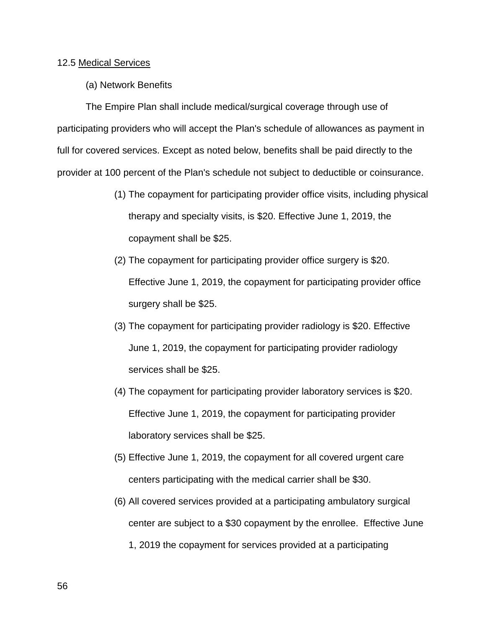## 12.5 Medical Services

(a) Network Benefits

 The Empire Plan shall include medical/surgical coverage through use of participating providers who will accept the Plan's schedule of allowances as payment in full for covered services. Except as noted below, benefits shall be paid directly to the provider at 100 percent of the Plan's schedule not subject to deductible or coinsurance.

- (1) The copayment for participating provider office visits, including physical therapy and specialty visits, is \$20. Effective June 1, 2019, the copayment shall be \$25.
- (2) The copayment for participating provider office surgery is \$20. Effective June 1, 2019, the copayment for participating provider office surgery shall be \$25.
- (3) The copayment for participating provider radiology is \$20. Effective June 1, 2019, the copayment for participating provider radiology services shall be \$25.
- (4) The copayment for participating provider laboratory services is \$20. Effective June 1, 2019, the copayment for participating provider laboratory services shall be \$25.
- (5) Effective June 1, 2019, the copayment for all covered urgent care centers participating with the medical carrier shall be \$30.
- (6) All covered services provided at a participating ambulatory surgical center are subject to a \$30 copayment by the enrollee. Effective June 1, 2019 the copayment for services provided at a participating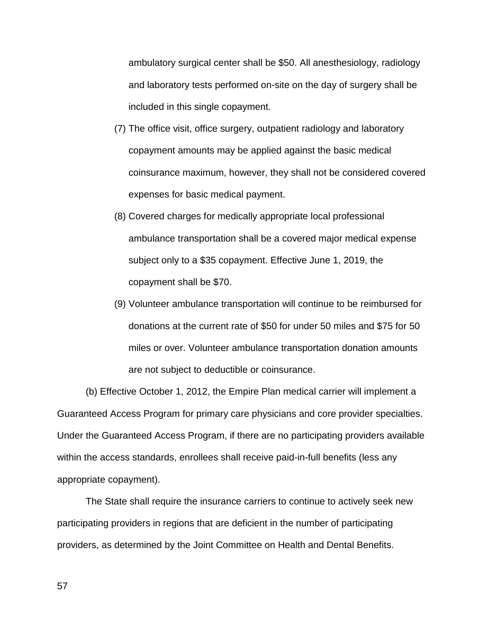ambulatory surgical center shall be \$50. All anesthesiology, radiology and laboratory tests performed on-site on the day of surgery shall be included in this single copayment.

- (7) The office visit, office surgery, outpatient radiology and laboratory copayment amounts may be applied against the basic medical coinsurance maximum, however, they shall not be considered covered expenses for basic medical payment.
- (8) Covered charges for medically appropriate local professional ambulance transportation shall be a covered major medical expense subject only to a \$35 copayment. Effective June 1, 2019, the copayment shall be \$70.
- (9) Volunteer ambulance transportation will continue to be reimbursed for donations at the current rate of \$50 for under 50 miles and \$75 for 50 miles or over. Volunteer ambulance transportation donation amounts are not subject to deductible or coinsurance.

 (b) Effective October 1, 2012, the Empire Plan medical carrier will implement a Guaranteed Access Program for primary care physicians and core provider specialties. Under the Guaranteed Access Program, if there are no participating providers available within the access standards, enrollees shall receive paid-in-full benefits (less any appropriate copayment).

 The State shall require the insurance carriers to continue to actively seek new participating providers in regions that are deficient in the number of participating providers, as determined by the Joint Committee on Health and Dental Benefits.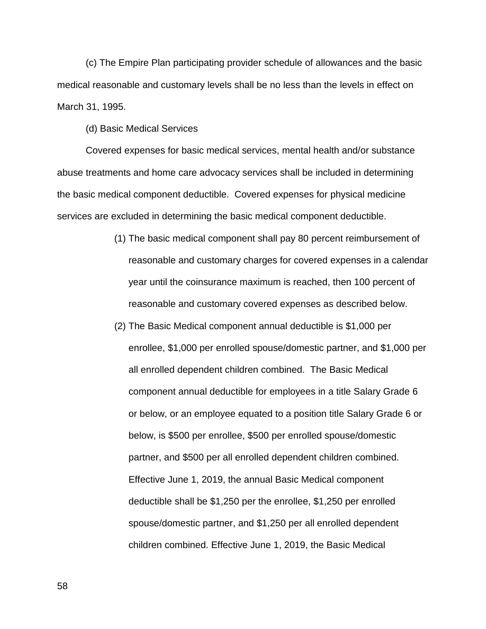(c) The Empire Plan participating provider schedule of allowances and the basic medical reasonable and customary levels shall be no less than the levels in effect on March 31, 1995.

(d) Basic Medical Services

 Covered expenses for basic medical services, mental health and/or substance abuse treatments and home care advocacy services shall be included in determining the basic medical component deductible. Covered expenses for physical medicine services are excluded in determining the basic medical component deductible.

- (1) The basic medical component shall pay 80 percent reimbursement of reasonable and customary charges for covered expenses in a calendar year until the coinsurance maximum is reached, then 100 percent of reasonable and customary covered expenses as described below.
- (2) The Basic Medical component annual deductible is \$1,000 per enrollee, \$1,000 per enrolled spouse/domestic partner, and \$1,000 per all enrolled dependent children combined. The Basic Medical component annual deductible for employees in a title Salary Grade 6 or below, or an employee equated to a position title Salary Grade 6 or below, is \$500 per enrollee, \$500 per enrolled spouse/domestic partner, and \$500 per all enrolled dependent children combined. Effective June 1, 2019, the annual Basic Medical component deductible shall be \$1,250 per the enrollee, \$1,250 per enrolled spouse/domestic partner, and \$1,250 per all enrolled dependent children combined. Effective June 1, 2019, the Basic Medical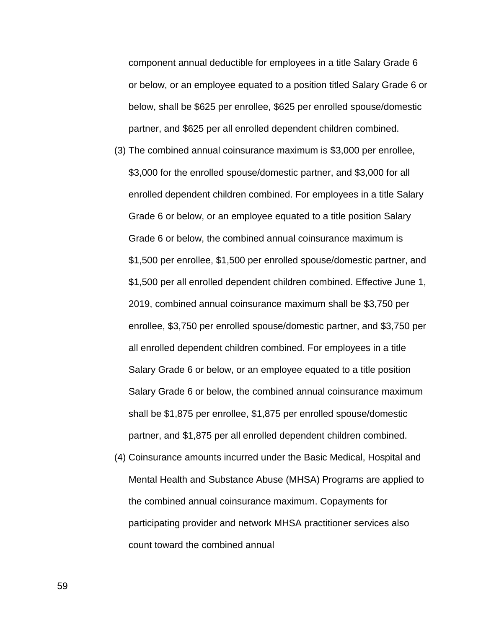component annual deductible for employees in a title Salary Grade 6 or below, or an employee equated to a position titled Salary Grade 6 or below, shall be \$625 per enrollee, \$625 per enrolled spouse/domestic partner, and \$625 per all enrolled dependent children combined.

- (3) The combined annual coinsurance maximum is \$3,000 per enrollee, \$3,000 for the enrolled spouse/domestic partner, and \$3,000 for all enrolled dependent children combined. For employees in a title Salary Grade 6 or below, or an employee equated to a title position Salary Grade 6 or below, the combined annual coinsurance maximum is \$1,500 per enrollee, \$1,500 per enrolled spouse/domestic partner, and \$1,500 per all enrolled dependent children combined. Effective June 1, 2019, combined annual coinsurance maximum shall be \$3,750 per enrollee, \$3,750 per enrolled spouse/domestic partner, and \$3,750 per all enrolled dependent children combined. For employees in a title Salary Grade 6 or below, or an employee equated to a title position Salary Grade 6 or below, the combined annual coinsurance maximum shall be \$1,875 per enrollee, \$1,875 per enrolled spouse/domestic partner, and \$1,875 per all enrolled dependent children combined.
- (4) Coinsurance amounts incurred under the Basic Medical, Hospital and Mental Health and Substance Abuse (MHSA) Programs are applied to the combined annual coinsurance maximum. Copayments for participating provider and network MHSA practitioner services also count toward the combined annual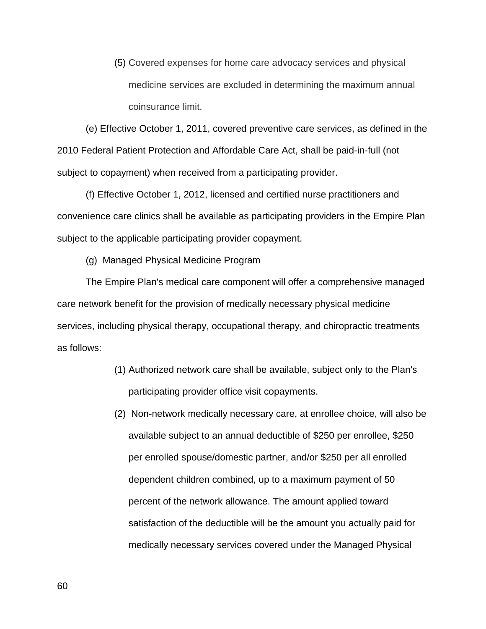(5) Covered expenses for home care advocacy services and physical medicine services are excluded in determining the maximum annual coinsurance limit.

(e) Effective October 1, 2011, covered preventive care services, as defined in the 2010 Federal Patient Protection and Affordable Care Act, shall be paid-in-full (not subject to copayment) when received from a participating provider.

(f) Effective October 1, 2012, licensed and certified nurse practitioners and convenience care clinics shall be available as participating providers in the Empire Plan subject to the applicable participating provider copayment.

(g) Managed Physical Medicine Program

The Empire Plan's medical care component will offer a comprehensive managed care network benefit for the provision of medically necessary physical medicine services, including physical therapy, occupational therapy, and chiropractic treatments as follows:

- (1) Authorized network care shall be available, subject only to the Plan's participating provider office visit copayments.
- (2) Non-network medically necessary care, at enrollee choice, will also be available subject to an annual deductible of \$250 per enrollee, \$250 per enrolled spouse/domestic partner, and/or \$250 per all enrolled dependent children combined, up to a maximum payment of 50 percent of the network allowance. The amount applied toward satisfaction of the deductible will be the amount you actually paid for medically necessary services covered under the Managed Physical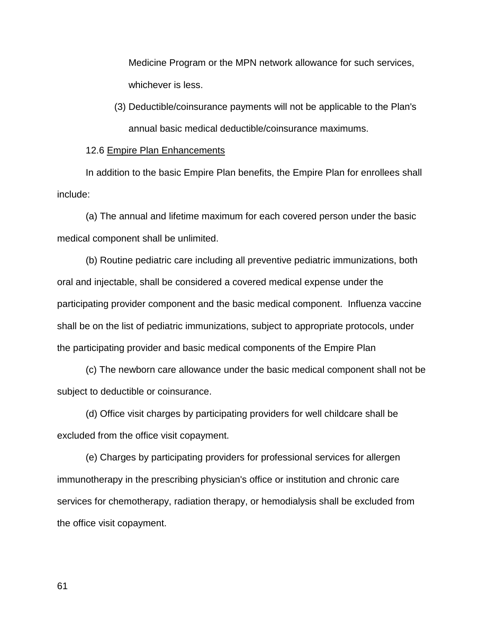Medicine Program or the MPN network allowance for such services, whichever is less.

(3) Deductible/coinsurance payments will not be applicable to the Plan's annual basic medical deductible/coinsurance maximums.

## 12.6 Empire Plan Enhancements

In addition to the basic Empire Plan benefits, the Empire Plan for enrollees shall include:

 (a) The annual and lifetime maximum for each covered person under the basic medical component shall be unlimited.

 (b) Routine pediatric care including all preventive pediatric immunizations, both oral and injectable, shall be considered a covered medical expense under the participating provider component and the basic medical component. Influenza vaccine shall be on the list of pediatric immunizations, subject to appropriate protocols, under the participating provider and basic medical components of the Empire Plan

 (c) The newborn care allowance under the basic medical component shall not be subject to deductible or coinsurance.

 (d) Office visit charges by participating providers for well childcare shall be excluded from the office visit copayment.

 (e) Charges by participating providers for professional services for allergen immunotherapy in the prescribing physician's office or institution and chronic care services for chemotherapy, radiation therapy, or hemodialysis shall be excluded from the office visit copayment.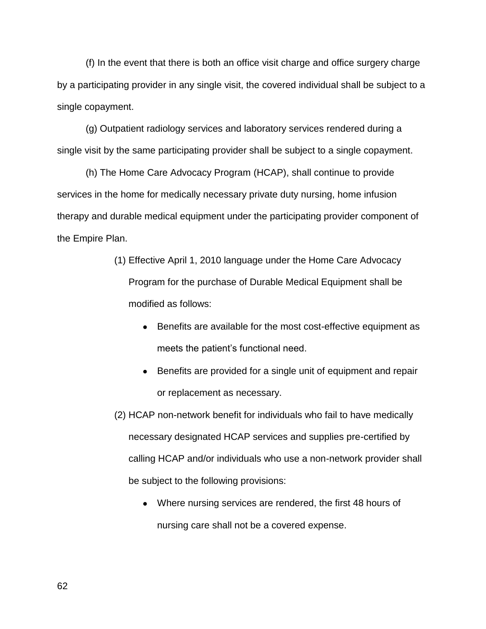(f) In the event that there is both an office visit charge and office surgery charge by a participating provider in any single visit, the covered individual shall be subject to a single copayment.

 (g) Outpatient radiology services and laboratory services rendered during a single visit by the same participating provider shall be subject to a single copayment.

(h) The Home Care Advocacy Program (HCAP), shall continue to provide services in the home for medically necessary private duty nursing, home infusion therapy and durable medical equipment under the participating provider component of the Empire Plan.

- (1) Effective April 1, 2010 language under the Home Care Advocacy Program for the purchase of Durable Medical Equipment shall be modified as follows:
	- Benefits are available for the most cost-effective equipment as meets the patient's functional need.
	- Benefits are provided for a single unit of equipment and repair or replacement as necessary.
- (2) HCAP non-network benefit for individuals who fail to have medically necessary designated HCAP services and supplies pre-certified by calling HCAP and/or individuals who use a non-network provider shall be subject to the following provisions:
	- Where nursing services are rendered, the first 48 hours of nursing care shall not be a covered expense.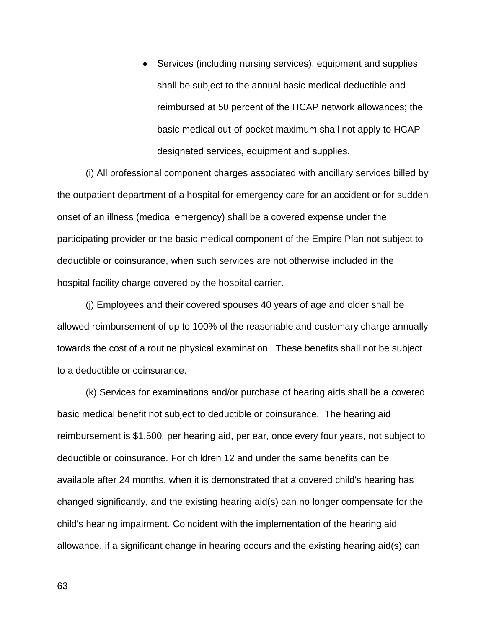• Services (including nursing services), equipment and supplies shall be subject to the annual basic medical deductible and reimbursed at 50 percent of the HCAP network allowances; the basic medical out-of-pocket maximum shall not apply to HCAP designated services, equipment and supplies.

(i) All professional component charges associated with ancillary services billed by the outpatient department of a hospital for emergency care for an accident or for sudden onset of an illness (medical emergency) shall be a covered expense under the participating provider or the basic medical component of the Empire Plan not subject to deductible or coinsurance, when such services are not otherwise included in the hospital facility charge covered by the hospital carrier.

(j) Employees and their covered spouses 40 years of age and older shall be allowed reimbursement of up to 100% of the reasonable and customary charge annually towards the cost of a routine physical examination. These benefits shall not be subject to a deductible or coinsurance.

 (k) Services for examinations and/or purchase of hearing aids shall be a covered basic medical benefit not subject to deductible or coinsurance. The hearing aid reimbursement is \$1,500*,* per hearing aid, per ear, once every four years, not subject to deductible or coinsurance. For children 12 and under the same benefits can be available after 24 months, when it is demonstrated that a covered child's hearing has changed significantly, and the existing hearing aid(s) can no longer compensate for the child's hearing impairment. Coincident with the implementation of the hearing aid allowance, if a significant change in hearing occurs and the existing hearing aid(s) can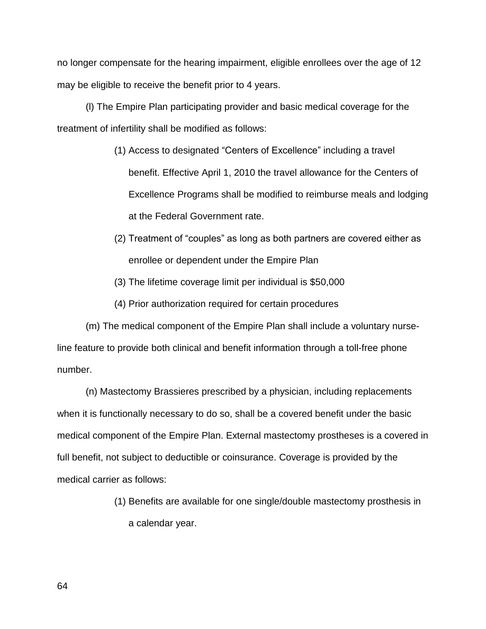no longer compensate for the hearing impairment, eligible enrollees over the age of 12 may be eligible to receive the benefit prior to 4 years.

 (l) The Empire Plan participating provider and basic medical coverage for the treatment of infertility shall be modified as follows:

- (1) Access to designated "Centers of Excellence" including a travel benefit. Effective April 1, 2010 the travel allowance for the Centers of Excellence Programs shall be modified to reimburse meals and lodging at the Federal Government rate.
- (2) Treatment of "couples" as long as both partners are covered either as enrollee or dependent under the Empire Plan
- (3) The lifetime coverage limit per individual is \$50,000
- (4) Prior authorization required for certain procedures

 (m) The medical component of the Empire Plan shall include a voluntary nurseline feature to provide both clinical and benefit information through a toll-free phone number.

 (n) Mastectomy Brassieres prescribed by a physician, including replacements when it is functionally necessary to do so, shall be a covered benefit under the basic medical component of the Empire Plan. External mastectomy prostheses is a covered in full benefit, not subject to deductible or coinsurance. Coverage is provided by the medical carrier as follows:

> (1) Benefits are available for one single/double mastectomy prosthesis in a calendar year.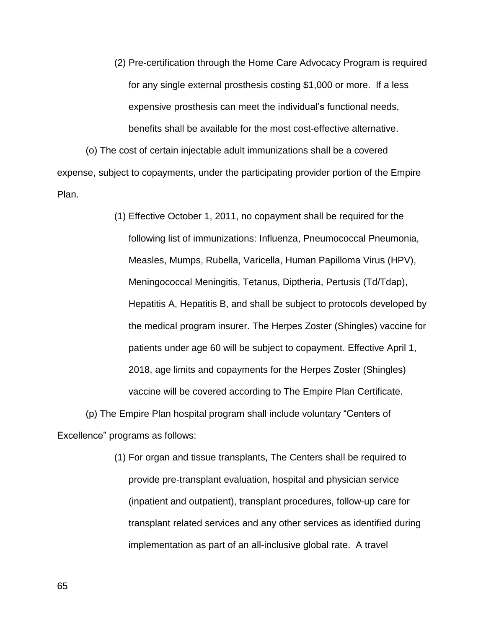(2) Pre-certification through the Home Care Advocacy Program is required for any single external prosthesis costing \$1,000 or more. If a less expensive prosthesis can meet the individual's functional needs, benefits shall be available for the most cost-effective alternative.

 (o) The cost of certain injectable adult immunizations shall be a covered expense, subject to copayments, under the participating provider portion of the Empire Plan.

> (1) Effective October 1, 2011, no copayment shall be required for the following list of immunizations: Influenza, Pneumococcal Pneumonia, Measles, Mumps, Rubella, Varicella, Human Papilloma Virus (HPV), Meningococcal Meningitis, Tetanus, Diptheria, Pertusis (Td/Tdap), Hepatitis A, Hepatitis B, and shall be subject to protocols developed by the medical program insurer. The Herpes Zoster (Shingles) vaccine for patients under age 60 will be subject to copayment. Effective April 1, 2018, age limits and copayments for the Herpes Zoster (Shingles) vaccine will be covered according to The Empire Plan Certificate.

 (p) The Empire Plan hospital program shall include voluntary "Centers of Excellence" programs as follows:

> (1) For organ and tissue transplants, The Centers shall be required to provide pre-transplant evaluation, hospital and physician service (inpatient and outpatient), transplant procedures, follow-up care for transplant related services and any other services as identified during implementation as part of an all-inclusive global rate. A travel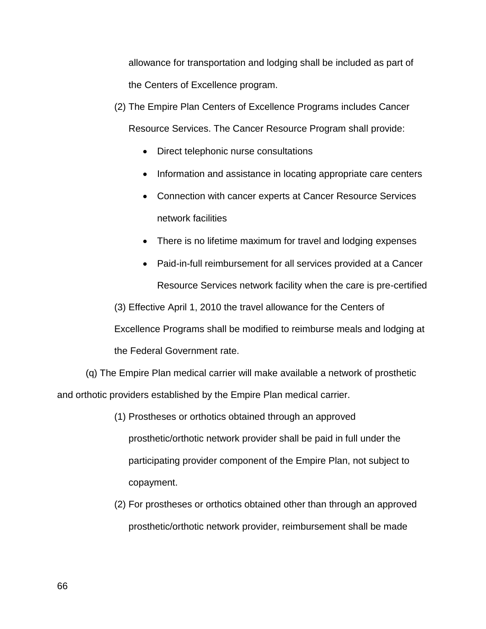allowance for transportation and lodging shall be included as part of the Centers of Excellence program.

- (2) The Empire Plan Centers of Excellence Programs includes Cancer Resource Services. The Cancer Resource Program shall provide:
	- Direct telephonic nurse consultations
	- Information and assistance in locating appropriate care centers
	- Connection with cancer experts at Cancer Resource Services network facilities
	- There is no lifetime maximum for travel and lodging expenses
- Paid-in-full reimbursement for all services provided at a Cancer Resource Services network facility when the care is pre-certified (3) Effective April 1, 2010 the travel allowance for the Centers of Excellence Programs shall be modified to reimburse meals and lodging at the Federal Government rate.

 (q) The Empire Plan medical carrier will make available a network of prosthetic and orthotic providers established by the Empire Plan medical carrier.

- (1) Prostheses or orthotics obtained through an approved prosthetic/orthotic network provider shall be paid in full under the participating provider component of the Empire Plan, not subject to copayment.
- (2) For prostheses or orthotics obtained other than through an approved prosthetic/orthotic network provider, reimbursement shall be made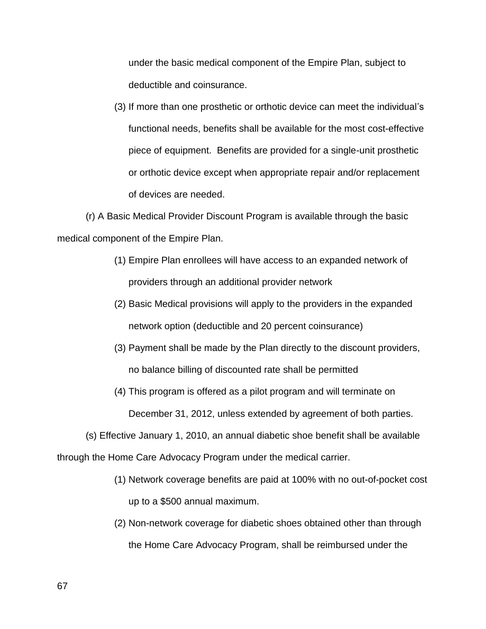under the basic medical component of the Empire Plan, subject to deductible and coinsurance.

(3) If more than one prosthetic or orthotic device can meet the individual's functional needs, benefits shall be available for the most cost-effective piece of equipment. Benefits are provided for a single-unit prosthetic or orthotic device except when appropriate repair and/or replacement of devices are needed.

 (r) A Basic Medical Provider Discount Program is available through the basic medical component of the Empire Plan.

- (1) Empire Plan enrollees will have access to an expanded network of providers through an additional provider network
- (2) Basic Medical provisions will apply to the providers in the expanded network option (deductible and 20 percent coinsurance)
- (3) Payment shall be made by the Plan directly to the discount providers, no balance billing of discounted rate shall be permitted
- (4) This program is offered as a pilot program and will terminate on December 31, 2012, unless extended by agreement of both parties.

 (s) Effective January 1, 2010, an annual diabetic shoe benefit shall be available through the Home Care Advocacy Program under the medical carrier.

- (1) Network coverage benefits are paid at 100% with no out-of-pocket cost up to a \$500 annual maximum.
- (2) Non-network coverage for diabetic shoes obtained other than through the Home Care Advocacy Program, shall be reimbursed under the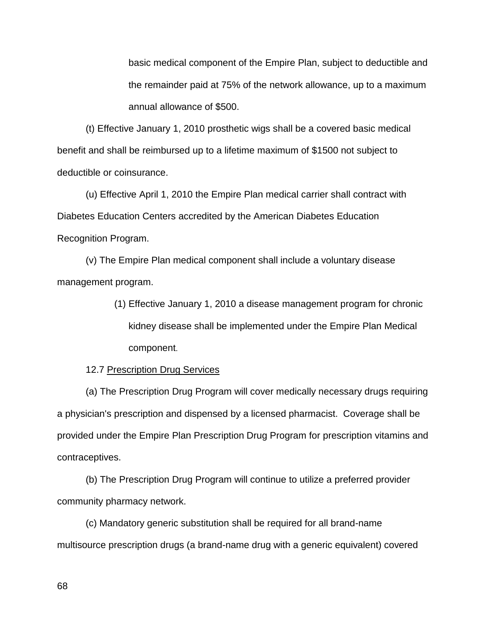basic medical component of the Empire Plan, subject to deductible and the remainder paid at 75% of the network allowance, up to a maximum annual allowance of \$500.

 (t) Effective January 1, 2010 prosthetic wigs shall be a covered basic medical benefit and shall be reimbursed up to a lifetime maximum of \$1500 not subject to deductible or coinsurance.

 (u) Effective April 1, 2010 the Empire Plan medical carrier shall contract with Diabetes Education Centers accredited by the American Diabetes Education Recognition Program.

 (v) The Empire Plan medical component shall include a voluntary disease management program.

> (1) Effective January 1, 2010 a disease management program for chronic kidney disease shall be implemented under the Empire Plan Medical component.

12.7 Prescription Drug Services

 (a) The Prescription Drug Program will cover medically necessary drugs requiring a physician's prescription and dispensed by a licensed pharmacist. Coverage shall be provided under the Empire Plan Prescription Drug Program for prescription vitamins and contraceptives.

 (b) The Prescription Drug Program will continue to utilize a preferred provider community pharmacy network.

 (c) Mandatory generic substitution shall be required for all brand-name multisource prescription drugs (a brand-name drug with a generic equivalent) covered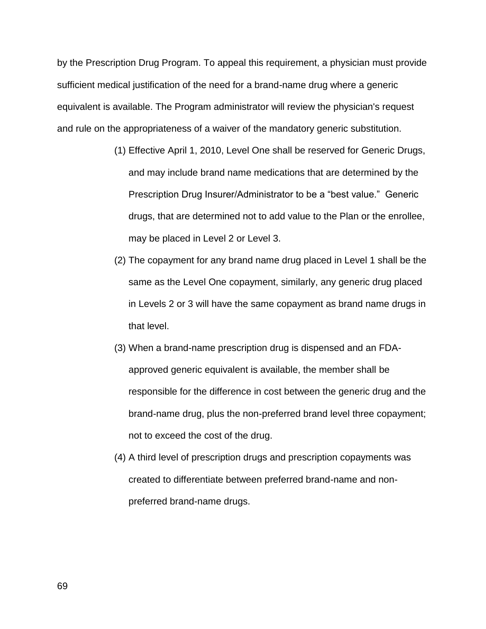by the Prescription Drug Program. To appeal this requirement, a physician must provide sufficient medical justification of the need for a brand-name drug where a generic equivalent is available. The Program administrator will review the physician's request and rule on the appropriateness of a waiver of the mandatory generic substitution.

- (1) Effective April 1, 2010, Level One shall be reserved for Generic Drugs, and may include brand name medications that are determined by the Prescription Drug Insurer/Administrator to be a "best value." Generic drugs, that are determined not to add value to the Plan or the enrollee, may be placed in Level 2 or Level 3.
- (2) The copayment for any brand name drug placed in Level 1 shall be the same as the Level One copayment, similarly, any generic drug placed in Levels 2 or 3 will have the same copayment as brand name drugs in that level.
- (3) When a brand-name prescription drug is dispensed and an FDAapproved generic equivalent is available, the member shall be responsible for the difference in cost between the generic drug and the brand-name drug, plus the non-preferred brand level three copayment; not to exceed the cost of the drug.
- (4) A third level of prescription drugs and prescription copayments was created to differentiate between preferred brand-name and nonpreferred brand-name drugs.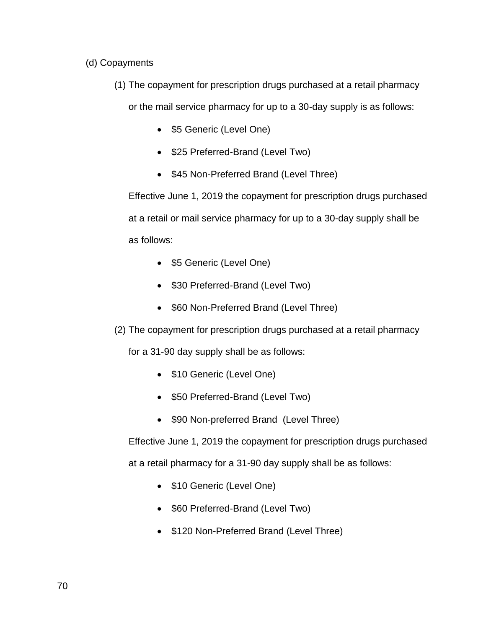# (d) Copayments

(1) The copayment for prescription drugs purchased at a retail pharmacy

or the mail service pharmacy for up to a 30-day supply is as follows:

- \$5 Generic (Level One)
- \$25 Preferred-Brand (Level Two)
- \$45 Non-Preferred Brand (Level Three)

Effective June 1, 2019 the copayment for prescription drugs purchased at a retail or mail service pharmacy for up to a 30-day supply shall be as follows:

- \$5 Generic (Level One)
- \$30 Preferred-Brand (Level Two)
- \$60 Non-Preferred Brand (Level Three)
- (2) The copayment for prescription drugs purchased at a retail pharmacy

for a 31-90 day supply shall be as follows:

- \$10 Generic (Level One)
- \$50 Preferred-Brand (Level Two)
- \$90 Non-preferred Brand (Level Three)

Effective June 1, 2019 the copayment for prescription drugs purchased at a retail pharmacy for a 31-90 day supply shall be as follows:

- \$10 Generic (Level One)
- \$60 Preferred-Brand (Level Two)
- \$120 Non-Preferred Brand (Level Three)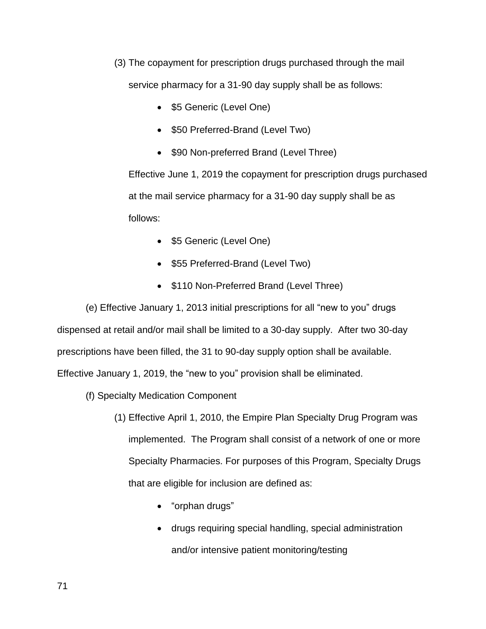- (3) The copayment for prescription drugs purchased through the mail service pharmacy for a 31-90 day supply shall be as follows:
	- \$5 Generic (Level One)
	- \$50 Preferred-Brand (Level Two)
	- \$90 Non-preferred Brand (Level Three)

Effective June 1, 2019 the copayment for prescription drugs purchased at the mail service pharmacy for a 31-90 day supply shall be as follows:

- \$5 Generic (Level One)
- \$55 Preferred-Brand (Level Two)
- \$110 Non-Preferred Brand (Level Three)

 (e) Effective January 1, 2013 initial prescriptions for all "new to you" drugs dispensed at retail and/or mail shall be limited to a 30-day supply. After two 30-day prescriptions have been filled, the 31 to 90-day supply option shall be available. Effective January 1, 2019, the "new to you" provision shall be eliminated.

- (f) Specialty Medication Component
	- (1) Effective April 1, 2010, the Empire Plan Specialty Drug Program was implemented. The Program shall consist of a network of one or more Specialty Pharmacies. For purposes of this Program, Specialty Drugs that are eligible for inclusion are defined as:
		- "orphan drugs"
		- drugs requiring special handling, special administration and/or intensive patient monitoring/testing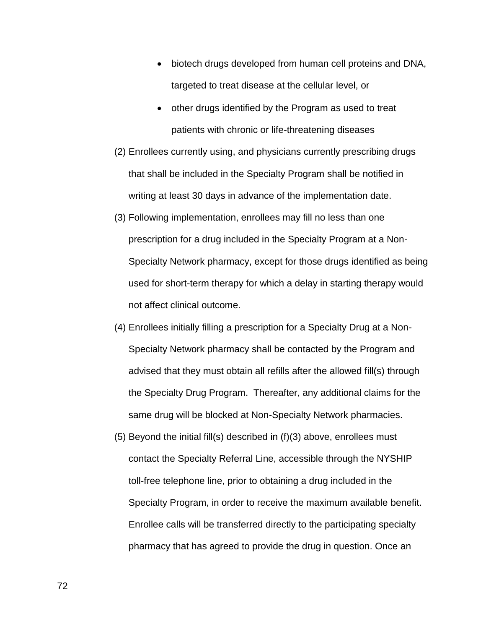- biotech drugs developed from human cell proteins and DNA, targeted to treat disease at the cellular level, or
- other drugs identified by the Program as used to treat patients with chronic or life-threatening diseases
- (2) Enrollees currently using, and physicians currently prescribing drugs that shall be included in the Specialty Program shall be notified in writing at least 30 days in advance of the implementation date.
- (3) Following implementation, enrollees may fill no less than one prescription for a drug included in the Specialty Program at a Non-Specialty Network pharmacy, except for those drugs identified as being used for short-term therapy for which a delay in starting therapy would not affect clinical outcome.
- (4) Enrollees initially filling a prescription for a Specialty Drug at a Non-Specialty Network pharmacy shall be contacted by the Program and advised that they must obtain all refills after the allowed fill(s) through the Specialty Drug Program. Thereafter, any additional claims for the same drug will be blocked at Non-Specialty Network pharmacies.
- (5) Beyond the initial fill(s) described in (f)(3) above, enrollees must contact the Specialty Referral Line, accessible through the NYSHIP toll-free telephone line, prior to obtaining a drug included in the Specialty Program, in order to receive the maximum available benefit. Enrollee calls will be transferred directly to the participating specialty pharmacy that has agreed to provide the drug in question. Once an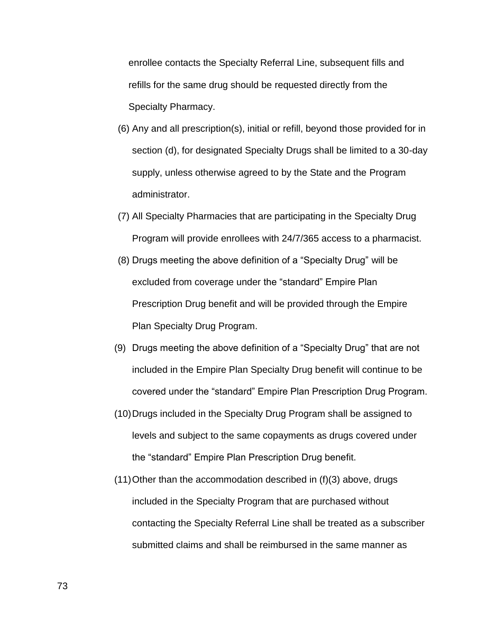enrollee contacts the Specialty Referral Line, subsequent fills and refills for the same drug should be requested directly from the Specialty Pharmacy.

- (6) Any and all prescription(s), initial or refill, beyond those provided for in section (d), for designated Specialty Drugs shall be limited to a 30-day supply, unless otherwise agreed to by the State and the Program administrator.
- (7) All Specialty Pharmacies that are participating in the Specialty Drug Program will provide enrollees with 24/7/365 access to a pharmacist.
- (8) Drugs meeting the above definition of a "Specialty Drug" will be excluded from coverage under the "standard" Empire Plan Prescription Drug benefit and will be provided through the Empire Plan Specialty Drug Program.
- (9) Drugs meeting the above definition of a "Specialty Drug" that are not included in the Empire Plan Specialty Drug benefit will continue to be covered under the "standard" Empire Plan Prescription Drug Program.
- (10) Drugs included in the Specialty Drug Program shall be assigned to levels and subject to the same copayments as drugs covered under the "standard" Empire Plan Prescription Drug benefit.
- (11) Other than the accommodation described in (f)(3) above, drugs included in the Specialty Program that are purchased without contacting the Specialty Referral Line shall be treated as a subscriber submitted claims and shall be reimbursed in the same manner as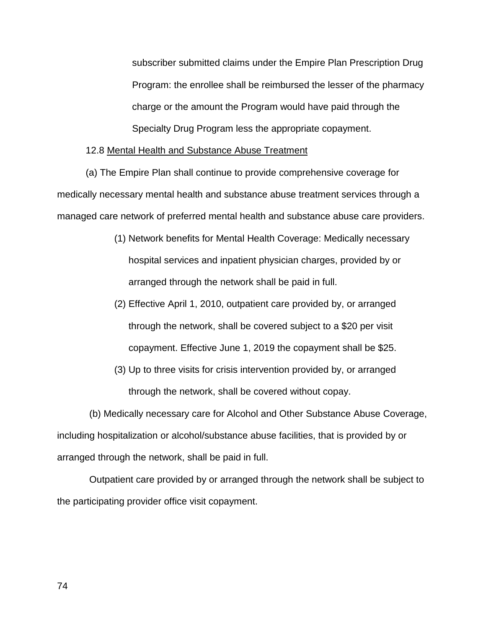subscriber submitted claims under the Empire Plan Prescription Drug Program: the enrollee shall be reimbursed the lesser of the pharmacy charge or the amount the Program would have paid through the Specialty Drug Program less the appropriate copayment.

# 12.8 Mental Health and Substance Abuse Treatment

(a) The Empire Plan shall continue to provide comprehensive coverage for medically necessary mental health and substance abuse treatment services through a managed care network of preferred mental health and substance abuse care providers.

- (1) Network benefits for Mental Health Coverage: Medically necessary hospital services and inpatient physician charges, provided by or arranged through the network shall be paid in full.
- (2) Effective April 1, 2010, outpatient care provided by, or arranged through the network, shall be covered subject to a \$20 per visit copayment. Effective June 1, 2019 the copayment shall be \$25.
- (3) Up to three visits for crisis intervention provided by, or arranged through the network, shall be covered without copay.

(b) Medically necessary care for Alcohol and Other Substance Abuse Coverage, including hospitalization or alcohol/substance abuse facilities, that is provided by or arranged through the network, shall be paid in full.

Outpatient care provided by or arranged through the network shall be subject to the participating provider office visit copayment.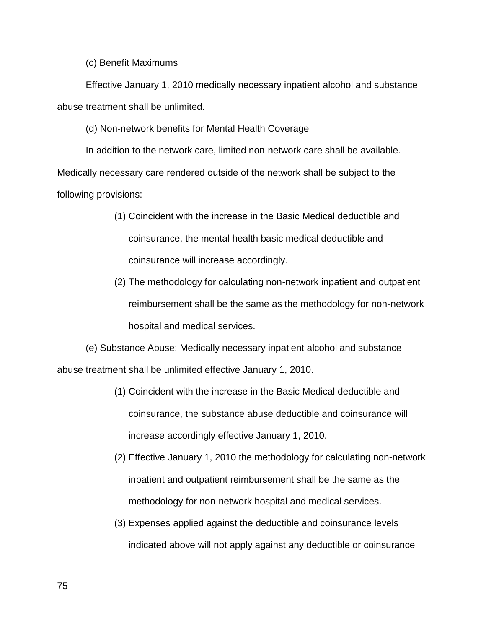(c) Benefit Maximums

Effective January 1, 2010 medically necessary inpatient alcohol and substance abuse treatment shall be unlimited.

(d) Non-network benefits for Mental Health Coverage

In addition to the network care, limited non-network care shall be available. Medically necessary care rendered outside of the network shall be subject to the following provisions:

- (1) Coincident with the increase in the Basic Medical deductible and coinsurance, the mental health basic medical deductible and coinsurance will increase accordingly.
- (2) The methodology for calculating non-network inpatient and outpatient reimbursement shall be the same as the methodology for non-network hospital and medical services.

(e) Substance Abuse: Medically necessary inpatient alcohol and substance abuse treatment shall be unlimited effective January 1, 2010.

- (1) Coincident with the increase in the Basic Medical deductible and coinsurance, the substance abuse deductible and coinsurance will increase accordingly effective January 1, 2010.
- (2) Effective January 1, 2010 the methodology for calculating non-network inpatient and outpatient reimbursement shall be the same as the methodology for non-network hospital and medical services.
- (3) Expenses applied against the deductible and coinsurance levels indicated above will not apply against any deductible or coinsurance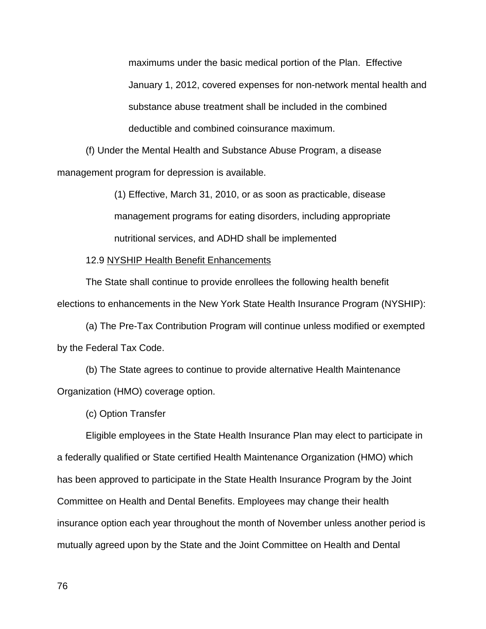maximums under the basic medical portion of the Plan. Effective January 1, 2012, covered expenses for non-network mental health and substance abuse treatment shall be included in the combined deductible and combined coinsurance maximum.

(f) Under the Mental Health and Substance Abuse Program, a disease management program for depression is available.

> (1) Effective, March 31, 2010, or as soon as practicable, disease management programs for eating disorders, including appropriate nutritional services, and ADHD shall be implemented

12.9 NYSHIP Health Benefit Enhancements

 The State shall continue to provide enrollees the following health benefit elections to enhancements in the New York State Health Insurance Program (NYSHIP):

 (a) The Pre-Tax Contribution Program will continue unless modified or exempted by the Federal Tax Code.

(b) The State agrees to continue to provide alternative Health Maintenance Organization (HMO) coverage option.

(c) Option Transfer

Eligible employees in the State Health Insurance Plan may elect to participate in a federally qualified or State certified Health Maintenance Organization (HMO) which has been approved to participate in the State Health Insurance Program by the Joint Committee on Health and Dental Benefits. Employees may change their health insurance option each year throughout the month of November unless another period is mutually agreed upon by the State and the Joint Committee on Health and Dental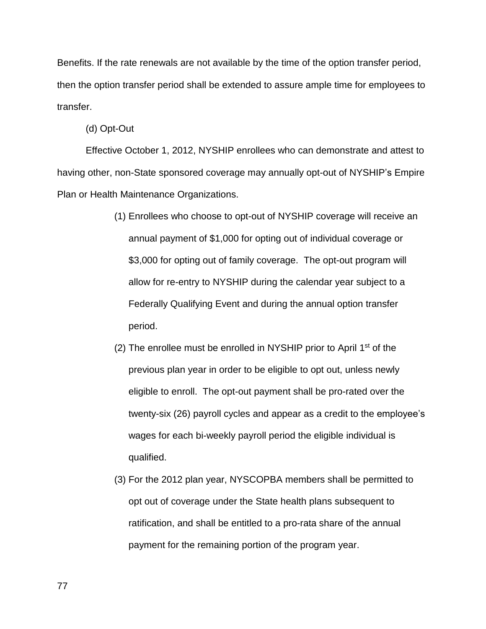Benefits. If the rate renewals are not available by the time of the option transfer period, then the option transfer period shall be extended to assure ample time for employees to transfer.

(d) Opt-Out

 Effective October 1, 2012, NYSHIP enrollees who can demonstrate and attest to having other, non-State sponsored coverage may annually opt-out of NYSHIP's Empire Plan or Health Maintenance Organizations.

- (1) Enrollees who choose to opt-out of NYSHIP coverage will receive an annual payment of \$1,000 for opting out of individual coverage or \$3,000 for opting out of family coverage. The opt-out program will allow for re-entry to NYSHIP during the calendar year subject to a Federally Qualifying Event and during the annual option transfer period.
- (2) The enrollee must be enrolled in NYSHIP prior to April  $1<sup>st</sup>$  of the previous plan year in order to be eligible to opt out, unless newly eligible to enroll. The opt-out payment shall be pro-rated over the twenty-six (26) payroll cycles and appear as a credit to the employee's wages for each bi-weekly payroll period the eligible individual is qualified.
- (3) For the 2012 plan year, NYSCOPBA members shall be permitted to opt out of coverage under the State health plans subsequent to ratification, and shall be entitled to a pro-rata share of the annual payment for the remaining portion of the program year.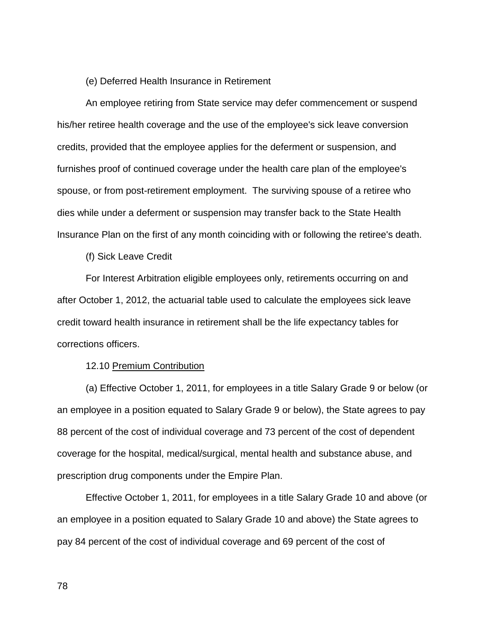# (e) Deferred Health Insurance in Retirement

 An employee retiring from State service may defer commencement or suspend his/her retiree health coverage and the use of the employee's sick leave conversion credits, provided that the employee applies for the deferment or suspension, and furnishes proof of continued coverage under the health care plan of the employee's spouse, or from post-retirement employment. The surviving spouse of a retiree who dies while under a deferment or suspension may transfer back to the State Health Insurance Plan on the first of any month coinciding with or following the retiree's death.

(f) Sick Leave Credit

 For Interest Arbitration eligible employees only, retirements occurring on and after October 1, 2012, the actuarial table used to calculate the employees sick leave credit toward health insurance in retirement shall be the life expectancy tables for corrections officers.

12.10 Premium Contribution

 (a) Effective October 1, 2011, for employees in a title Salary Grade 9 or below (or an employee in a position equated to Salary Grade 9 or below), the State agrees to pay 88 percent of the cost of individual coverage and 73 percent of the cost of dependent coverage for the hospital, medical/surgical, mental health and substance abuse, and prescription drug components under the Empire Plan.

Effective October 1, 2011, for employees in a title Salary Grade 10 and above (or an employee in a position equated to Salary Grade 10 and above) the State agrees to pay 84 percent of the cost of individual coverage and 69 percent of the cost of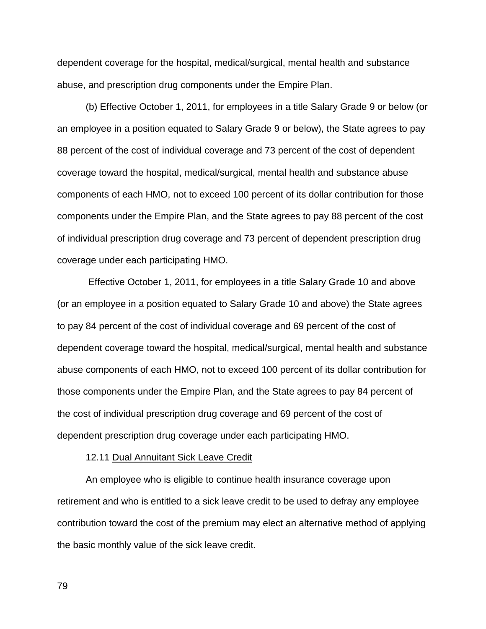dependent coverage for the hospital, medical/surgical, mental health and substance abuse, and prescription drug components under the Empire Plan.

 (b) Effective October 1, 2011, for employees in a title Salary Grade 9 or below (or an employee in a position equated to Salary Grade 9 or below), the State agrees to pay 88 percent of the cost of individual coverage and 73 percent of the cost of dependent coverage toward the hospital, medical/surgical, mental health and substance abuse components of each HMO, not to exceed 100 percent of its dollar contribution for those components under the Empire Plan, and the State agrees to pay 88 percent of the cost of individual prescription drug coverage and 73 percent of dependent prescription drug coverage under each participating HMO.

 Effective October 1, 2011, for employees in a title Salary Grade 10 and above (or an employee in a position equated to Salary Grade 10 and above) the State agrees to pay 84 percent of the cost of individual coverage and 69 percent of the cost of dependent coverage toward the hospital, medical/surgical, mental health and substance abuse components of each HMO, not to exceed 100 percent of its dollar contribution for those components under the Empire Plan, and the State agrees to pay 84 percent of the cost of individual prescription drug coverage and 69 percent of the cost of dependent prescription drug coverage under each participating HMO.

### 12.11 Dual Annuitant Sick Leave Credit

An employee who is eligible to continue health insurance coverage upon retirement and who is entitled to a sick leave credit to be used to defray any employee contribution toward the cost of the premium may elect an alternative method of applying the basic monthly value of the sick leave credit.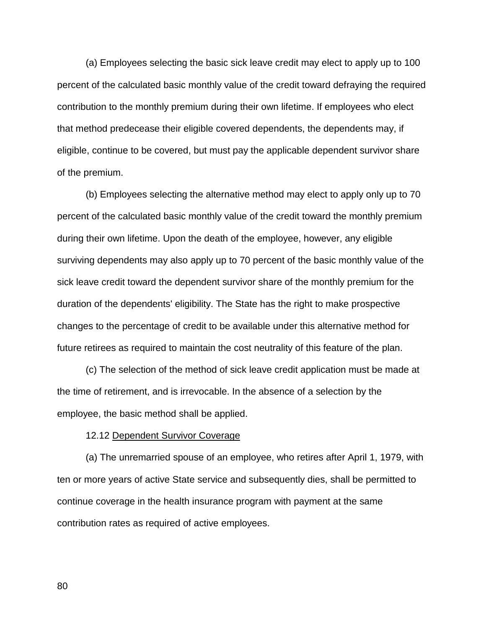(a) Employees selecting the basic sick leave credit may elect to apply up to 100 percent of the calculated basic monthly value of the credit toward defraying the required contribution to the monthly premium during their own lifetime. If employees who elect that method predecease their eligible covered dependents, the dependents may, if eligible, continue to be covered, but must pay the applicable dependent survivor share of the premium.

 (b) Employees selecting the alternative method may elect to apply only up to 70 percent of the calculated basic monthly value of the credit toward the monthly premium during their own lifetime. Upon the death of the employee, however, any eligible surviving dependents may also apply up to 70 percent of the basic monthly value of the sick leave credit toward the dependent survivor share of the monthly premium for the duration of the dependents' eligibility. The State has the right to make prospective changes to the percentage of credit to be available under this alternative method for future retirees as required to maintain the cost neutrality of this feature of the plan.

(c) The selection of the method of sick leave credit application must be made at the time of retirement, and is irrevocable. In the absence of a selection by the employee, the basic method shall be applied.

12.12 Dependent Survivor Coverage

 (a) The unremarried spouse of an employee, who retires after April 1, 1979, with ten or more years of active State service and subsequently dies, shall be permitted to continue coverage in the health insurance program with payment at the same contribution rates as required of active employees.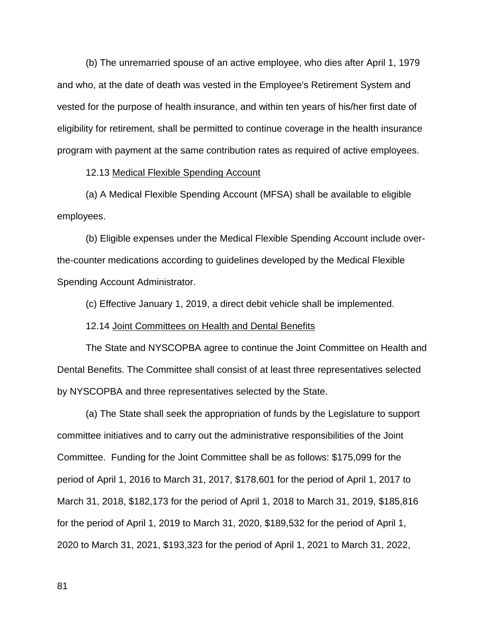(b) The unremarried spouse of an active employee, who dies after April 1, 1979 and who, at the date of death was vested in the Employee's Retirement System and vested for the purpose of health insurance, and within ten years of his/her first date of eligibility for retirement, shall be permitted to continue coverage in the health insurance program with payment at the same contribution rates as required of active employees.

12.13 Medical Flexible Spending Account

(a) A Medical Flexible Spending Account (MFSA) shall be available to eligible employees.

(b) Eligible expenses under the Medical Flexible Spending Account include overthe-counter medications according to guidelines developed by the Medical Flexible Spending Account Administrator.

(c) Effective January 1, 2019, a direct debit vehicle shall be implemented.

12.14 Joint Committees on Health and Dental Benefits

 The State and NYSCOPBA agree to continue the Joint Committee on Health and Dental Benefits. The Committee shall consist of at least three representatives selected by NYSCOPBA and three representatives selected by the State.

 (a) The State shall seek the appropriation of funds by the Legislature to support committee initiatives and to carry out the administrative responsibilities of the Joint Committee. Funding for the Joint Committee shall be as follows: \$175,099 for the period of April 1, 2016 to March 31, 2017, \$178,601 for the period of April 1, 2017 to March 31, 2018, \$182,173 for the period of April 1, 2018 to March 31, 2019, \$185,816 for the period of April 1, 2019 to March 31, 2020, \$189,532 for the period of April 1, 2020 to March 31, 2021, \$193,323 for the period of April 1, 2021 to March 31, 2022,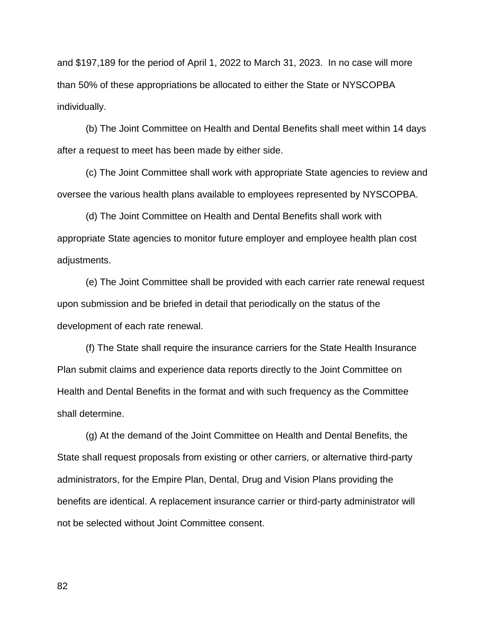and \$197,189 for the period of April 1, 2022 to March 31, 2023. In no case will more than 50% of these appropriations be allocated to either the State or NYSCOPBA individually.

 (b) The Joint Committee on Health and Dental Benefits shall meet within 14 days after a request to meet has been made by either side.

 (c) The Joint Committee shall work with appropriate State agencies to review and oversee the various health plans available to employees represented by NYSCOPBA.

 (d) The Joint Committee on Health and Dental Benefits shall work with appropriate State agencies to monitor future employer and employee health plan cost adjustments.

 (e) The Joint Committee shall be provided with each carrier rate renewal request upon submission and be briefed in detail that periodically on the status of the development of each rate renewal.

 (f) The State shall require the insurance carriers for the State Health Insurance Plan submit claims and experience data reports directly to the Joint Committee on Health and Dental Benefits in the format and with such frequency as the Committee shall determine.

 (g) At the demand of the Joint Committee on Health and Dental Benefits, the State shall request proposals from existing or other carriers, or alternative third-party administrators, for the Empire Plan, Dental, Drug and Vision Plans providing the benefits are identical. A replacement insurance carrier or third-party administrator will not be selected without Joint Committee consent.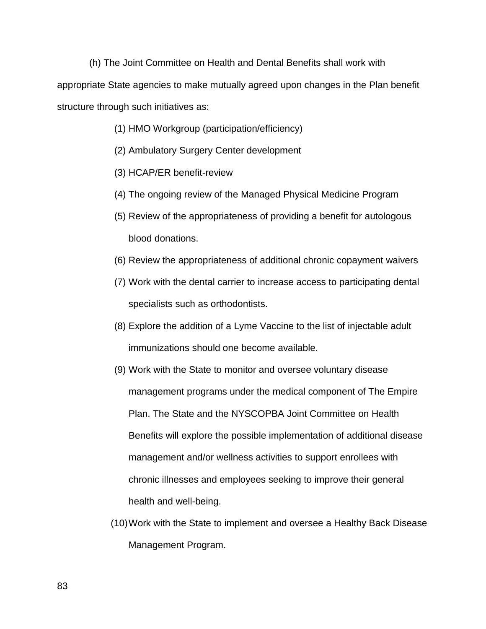(h) The Joint Committee on Health and Dental Benefits shall work with appropriate State agencies to make mutually agreed upon changes in the Plan benefit structure through such initiatives as:

- (1) HMO Workgroup (participation/efficiency)
- (2) Ambulatory Surgery Center development
- (3) HCAP/ER benefit-review
- (4) The ongoing review of the Managed Physical Medicine Program
- (5) Review of the appropriateness of providing a benefit for autologous blood donations.
- (6) Review the appropriateness of additional chronic copayment waivers
- (7) Work with the dental carrier to increase access to participating dental specialists such as orthodontists.
- (8) Explore the addition of a Lyme Vaccine to the list of injectable adult immunizations should one become available.
- (9) Work with the State to monitor and oversee voluntary disease management programs under the medical component of The Empire Plan. The State and the NYSCOPBA Joint Committee on Health Benefits will explore the possible implementation of additional disease management and/or wellness activities to support enrollees with chronic illnesses and employees seeking to improve their general health and well-being.
- (10) Work with the State to implement and oversee a Healthy Back Disease Management Program.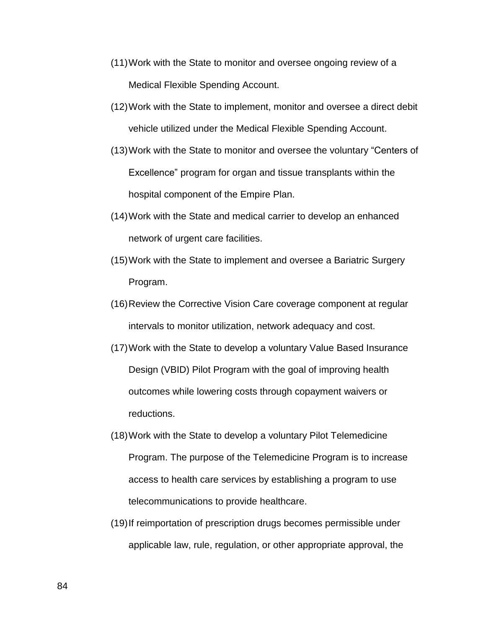- (11) Work with the State to monitor and oversee ongoing review of a Medical Flexible Spending Account.
- (12) Work with the State to implement, monitor and oversee a direct debit vehicle utilized under the Medical Flexible Spending Account.
- (13) Work with the State to monitor and oversee the voluntary "Centers of Excellence" program for organ and tissue transplants within the hospital component of the Empire Plan.
- (14) Work with the State and medical carrier to develop an enhanced network of urgent care facilities.
- (15) Work with the State to implement and oversee a Bariatric Surgery Program.
- (16) Review the Corrective Vision Care coverage component at regular intervals to monitor utilization, network adequacy and cost.
- (17) Work with the State to develop a voluntary Value Based Insurance Design (VBID) Pilot Program with the goal of improving health outcomes while lowering costs through copayment waivers or reductions.
- (18) Work with the State to develop a voluntary Pilot Telemedicine Program. The purpose of the Telemedicine Program is to increase access to health care services by establishing a program to use telecommunications to provide healthcare.
- (19) If reimportation of prescription drugs becomes permissible under applicable law, rule, regulation, or other appropriate approval, the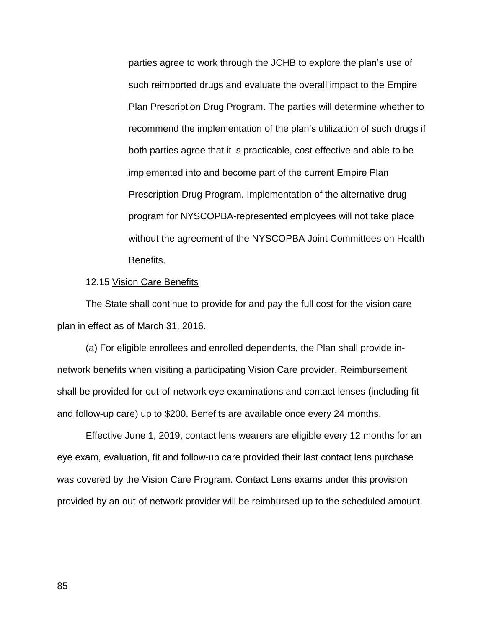parties agree to work through the JCHB to explore the plan's use of such reimported drugs and evaluate the overall impact to the Empire Plan Prescription Drug Program. The parties will determine whether to recommend the implementation of the plan's utilization of such drugs if both parties agree that it is practicable, cost effective and able to be implemented into and become part of the current Empire Plan Prescription Drug Program. Implementation of the alternative drug program for NYSCOPBA-represented employees will not take place without the agreement of the NYSCOPBA Joint Committees on Health Benefits.

### 12.15 Vision Care Benefits

 The State shall continue to provide for and pay the full cost for the vision care plan in effect as of March 31, 2016.

 (a) For eligible enrollees and enrolled dependents, the Plan shall provide innetwork benefits when visiting a participating Vision Care provider. Reimbursement shall be provided for out-of-network eye examinations and contact lenses (including fit and follow-up care) up to \$200. Benefits are available once every 24 months.

 Effective June 1, 2019, contact lens wearers are eligible every 12 months for an eye exam, evaluation, fit and follow-up care provided their last contact lens purchase was covered by the Vision Care Program. Contact Lens exams under this provision provided by an out-of-network provider will be reimbursed up to the scheduled amount.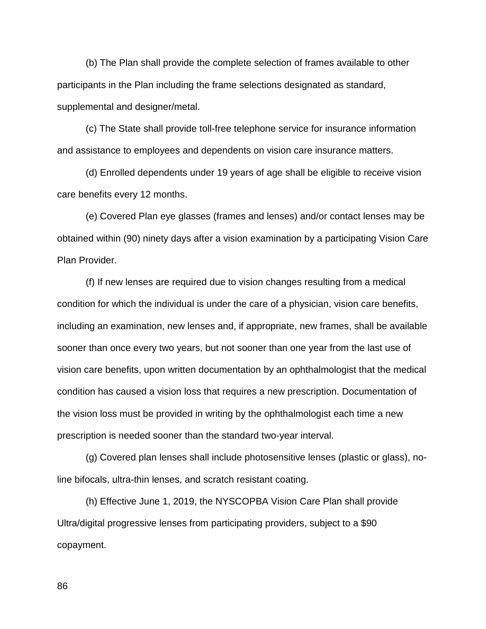(b) The Plan shall provide the complete selection of frames available to other participants in the Plan including the frame selections designated as standard, supplemental and designer/metal.

 (c) The State shall provide toll-free telephone service for insurance information and assistance to employees and dependents on vision care insurance matters.

 (d) Enrolled dependents under 19 years of age shall be eligible to receive vision care benefits every 12 months.

 (e) Covered Plan eye glasses (frames and lenses) and/or contact lenses may be obtained within (90) ninety days after a vision examination by a participating Vision Care Plan Provider.

 (f) If new lenses are required due to vision changes resulting from a medical condition for which the individual is under the care of a physician, vision care benefits, including an examination, new lenses and, if appropriate, new frames, shall be available sooner than once every two years, but not sooner than one year from the last use of vision care benefits, upon written documentation by an ophthalmologist that the medical condition has caused a vision loss that requires a new prescription. Documentation of the vision loss must be provided in writing by the ophthalmologist each time a new prescription is needed sooner than the standard two-year interval.

 (g) Covered plan lenses shall include photosensitive lenses (plastic or glass), noline bifocals, ultra-thin lenses, and scratch resistant coating.

 (h) Effective June 1, 2019, the NYSCOPBA Vision Care Plan shall provide Ultra/digital progressive lenses from participating providers, subject to a \$90 copayment.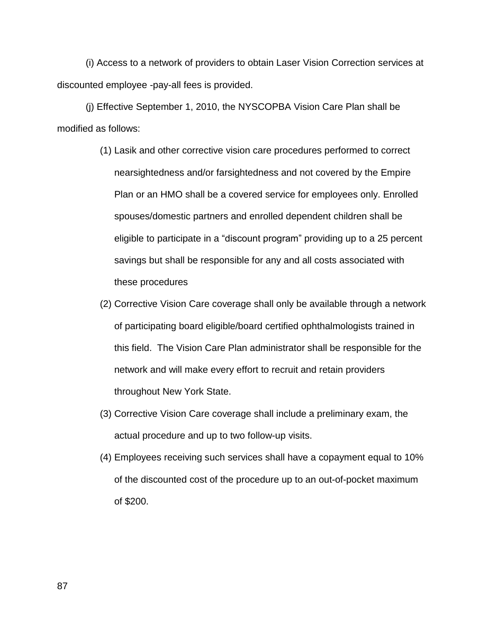(i) Access to a network of providers to obtain Laser Vision Correction services at discounted employee -pay-all fees is provided.

 (j) Effective September 1, 2010, the NYSCOPBA Vision Care Plan shall be modified as follows:

- (1) Lasik and other corrective vision care procedures performed to correct nearsightedness and/or farsightedness and not covered by the Empire Plan or an HMO shall be a covered service for employees only. Enrolled spouses/domestic partners and enrolled dependent children shall be eligible to participate in a "discount program" providing up to a 25 percent savings but shall be responsible for any and all costs associated with these procedures
- (2) Corrective Vision Care coverage shall only be available through a network of participating board eligible/board certified ophthalmologists trained in this field. The Vision Care Plan administrator shall be responsible for the network and will make every effort to recruit and retain providers throughout New York State.
- (3) Corrective Vision Care coverage shall include a preliminary exam, the actual procedure and up to two follow-up visits.
- (4) Employees receiving such services shall have a copayment equal to 10% of the discounted cost of the procedure up to an out-of-pocket maximum of \$200.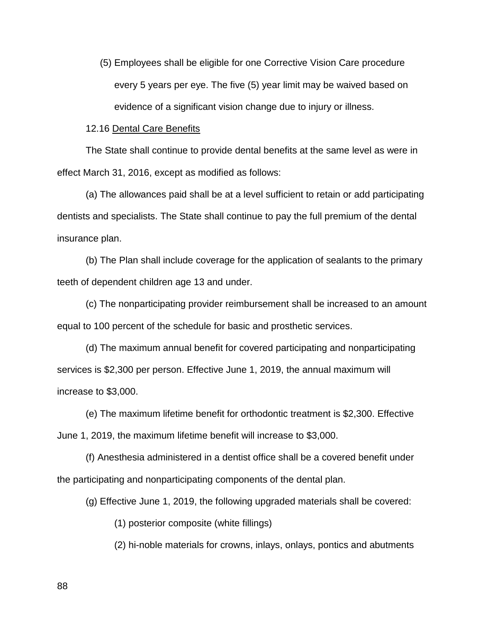(5) Employees shall be eligible for one Corrective Vision Care procedure every 5 years per eye. The five (5) year limit may be waived based on evidence of a significant vision change due to injury or illness.

### 12.16 Dental Care Benefits

 The State shall continue to provide dental benefits at the same level as were in effect March 31, 2016, except as modified as follows:

 (a) The allowances paid shall be at a level sufficient to retain or add participating dentists and specialists. The State shall continue to pay the full premium of the dental insurance plan.

 (b) The Plan shall include coverage for the application of sealants to the primary teeth of dependent children age 13 and under.

 (c) The nonparticipating provider reimbursement shall be increased to an amount equal to 100 percent of the schedule for basic and prosthetic services.

 (d) The maximum annual benefit for covered participating and nonparticipating services is \$2,300 per person. Effective June 1, 2019, the annual maximum will increase to \$3,000.

 (e) The maximum lifetime benefit for orthodontic treatment is \$2,300. Effective June 1, 2019, the maximum lifetime benefit will increase to \$3,000.

 (f) Anesthesia administered in a dentist office shall be a covered benefit under the participating and nonparticipating components of the dental plan.

(g) Effective June 1, 2019, the following upgraded materials shall be covered:

(1) posterior composite (white fillings)

(2) hi-noble materials for crowns, inlays, onlays, pontics and abutments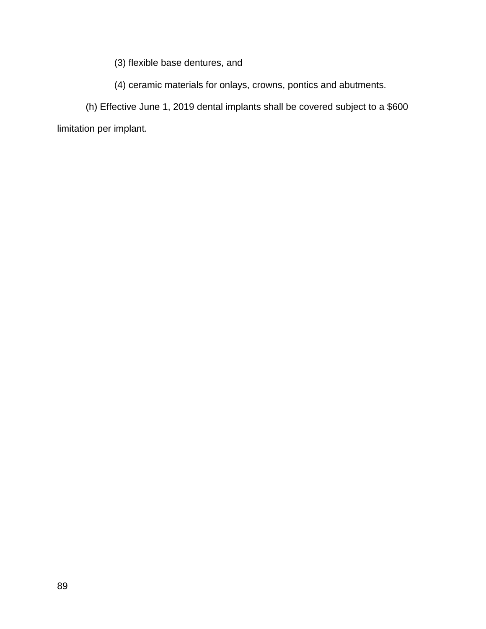(3) flexible base dentures, and

(4) ceramic materials for onlays, crowns, pontics and abutments.

 (h) Effective June 1, 2019 dental implants shall be covered subject to a \$600 limitation per implant.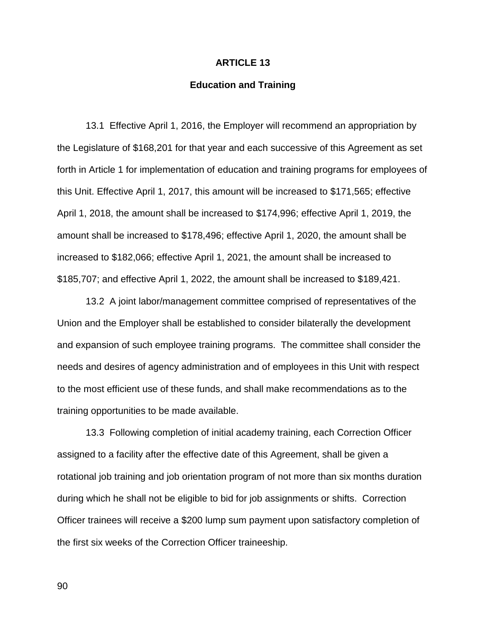# **ARTICLE 13**

# **Education and Training**

 13.1 Effective April 1, 2016, the Employer will recommend an appropriation by the Legislature of \$168,201 for that year and each successive of this Agreement as set forth in Article 1 for implementation of education and training programs for employees of this Unit. Effective April 1, 2017, this amount will be increased to \$171,565; effective April 1, 2018, the amount shall be increased to \$174,996; effective April 1, 2019, the amount shall be increased to \$178,496; effective April 1, 2020, the amount shall be increased to \$182,066; effective April 1, 2021, the amount shall be increased to \$185,707; and effective April 1, 2022, the amount shall be increased to \$189,421.

 13.2 A joint labor/management committee comprised of representatives of the Union and the Employer shall be established to consider bilaterally the development and expansion of such employee training programs. The committee shall consider the needs and desires of agency administration and of employees in this Unit with respect to the most efficient use of these funds, and shall make recommendations as to the training opportunities to be made available.

 13.3 Following completion of initial academy training, each Correction Officer assigned to a facility after the effective date of this Agreement, shall be given a rotational job training and job orientation program of not more than six months duration during which he shall not be eligible to bid for job assignments or shifts. Correction Officer trainees will receive a \$200 lump sum payment upon satisfactory completion of the first six weeks of the Correction Officer traineeship.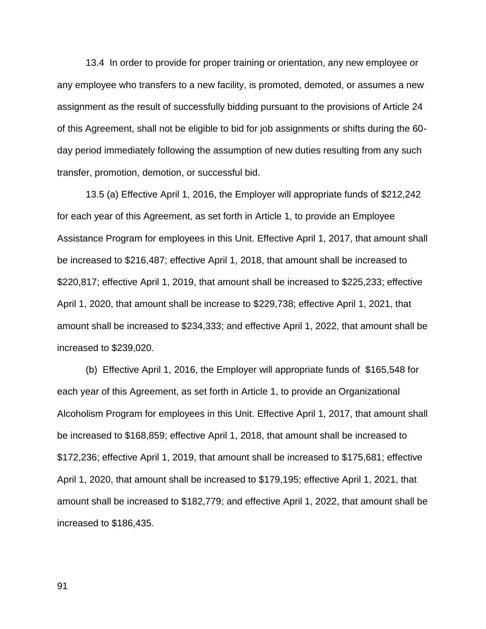13.4 In order to provide for proper training or orientation, any new employee or any employee who transfers to a new facility, is promoted, demoted, or assumes a new assignment as the result of successfully bidding pursuant to the provisions of Article 24 of this Agreement, shall not be eligible to bid for job assignments or shifts during the 60 day period immediately following the assumption of new duties resulting from any such transfer, promotion, demotion, or successful bid.

 13.5 (a) Effective April 1, 2016, the Employer will appropriate funds of \$212,242 for each year of this Agreement, as set forth in Article 1, to provide an Employee Assistance Program for employees in this Unit. Effective April 1, 2017, that amount shall be increased to \$216,487; effective April 1, 2018, that amount shall be increased to \$220,817; effective April 1, 2019, that amount shall be increased to \$225,233; effective April 1, 2020, that amount shall be increase to \$229,738; effective April 1, 2021, that amount shall be increased to \$234,333; and effective April 1, 2022, that amount shall be increased to \$239,020.

 (b) Effective April 1, 2016, the Employer will appropriate funds of \$165,548 for each year of this Agreement, as set forth in Article 1, to provide an Organizational Alcoholism Program for employees in this Unit. Effective April 1, 2017, that amount shall be increased to \$168,859; effective April 1, 2018, that amount shall be increased to \$172,236; effective April 1, 2019, that amount shall be increased to \$175,681; effective April 1, 2020, that amount shall be increased to \$179,195; effective April 1, 2021, that amount shall be increased to \$182,779; and effective April 1, 2022, that amount shall be increased to \$186,435.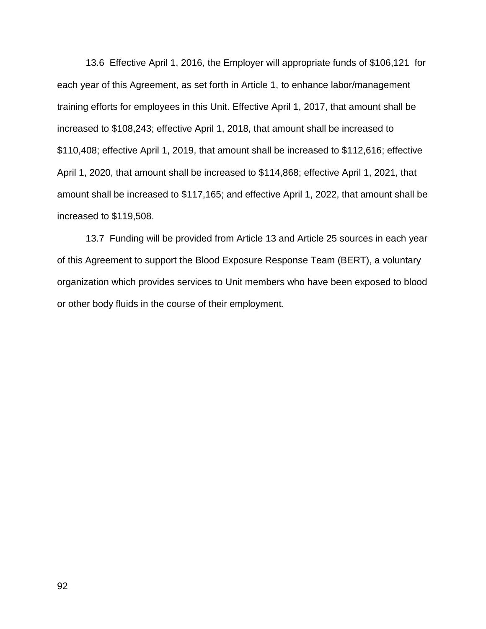13.6 Effective April 1, 2016, the Employer will appropriate funds of \$106,121 for each year of this Agreement, as set forth in Article 1, to enhance labor/management training efforts for employees in this Unit. Effective April 1, 2017, that amount shall be increased to \$108,243; effective April 1, 2018, that amount shall be increased to \$110,408; effective April 1, 2019, that amount shall be increased to \$112,616; effective April 1, 2020, that amount shall be increased to \$114,868; effective April 1, 2021, that amount shall be increased to \$117,165; and effective April 1, 2022, that amount shall be increased to \$119,508.

 13.7 Funding will be provided from Article 13 and Article 25 sources in each year of this Agreement to support the Blood Exposure Response Team (BERT), a voluntary organization which provides services to Unit members who have been exposed to blood or other body fluids in the course of their employment.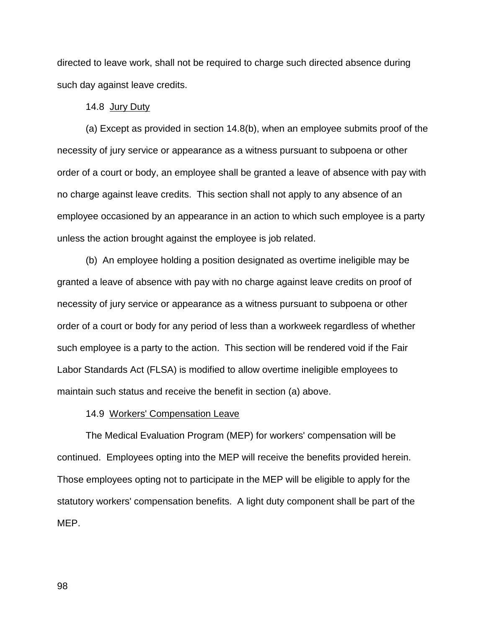directed to leave work, shall not be required to charge such directed absence during such day against leave credits.

## 14.8 Jury Duty

(a) Except as provided in section 14.8(b), when an employee submits proof of the necessity of jury service or appearance as a witness pursuant to subpoena or other order of a court or body, an employee shall be granted a leave of absence with pay with no charge against leave credits. This section shall not apply to any absence of an employee occasioned by an appearance in an action to which such employee is a party unless the action brought against the employee is job related.

(b) An employee holding a position designated as overtime ineligible may be granted a leave of absence with pay with no charge against leave credits on proof of necessity of jury service or appearance as a witness pursuant to subpoena or other order of a court or body for any period of less than a workweek regardless of whether such employee is a party to the action. This section will be rendered void if the Fair Labor Standards Act (FLSA) is modified to allow overtime ineligible employees to maintain such status and receive the benefit in section (a) above.

### 14.9 Workers' Compensation Leave

The Medical Evaluation Program (MEP) for workers' compensation will be continued. Employees opting into the MEP will receive the benefits provided herein. Those employees opting not to participate in the MEP will be eligible to apply for the statutory workers' compensation benefits. A light duty component shall be part of the MEP.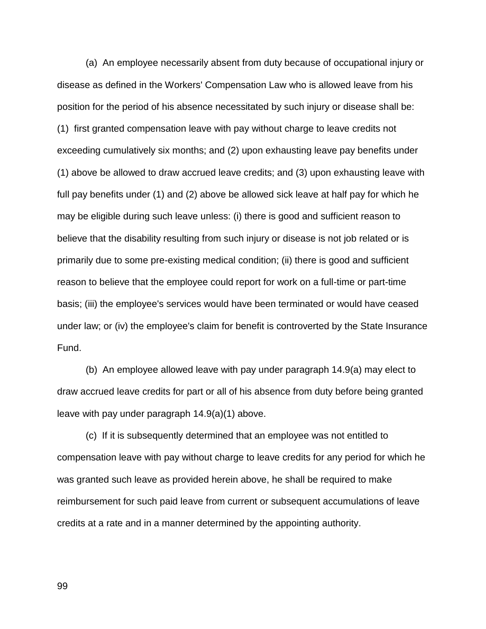(a) An employee necessarily absent from duty because of occupational injury or disease as defined in the Workers' Compensation Law who is allowed leave from his position for the period of his absence necessitated by such injury or disease shall be: (1) first granted compensation leave with pay without charge to leave credits not exceeding cumulatively six months; and (2) upon exhausting leave pay benefits under (1) above be allowed to draw accrued leave credits; and (3) upon exhausting leave with full pay benefits under (1) and (2) above be allowed sick leave at half pay for which he may be eligible during such leave unless: (i) there is good and sufficient reason to believe that the disability resulting from such injury or disease is not job related or is primarily due to some pre-existing medical condition; (ii) there is good and sufficient reason to believe that the employee could report for work on a full-time or part-time basis; (iii) the employee's services would have been terminated or would have ceased under law; or (iv) the employee's claim for benefit is controverted by the State Insurance Fund.

 (b) An employee allowed leave with pay under paragraph 14.9(a) may elect to draw accrued leave credits for part or all of his absence from duty before being granted leave with pay under paragraph 14.9(a)(1) above.

 (c) If it is subsequently determined that an employee was not entitled to compensation leave with pay without charge to leave credits for any period for which he was granted such leave as provided herein above, he shall be required to make reimbursement for such paid leave from current or subsequent accumulations of leave credits at a rate and in a manner determined by the appointing authority.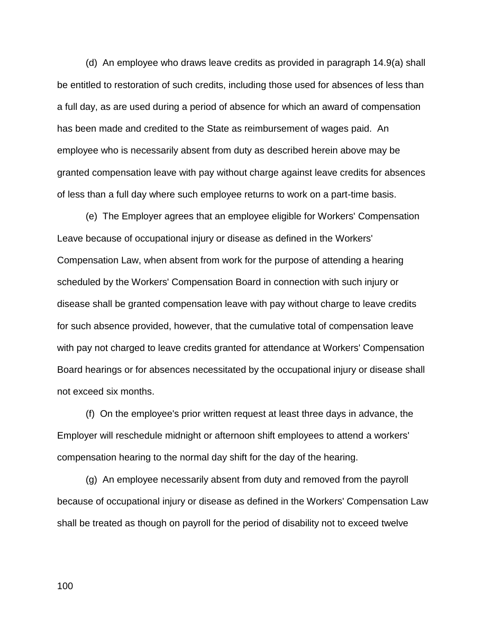(d) An employee who draws leave credits as provided in paragraph 14.9(a) shall be entitled to restoration of such credits, including those used for absences of less than a full day, as are used during a period of absence for which an award of compensation has been made and credited to the State as reimbursement of wages paid. An employee who is necessarily absent from duty as described herein above may be granted compensation leave with pay without charge against leave credits for absences of less than a full day where such employee returns to work on a part-time basis.

 (e) The Employer agrees that an employee eligible for Workers' Compensation Leave because of occupational injury or disease as defined in the Workers' Compensation Law, when absent from work for the purpose of attending a hearing scheduled by the Workers' Compensation Board in connection with such injury or disease shall be granted compensation leave with pay without charge to leave credits for such absence provided, however, that the cumulative total of compensation leave with pay not charged to leave credits granted for attendance at Workers' Compensation Board hearings or for absences necessitated by the occupational injury or disease shall not exceed six months.

 (f) On the employee's prior written request at least three days in advance, the Employer will reschedule midnight or afternoon shift employees to attend a workers' compensation hearing to the normal day shift for the day of the hearing.

 (g) An employee necessarily absent from duty and removed from the payroll because of occupational injury or disease as defined in the Workers' Compensation Law shall be treated as though on payroll for the period of disability not to exceed twelve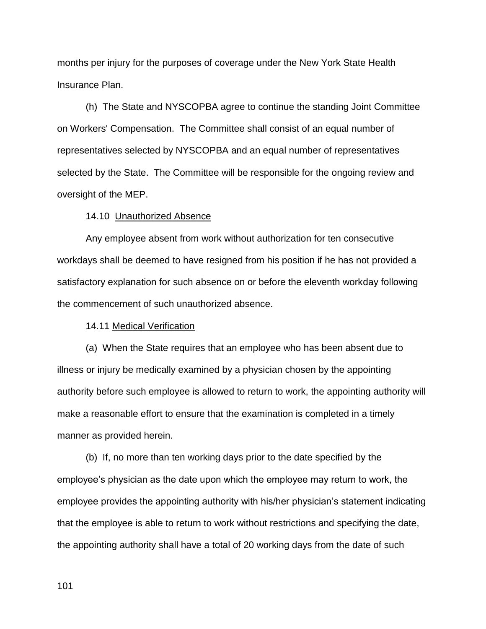months per injury for the purposes of coverage under the New York State Health Insurance Plan.

 (h) The State and NYSCOPBA agree to continue the standing Joint Committee on Workers' Compensation. The Committee shall consist of an equal number of representatives selected by NYSCOPBA and an equal number of representatives selected by the State. The Committee will be responsible for the ongoing review and oversight of the MEP.

#### 14.10 Unauthorized Absence

 Any employee absent from work without authorization for ten consecutive workdays shall be deemed to have resigned from his position if he has not provided a satisfactory explanation for such absence on or before the eleventh workday following the commencement of such unauthorized absence.

14.11 Medical Verification

 (a) When the State requires that an employee who has been absent due to illness or injury be medically examined by a physician chosen by the appointing authority before such employee is allowed to return to work, the appointing authority will make a reasonable effort to ensure that the examination is completed in a timely manner as provided herein.

 (b) If, no more than ten working days prior to the date specified by the employee's physician as the date upon which the employee may return to work, the employee provides the appointing authority with his/her physician's statement indicating that the employee is able to return to work without restrictions and specifying the date, the appointing authority shall have a total of 20 working days from the date of such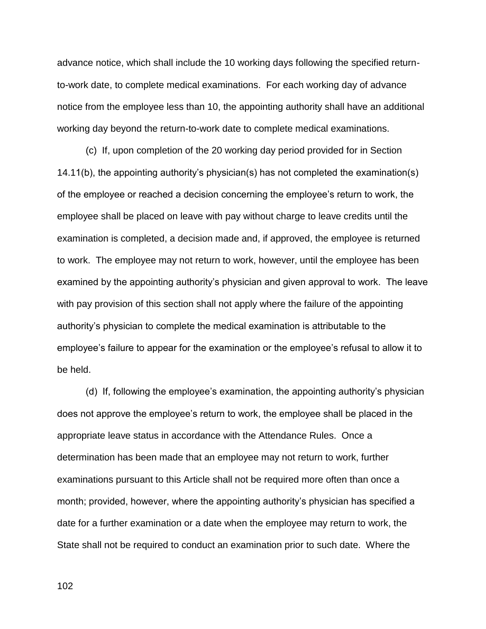advance notice, which shall include the 10 working days following the specified returnto-work date, to complete medical examinations. For each working day of advance notice from the employee less than 10, the appointing authority shall have an additional working day beyond the return-to-work date to complete medical examinations.

 (c) If, upon completion of the 20 working day period provided for in Section 14.11(b), the appointing authority's physician(s) has not completed the examination(s) of the employee or reached a decision concerning the employee's return to work, the employee shall be placed on leave with pay without charge to leave credits until the examination is completed, a decision made and, if approved, the employee is returned to work. The employee may not return to work, however, until the employee has been examined by the appointing authority's physician and given approval to work. The leave with pay provision of this section shall not apply where the failure of the appointing authority's physician to complete the medical examination is attributable to the employee's failure to appear for the examination or the employee's refusal to allow it to be held.

(d) If, following the employee's examination, the appointing authority's physician does not approve the employee's return to work, the employee shall be placed in the appropriate leave status in accordance with the Attendance Rules. Once a determination has been made that an employee may not return to work, further examinations pursuant to this Article shall not be required more often than once a month; provided, however, where the appointing authority's physician has specified a date for a further examination or a date when the employee may return to work, the State shall not be required to conduct an examination prior to such date. Where the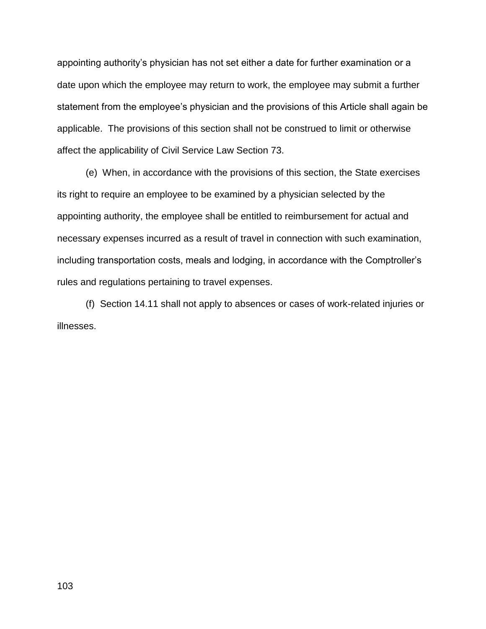appointing authority's physician has not set either a date for further examination or a date upon which the employee may return to work, the employee may submit a further statement from the employee's physician and the provisions of this Article shall again be applicable. The provisions of this section shall not be construed to limit or otherwise affect the applicability of Civil Service Law Section 73.

 (e) When, in accordance with the provisions of this section, the State exercises its right to require an employee to be examined by a physician selected by the appointing authority, the employee shall be entitled to reimbursement for actual and necessary expenses incurred as a result of travel in connection with such examination, including transportation costs, meals and lodging, in accordance with the Comptroller's rules and regulations pertaining to travel expenses.

 (f) Section 14.11 shall not apply to absences or cases of work-related injuries or illnesses.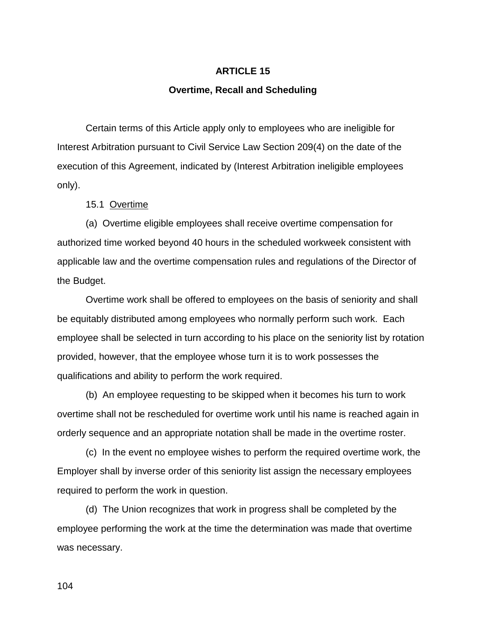# **ARTICLE 15**

### **Overtime, Recall and Scheduling**

Certain terms of this Article apply only to employees who are ineligible for Interest Arbitration pursuant to Civil Service Law Section 209(4) on the date of the execution of this Agreement, indicated by (Interest Arbitration ineligible employees only).

15.1 Overtime

(a) Overtime eligible employees shall receive overtime compensation for authorized time worked beyond 40 hours in the scheduled workweek consistent with applicable law and the overtime compensation rules and regulations of the Director of the Budget.

Overtime work shall be offered to employees on the basis of seniority and shall be equitably distributed among employees who normally perform such work. Each employee shall be selected in turn according to his place on the seniority list by rotation provided, however, that the employee whose turn it is to work possesses the qualifications and ability to perform the work required.

(b) An employee requesting to be skipped when it becomes his turn to work overtime shall not be rescheduled for overtime work until his name is reached again in orderly sequence and an appropriate notation shall be made in the overtime roster.

(c) In the event no employee wishes to perform the required overtime work, the Employer shall by inverse order of this seniority list assign the necessary employees required to perform the work in question.

(d) The Union recognizes that work in progress shall be completed by the employee performing the work at the time the determination was made that overtime was necessary.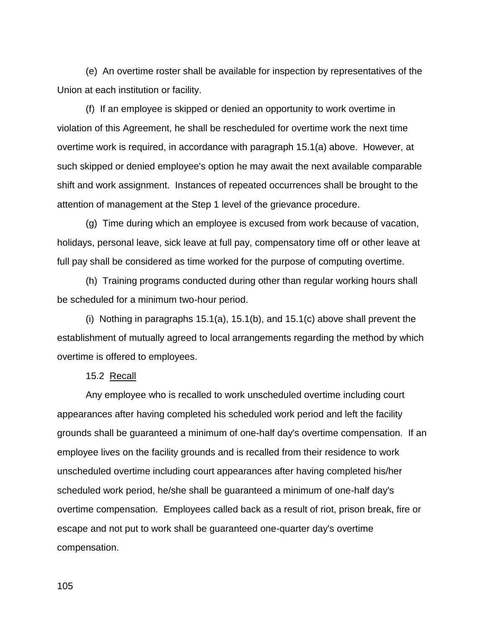(e) An overtime roster shall be available for inspection by representatives of the Union at each institution or facility.

(f) If an employee is skipped or denied an opportunity to work overtime in violation of this Agreement, he shall be rescheduled for overtime work the next time overtime work is required, in accordance with paragraph 15.1(a) above. However, at such skipped or denied employee's option he may await the next available comparable shift and work assignment. Instances of repeated occurrences shall be brought to the attention of management at the Step 1 level of the grievance procedure.

(g) Time during which an employee is excused from work because of vacation, holidays, personal leave, sick leave at full pay, compensatory time off or other leave at full pay shall be considered as time worked for the purpose of computing overtime.

(h) Training programs conducted during other than regular working hours shall be scheduled for a minimum two-hour period.

(i) Nothing in paragraphs 15.1(a), 15.1(b), and 15.1(c) above shall prevent the establishment of mutually agreed to local arrangements regarding the method by which overtime is offered to employees.

15.2 Recall

Any employee who is recalled to work unscheduled overtime including court appearances after having completed his scheduled work period and left the facility grounds shall be guaranteed a minimum of one-half day's overtime compensation. If an employee lives on the facility grounds and is recalled from their residence to work unscheduled overtime including court appearances after having completed his/her scheduled work period, he/she shall be guaranteed a minimum of one-half day's overtime compensation. Employees called back as a result of riot, prison break, fire or escape and not put to work shall be guaranteed one-quarter day's overtime compensation.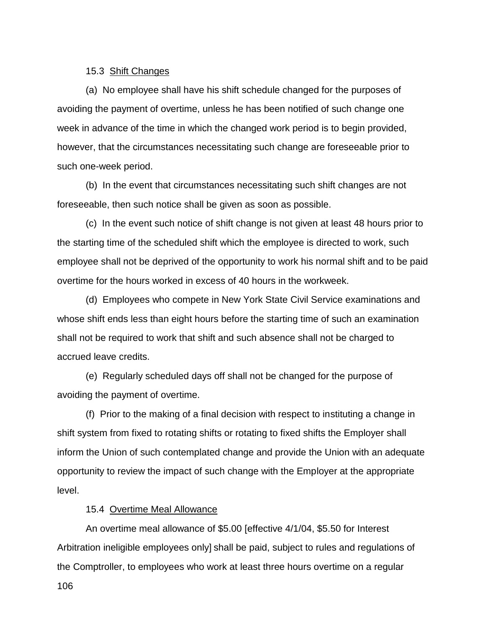#### 15.3 Shift Changes

(a) No employee shall have his shift schedule changed for the purposes of avoiding the payment of overtime, unless he has been notified of such change one week in advance of the time in which the changed work period is to begin provided, however, that the circumstances necessitating such change are foreseeable prior to such one-week period.

(b) In the event that circumstances necessitating such shift changes are not foreseeable, then such notice shall be given as soon as possible.

(c) In the event such notice of shift change is not given at least 48 hours prior to the starting time of the scheduled shift which the employee is directed to work, such employee shall not be deprived of the opportunity to work his normal shift and to be paid overtime for the hours worked in excess of 40 hours in the workweek.

(d) Employees who compete in New York State Civil Service examinations and whose shift ends less than eight hours before the starting time of such an examination shall not be required to work that shift and such absence shall not be charged to accrued leave credits.

(e) Regularly scheduled days off shall not be changed for the purpose of avoiding the payment of overtime.

(f) Prior to the making of a final decision with respect to instituting a change in shift system from fixed to rotating shifts or rotating to fixed shifts the Employer shall inform the Union of such contemplated change and provide the Union with an adequate opportunity to review the impact of such change with the Employer at the appropriate level.

#### 15.4 Overtime Meal Allowance

An overtime meal allowance of \$5.00 [effective 4/1/04, \$5.50 for Interest Arbitration ineligible employees only] shall be paid, subject to rules and regulations of the Comptroller, to employees who work at least three hours overtime on a regular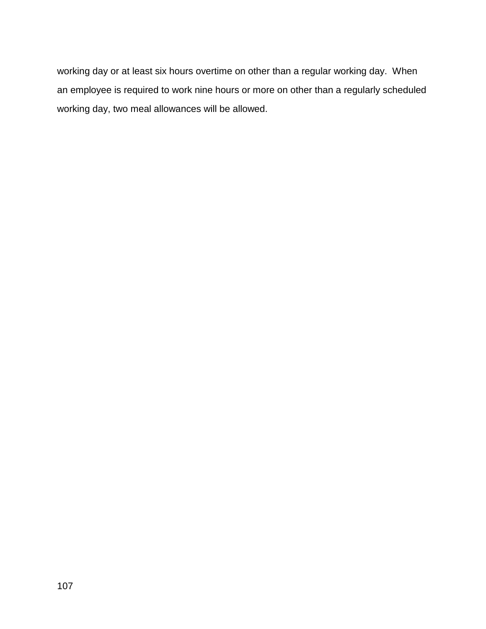working day or at least six hours overtime on other than a regular working day. When an employee is required to work nine hours or more on other than a regularly scheduled working day, two meal allowances will be allowed.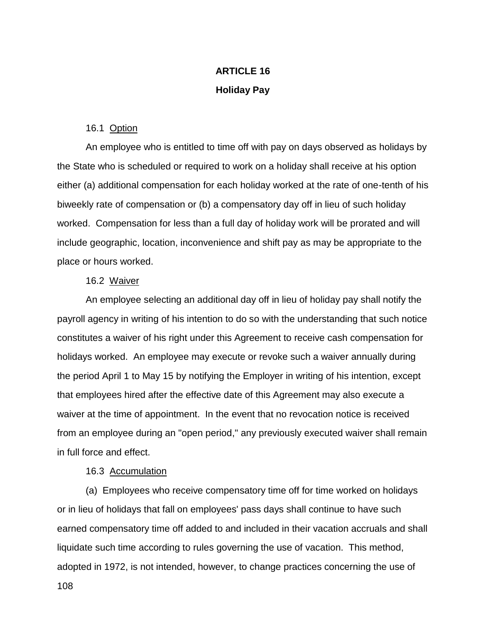# **ARTICLE 16 Holiday Pay**

### 16.1 Option

An employee who is entitled to time off with pay on days observed as holidays by the State who is scheduled or required to work on a holiday shall receive at his option either (a) additional compensation for each holiday worked at the rate of one-tenth of his biweekly rate of compensation or (b) a compensatory day off in lieu of such holiday worked. Compensation for less than a full day of holiday work will be prorated and will include geographic, location, inconvenience and shift pay as may be appropriate to the place or hours worked.

#### 16.2 Waiver

An employee selecting an additional day off in lieu of holiday pay shall notify the payroll agency in writing of his intention to do so with the understanding that such notice constitutes a waiver of his right under this Agreement to receive cash compensation for holidays worked. An employee may execute or revoke such a waiver annually during the period April 1 to May 15 by notifying the Employer in writing of his intention, except that employees hired after the effective date of this Agreement may also execute a waiver at the time of appointment. In the event that no revocation notice is received from an employee during an "open period," any previously executed waiver shall remain in full force and effect.

### 16.3 Accumulation

(a) Employees who receive compensatory time off for time worked on holidays or in lieu of holidays that fall on employees' pass days shall continue to have such earned compensatory time off added to and included in their vacation accruals and shall liquidate such time according to rules governing the use of vacation. This method, adopted in 1972, is not intended, however, to change practices concerning the use of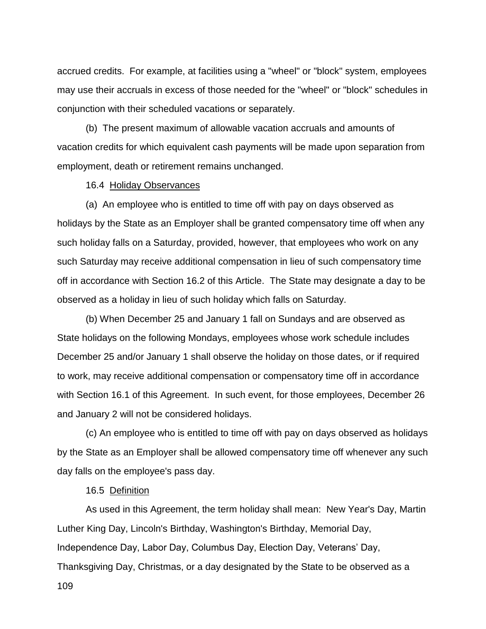accrued credits. For example, at facilities using a "wheel" or "block" system, employees may use their accruals in excess of those needed for the "wheel" or "block" schedules in conjunction with their scheduled vacations or separately.

(b) The present maximum of allowable vacation accruals and amounts of vacation credits for which equivalent cash payments will be made upon separation from employment, death or retirement remains unchanged.

#### 16.4 Holiday Observances

(a) An employee who is entitled to time off with pay on days observed as holidays by the State as an Employer shall be granted compensatory time off when any such holiday falls on a Saturday, provided, however, that employees who work on any such Saturday may receive additional compensation in lieu of such compensatory time off in accordance with Section 16.2 of this Article. The State may designate a day to be observed as a holiday in lieu of such holiday which falls on Saturday.

(b) When December 25 and January 1 fall on Sundays and are observed as State holidays on the following Mondays, employees whose work schedule includes December 25 and/or January 1 shall observe the holiday on those dates, or if required to work, may receive additional compensation or compensatory time off in accordance with Section 16.1 of this Agreement. In such event, for those employees, December 26 and January 2 will not be considered holidays.

(c) An employee who is entitled to time off with pay on days observed as holidays by the State as an Employer shall be allowed compensatory time off whenever any such day falls on the employee's pass day.

#### 16.5 Definition

109 As used in this Agreement, the term holiday shall mean: New Year's Day, Martin Luther King Day, Lincoln's Birthday, Washington's Birthday, Memorial Day, Independence Day, Labor Day, Columbus Day, Election Day, Veterans' Day, Thanksgiving Day, Christmas, or a day designated by the State to be observed as a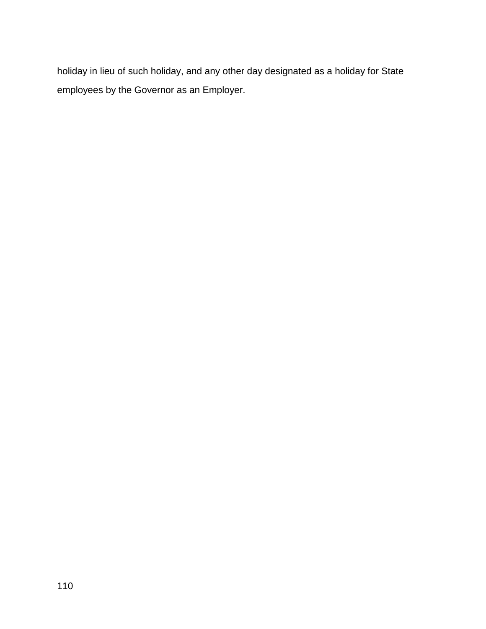holiday in lieu of such holiday, and any other day designated as a holiday for State employees by the Governor as an Employer.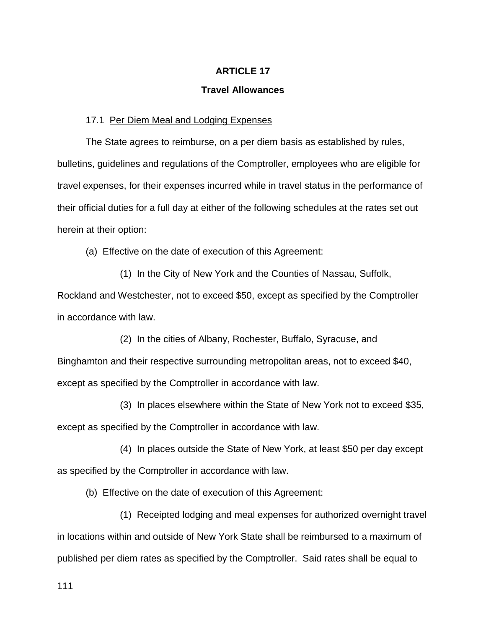#### **Travel Allowances**

#### 17.1 Per Diem Meal and Lodging Expenses

The State agrees to reimburse, on a per diem basis as established by rules, bulletins, guidelines and regulations of the Comptroller, employees who are eligible for travel expenses, for their expenses incurred while in travel status in the performance of their official duties for a full day at either of the following schedules at the rates set out herein at their option:

(a) Effective on the date of execution of this Agreement:

(1) In the City of New York and the Counties of Nassau, Suffolk, Rockland and Westchester, not to exceed \$50, except as specified by the Comptroller in accordance with law.

(2) In the cities of Albany, Rochester, Buffalo, Syracuse, and Binghamton and their respective surrounding metropolitan areas, not to exceed \$40, except as specified by the Comptroller in accordance with law.

(3) In places elsewhere within the State of New York not to exceed \$35, except as specified by the Comptroller in accordance with law.

(4) In places outside the State of New York, at least \$50 per day except as specified by the Comptroller in accordance with law.

(b) Effective on the date of execution of this Agreement:

(1) Receipted lodging and meal expenses for authorized overnight travel in locations within and outside of New York State shall be reimbursed to a maximum of published per diem rates as specified by the Comptroller. Said rates shall be equal to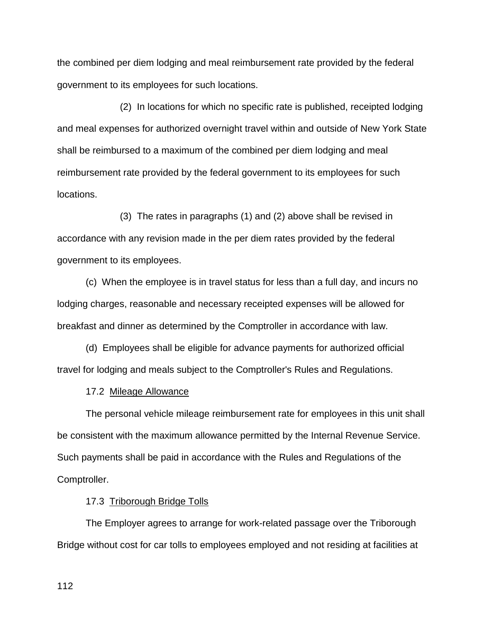the combined per diem lodging and meal reimbursement rate provided by the federal government to its employees for such locations.

(2) In locations for which no specific rate is published, receipted lodging and meal expenses for authorized overnight travel within and outside of New York State shall be reimbursed to a maximum of the combined per diem lodging and meal reimbursement rate provided by the federal government to its employees for such locations.

(3) The rates in paragraphs (1) and (2) above shall be revised in accordance with any revision made in the per diem rates provided by the federal government to its employees.

(c) When the employee is in travel status for less than a full day, and incurs no lodging charges, reasonable and necessary receipted expenses will be allowed for breakfast and dinner as determined by the Comptroller in accordance with law.

(d) Employees shall be eligible for advance payments for authorized official travel for lodging and meals subject to the Comptroller's Rules and Regulations.

17.2 Mileage Allowance

The personal vehicle mileage reimbursement rate for employees in this unit shall be consistent with the maximum allowance permitted by the Internal Revenue Service. Such payments shall be paid in accordance with the Rules and Regulations of the Comptroller.

17.3 Triborough Bridge Tolls

The Employer agrees to arrange for work-related passage over the Triborough Bridge without cost for car tolls to employees employed and not residing at facilities at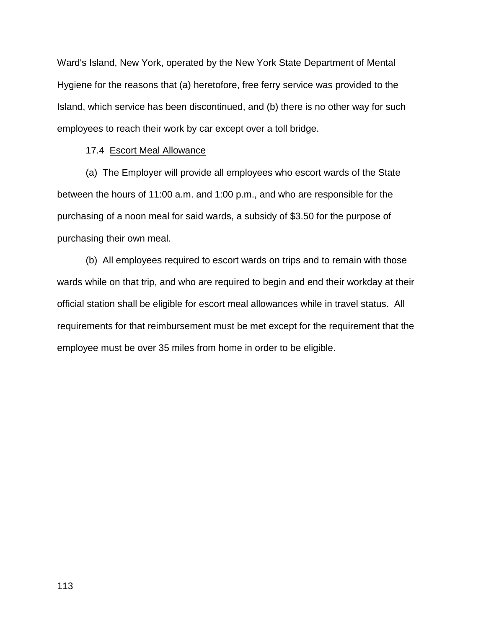Ward's Island, New York, operated by the New York State Department of Mental Hygiene for the reasons that (a) heretofore, free ferry service was provided to the Island, which service has been discontinued, and (b) there is no other way for such employees to reach their work by car except over a toll bridge.

#### 17.4 Escort Meal Allowance

(a) The Employer will provide all employees who escort wards of the State between the hours of 11:00 a.m. and 1:00 p.m., and who are responsible for the purchasing of a noon meal for said wards, a subsidy of \$3.50 for the purpose of purchasing their own meal.

(b) All employees required to escort wards on trips and to remain with those wards while on that trip, and who are required to begin and end their workday at their official station shall be eligible for escort meal allowances while in travel status. All requirements for that reimbursement must be met except for the requirement that the employee must be over 35 miles from home in order to be eligible.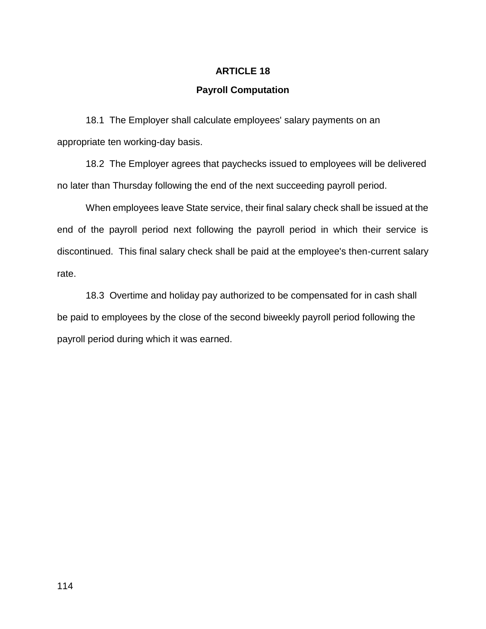## **Payroll Computation**

18.1 The Employer shall calculate employees' salary payments on an appropriate ten working-day basis.

18.2 The Employer agrees that paychecks issued to employees will be delivered no later than Thursday following the end of the next succeeding payroll period.

When employees leave State service, their final salary check shall be issued at the end of the payroll period next following the payroll period in which their service is discontinued. This final salary check shall be paid at the employee's then-current salary rate.

18.3 Overtime and holiday pay authorized to be compensated for in cash shall be paid to employees by the close of the second biweekly payroll period following the payroll period during which it was earned.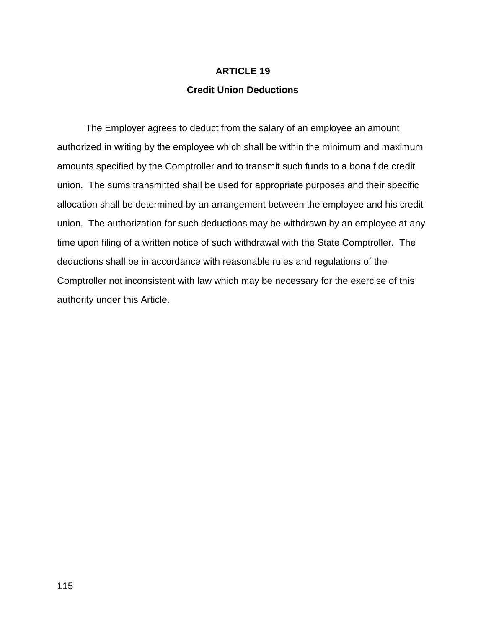## **Credit Union Deductions**

The Employer agrees to deduct from the salary of an employee an amount authorized in writing by the employee which shall be within the minimum and maximum amounts specified by the Comptroller and to transmit such funds to a bona fide credit union. The sums transmitted shall be used for appropriate purposes and their specific allocation shall be determined by an arrangement between the employee and his credit union. The authorization for such deductions may be withdrawn by an employee at any time upon filing of a written notice of such withdrawal with the State Comptroller. The deductions shall be in accordance with reasonable rules and regulations of the Comptroller not inconsistent with law which may be necessary for the exercise of this authority under this Article.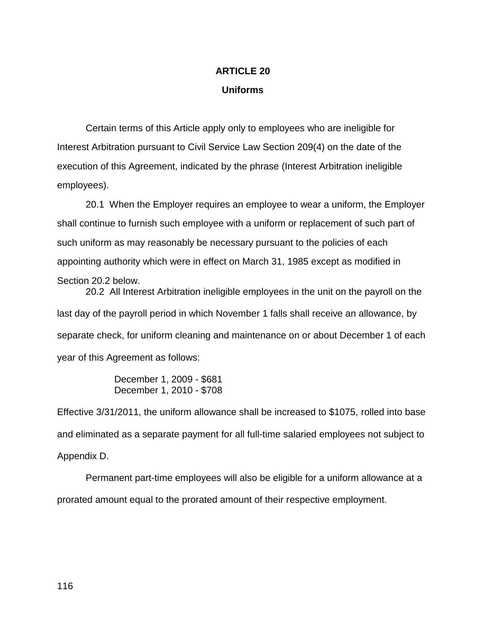# **ARTICLE 20 Uniforms**

Certain terms of this Article apply only to employees who are ineligible for Interest Arbitration pursuant to Civil Service Law Section 209(4) on the date of the execution of this Agreement, indicated by the phrase (Interest Arbitration ineligible employees).

20.1 When the Employer requires an employee to wear a uniform, the Employer shall continue to furnish such employee with a uniform or replacement of such part of such uniform as may reasonably be necessary pursuant to the policies of each appointing authority which were in effect on March 31, 1985 except as modified in Section 20.2 below.

20.2 All Interest Arbitration ineligible employees in the unit on the payroll on the last day of the payroll period in which November 1 falls shall receive an allowance, by separate check, for uniform cleaning and maintenance on or about December 1 of each year of this Agreement as follows:

> December 1, 2009 - \$681 December 1, 2010 - \$708

Effective 3/31/2011, the uniform allowance shall be increased to \$1075, rolled into base and eliminated as a separate payment for all full-time salaried employees not subject to Appendix D.

Permanent part-time employees will also be eligible for a uniform allowance at a prorated amount equal to the prorated amount of their respective employment.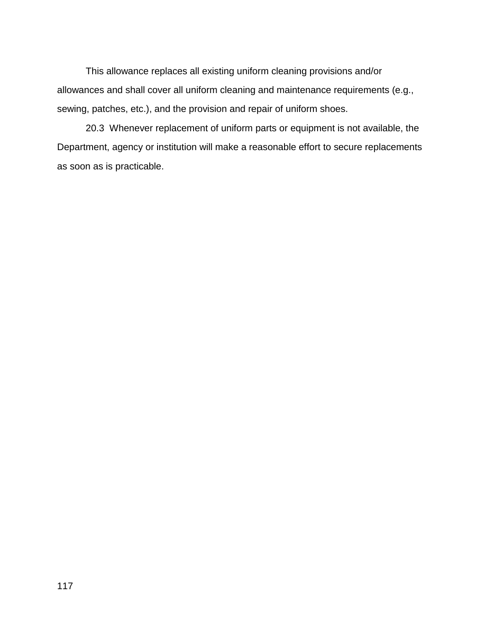This allowance replaces all existing uniform cleaning provisions and/or allowances and shall cover all uniform cleaning and maintenance requirements (e.g., sewing, patches, etc.), and the provision and repair of uniform shoes.

20.3 Whenever replacement of uniform parts or equipment is not available, the Department, agency or institution will make a reasonable effort to secure replacements as soon as is practicable.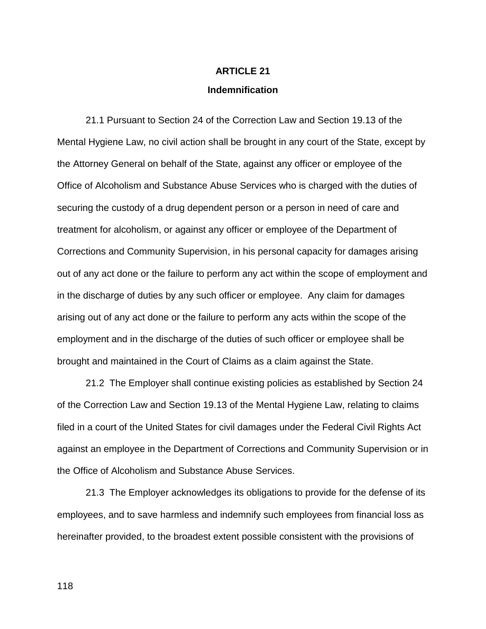### **Indemnification**

21.1 Pursuant to Section 24 of the Correction Law and Section 19.13 of the Mental Hygiene Law, no civil action shall be brought in any court of the State, except by the Attorney General on behalf of the State, against any officer or employee of the Office of Alcoholism and Substance Abuse Services who is charged with the duties of securing the custody of a drug dependent person or a person in need of care and treatment for alcoholism, or against any officer or employee of the Department of Corrections and Community Supervision, in his personal capacity for damages arising out of any act done or the failure to perform any act within the scope of employment and in the discharge of duties by any such officer or employee. Any claim for damages arising out of any act done or the failure to perform any acts within the scope of the employment and in the discharge of the duties of such officer or employee shall be brought and maintained in the Court of Claims as a claim against the State.

21.2 The Employer shall continue existing policies as established by Section 24 of the Correction Law and Section 19.13 of the Mental Hygiene Law, relating to claims filed in a court of the United States for civil damages under the Federal Civil Rights Act against an employee in the Department of Corrections and Community Supervision or in the Office of Alcoholism and Substance Abuse Services.

21.3 The Employer acknowledges its obligations to provide for the defense of its employees, and to save harmless and indemnify such employees from financial loss as hereinafter provided, to the broadest extent possible consistent with the provisions of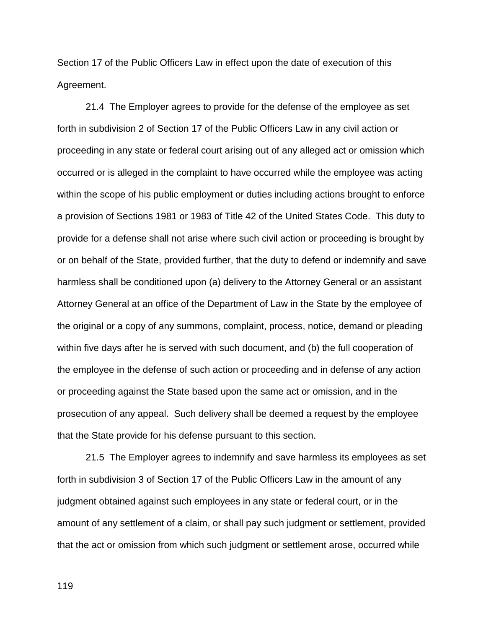Section 17 of the Public Officers Law in effect upon the date of execution of this Agreement.

21.4 The Employer agrees to provide for the defense of the employee as set forth in subdivision 2 of Section 17 of the Public Officers Law in any civil action or proceeding in any state or federal court arising out of any alleged act or omission which occurred or is alleged in the complaint to have occurred while the employee was acting within the scope of his public employment or duties including actions brought to enforce a provision of Sections 1981 or 1983 of Title 42 of the United States Code. This duty to provide for a defense shall not arise where such civil action or proceeding is brought by or on behalf of the State, provided further, that the duty to defend or indemnify and save harmless shall be conditioned upon (a) delivery to the Attorney General or an assistant Attorney General at an office of the Department of Law in the State by the employee of the original or a copy of any summons, complaint, process, notice, demand or pleading within five days after he is served with such document, and (b) the full cooperation of the employee in the defense of such action or proceeding and in defense of any action or proceeding against the State based upon the same act or omission, and in the prosecution of any appeal. Such delivery shall be deemed a request by the employee that the State provide for his defense pursuant to this section.

21.5 The Employer agrees to indemnify and save harmless its employees as set forth in subdivision 3 of Section 17 of the Public Officers Law in the amount of any judgment obtained against such employees in any state or federal court, or in the amount of any settlement of a claim, or shall pay such judgment or settlement, provided that the act or omission from which such judgment or settlement arose, occurred while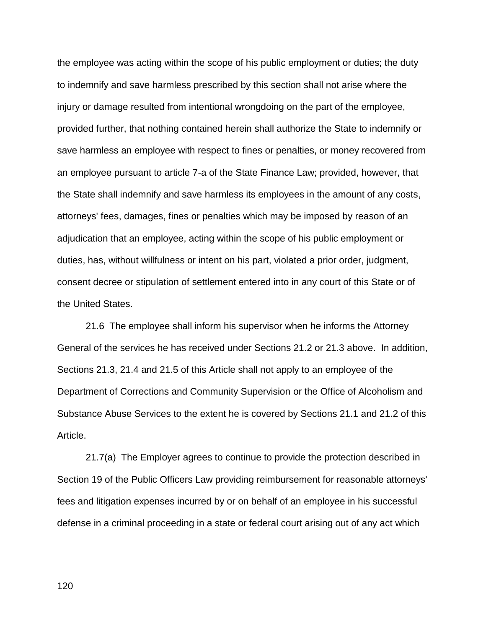the employee was acting within the scope of his public employment or duties; the duty to indemnify and save harmless prescribed by this section shall not arise where the injury or damage resulted from intentional wrongdoing on the part of the employee, provided further, that nothing contained herein shall authorize the State to indemnify or save harmless an employee with respect to fines or penalties, or money recovered from an employee pursuant to article 7-a of the State Finance Law; provided, however, that the State shall indemnify and save harmless its employees in the amount of any costs, attorneys' fees, damages, fines or penalties which may be imposed by reason of an adjudication that an employee, acting within the scope of his public employment or duties, has, without willfulness or intent on his part, violated a prior order, judgment, consent decree or stipulation of settlement entered into in any court of this State or of the United States.

21.6 The employee shall inform his supervisor when he informs the Attorney General of the services he has received under Sections 21.2 or 21.3 above. In addition, Sections 21.3, 21.4 and 21.5 of this Article shall not apply to an employee of the Department of Corrections and Community Supervision or the Office of Alcoholism and Substance Abuse Services to the extent he is covered by Sections 21.1 and 21.2 of this Article.

21.7(a) The Employer agrees to continue to provide the protection described in Section 19 of the Public Officers Law providing reimbursement for reasonable attorneys' fees and litigation expenses incurred by or on behalf of an employee in his successful defense in a criminal proceeding in a state or federal court arising out of any act which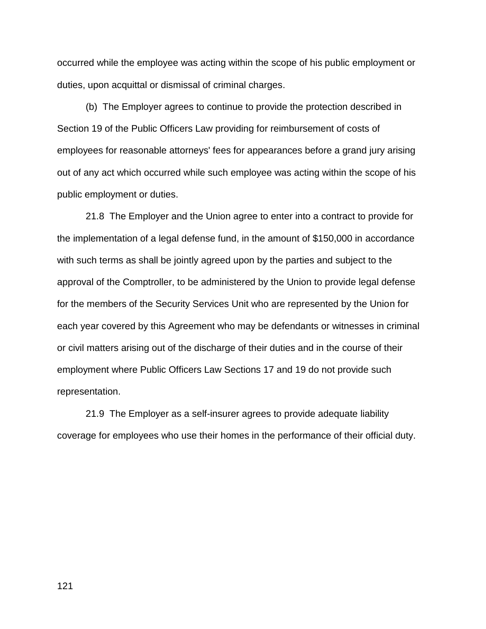occurred while the employee was acting within the scope of his public employment or duties, upon acquittal or dismissal of criminal charges.

(b) The Employer agrees to continue to provide the protection described in Section 19 of the Public Officers Law providing for reimbursement of costs of employees for reasonable attorneys' fees for appearances before a grand jury arising out of any act which occurred while such employee was acting within the scope of his public employment or duties.

21.8 The Employer and the Union agree to enter into a contract to provide for the implementation of a legal defense fund, in the amount of \$150,000 in accordance with such terms as shall be jointly agreed upon by the parties and subject to the approval of the Comptroller, to be administered by the Union to provide legal defense for the members of the Security Services Unit who are represented by the Union for each year covered by this Agreement who may be defendants or witnesses in criminal or civil matters arising out of the discharge of their duties and in the course of their employment where Public Officers Law Sections 17 and 19 do not provide such representation.

21.9 The Employer as a self-insurer agrees to provide adequate liability coverage for employees who use their homes in the performance of their official duty.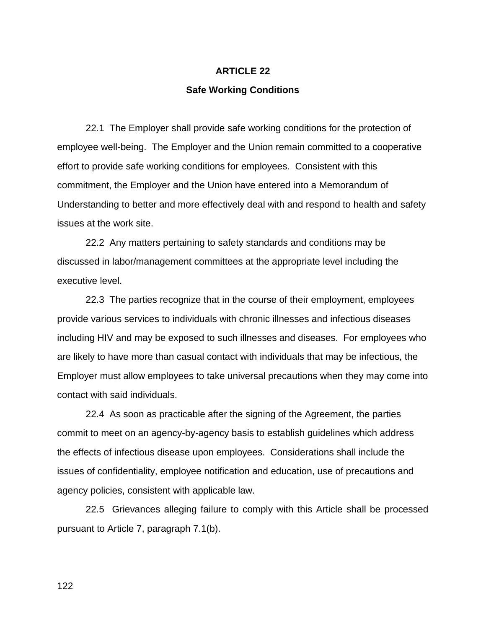#### **Safe Working Conditions**

22.1 The Employer shall provide safe working conditions for the protection of employee well-being. The Employer and the Union remain committed to a cooperative effort to provide safe working conditions for employees. Consistent with this commitment, the Employer and the Union have entered into a Memorandum of Understanding to better and more effectively deal with and respond to health and safety issues at the work site.

22.2 Any matters pertaining to safety standards and conditions may be discussed in labor/management committees at the appropriate level including the executive level.

22.3 The parties recognize that in the course of their employment, employees provide various services to individuals with chronic illnesses and infectious diseases including HIV and may be exposed to such illnesses and diseases. For employees who are likely to have more than casual contact with individuals that may be infectious, the Employer must allow employees to take universal precautions when they may come into contact with said individuals.

22.4 As soon as practicable after the signing of the Agreement, the parties commit to meet on an agency-by-agency basis to establish guidelines which address the effects of infectious disease upon employees. Considerations shall include the issues of confidentiality, employee notification and education, use of precautions and agency policies, consistent with applicable law.

22.5 Grievances alleging failure to comply with this Article shall be processed pursuant to Article 7, paragraph 7.1(b).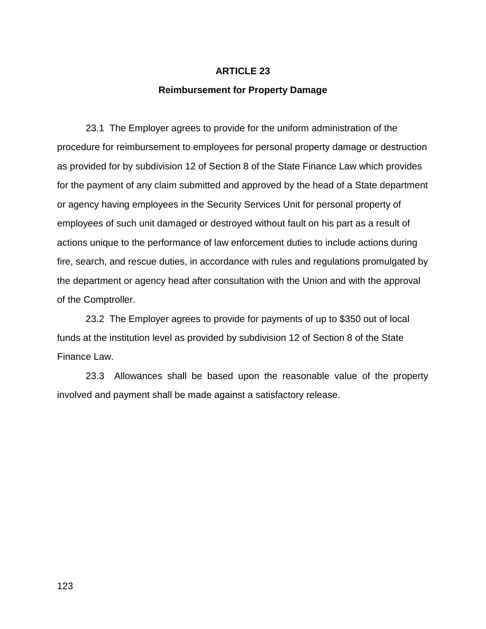### **Reimbursement for Property Damage**

23.1 The Employer agrees to provide for the uniform administration of the procedure for reimbursement to employees for personal property damage or destruction as provided for by subdivision 12 of Section 8 of the State Finance Law which provides for the payment of any claim submitted and approved by the head of a State department or agency having employees in the Security Services Unit for personal property of employees of such unit damaged or destroyed without fault on his part as a result of actions unique to the performance of law enforcement duties to include actions during fire, search, and rescue duties, in accordance with rules and regulations promulgated by the department or agency head after consultation with the Union and with the approval of the Comptroller.

23.2 The Employer agrees to provide for payments of up to \$350 out of local funds at the institution level as provided by subdivision 12 of Section 8 of the State Finance Law.

23.3 Allowances shall be based upon the reasonable value of the property involved and payment shall be made against a satisfactory release.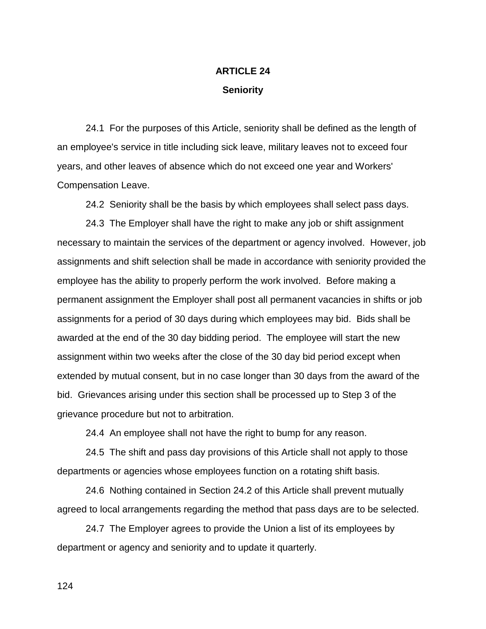# **ARTICLE 24 Seniority**

24.1 For the purposes of this Article, seniority shall be defined as the length of an employee's service in title including sick leave, military leaves not to exceed four years, and other leaves of absence which do not exceed one year and Workers' Compensation Leave.

24.2 Seniority shall be the basis by which employees shall select pass days.

24.3 The Employer shall have the right to make any job or shift assignment necessary to maintain the services of the department or agency involved. However, job assignments and shift selection shall be made in accordance with seniority provided the employee has the ability to properly perform the work involved. Before making a permanent assignment the Employer shall post all permanent vacancies in shifts or job assignments for a period of 30 days during which employees may bid. Bids shall be awarded at the end of the 30 day bidding period. The employee will start the new assignment within two weeks after the close of the 30 day bid period except when extended by mutual consent, but in no case longer than 30 days from the award of the bid. Grievances arising under this section shall be processed up to Step 3 of the grievance procedure but not to arbitration.

24.4 An employee shall not have the right to bump for any reason.

24.5 The shift and pass day provisions of this Article shall not apply to those departments or agencies whose employees function on a rotating shift basis.

24.6 Nothing contained in Section 24.2 of this Article shall prevent mutually agreed to local arrangements regarding the method that pass days are to be selected.

24.7 The Employer agrees to provide the Union a list of its employees by department or agency and seniority and to update it quarterly.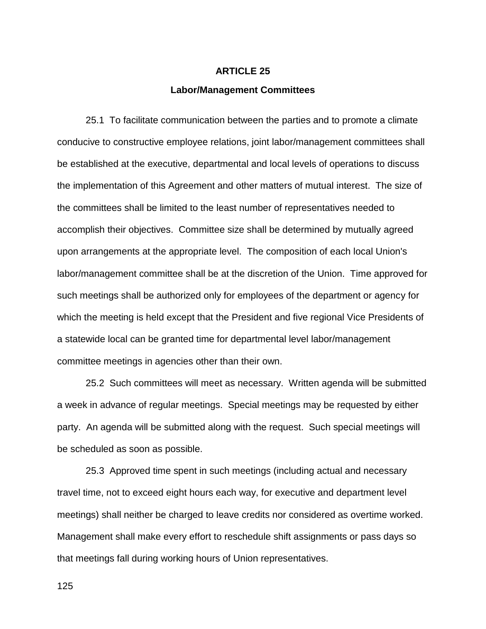#### **Labor/Management Committees**

25.1 To facilitate communication between the parties and to promote a climate conducive to constructive employee relations, joint labor/management committees shall be established at the executive, departmental and local levels of operations to discuss the implementation of this Agreement and other matters of mutual interest. The size of the committees shall be limited to the least number of representatives needed to accomplish their objectives. Committee size shall be determined by mutually agreed upon arrangements at the appropriate level. The composition of each local Union's labor/management committee shall be at the discretion of the Union. Time approved for such meetings shall be authorized only for employees of the department or agency for which the meeting is held except that the President and five regional Vice Presidents of a statewide local can be granted time for departmental level labor/management committee meetings in agencies other than their own.

25.2 Such committees will meet as necessary. Written agenda will be submitted a week in advance of regular meetings. Special meetings may be requested by either party. An agenda will be submitted along with the request. Such special meetings will be scheduled as soon as possible.

25.3 Approved time spent in such meetings (including actual and necessary travel time, not to exceed eight hours each way, for executive and department level meetings) shall neither be charged to leave credits nor considered as overtime worked. Management shall make every effort to reschedule shift assignments or pass days so that meetings fall during working hours of Union representatives.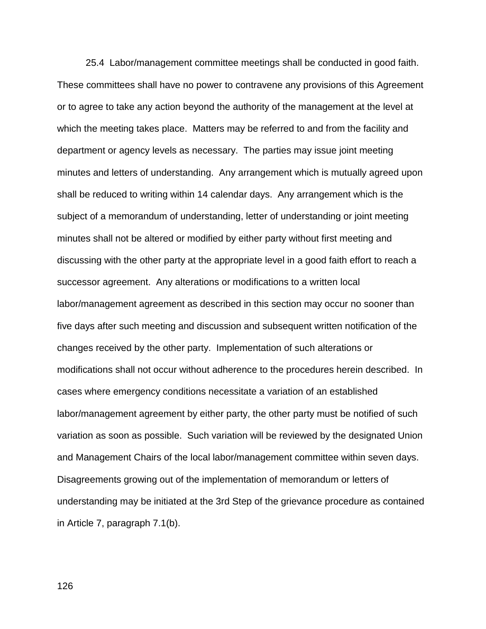25.4 Labor/management committee meetings shall be conducted in good faith. These committees shall have no power to contravene any provisions of this Agreement or to agree to take any action beyond the authority of the management at the level at which the meeting takes place. Matters may be referred to and from the facility and department or agency levels as necessary. The parties may issue joint meeting minutes and letters of understanding. Any arrangement which is mutually agreed upon shall be reduced to writing within 14 calendar days. Any arrangement which is the subject of a memorandum of understanding, letter of understanding or joint meeting minutes shall not be altered or modified by either party without first meeting and discussing with the other party at the appropriate level in a good faith effort to reach a successor agreement. Any alterations or modifications to a written local labor/management agreement as described in this section may occur no sooner than five days after such meeting and discussion and subsequent written notification of the changes received by the other party. Implementation of such alterations or modifications shall not occur without adherence to the procedures herein described. In cases where emergency conditions necessitate a variation of an established labor/management agreement by either party, the other party must be notified of such variation as soon as possible. Such variation will be reviewed by the designated Union and Management Chairs of the local labor/management committee within seven days. Disagreements growing out of the implementation of memorandum or letters of understanding may be initiated at the 3rd Step of the grievance procedure as contained in Article 7, paragraph 7.1(b).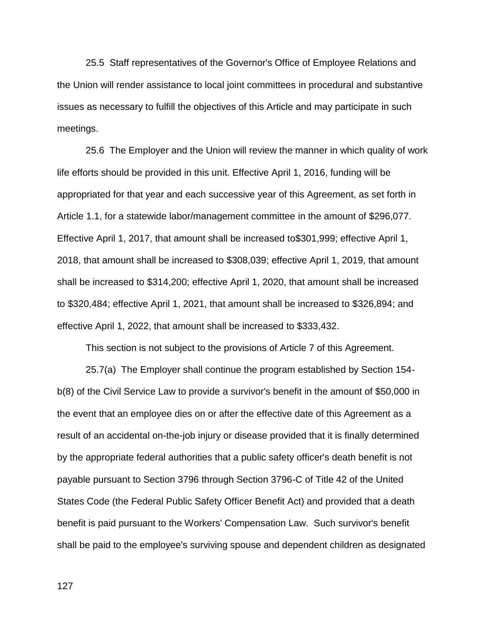25.5 Staff representatives of the Governor's Office of Employee Relations and the Union will render assistance to local joint committees in procedural and substantive issues as necessary to fulfill the objectives of this Article and may participate in such meetings.

25.6 The Employer and the Union will review the manner in which quality of work life efforts should be provided in this unit. Effective April 1, 2016, funding will be appropriated for that year and each successive year of this Agreement, as set forth in Article 1.1, for a statewide labor/management committee in the amount of \$296,077. Effective April 1, 2017, that amount shall be increased to\$301,999; effective April 1, 2018, that amount shall be increased to \$308,039; effective April 1, 2019, that amount shall be increased to \$314,200; effective April 1, 2020, that amount shall be increased to \$320,484; effective April 1, 2021, that amount shall be increased to \$326,894; and effective April 1, 2022, that amount shall be increased to \$333,432.

This section is not subject to the provisions of Article 7 of this Agreement.

25.7(a) The Employer shall continue the program established by Section 154 b(8) of the Civil Service Law to provide a survivor's benefit in the amount of \$50,000 in the event that an employee dies on or after the effective date of this Agreement as a result of an accidental on-the-job injury or disease provided that it is finally determined by the appropriate federal authorities that a public safety officer's death benefit is not payable pursuant to Section 3796 through Section 3796-C of Title 42 of the United States Code (the Federal Public Safety Officer Benefit Act) and provided that a death benefit is paid pursuant to the Workers' Compensation Law. Such survivor's benefit shall be paid to the employee's surviving spouse and dependent children as designated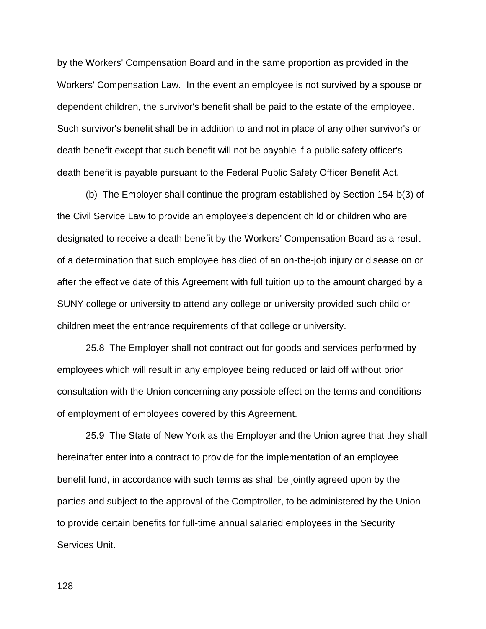by the Workers' Compensation Board and in the same proportion as provided in the Workers' Compensation Law. In the event an employee is not survived by a spouse or dependent children, the survivor's benefit shall be paid to the estate of the employee. Such survivor's benefit shall be in addition to and not in place of any other survivor's or death benefit except that such benefit will not be payable if a public safety officer's death benefit is payable pursuant to the Federal Public Safety Officer Benefit Act.

(b) The Employer shall continue the program established by Section 154-b(3) of the Civil Service Law to provide an employee's dependent child or children who are designated to receive a death benefit by the Workers' Compensation Board as a result of a determination that such employee has died of an on-the-job injury or disease on or after the effective date of this Agreement with full tuition up to the amount charged by a SUNY college or university to attend any college or university provided such child or children meet the entrance requirements of that college or university.

25.8 The Employer shall not contract out for goods and services performed by employees which will result in any employee being reduced or laid off without prior consultation with the Union concerning any possible effect on the terms and conditions of employment of employees covered by this Agreement.

25.9 The State of New York as the Employer and the Union agree that they shall hereinafter enter into a contract to provide for the implementation of an employee benefit fund, in accordance with such terms as shall be jointly agreed upon by the parties and subject to the approval of the Comptroller, to be administered by the Union to provide certain benefits for full-time annual salaried employees in the Security Services Unit.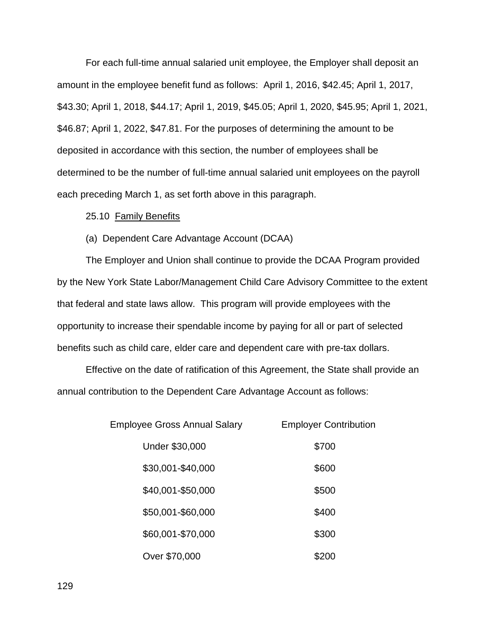For each full-time annual salaried unit employee, the Employer shall deposit an amount in the employee benefit fund as follows: April 1, 2016, \$42.45; April 1, 2017, \$43.30; April 1, 2018, \$44.17; April 1, 2019, \$45.05; April 1, 2020, \$45.95; April 1, 2021, \$46.87; April 1, 2022, \$47.81. For the purposes of determining the amount to be deposited in accordance with this section, the number of employees shall be determined to be the number of full-time annual salaried unit employees on the payroll each preceding March 1, as set forth above in this paragraph.

#### 25.10 Family Benefits

### (a) Dependent Care Advantage Account (DCAA)

The Employer and Union shall continue to provide the DCAA Program provided by the New York State Labor/Management Child Care Advisory Committee to the extent that federal and state laws allow. This program will provide employees with the opportunity to increase their spendable income by paying for all or part of selected benefits such as child care, elder care and dependent care with pre-tax dollars.

Effective on the date of ratification of this Agreement, the State shall provide an annual contribution to the Dependent Care Advantage Account as follows:

| Employee Gross Annual Salary | <b>Employer Contribution</b> |  |  |  |  |
|------------------------------|------------------------------|--|--|--|--|
| <b>Under \$30,000</b>        | \$700                        |  |  |  |  |
| \$30,001-\$40,000            | \$600                        |  |  |  |  |
| \$40,001-\$50,000            | \$500                        |  |  |  |  |
| \$50,001-\$60,000            | \$400                        |  |  |  |  |
| \$60,001-\$70,000            | \$300                        |  |  |  |  |
| Over \$70,000                | \$200                        |  |  |  |  |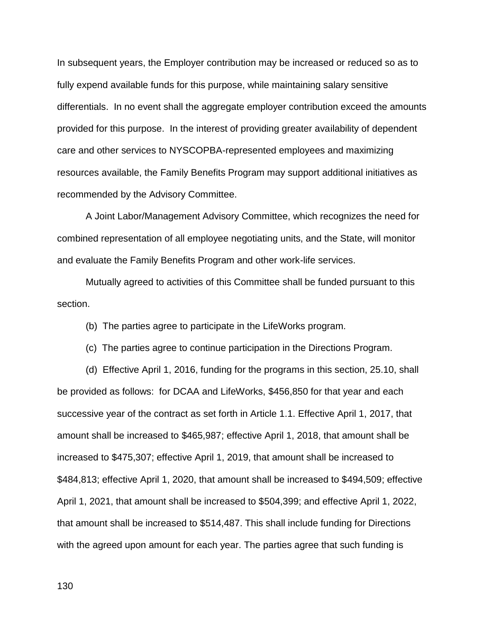In subsequent years, the Employer contribution may be increased or reduced so as to fully expend available funds for this purpose, while maintaining salary sensitive differentials. In no event shall the aggregate employer contribution exceed the amounts provided for this purpose. In the interest of providing greater availability of dependent care and other services to NYSCOPBA-represented employees and maximizing resources available, the Family Benefits Program may support additional initiatives as recommended by the Advisory Committee.

A Joint Labor/Management Advisory Committee, which recognizes the need for combined representation of all employee negotiating units, and the State, will monitor and evaluate the Family Benefits Program and other work-life services.

Mutually agreed to activities of this Committee shall be funded pursuant to this section.

(b) The parties agree to participate in the LifeWorks program.

(c) The parties agree to continue participation in the Directions Program.

(d) Effective April 1, 2016, funding for the programs in this section, 25.10, shall be provided as follows: for DCAA and LifeWorks, \$456,850 for that year and each successive year of the contract as set forth in Article 1.1. Effective April 1, 2017, that amount shall be increased to \$465,987; effective April 1, 2018, that amount shall be increased to \$475,307; effective April 1, 2019, that amount shall be increased to \$484,813; effective April 1, 2020, that amount shall be increased to \$494,509; effective April 1, 2021, that amount shall be increased to \$504,399; and effective April 1, 2022, that amount shall be increased to \$514,487. This shall include funding for Directions with the agreed upon amount for each year. The parties agree that such funding is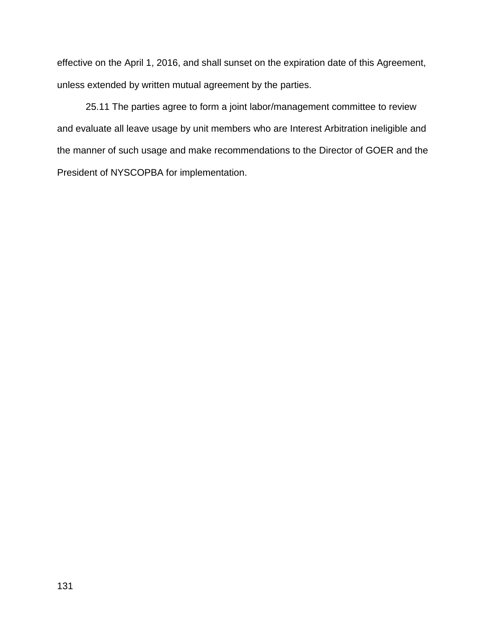effective on the April 1, 2016, and shall sunset on the expiration date of this Agreement, unless extended by written mutual agreement by the parties.

25.11 The parties agree to form a joint labor/management committee to review and evaluate all leave usage by unit members who are Interest Arbitration ineligible and the manner of such usage and make recommendations to the Director of GOER and the President of NYSCOPBA for implementation.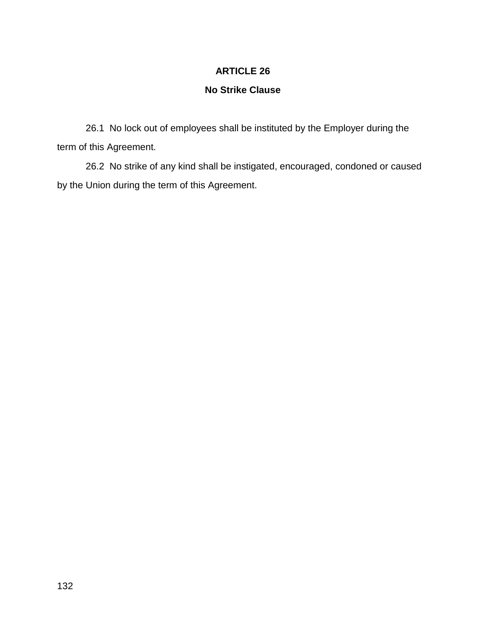# **No Strike Clause**

26.1 No lock out of employees shall be instituted by the Employer during the term of this Agreement.

26.2 No strike of any kind shall be instigated, encouraged, condoned or caused by the Union during the term of this Agreement.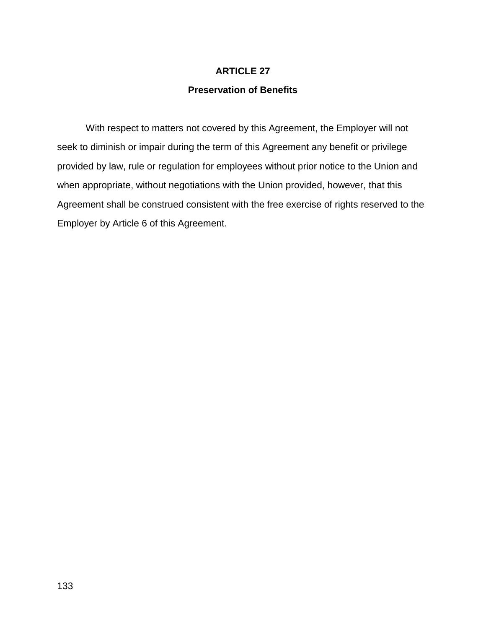## **Preservation of Benefits**

With respect to matters not covered by this Agreement, the Employer will not seek to diminish or impair during the term of this Agreement any benefit or privilege provided by law, rule or regulation for employees without prior notice to the Union and when appropriate, without negotiations with the Union provided, however, that this Agreement shall be construed consistent with the free exercise of rights reserved to the Employer by Article 6 of this Agreement.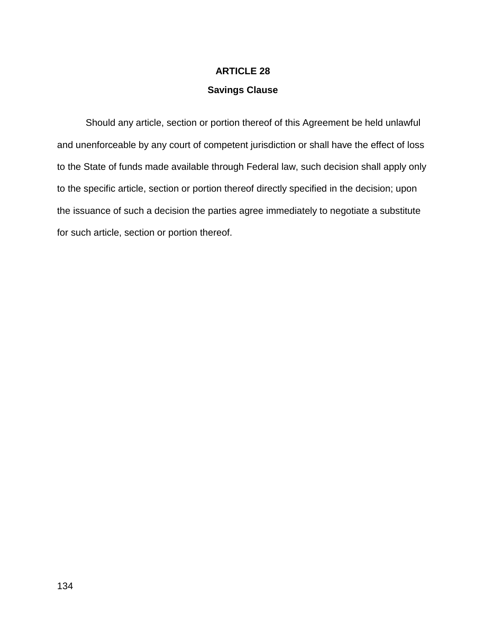### **Savings Clause**

Should any article, section or portion thereof of this Agreement be held unlawful and unenforceable by any court of competent jurisdiction or shall have the effect of loss to the State of funds made available through Federal law, such decision shall apply only to the specific article, section or portion thereof directly specified in the decision; upon the issuance of such a decision the parties agree immediately to negotiate a substitute for such article, section or portion thereof.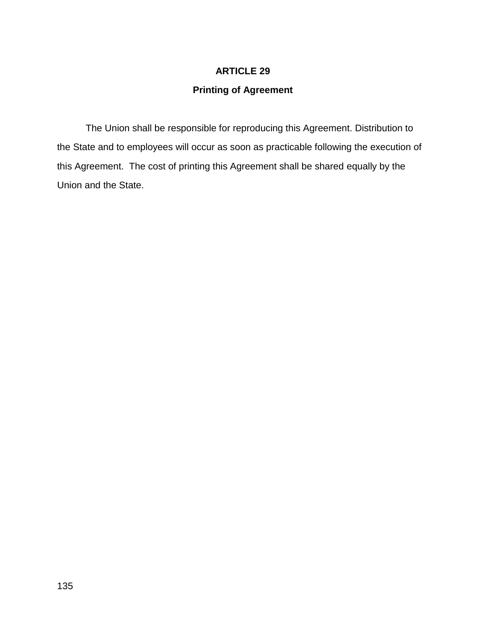# **Printing of Agreement**

The Union shall be responsible for reproducing this Agreement. Distribution to the State and to employees will occur as soon as practicable following the execution of this Agreement. The cost of printing this Agreement shall be shared equally by the Union and the State.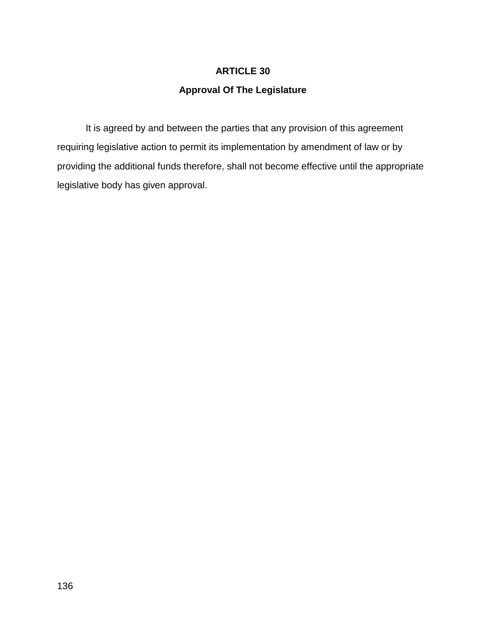# **Approval Of The Legislature**

It is agreed by and between the parties that any provision of this agreement requiring legislative action to permit its implementation by amendment of law or by providing the additional funds therefore, shall not become effective until the appropriate legislative body has given approval.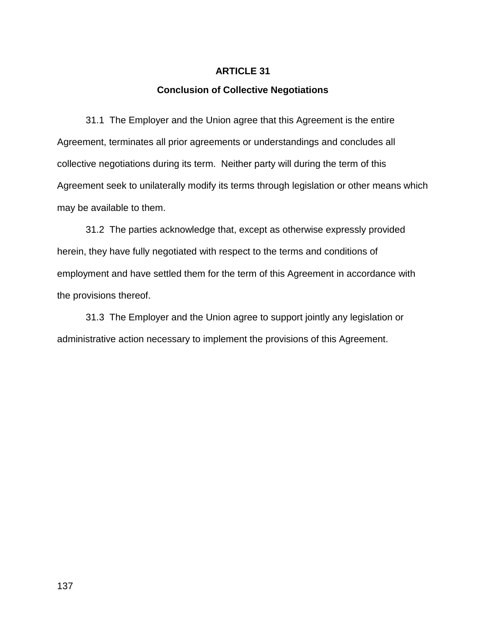### **Conclusion of Collective Negotiations**

31.1 The Employer and the Union agree that this Agreement is the entire Agreement, terminates all prior agreements or understandings and concludes all collective negotiations during its term. Neither party will during the term of this Agreement seek to unilaterally modify its terms through legislation or other means which may be available to them.

31.2 The parties acknowledge that, except as otherwise expressly provided herein, they have fully negotiated with respect to the terms and conditions of employment and have settled them for the term of this Agreement in accordance with the provisions thereof.

31.3 The Employer and the Union agree to support jointly any legislation or administrative action necessary to implement the provisions of this Agreement.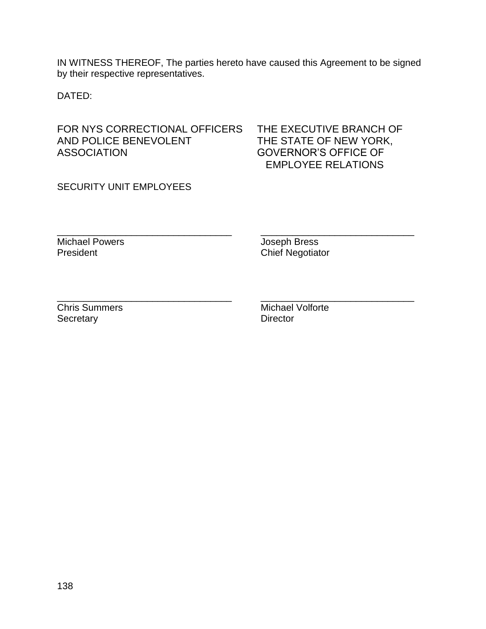IN WITNESS THEREOF, The parties hereto have caused this Agreement to be signed by their respective representatives.

\_\_\_\_\_\_\_\_\_\_\_\_\_\_\_\_\_\_\_\_\_\_\_\_\_\_\_\_\_\_\_\_\_ \_\_\_\_\_\_\_\_\_\_\_\_\_\_\_\_\_\_\_\_\_\_\_\_\_\_\_\_\_

DATED:

FOR NYS CORRECTIONAL OFFICERS THE EXECUTIVE BRANCH OF AND POLICE BENEVOLENT THE STATE OF NEW YORK, ASSOCIATION GOVERNOR'S OFFICE OF

EMPLOYEE RELATIONS

SECURITY UNIT EMPLOYEES

Michael Powers **Michael Powers Joseph Bress** 

President **Chief Negotiator** Chief Negotiator

Secretary Director

\_\_\_\_\_\_\_\_\_\_\_\_\_\_\_\_\_\_\_\_\_\_\_\_\_\_\_\_\_\_\_\_\_ \_\_\_\_\_\_\_\_\_\_\_\_\_\_\_\_\_\_\_\_\_\_\_\_\_\_\_\_\_ Chris Summers Michael Volforte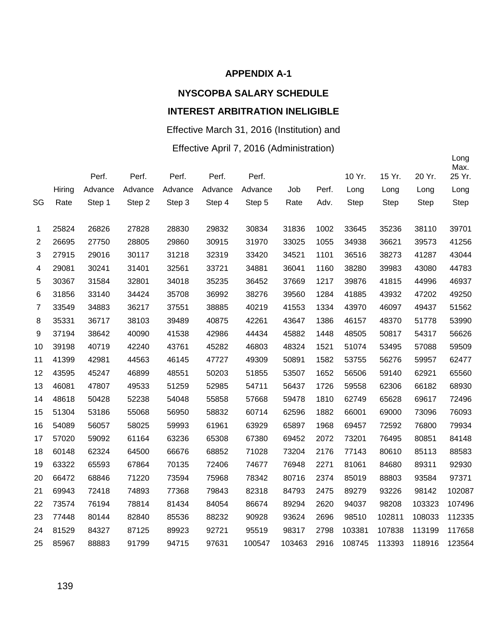#### **APPENDIX A-1**

# **NYSCOPBA SALARY SCHEDULE**

# **INTEREST ARBITRATION INELIGIBLE**

# Effective March 31, 2016 (Institution) and

# Effective April 7, 2016 (Administration)

|                |        | Perf.   | Perf.   | Perf.   | Perf.   | Perf.   |        |       | 10 Yr. | 15 Yr.      | 20 Yr.      | Long<br>Max.<br>25 Yr. |
|----------------|--------|---------|---------|---------|---------|---------|--------|-------|--------|-------------|-------------|------------------------|
|                | Hiring | Advance | Advance | Advance | Advance | Advance | Job    | Perf. | Long   | Long        | Long        | Long                   |
| SG             | Rate   | Step 1  | Step 2  | Step 3  | Step 4  | Step 5  | Rate   | Adv.  | Step   | <b>Step</b> | <b>Step</b> | Step                   |
|                |        |         |         |         |         |         |        |       |        |             |             |                        |
| 1              | 25824  | 26826   | 27828   | 28830   | 29832   | 30834   | 31836  | 1002  | 33645  | 35236       | 38110       | 39701                  |
| $\mathbf{2}$   | 26695  | 27750   | 28805   | 29860   | 30915   | 31970   | 33025  | 1055  | 34938  | 36621       | 39573       | 41256                  |
| 3              | 27915  | 29016   | 30117   | 31218   | 32319   | 33420   | 34521  | 1101  | 36516  | 38273       | 41287       | 43044                  |
| 4              | 29081  | 30241   | 31401   | 32561   | 33721   | 34881   | 36041  | 1160  | 38280  | 39983       | 43080       | 44783                  |
| 5              | 30367  | 31584   | 32801   | 34018   | 35235   | 36452   | 37669  | 1217  | 39876  | 41815       | 44996       | 46937                  |
| 6              | 31856  | 33140   | 34424   | 35708   | 36992   | 38276   | 39560  | 1284  | 41885  | 43932       | 47202       | 49250                  |
| $\overline{7}$ | 33549  | 34883   | 36217   | 37551   | 38885   | 40219   | 41553  | 1334  | 43970  | 46097       | 49437       | 51562                  |
| 8              | 35331  | 36717   | 38103   | 39489   | 40875   | 42261   | 43647  | 1386  | 46157  | 48370       | 51778       | 53990                  |
| 9              | 37194  | 38642   | 40090   | 41538   | 42986   | 44434   | 45882  | 1448  | 48505  | 50817       | 54317       | 56626                  |
| 10             | 39198  | 40719   | 42240   | 43761   | 45282   | 46803   | 48324  | 1521  | 51074  | 53495       | 57088       | 59509                  |
| 11             | 41399  | 42981   | 44563   | 46145   | 47727   | 49309   | 50891  | 1582  | 53755  | 56276       | 59957       | 62477                  |
| 12             | 43595  | 45247   | 46899   | 48551   | 50203   | 51855   | 53507  | 1652  | 56506  | 59140       | 62921       | 65560                  |
| 13             | 46081  | 47807   | 49533   | 51259   | 52985   | 54711   | 56437  | 1726  | 59558  | 62306       | 66182       | 68930                  |
| 14             | 48618  | 50428   | 52238   | 54048   | 55858   | 57668   | 59478  | 1810  | 62749  | 65628       | 69617       | 72496                  |
| 15             | 51304  | 53186   | 55068   | 56950   | 58832   | 60714   | 62596  | 1882  | 66001  | 69000       | 73096       | 76093                  |
| 16             | 54089  | 56057   | 58025   | 59993   | 61961   | 63929   | 65897  | 1968  | 69457  | 72592       | 76800       | 79934                  |
| 17             | 57020  | 59092   | 61164   | 63236   | 65308   | 67380   | 69452  | 2072  | 73201  | 76495       | 80851       | 84148                  |
| 18             | 60148  | 62324   | 64500   | 66676   | 68852   | 71028   | 73204  | 2176  | 77143  | 80610       | 85113       | 88583                  |
| 19             | 63322  | 65593   | 67864   | 70135   | 72406   | 74677   | 76948  | 2271  | 81061  | 84680       | 89311       | 92930                  |
| 20             | 66472  | 68846   | 71220   | 73594   | 75968   | 78342   | 80716  | 2374  | 85019  | 88803       | 93584       | 97371                  |
| 21             | 69943  | 72418   | 74893   | 77368   | 79843   | 82318   | 84793  | 2475  | 89279  | 93226       | 98142       | 102087                 |
| 22             | 73574  | 76194   | 78814   | 81434   | 84054   | 86674   | 89294  | 2620  | 94037  | 98208       | 103323      | 107496                 |
| 23             | 77448  | 80144   | 82840   | 85536   | 88232   | 90928   | 93624  | 2696  | 98510  | 102811      | 108033      | 112335                 |
| 24             | 81529  | 84327   | 87125   | 89923   | 92721   | 95519   | 98317  | 2798  | 103381 | 107838      | 113199      | 117658                 |
| 25             | 85967  | 88883   | 91799   | 94715   | 97631   | 100547  | 103463 | 2916  | 108745 | 113393      | 118916      | 123564                 |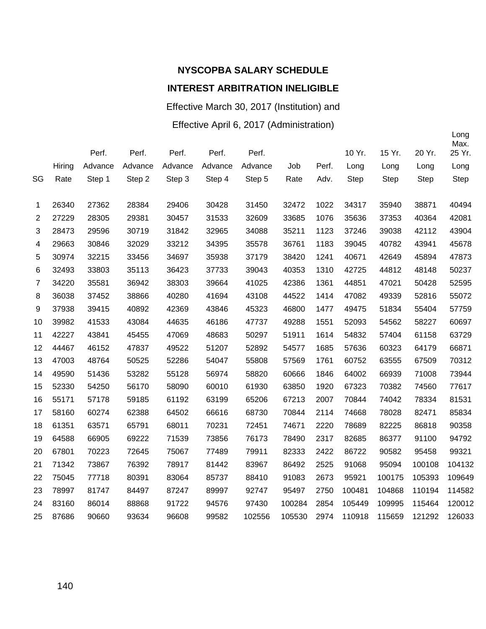# **NYSCOPBA SALARY SCHEDULE**

# **INTEREST ARBITRATION INELIGIBLE**

Effective March 30, 2017 (Institution) and

Effective April 6, 2017 (Administration)

|                |        | Perf.   | Perf.   | Perf.   | Perf.   | Perf.   |        |       | 10 Yr. | 15 Yr.      | 20 Yr. | Long<br>Max.<br>25 Yr. |
|----------------|--------|---------|---------|---------|---------|---------|--------|-------|--------|-------------|--------|------------------------|
|                | Hiring | Advance | Advance | Advance | Advance | Advance | Job    | Perf. | Long   | Long        | Long   | Long                   |
| SG             | Rate   | Step 1  | Step 2  | Step 3  | Step 4  | Step 5  | Rate   | Adv.  | Step   | <b>Step</b> | Step   | <b>Step</b>            |
| 1              | 26340  | 27362   | 28384   | 29406   | 30428   | 31450   | 32472  | 1022  | 34317  | 35940       | 38871  | 40494                  |
| $\overline{2}$ | 27229  | 28305   | 29381   | 30457   | 31533   | 32609   | 33685  | 1076  | 35636  | 37353       | 40364  | 42081                  |
| 3              | 28473  | 29596   | 30719   | 31842   | 32965   | 34088   | 35211  | 1123  | 37246  | 39038       | 42112  | 43904                  |
| 4              | 29663  | 30846   | 32029   | 33212   | 34395   | 35578   | 36761  | 1183  | 39045  | 40782       | 43941  | 45678                  |
| 5              | 30974  | 32215   | 33456   | 34697   | 35938   | 37179   | 38420  | 1241  | 40671  | 42649       | 45894  | 47873                  |
| 6              | 32493  | 33803   | 35113   | 36423   | 37733   | 39043   | 40353  | 1310  | 42725  | 44812       | 48148  | 50237                  |
| $\overline{7}$ | 34220  | 35581   | 36942   | 38303   | 39664   | 41025   | 42386  | 1361  | 44851  | 47021       | 50428  | 52595                  |
| 8              | 36038  | 37452   | 38866   | 40280   | 41694   | 43108   | 44522  | 1414  | 47082  | 49339       | 52816  | 55072                  |
| 9              | 37938  | 39415   | 40892   | 42369   | 43846   | 45323   | 46800  | 1477  | 49475  | 51834       | 55404  | 57759                  |
| 10             | 39982  | 41533   | 43084   | 44635   | 46186   | 47737   | 49288  | 1551  | 52093  | 54562       | 58227  | 60697                  |
| 11             | 42227  | 43841   | 45455   | 47069   | 48683   | 50297   | 51911  | 1614  | 54832  | 57404       | 61158  | 63729                  |
| 12             | 44467  | 46152   | 47837   | 49522   | 51207   | 52892   | 54577  | 1685  | 57636  | 60323       | 64179  | 66871                  |
| 13             | 47003  | 48764   | 50525   | 52286   | 54047   | 55808   | 57569  | 1761  | 60752  | 63555       | 67509  | 70312                  |
| 14             | 49590  | 51436   | 53282   | 55128   | 56974   | 58820   | 60666  | 1846  | 64002  | 66939       | 71008  | 73944                  |
| 15             | 52330  | 54250   | 56170   | 58090   | 60010   | 61930   | 63850  | 1920  | 67323  | 70382       | 74560  | 77617                  |
| 16             | 55171  | 57178   | 59185   | 61192   | 63199   | 65206   | 67213  | 2007  | 70844  | 74042       | 78334  | 81531                  |
| 17             | 58160  | 60274   | 62388   | 64502   | 66616   | 68730   | 70844  | 2114  | 74668  | 78028       | 82471  | 85834                  |
| 18             | 61351  | 63571   | 65791   | 68011   | 70231   | 72451   | 74671  | 2220  | 78689  | 82225       | 86818  | 90358                  |
| 19             | 64588  | 66905   | 69222   | 71539   | 73856   | 76173   | 78490  | 2317  | 82685  | 86377       | 91100  | 94792                  |
| 20             | 67801  | 70223   | 72645   | 75067   | 77489   | 79911   | 82333  | 2422  | 86722  | 90582       | 95458  | 99321                  |
| 21             | 71342  | 73867   | 76392   | 78917   | 81442   | 83967   | 86492  | 2525  | 91068  | 95094       | 100108 | 104132                 |
| 22             | 75045  | 77718   | 80391   | 83064   | 85737   | 88410   | 91083  | 2673  | 95921  | 100175      | 105393 | 109649                 |
| 23             | 78997  | 81747   | 84497   | 87247   | 89997   | 92747   | 95497  | 2750  | 100481 | 104868      | 110194 | 114582                 |
| 24             | 83160  | 86014   | 88868   | 91722   | 94576   | 97430   | 100284 | 2854  | 105449 | 109995      | 115464 | 120012                 |
| 25             | 87686  | 90660   | 93634   | 96608   | 99582   | 102556  | 105530 | 2974  | 110918 | 115659      | 121292 | 126033                 |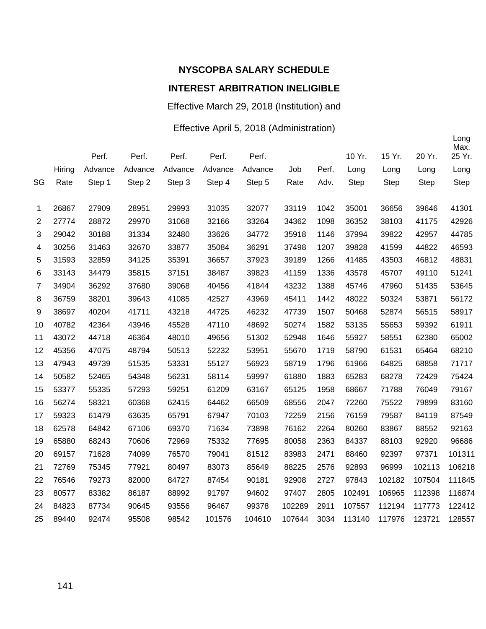# **NYSCOPBA SALARY SCHEDULE**

## **INTEREST ARBITRATION INELIGIBLE**

Effective March 29, 2018 (Institution) and

#### Effective April 5, 2018 (Administration)

|                |        |         |         |         |         |         |        |       |        |        |        | Long<br>Max. |
|----------------|--------|---------|---------|---------|---------|---------|--------|-------|--------|--------|--------|--------------|
|                |        | Perf.   | Perf.   | Perf.   | Perf.   | Perf.   |        |       | 10 Yr. | 15 Yr. | 20 Yr. | 25 Yr.       |
|                | Hiring | Advance | Advance | Advance | Advance | Advance | Job    | Perf. | Long   | Long   | Long   | Long         |
| SG             | Rate   | Step 1  | Step 2  | Step 3  | Step 4  | Step 5  | Rate   | Adv.  | Step   | Step   | Step   | Step         |
| 1              | 26867  | 27909   | 28951   | 29993   | 31035   | 32077   | 33119  | 1042  | 35001  | 36656  | 39646  | 41301        |
| $\overline{c}$ | 27774  | 28872   | 29970   | 31068   | 32166   | 33264   | 34362  | 1098  | 36352  | 38103  | 41175  | 42926        |
| 3              | 29042  | 30188   | 31334   | 32480   | 33626   | 34772   | 35918  | 1146  | 37994  | 39822  | 42957  | 44785        |
| 4              | 30256  | 31463   | 32670   | 33877   | 35084   | 36291   | 37498  | 1207  | 39828  | 41599  | 44822  | 46593        |
| 5              | 31593  | 32859   | 34125   | 35391   | 36657   | 37923   | 39189  | 1266  | 41485  | 43503  | 46812  | 48831        |
| 6              | 33143  | 34479   | 35815   | 37151   | 38487   | 39823   | 41159  | 1336  | 43578  | 45707  | 49110  | 51241        |
| $\overline{7}$ | 34904  | 36292   | 37680   | 39068   | 40456   | 41844   | 43232  | 1388  | 45746  | 47960  | 51435  | 53645        |
| 8              | 36759  | 38201   | 39643   | 41085   | 42527   | 43969   | 45411  | 1442  | 48022  | 50324  | 53871  | 56172        |
| 9              | 38697  | 40204   | 41711   | 43218   | 44725   | 46232   | 47739  | 1507  | 50468  | 52874  | 56515  | 58917        |
| 10             | 40782  | 42364   | 43946   | 45528   | 47110   | 48692   | 50274  | 1582  | 53135  | 55653  | 59392  | 61911        |
| 11             | 43072  | 44718   | 46364   | 48010   | 49656   | 51302   | 52948  | 1646  | 55927  | 58551  | 62380  | 65002        |
| 12             | 45356  | 47075   | 48794   | 50513   | 52232   | 53951   | 55670  | 1719  | 58790  | 61531  | 65464  | 68210        |
| 13             | 47943  | 49739   | 51535   | 53331   | 55127   | 56923   | 58719  | 1796  | 61966  | 64825  | 68858  | 71717        |
| 14             | 50582  | 52465   | 54348   | 56231   | 58114   | 59997   | 61880  | 1883  | 65283  | 68278  | 72429  | 75424        |
| 15             | 53377  | 55335   | 57293   | 59251   | 61209   | 63167   | 65125  | 1958  | 68667  | 71788  | 76049  | 79167        |
| 16             | 56274  | 58321   | 60368   | 62415   | 64462   | 66509   | 68556  | 2047  | 72260  | 75522  | 79899  | 83160        |
| 17             | 59323  | 61479   | 63635   | 65791   | 67947   | 70103   | 72259  | 2156  | 76159  | 79587  | 84119  | 87549        |
| 18             | 62578  | 64842   | 67106   | 69370   | 71634   | 73898   | 76162  | 2264  | 80260  | 83867  | 88552  | 92163        |
| 19             | 65880  | 68243   | 70606   | 72969   | 75332   | 77695   | 80058  | 2363  | 84337  | 88103  | 92920  | 96686        |
| 20             | 69157  | 71628   | 74099   | 76570   | 79041   | 81512   | 83983  | 2471  | 88460  | 92397  | 97371  | 101311       |
| 21             | 72769  | 75345   | 77921   | 80497   | 83073   | 85649   | 88225  | 2576  | 92893  | 96999  | 102113 | 106218       |
| 22             | 76546  | 79273   | 82000   | 84727   | 87454   | 90181   | 92908  | 2727  | 97843  | 102182 | 107504 | 111845       |
| 23             | 80577  | 83382   | 86187   | 88992   | 91797   | 94602   | 97407  | 2805  | 102491 | 106965 | 112398 | 116874       |
| 24             | 84823  | 87734   | 90645   | 93556   | 96467   | 99378   | 102289 | 2911  | 107557 | 112194 | 117773 | 122412       |
| 25             | 89440  | 92474   | 95508   | 98542   | 101576  | 104610  | 107644 | 3034  | 113140 | 117976 | 123721 | 128557       |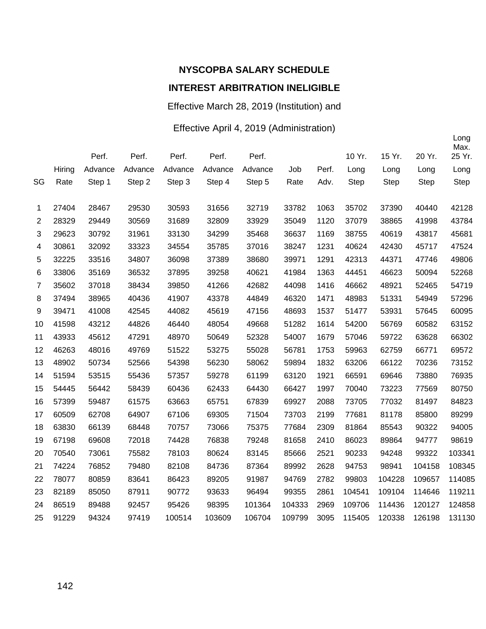Effective March 28, 2019 (Institution) and

#### Effective April 4, 2019 (Administration)

|                |        | Perf.   | Perf.   | Perf.   | Perf.   | Perf.   |        |       | 10 Yr.      | 15 Yr.      | 20 Yr.      | Long<br>Max.<br>25 Yr. |
|----------------|--------|---------|---------|---------|---------|---------|--------|-------|-------------|-------------|-------------|------------------------|
|                | Hiring | Advance | Advance | Advance | Advance | Advance | Job    | Perf. | Long        | Long        | Long        |                        |
|                |        |         |         |         |         |         |        |       |             |             |             | Long                   |
| SG             | Rate   | Step 1  | Step 2  | Step 3  | Step 4  | Step 5  | Rate   | Adv.  | <b>Step</b> | <b>Step</b> | <b>Step</b> | Step                   |
| 1              | 27404  | 28467   | 29530   | 30593   | 31656   | 32719   | 33782  | 1063  | 35702       | 37390       | 40440       | 42128                  |
| $\mathbf{2}$   | 28329  | 29449   | 30569   | 31689   | 32809   | 33929   | 35049  | 1120  | 37079       | 38865       | 41998       | 43784                  |
| 3              | 29623  | 30792   | 31961   | 33130   | 34299   | 35468   | 36637  | 1169  | 38755       | 40619       | 43817       | 45681                  |
| 4              | 30861  | 32092   | 33323   | 34554   | 35785   | 37016   | 38247  | 1231  | 40624       | 42430       | 45717       | 47524                  |
| 5              | 32225  | 33516   | 34807   | 36098   | 37389   | 38680   | 39971  | 1291  | 42313       | 44371       | 47746       | 49806                  |
| 6              | 33806  | 35169   | 36532   | 37895   | 39258   | 40621   | 41984  | 1363  | 44451       | 46623       | 50094       | 52268                  |
| $\overline{7}$ | 35602  | 37018   | 38434   | 39850   | 41266   | 42682   | 44098  | 1416  | 46662       | 48921       | 52465       | 54719                  |
| 8              | 37494  | 38965   | 40436   | 41907   | 43378   | 44849   | 46320  | 1471  | 48983       | 51331       | 54949       | 57296                  |
| 9              | 39471  | 41008   | 42545   | 44082   | 45619   | 47156   | 48693  | 1537  | 51477       | 53931       | 57645       | 60095                  |
| 10             | 41598  | 43212   | 44826   | 46440   | 48054   | 49668   | 51282  | 1614  | 54200       | 56769       | 60582       | 63152                  |
| 11             | 43933  | 45612   | 47291   | 48970   | 50649   | 52328   | 54007  | 1679  | 57046       | 59722       | 63628       | 66302                  |
| 12             | 46263  | 48016   | 49769   | 51522   | 53275   | 55028   | 56781  | 1753  | 59963       | 62759       | 66771       | 69572                  |
| 13             | 48902  | 50734   | 52566   | 54398   | 56230   | 58062   | 59894  | 1832  | 63206       | 66122       | 70236       | 73152                  |
| 14             | 51594  | 53515   | 55436   | 57357   | 59278   | 61199   | 63120  | 1921  | 66591       | 69646       | 73880       | 76935                  |
| 15             | 54445  | 56442   | 58439   | 60436   | 62433   | 64430   | 66427  | 1997  | 70040       | 73223       | 77569       | 80750                  |
| 16             | 57399  | 59487   | 61575   | 63663   | 65751   | 67839   | 69927  | 2088  | 73705       | 77032       | 81497       | 84823                  |
| 17             | 60509  | 62708   | 64907   | 67106   | 69305   | 71504   | 73703  | 2199  | 77681       | 81178       | 85800       | 89299                  |
| 18             | 63830  | 66139   | 68448   | 70757   | 73066   | 75375   | 77684  | 2309  | 81864       | 85543       | 90322       | 94005                  |
| 19             | 67198  | 69608   | 72018   | 74428   | 76838   | 79248   | 81658  | 2410  | 86023       | 89864       | 94777       | 98619                  |
| 20             | 70540  | 73061   | 75582   | 78103   | 80624   | 83145   | 85666  | 2521  | 90233       | 94248       | 99322       | 103341                 |
| 21             | 74224  | 76852   | 79480   | 82108   | 84736   | 87364   | 89992  | 2628  | 94753       | 98941       | 104158      | 108345                 |
| 22             | 78077  | 80859   | 83641   | 86423   | 89205   | 91987   | 94769  | 2782  | 99803       | 104228      | 109657      | 114085                 |
| 23             | 82189  | 85050   | 87911   | 90772   | 93633   | 96494   | 99355  | 2861  | 104541      | 109104      | 114646      | 119211                 |
| 24             | 86519  | 89488   | 92457   | 95426   | 98395   | 101364  | 104333 | 2969  | 109706      | 114436      | 120127      | 124858                 |
| 25             | 91229  | 94324   | 97419   | 100514  | 103609  | 106704  | 109799 | 3095  | 115405      | 120338      | 126198      | 131130                 |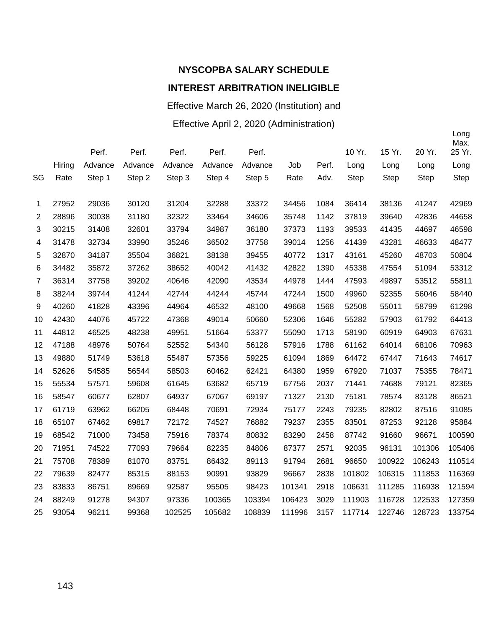Effective March 26, 2020 (Institution) and

Effective April 2, 2020 (Administration)

|                  |        | Perf.   | Perf.   | Perf.   | Perf.   | Perf.   |        |       | 10 Yr. | 15 Yr.      | 20 Yr.      | Long<br>Max.<br>25 Yr. |
|------------------|--------|---------|---------|---------|---------|---------|--------|-------|--------|-------------|-------------|------------------------|
|                  | Hiring | Advance | Advance | Advance | Advance | Advance | Job    | Perf. | Long   | Long        | Long        | Long                   |
| SG               |        |         |         |         |         |         |        |       |        |             |             |                        |
|                  | Rate   | Step 1  | Step 2  | Step 3  | Step 4  | Step 5  | Rate   | Adv.  | Step   | <b>Step</b> | <b>Step</b> | Step                   |
| 1                | 27952  | 29036   | 30120   | 31204   | 32288   | 33372   | 34456  | 1084  | 36414  | 38136       | 41247       | 42969                  |
| 2                | 28896  | 30038   | 31180   | 32322   | 33464   | 34606   | 35748  | 1142  | 37819  | 39640       | 42836       | 44658                  |
| 3                | 30215  | 31408   | 32601   | 33794   | 34987   | 36180   | 37373  | 1193  | 39533  | 41435       | 44697       | 46598                  |
| 4                | 31478  | 32734   | 33990   | 35246   | 36502   | 37758   | 39014  | 1256  | 41439  | 43281       | 46633       | 48477                  |
| 5                | 32870  | 34187   | 35504   | 36821   | 38138   | 39455   | 40772  | 1317  | 43161  | 45260       | 48703       | 50804                  |
| 6                | 34482  | 35872   | 37262   | 38652   | 40042   | 41432   | 42822  | 1390  | 45338  | 47554       | 51094       | 53312                  |
| $\overline{7}$   | 36314  | 37758   | 39202   | 40646   | 42090   | 43534   | 44978  | 1444  | 47593  | 49897       | 53512       | 55811                  |
| 8                | 38244  | 39744   | 41244   | 42744   | 44244   | 45744   | 47244  | 1500  | 49960  | 52355       | 56046       | 58440                  |
| $\boldsymbol{9}$ | 40260  | 41828   | 43396   | 44964   | 46532   | 48100   | 49668  | 1568  | 52508  | 55011       | 58799       | 61298                  |
| 10               | 42430  | 44076   | 45722   | 47368   | 49014   | 50660   | 52306  | 1646  | 55282  | 57903       | 61792       | 64413                  |
| 11               | 44812  | 46525   | 48238   | 49951   | 51664   | 53377   | 55090  | 1713  | 58190  | 60919       | 64903       | 67631                  |
| 12               | 47188  | 48976   | 50764   | 52552   | 54340   | 56128   | 57916  | 1788  | 61162  | 64014       | 68106       | 70963                  |
| 13               | 49880  | 51749   | 53618   | 55487   | 57356   | 59225   | 61094  | 1869  | 64472  | 67447       | 71643       | 74617                  |
| 14               | 52626  | 54585   | 56544   | 58503   | 60462   | 62421   | 64380  | 1959  | 67920  | 71037       | 75355       | 78471                  |
| 15               | 55534  | 57571   | 59608   | 61645   | 63682   | 65719   | 67756  | 2037  | 71441  | 74688       | 79121       | 82365                  |
| 16               | 58547  | 60677   | 62807   | 64937   | 67067   | 69197   | 71327  | 2130  | 75181  | 78574       | 83128       | 86521                  |
| 17               | 61719  | 63962   | 66205   | 68448   | 70691   | 72934   | 75177  | 2243  | 79235  | 82802       | 87516       | 91085                  |
| 18               | 65107  | 67462   | 69817   | 72172   | 74527   | 76882   | 79237  | 2355  | 83501  | 87253       | 92128       | 95884                  |
| 19               | 68542  | 71000   | 73458   | 75916   | 78374   | 80832   | 83290  | 2458  | 87742  | 91660       | 96671       | 100590                 |
| 20               | 71951  | 74522   | 77093   | 79664   | 82235   | 84806   | 87377  | 2571  | 92035  | 96131       | 101306      | 105406                 |
| 21               | 75708  | 78389   | 81070   | 83751   | 86432   | 89113   | 91794  | 2681  | 96650  | 100922      | 106243      | 110514                 |
| 22               | 79639  | 82477   | 85315   | 88153   | 90991   | 93829   | 96667  | 2838  | 101802 | 106315      | 111853      | 116369                 |
| 23               | 83833  | 86751   | 89669   | 92587   | 95505   | 98423   | 101341 | 2918  | 106631 | 111285      | 116938      | 121594                 |
| 24               | 88249  | 91278   | 94307   | 97336   | 100365  | 103394  | 106423 | 3029  | 111903 | 116728      | 122533      | 127359                 |
| 25               | 93054  | 96211   | 99368   | 102525  | 105682  | 108839  | 111996 | 3157  | 117714 | 122746      | 128723      | 133754                 |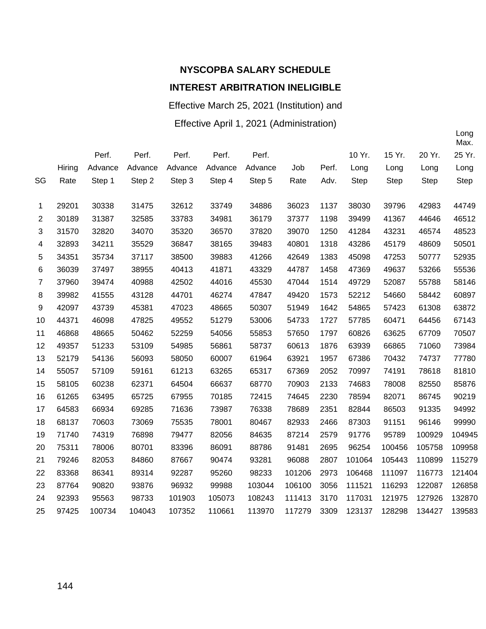Effective March 25, 2021 (Institution) and

Effective April 1, 2021 (Administration)

|    |        |         |         |         |         |         |        |       |             |        |        | Max.        |
|----|--------|---------|---------|---------|---------|---------|--------|-------|-------------|--------|--------|-------------|
|    |        | Perf.   | Perf.   | Perf.   | Perf.   | Perf.   |        |       | 10 Yr.      | 15 Yr. | 20 Yr. | 25 Yr.      |
|    | Hiring | Advance | Advance | Advance | Advance | Advance | Job    | Perf. | Long        | Long   | Long   | Long        |
| SG | Rate   | Step 1  | Step 2  | Step 3  | Step 4  | Step 5  | Rate   | Adv.  | <b>Step</b> | Step   | Step   | <b>Step</b> |
|    |        |         |         |         |         |         |        |       |             |        |        |             |
| 1  | 29201  | 30338   | 31475   | 32612   | 33749   | 34886   | 36023  | 1137  | 38030       | 39796  | 42983  | 44749       |
| 2  | 30189  | 31387   | 32585   | 33783   | 34981   | 36179   | 37377  | 1198  | 39499       | 41367  | 44646  | 46512       |
| 3  | 31570  | 32820   | 34070   | 35320   | 36570   | 37820   | 39070  | 1250  | 41284       | 43231  | 46574  | 48523       |
| 4  | 32893  | 34211   | 35529   | 36847   | 38165   | 39483   | 40801  | 1318  | 43286       | 45179  | 48609  | 50501       |
| 5  | 34351  | 35734   | 37117   | 38500   | 39883   | 41266   | 42649  | 1383  | 45098       | 47253  | 50777  | 52935       |
| 6  | 36039  | 37497   | 38955   | 40413   | 41871   | 43329   | 44787  | 1458  | 47369       | 49637  | 53266  | 55536       |
| 7  | 37960  | 39474   | 40988   | 42502   | 44016   | 45530   | 47044  | 1514  | 49729       | 52087  | 55788  | 58146       |
| 8  | 39982  | 41555   | 43128   | 44701   | 46274   | 47847   | 49420  | 1573  | 52212       | 54660  | 58442  | 60897       |
| 9  | 42097  | 43739   | 45381   | 47023   | 48665   | 50307   | 51949  | 1642  | 54865       | 57423  | 61308  | 63872       |
| 10 | 44371  | 46098   | 47825   | 49552   | 51279   | 53006   | 54733  | 1727  | 57785       | 60471  | 64456  | 67143       |
| 11 | 46868  | 48665   | 50462   | 52259   | 54056   | 55853   | 57650  | 1797  | 60826       | 63625  | 67709  | 70507       |
| 12 | 49357  | 51233   | 53109   | 54985   | 56861   | 58737   | 60613  | 1876  | 63939       | 66865  | 71060  | 73984       |
| 13 | 52179  | 54136   | 56093   | 58050   | 60007   | 61964   | 63921  | 1957  | 67386       | 70432  | 74737  | 77780       |
| 14 | 55057  | 57109   | 59161   | 61213   | 63265   | 65317   | 67369  | 2052  | 70997       | 74191  | 78618  | 81810       |
| 15 | 58105  | 60238   | 62371   | 64504   | 66637   | 68770   | 70903  | 2133  | 74683       | 78008  | 82550  | 85876       |
| 16 | 61265  | 63495   | 65725   | 67955   | 70185   | 72415   | 74645  | 2230  | 78594       | 82071  | 86745  | 90219       |
| 17 | 64583  | 66934   | 69285   | 71636   | 73987   | 76338   | 78689  | 2351  | 82844       | 86503  | 91335  | 94992       |
| 18 | 68137  | 70603   | 73069   | 75535   | 78001   | 80467   | 82933  | 2466  | 87303       | 91151  | 96146  | 99990       |
| 19 | 71740  | 74319   | 76898   | 79477   | 82056   | 84635   | 87214  | 2579  | 91776       | 95789  | 100929 | 104945      |
| 20 | 75311  | 78006   | 80701   | 83396   | 86091   | 88786   | 91481  | 2695  | 96254       | 100456 | 105758 | 109958      |
| 21 | 79246  | 82053   | 84860   | 87667   | 90474   | 93281   | 96088  | 2807  | 101064      | 105443 | 110899 | 115279      |
| 22 | 83368  | 86341   | 89314   | 92287   | 95260   | 98233   | 101206 | 2973  | 106468      | 111097 | 116773 | 121404      |
| 23 | 87764  | 90820   | 93876   | 96932   | 99988   | 103044  | 106100 | 3056  | 111521      | 116293 | 122087 | 126858      |
| 24 | 92393  | 95563   | 98733   | 101903  | 105073  | 108243  | 111413 | 3170  | 117031      | 121975 | 127926 | 132870      |
| 25 | 97425  | 100734  | 104043  | 107352  | 110661  | 113970  | 117279 | 3309  | 123137      | 128298 | 134427 | 139583      |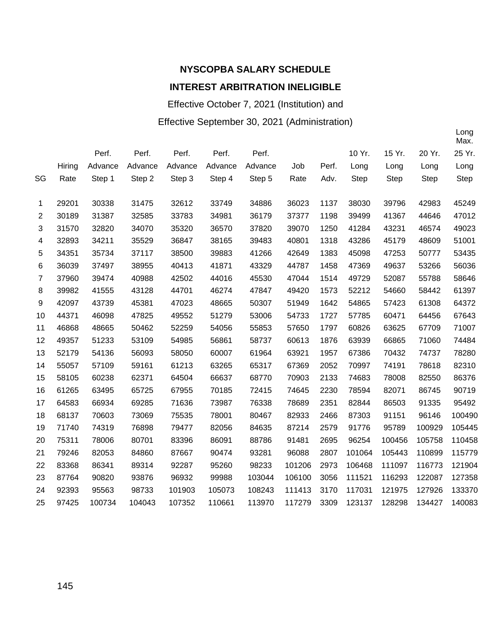Effective October 7, 2021 (Institution) and

#### Effective September 30, 2021 (Administration)

|    |        |         |         |         |         |         |        |       |             |        |             | Max.   |
|----|--------|---------|---------|---------|---------|---------|--------|-------|-------------|--------|-------------|--------|
|    |        | Perf.   | Perf.   | Perf.   | Perf.   | Perf.   |        |       | 10 Yr.      | 15 Yr. | 20 Yr.      | 25 Yr. |
|    | Hiring | Advance | Advance | Advance | Advance | Advance | Job    | Perf. | Long        | Long   | Long        | Long   |
| SG | Rate   | Step 1  | Step 2  | Step 3  | Step 4  | Step 5  | Rate   | Adv.  | <b>Step</b> | Step   | <b>Step</b> | Step   |
|    |        |         |         |         |         |         |        |       |             |        |             |        |
| 1  | 29201  | 30338   | 31475   | 32612   | 33749   | 34886   | 36023  | 1137  | 38030       | 39796  | 42983       | 45249  |
| 2  | 30189  | 31387   | 32585   | 33783   | 34981   | 36179   | 37377  | 1198  | 39499       | 41367  | 44646       | 47012  |
| 3  | 31570  | 32820   | 34070   | 35320   | 36570   | 37820   | 39070  | 1250  | 41284       | 43231  | 46574       | 49023  |
| 4  | 32893  | 34211   | 35529   | 36847   | 38165   | 39483   | 40801  | 1318  | 43286       | 45179  | 48609       | 51001  |
| 5  | 34351  | 35734   | 37117   | 38500   | 39883   | 41266   | 42649  | 1383  | 45098       | 47253  | 50777       | 53435  |
| 6  | 36039  | 37497   | 38955   | 40413   | 41871   | 43329   | 44787  | 1458  | 47369       | 49637  | 53266       | 56036  |
| 7  | 37960  | 39474   | 40988   | 42502   | 44016   | 45530   | 47044  | 1514  | 49729       | 52087  | 55788       | 58646  |
| 8  | 39982  | 41555   | 43128   | 44701   | 46274   | 47847   | 49420  | 1573  | 52212       | 54660  | 58442       | 61397  |
| 9  | 42097  | 43739   | 45381   | 47023   | 48665   | 50307   | 51949  | 1642  | 54865       | 57423  | 61308       | 64372  |
| 10 | 44371  | 46098   | 47825   | 49552   | 51279   | 53006   | 54733  | 1727  | 57785       | 60471  | 64456       | 67643  |
| 11 | 46868  | 48665   | 50462   | 52259   | 54056   | 55853   | 57650  | 1797  | 60826       | 63625  | 67709       | 71007  |
| 12 | 49357  | 51233   | 53109   | 54985   | 56861   | 58737   | 60613  | 1876  | 63939       | 66865  | 71060       | 74484  |
| 13 | 52179  | 54136   | 56093   | 58050   | 60007   | 61964   | 63921  | 1957  | 67386       | 70432  | 74737       | 78280  |
| 14 | 55057  | 57109   | 59161   | 61213   | 63265   | 65317   | 67369  | 2052  | 70997       | 74191  | 78618       | 82310  |
| 15 | 58105  | 60238   | 62371   | 64504   | 66637   | 68770   | 70903  | 2133  | 74683       | 78008  | 82550       | 86376  |
| 16 | 61265  | 63495   | 65725   | 67955   | 70185   | 72415   | 74645  | 2230  | 78594       | 82071  | 86745       | 90719  |
| 17 | 64583  | 66934   | 69285   | 71636   | 73987   | 76338   | 78689  | 2351  | 82844       | 86503  | 91335       | 95492  |
| 18 | 68137  | 70603   | 73069   | 75535   | 78001   | 80467   | 82933  | 2466  | 87303       | 91151  | 96146       | 100490 |
| 19 | 71740  | 74319   | 76898   | 79477   | 82056   | 84635   | 87214  | 2579  | 91776       | 95789  | 100929      | 105445 |
| 20 | 75311  | 78006   | 80701   | 83396   | 86091   | 88786   | 91481  | 2695  | 96254       | 100456 | 105758      | 110458 |
| 21 | 79246  | 82053   | 84860   | 87667   | 90474   | 93281   | 96088  | 2807  | 101064      | 105443 | 110899      | 115779 |
| 22 | 83368  | 86341   | 89314   | 92287   | 95260   | 98233   | 101206 | 2973  | 106468      | 111097 | 116773      | 121904 |
| 23 | 87764  | 90820   | 93876   | 96932   | 99988   | 103044  | 106100 | 3056  | 111521      | 116293 | 122087      | 127358 |
| 24 | 92393  | 95563   | 98733   | 101903  | 105073  | 108243  | 111413 | 3170  | 117031      | 121975 | 127926      | 133370 |
| 25 | 97425  | 100734  | 104043  | 107352  | 110661  | 113970  | 117279 | 3309  | 123137      | 128298 | 134427      | 140083 |
|    |        |         |         |         |         |         |        |       |             |        |             |        |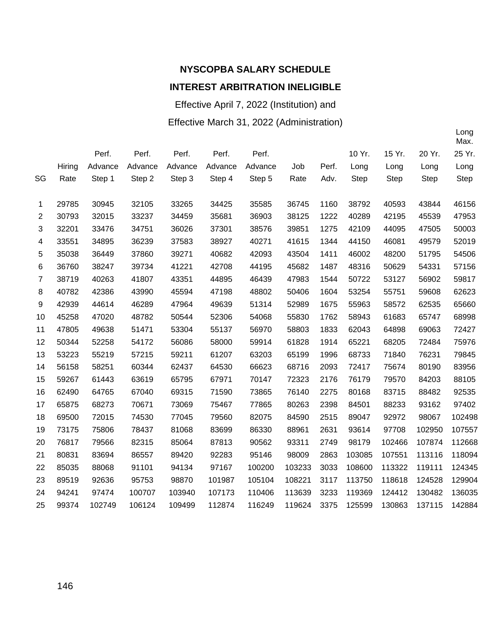Effective April 7, 2022 (Institution) and Effective March 31, 2022 (Administration)

|                |        |         |         |         |         |         |        |       |             |             |             | Max.   |
|----------------|--------|---------|---------|---------|---------|---------|--------|-------|-------------|-------------|-------------|--------|
|                |        | Perf.   | Perf.   | Perf.   | Perf.   | Perf.   |        |       | 10 Yr.      | 15 Yr.      | 20 Yr.      | 25 Yr. |
|                | Hiring | Advance | Advance | Advance | Advance | Advance | Job    | Perf. | Long        | Long        | Long        | Long   |
| SG             | Rate   | Step 1  | Step 2  | Step 3  | Step 4  | Step 5  | Rate   | Adv.  | <b>Step</b> | <b>Step</b> | <b>Step</b> | Step   |
|                |        |         |         |         |         |         |        |       |             |             |             |        |
| 1              | 29785  | 30945   | 32105   | 33265   | 34425   | 35585   | 36745  | 1160  | 38792       | 40593       | 43844       | 46156  |
| 2              | 30793  | 32015   | 33237   | 34459   | 35681   | 36903   | 38125  | 1222  | 40289       | 42195       | 45539       | 47953  |
| 3              | 32201  | 33476   | 34751   | 36026   | 37301   | 38576   | 39851  | 1275  | 42109       | 44095       | 47505       | 50003  |
| 4              | 33551  | 34895   | 36239   | 37583   | 38927   | 40271   | 41615  | 1344  | 44150       | 46081       | 49579       | 52019  |
| 5              | 35038  | 36449   | 37860   | 39271   | 40682   | 42093   | 43504  | 1411  | 46002       | 48200       | 51795       | 54506  |
| 6              | 36760  | 38247   | 39734   | 41221   | 42708   | 44195   | 45682  | 1487  | 48316       | 50629       | 54331       | 57156  |
| $\overline{7}$ | 38719  | 40263   | 41807   | 43351   | 44895   | 46439   | 47983  | 1544  | 50722       | 53127       | 56902       | 59817  |
| 8              | 40782  | 42386   | 43990   | 45594   | 47198   | 48802   | 50406  | 1604  | 53254       | 55751       | 59608       | 62623  |
| 9              | 42939  | 44614   | 46289   | 47964   | 49639   | 51314   | 52989  | 1675  | 55963       | 58572       | 62535       | 65660  |
| 10             | 45258  | 47020   | 48782   | 50544   | 52306   | 54068   | 55830  | 1762  | 58943       | 61683       | 65747       | 68998  |
| 11             | 47805  | 49638   | 51471   | 53304   | 55137   | 56970   | 58803  | 1833  | 62043       | 64898       | 69063       | 72427  |
| 12             | 50344  | 52258   | 54172   | 56086   | 58000   | 59914   | 61828  | 1914  | 65221       | 68205       | 72484       | 75976  |
| 13             | 53223  | 55219   | 57215   | 59211   | 61207   | 63203   | 65199  | 1996  | 68733       | 71840       | 76231       | 79845  |
| 14             | 56158  | 58251   | 60344   | 62437   | 64530   | 66623   | 68716  | 2093  | 72417       | 75674       | 80190       | 83956  |
| 15             | 59267  | 61443   | 63619   | 65795   | 67971   | 70147   | 72323  | 2176  | 76179       | 79570       | 84203       | 88105  |
| 16             | 62490  | 64765   | 67040   | 69315   | 71590   | 73865   | 76140  | 2275  | 80168       | 83715       | 88482       | 92535  |
| 17             | 65875  | 68273   | 70671   | 73069   | 75467   | 77865   | 80263  | 2398  | 84501       | 88233       | 93162       | 97402  |
| 18             | 69500  | 72015   | 74530   | 77045   | 79560   | 82075   | 84590  | 2515  | 89047       | 92972       | 98067       | 102498 |
| 19             | 73175  | 75806   | 78437   | 81068   | 83699   | 86330   | 88961  | 2631  | 93614       | 97708       | 102950      | 107557 |
| 20             | 76817  | 79566   | 82315   | 85064   | 87813   | 90562   | 93311  | 2749  | 98179       | 102466      | 107874      | 112668 |
| 21             | 80831  | 83694   | 86557   | 89420   | 92283   | 95146   | 98009  | 2863  | 103085      | 107551      | 113116      | 118094 |
| 22             | 85035  | 88068   | 91101   | 94134   | 97167   | 100200  | 103233 | 3033  | 108600      | 113322      | 119111      | 124345 |
| 23             | 89519  | 92636   | 95753   | 98870   | 101987  | 105104  | 108221 | 3117  | 113750      | 118618      | 124528      | 129904 |
| 24             | 94241  | 97474   | 100707  | 103940  | 107173  | 110406  | 113639 | 3233  | 119369      | 124412      | 130482      | 136035 |
| 25             | 99374  | 102749  | 106124  | 109499  | 112874  | 116249  | 119624 | 3375  | 125599      | 130863      | 137115      | 142884 |
|                |        |         |         |         |         |         |        |       |             |             |             |        |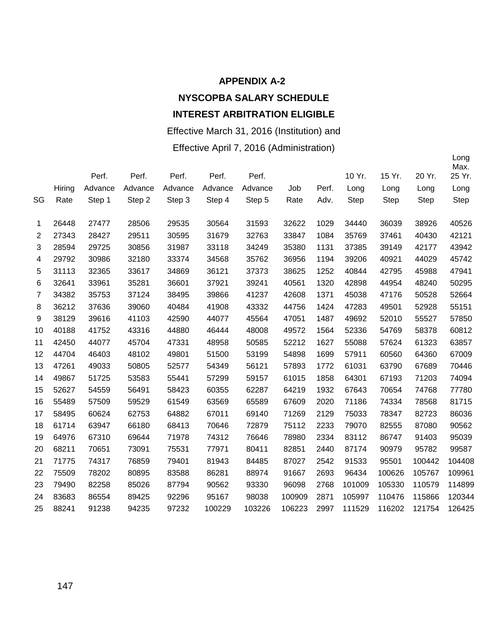#### **APPENDIX A-2**

#### **NYSCOPBA SALARY SCHEDULE INTEREST ARBITRATION ELIGIBLE**

#### Effective March 31, 2016 (Institution) and

#### Effective April 7, 2016 (Administration)

|                |        | Perf.   | Perf.   | Perf.   | Perf.   | Perf.   |        |       | 10 Yr. | 15 Yr. | 20 Yr.      | Long<br>Max.<br>25 Yr. |
|----------------|--------|---------|---------|---------|---------|---------|--------|-------|--------|--------|-------------|------------------------|
|                | Hiring | Advance | Advance | Advance | Advance | Advance | Job    | Perf. | Long   | Long   | Long        | Long                   |
| SG             | Rate   | Step 1  | Step 2  | Step 3  | Step 4  | Step 5  | Rate   | Adv.  | Step   | Step   | <b>Step</b> | Step                   |
|                |        |         |         |         |         |         |        |       |        |        |             |                        |
| 1              | 26448  | 27477   | 28506   | 29535   | 30564   | 31593   | 32622  | 1029  | 34440  | 36039  | 38926       | 40526                  |
| $\overline{2}$ | 27343  | 28427   | 29511   | 30595   | 31679   | 32763   | 33847  | 1084  | 35769  | 37461  | 40430       | 42121                  |
| 3              | 28594  | 29725   | 30856   | 31987   | 33118   | 34249   | 35380  | 1131  | 37385  | 39149  | 42177       | 43942                  |
| 4              | 29792  | 30986   | 32180   | 33374   | 34568   | 35762   | 36956  | 1194  | 39206  | 40921  | 44029       | 45742                  |
| 5              | 31113  | 32365   | 33617   | 34869   | 36121   | 37373   | 38625  | 1252  | 40844  | 42795  | 45988       | 47941                  |
| 6              | 32641  | 33961   | 35281   | 36601   | 37921   | 39241   | 40561  | 1320  | 42898  | 44954  | 48240       | 50295                  |
| $\overline{7}$ | 34382  | 35753   | 37124   | 38495   | 39866   | 41237   | 42608  | 1371  | 45038  | 47176  | 50528       | 52664                  |
| 8              | 36212  | 37636   | 39060   | 40484   | 41908   | 43332   | 44756  | 1424  | 47283  | 49501  | 52928       | 55151                  |
| 9              | 38129  | 39616   | 41103   | 42590   | 44077   | 45564   | 47051  | 1487  | 49692  | 52010  | 55527       | 57850                  |
| 10             | 40188  | 41752   | 43316   | 44880   | 46444   | 48008   | 49572  | 1564  | 52336  | 54769  | 58378       | 60812                  |
| 11             | 42450  | 44077   | 45704   | 47331   | 48958   | 50585   | 52212  | 1627  | 55088  | 57624  | 61323       | 63857                  |
| 12             | 44704  | 46403   | 48102   | 49801   | 51500   | 53199   | 54898  | 1699  | 57911  | 60560  | 64360       | 67009                  |
| 13             | 47261  | 49033   | 50805   | 52577   | 54349   | 56121   | 57893  | 1772  | 61031  | 63790  | 67689       | 70446                  |
| 14             | 49867  | 51725   | 53583   | 55441   | 57299   | 59157   | 61015  | 1858  | 64301  | 67193  | 71203       | 74094                  |
| 15             | 52627  | 54559   | 56491   | 58423   | 60355   | 62287   | 64219  | 1932  | 67643  | 70654  | 74768       | 77780                  |
| 16             | 55489  | 57509   | 59529   | 61549   | 63569   | 65589   | 67609  | 2020  | 71186  | 74334  | 78568       | 81715                  |
| 17             | 58495  | 60624   | 62753   | 64882   | 67011   | 69140   | 71269  | 2129  | 75033  | 78347  | 82723       | 86036                  |
| 18             | 61714  | 63947   | 66180   | 68413   | 70646   | 72879   | 75112  | 2233  | 79070  | 82555  | 87080       | 90562                  |
| 19             | 64976  | 67310   | 69644   | 71978   | 74312   | 76646   | 78980  | 2334  | 83112  | 86747  | 91403       | 95039                  |
| 20             | 68211  | 70651   | 73091   | 75531   | 77971   | 80411   | 82851  | 2440  | 87174  | 90979  | 95782       | 99587                  |
| 21             | 71775  | 74317   | 76859   | 79401   | 81943   | 84485   | 87027  | 2542  | 91533  | 95501  | 100442      | 104408                 |
| 22             | 75509  | 78202   | 80895   | 83588   | 86281   | 88974   | 91667  | 2693  | 96434  | 100626 | 105767      | 109961                 |
| 23             | 79490  | 82258   | 85026   | 87794   | 90562   | 93330   | 96098  | 2768  | 101009 | 105330 | 110579      | 114899                 |
| 24             | 83683  | 86554   | 89425   | 92296   | 95167   | 98038   | 100909 | 2871  | 105997 | 110476 | 115866      | 120344                 |
| 25             | 88241  | 91238   | 94235   | 97232   | 100229  | 103226  | 106223 | 2997  | 111529 | 116202 | 121754      | 126425                 |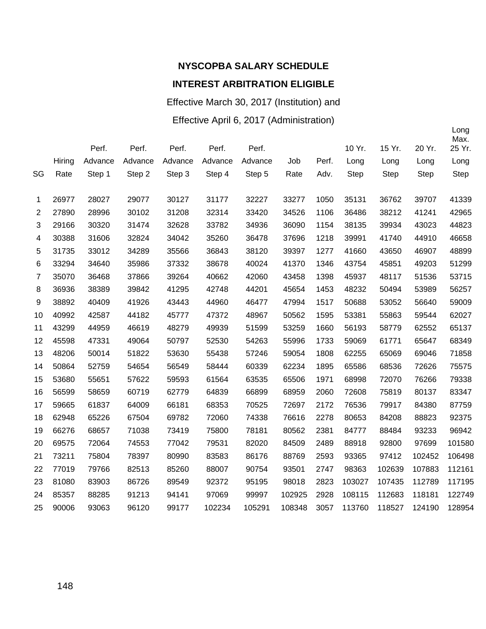## Effective March 30, 2017 (Institution) and

#### Effective April 6, 2017 (Administration)

|                |        |         |         |         |         |         |        |       |        |             |             | Long<br>Max. |
|----------------|--------|---------|---------|---------|---------|---------|--------|-------|--------|-------------|-------------|--------------|
|                |        | Perf.   | Perf.   | Perf.   | Perf.   | Perf.   |        |       | 10 Yr. | 15 Yr.      | 20 Yr.      | 25 Yr.       |
|                | Hiring | Advance | Advance | Advance | Advance | Advance | Job    | Perf. | Long   | Long        | Long        | Long         |
| SG             | Rate   | Step 1  | Step 2  | Step 3  | Step 4  | Step 5  | Rate   | Adv.  | Step   | <b>Step</b> | <b>Step</b> | <b>Step</b>  |
| 1              | 26977  | 28027   | 29077   | 30127   | 31177   | 32227   | 33277  | 1050  | 35131  | 36762       | 39707       | 41339        |
| $\overline{2}$ | 27890  | 28996   | 30102   | 31208   | 32314   | 33420   | 34526  | 1106  | 36486  | 38212       | 41241       | 42965        |
| 3              | 29166  | 30320   | 31474   | 32628   | 33782   | 34936   | 36090  | 1154  | 38135  | 39934       | 43023       | 44823        |
| 4              | 30388  | 31606   | 32824   | 34042   | 35260   | 36478   | 37696  | 1218  | 39991  | 41740       | 44910       | 46658        |
| 5              | 31735  | 33012   | 34289   | 35566   | 36843   | 38120   | 39397  | 1277  | 41660  | 43650       | 46907       | 48899        |
| 6              | 33294  | 34640   | 35986   | 37332   | 38678   | 40024   | 41370  | 1346  | 43754  | 45851       | 49203       | 51299        |
| $\overline{7}$ | 35070  | 36468   | 37866   | 39264   | 40662   | 42060   | 43458  | 1398  | 45937  | 48117       | 51536       | 53715        |
| 8              | 36936  | 38389   | 39842   | 41295   | 42748   | 44201   | 45654  | 1453  | 48232  | 50494       | 53989       | 56257        |
| 9              | 38892  | 40409   | 41926   | 43443   | 44960   | 46477   | 47994  | 1517  | 50688  | 53052       | 56640       | 59009        |
| 10             | 40992  | 42587   | 44182   | 45777   | 47372   | 48967   | 50562  | 1595  | 53381  | 55863       | 59544       | 62027        |
| 11             | 43299  | 44959   | 46619   | 48279   | 49939   | 51599   | 53259  | 1660  | 56193  | 58779       | 62552       | 65137        |
| 12             | 45598  | 47331   | 49064   | 50797   | 52530   | 54263   | 55996  | 1733  | 59069  | 61771       | 65647       | 68349        |
| 13             | 48206  | 50014   | 51822   | 53630   | 55438   | 57246   | 59054  | 1808  | 62255  | 65069       | 69046       | 71858        |
| 14             | 50864  | 52759   | 54654   | 56549   | 58444   | 60339   | 62234  | 1895  | 65586  | 68536       | 72626       | 75575        |
| 15             | 53680  | 55651   | 57622   | 59593   | 61564   | 63535   | 65506  | 1971  | 68998  | 72070       | 76266       | 79338        |
| 16             | 56599  | 58659   | 60719   | 62779   | 64839   | 66899   | 68959  | 2060  | 72608  | 75819       | 80137       | 83347        |
| 17             | 59665  | 61837   | 64009   | 66181   | 68353   | 70525   | 72697  | 2172  | 76536  | 79917       | 84380       | 87759        |
| 18             | 62948  | 65226   | 67504   | 69782   | 72060   | 74338   | 76616  | 2278  | 80653  | 84208       | 88823       | 92375        |
| 19             | 66276  | 68657   | 71038   | 73419   | 75800   | 78181   | 80562  | 2381  | 84777  | 88484       | 93233       | 96942        |
| 20             | 69575  | 72064   | 74553   | 77042   | 79531   | 82020   | 84509  | 2489  | 88918  | 92800       | 97699       | 101580       |
| 21             | 73211  | 75804   | 78397   | 80990   | 83583   | 86176   | 88769  | 2593  | 93365  | 97412       | 102452      | 106498       |
| 22             | 77019  | 79766   | 82513   | 85260   | 88007   | 90754   | 93501  | 2747  | 98363  | 102639      | 107883      | 112161       |
| 23             | 81080  | 83903   | 86726   | 89549   | 92372   | 95195   | 98018  | 2823  | 103027 | 107435      | 112789      | 117195       |
| 24             | 85357  | 88285   | 91213   | 94141   | 97069   | 99997   | 102925 | 2928  | 108115 | 112683      | 118181      | 122749       |
| 25             | 90006  | 93063   | 96120   | 99177   | 102234  | 105291  | 108348 | 3057  | 113760 | 118527      | 124190      | 128954       |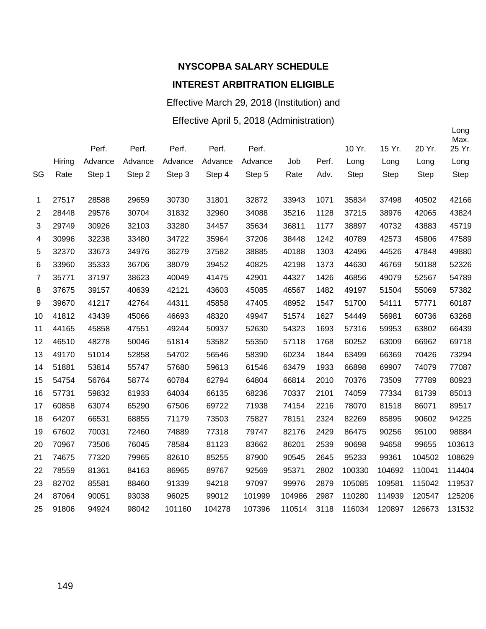#### Effective March 29, 2018 (Institution) and

#### Effective April 5, 2018 (Administration)

|                |        | Perf.   | Perf.   | Perf.   | Perf.   | Perf.   |        |       | 10 Yr.      | 15 Yr.      | 20 Yr.      | Long<br>Max.<br>25 Yr. |
|----------------|--------|---------|---------|---------|---------|---------|--------|-------|-------------|-------------|-------------|------------------------|
|                | Hiring | Advance | Advance | Advance | Advance | Advance | Job    | Perf. | Long        | Long        | Long        | Long                   |
| SG             | Rate   | Step 1  | Step 2  | Step 3  | Step 4  | Step 5  | Rate   | Adv.  | <b>Step</b> | <b>Step</b> | <b>Step</b> | <b>Step</b>            |
| 1              | 27517  | 28588   | 29659   | 30730   | 31801   | 32872   | 33943  | 1071  | 35834       | 37498       | 40502       | 42166                  |
| $\overline{2}$ | 28448  | 29576   | 30704   | 31832   | 32960   | 34088   | 35216  | 1128  | 37215       | 38976       | 42065       | 43824                  |
| 3              | 29749  | 30926   | 32103   | 33280   | 34457   | 35634   | 36811  | 1177  | 38897       | 40732       | 43883       | 45719                  |
| 4              | 30996  | 32238   | 33480   | 34722   | 35964   | 37206   | 38448  | 1242  | 40789       | 42573       | 45806       | 47589                  |
| 5              | 32370  | 33673   | 34976   | 36279   | 37582   | 38885   | 40188  | 1303  | 42496       | 44526       | 47848       | 49880                  |
| 6              | 33960  | 35333   | 36706   | 38079   | 39452   | 40825   | 42198  | 1373  | 44630       | 46769       | 50188       | 52326                  |
| $\overline{7}$ | 35771  | 37197   | 38623   | 40049   | 41475   | 42901   | 44327  | 1426  | 46856       | 49079       | 52567       | 54789                  |
| 8              | 37675  | 39157   | 40639   | 42121   | 43603   | 45085   | 46567  | 1482  | 49197       | 51504       | 55069       | 57382                  |
| 9              | 39670  | 41217   | 42764   | 44311   | 45858   | 47405   | 48952  | 1547  | 51700       | 54111       | 57771       | 60187                  |
| 10             | 41812  | 43439   | 45066   | 46693   | 48320   | 49947   | 51574  | 1627  | 54449       | 56981       | 60736       | 63268                  |
| 11             | 44165  | 45858   | 47551   | 49244   | 50937   | 52630   | 54323  | 1693  | 57316       | 59953       | 63802       | 66439                  |
| 12             | 46510  | 48278   | 50046   | 51814   | 53582   | 55350   | 57118  | 1768  | 60252       | 63009       | 66962       | 69718                  |
| 13             | 49170  | 51014   | 52858   | 54702   | 56546   | 58390   | 60234  | 1844  | 63499       | 66369       | 70426       | 73294                  |
| 14             | 51881  | 53814   | 55747   | 57680   | 59613   | 61546   | 63479  | 1933  | 66898       | 69907       | 74079       | 77087                  |
| 15             | 54754  | 56764   | 58774   | 60784   | 62794   | 64804   | 66814  | 2010  | 70376       | 73509       | 77789       | 80923                  |
| 16             | 57731  | 59832   | 61933   | 64034   | 66135   | 68236   | 70337  | 2101  | 74059       | 77334       | 81739       | 85013                  |
| 17             | 60858  | 63074   | 65290   | 67506   | 69722   | 71938   | 74154  | 2216  | 78070       | 81518       | 86071       | 89517                  |
| 18             | 64207  | 66531   | 68855   | 71179   | 73503   | 75827   | 78151  | 2324  | 82269       | 85895       | 90602       | 94225                  |
| 19             | 67602  | 70031   | 72460   | 74889   | 77318   | 79747   | 82176  | 2429  | 86475       | 90256       | 95100       | 98884                  |
| 20             | 70967  | 73506   | 76045   | 78584   | 81123   | 83662   | 86201  | 2539  | 90698       | 94658       | 99655       | 103613                 |
| 21             | 74675  | 77320   | 79965   | 82610   | 85255   | 87900   | 90545  | 2645  | 95233       | 99361       | 104502      | 108629                 |
| 22             | 78559  | 81361   | 84163   | 86965   | 89767   | 92569   | 95371  | 2802  | 100330      | 104692      | 110041      | 114404                 |
| 23             | 82702  | 85581   | 88460   | 91339   | 94218   | 97097   | 99976  | 2879  | 105085      | 109581      | 115042      | 119537                 |
| 24             | 87064  | 90051   | 93038   | 96025   | 99012   | 101999  | 104986 | 2987  | 110280      | 114939      | 120547      | 125206                 |
| 25             | 91806  | 94924   | 98042   | 101160  | 104278  | 107396  | 110514 | 3118  | 116034      | 120897      | 126673      | 131532                 |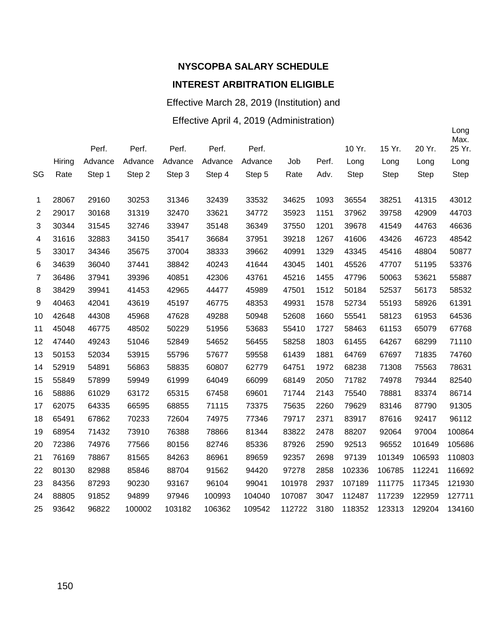Effective March 28, 2019 (Institution) and

#### Effective April 4, 2019 (Administration)

|                |        | Perf.   | Perf.   | Perf.   | Perf.   | Perf.   |        |       | 10 Yr. | 15 Yr.      | 20 Yr. | Long<br>Max.<br>25 Yr. |
|----------------|--------|---------|---------|---------|---------|---------|--------|-------|--------|-------------|--------|------------------------|
|                | Hiring | Advance | Advance | Advance | Advance | Advance | Job    | Perf. | Long   | Long        | Long   | Long                   |
| SG             | Rate   | Step 1  | Step 2  | Step 3  | Step 4  | Step 5  | Rate   | Adv.  | Step   | <b>Step</b> | Step   | <b>Step</b>            |
| 1              | 28067  | 29160   | 30253   | 31346   | 32439   | 33532   | 34625  | 1093  | 36554  | 38251       | 41315  | 43012                  |
| $\overline{2}$ | 29017  | 30168   | 31319   | 32470   | 33621   | 34772   | 35923  | 1151  | 37962  | 39758       | 42909  | 44703                  |
| 3              | 30344  | 31545   | 32746   | 33947   | 35148   | 36349   | 37550  | 1201  | 39678  | 41549       | 44763  | 46636                  |
| 4              | 31616  | 32883   | 34150   | 35417   | 36684   | 37951   | 39218  | 1267  | 41606  | 43426       | 46723  | 48542                  |
| 5              | 33017  | 34346   | 35675   | 37004   | 38333   | 39662   | 40991  | 1329  | 43345  | 45416       | 48804  | 50877                  |
| 6              | 34639  | 36040   | 37441   | 38842   | 40243   | 41644   | 43045  | 1401  | 45526  | 47707       | 51195  | 53376                  |
| $\overline{7}$ | 36486  | 37941   | 39396   | 40851   | 42306   | 43761   | 45216  | 1455  | 47796  | 50063       | 53621  | 55887                  |
| 8              | 38429  | 39941   | 41453   | 42965   | 44477   | 45989   | 47501  | 1512  | 50184  | 52537       | 56173  | 58532                  |
| 9              | 40463  | 42041   | 43619   | 45197   | 46775   | 48353   | 49931  | 1578  | 52734  | 55193       | 58926  | 61391                  |
| 10             | 42648  | 44308   | 45968   | 47628   | 49288   | 50948   | 52608  | 1660  | 55541  | 58123       | 61953  | 64536                  |
| 11             | 45048  | 46775   | 48502   | 50229   | 51956   | 53683   | 55410  | 1727  | 58463  | 61153       | 65079  | 67768                  |
| 12             | 47440  | 49243   | 51046   | 52849   | 54652   | 56455   | 58258  | 1803  | 61455  | 64267       | 68299  | 71110                  |
| 13             | 50153  | 52034   | 53915   | 55796   | 57677   | 59558   | 61439  | 1881  | 64769  | 67697       | 71835  | 74760                  |
| 14             | 52919  | 54891   | 56863   | 58835   | 60807   | 62779   | 64751  | 1972  | 68238  | 71308       | 75563  | 78631                  |
| 15             | 55849  | 57899   | 59949   | 61999   | 64049   | 66099   | 68149  | 2050  | 71782  | 74978       | 79344  | 82540                  |
| 16             | 58886  | 61029   | 63172   | 65315   | 67458   | 69601   | 71744  | 2143  | 75540  | 78881       | 83374  | 86714                  |
| 17             | 62075  | 64335   | 66595   | 68855   | 71115   | 73375   | 75635  | 2260  | 79629  | 83146       | 87790  | 91305                  |
| 18             | 65491  | 67862   | 70233   | 72604   | 74975   | 77346   | 79717  | 2371  | 83917  | 87616       | 92417  | 96112                  |
| 19             | 68954  | 71432   | 73910   | 76388   | 78866   | 81344   | 83822  | 2478  | 88207  | 92064       | 97004  | 100864                 |
| 20             | 72386  | 74976   | 77566   | 80156   | 82746   | 85336   | 87926  | 2590  | 92513  | 96552       | 101649 | 105686                 |
| 21             | 76169  | 78867   | 81565   | 84263   | 86961   | 89659   | 92357  | 2698  | 97139  | 101349      | 106593 | 110803                 |
| 22             | 80130  | 82988   | 85846   | 88704   | 91562   | 94420   | 97278  | 2858  | 102336 | 106785      | 112241 | 116692                 |
| 23             | 84356  | 87293   | 90230   | 93167   | 96104   | 99041   | 101978 | 2937  | 107189 | 111775      | 117345 | 121930                 |
| 24             | 88805  | 91852   | 94899   | 97946   | 100993  | 104040  | 107087 | 3047  | 112487 | 117239      | 122959 | 127711                 |
| 25             | 93642  | 96822   | 100002  | 103182  | 106362  | 109542  | 112722 | 3180  | 118352 | 123313      | 129204 | 134160                 |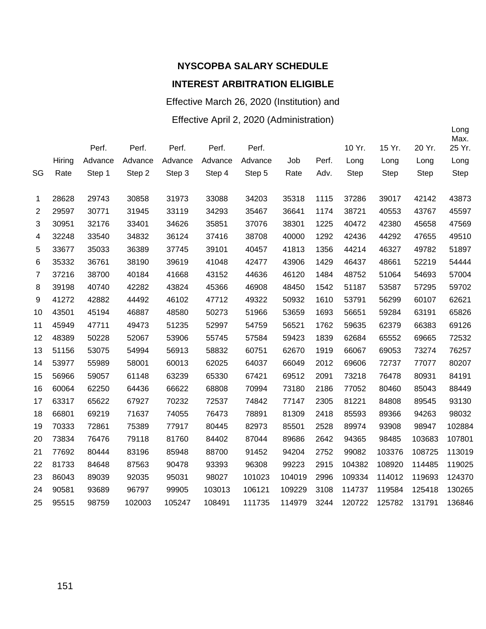Effective March 26, 2020 (Institution) and Effective April 2, 2020 (Administration)

|    |        |         |         |         |         |         |        |       |        |             |        | Long<br>Max. |
|----|--------|---------|---------|---------|---------|---------|--------|-------|--------|-------------|--------|--------------|
|    |        | Perf.   | Perf.   | Perf.   | Perf.   | Perf.   |        |       | 10 Yr. | 15 Yr.      | 20 Yr. | 25 Yr.       |
|    | Hiring | Advance | Advance | Advance | Advance | Advance | Job    | Perf. | Long   | Long        | Long   | Long         |
| SG | Rate   | Step 1  | Step 2  | Step 3  | Step 4  | Step 5  | Rate   | Adv.  | Step   | <b>Step</b> | Step   | <b>Step</b>  |
| 1  | 28628  | 29743   | 30858   | 31973   | 33088   | 34203   | 35318  | 1115  | 37286  | 39017       | 42142  | 43873        |
| 2  | 29597  | 30771   | 31945   | 33119   | 34293   | 35467   | 36641  | 1174  | 38721  | 40553       | 43767  | 45597        |
| 3  | 30951  | 32176   | 33401   | 34626   | 35851   | 37076   | 38301  | 1225  | 40472  | 42380       | 45658  | 47569        |
| 4  | 32248  | 33540   | 34832   | 36124   | 37416   | 38708   | 40000  | 1292  | 42436  | 44292       | 47655  | 49510        |
| 5  | 33677  | 35033   | 36389   | 37745   | 39101   | 40457   | 41813  | 1356  | 44214  | 46327       | 49782  | 51897        |
| 6  | 35332  | 36761   | 38190   | 39619   | 41048   | 42477   | 43906  | 1429  | 46437  | 48661       | 52219  | 54444        |
| 7  | 37216  | 38700   | 40184   | 41668   | 43152   | 44636   | 46120  | 1484  | 48752  | 51064       | 54693  | 57004        |
| 8  | 39198  | 40740   | 42282   | 43824   | 45366   | 46908   | 48450  | 1542  | 51187  | 53587       | 57295  | 59702        |
| 9  | 41272  | 42882   | 44492   | 46102   | 47712   | 49322   | 50932  | 1610  | 53791  | 56299       | 60107  | 62621        |
| 10 | 43501  | 45194   | 46887   | 48580   | 50273   | 51966   | 53659  | 1693  | 56651  | 59284       | 63191  | 65826        |
| 11 | 45949  | 47711   | 49473   | 51235   | 52997   | 54759   | 56521  | 1762  | 59635  | 62379       | 66383  | 69126        |
| 12 | 48389  | 50228   | 52067   | 53906   | 55745   | 57584   | 59423  | 1839  | 62684  | 65552       | 69665  | 72532        |
| 13 | 51156  | 53075   | 54994   | 56913   | 58832   | 60751   | 62670  | 1919  | 66067  | 69053       | 73274  | 76257        |
| 14 | 53977  | 55989   | 58001   | 60013   | 62025   | 64037   | 66049  | 2012  | 69606  | 72737       | 77077  | 80207        |
| 15 | 56966  | 59057   | 61148   | 63239   | 65330   | 67421   | 69512  | 2091  | 73218  | 76478       | 80931  | 84191        |
| 16 | 60064  | 62250   | 64436   | 66622   | 68808   | 70994   | 73180  | 2186  | 77052  | 80460       | 85043  | 88449        |
| 17 | 63317  | 65622   | 67927   | 70232   | 72537   | 74842   | 77147  | 2305  | 81221  | 84808       | 89545  | 93130        |
| 18 | 66801  | 69219   | 71637   | 74055   | 76473   | 78891   | 81309  | 2418  | 85593  | 89366       | 94263  | 98032        |
| 19 | 70333  | 72861   | 75389   | 77917   | 80445   | 82973   | 85501  | 2528  | 89974  | 93908       | 98947  | 102884       |
| 20 | 73834  | 76476   | 79118   | 81760   | 84402   | 87044   | 89686  | 2642  | 94365  | 98485       | 103683 | 107801       |
| 21 | 77692  | 80444   | 83196   | 85948   | 88700   | 91452   | 94204  | 2752  | 99082  | 103376      | 108725 | 113019       |
| 22 | 81733  | 84648   | 87563   | 90478   | 93393   | 96308   | 99223  | 2915  | 104382 | 108920      | 114485 | 119025       |
| 23 | 86043  | 89039   | 92035   | 95031   | 98027   | 101023  | 104019 | 2996  | 109334 | 114012      | 119693 | 124370       |
| 24 | 90581  | 93689   | 96797   | 99905   | 103013  | 106121  | 109229 | 3108  | 114737 | 119584      | 125418 | 130265       |
| 25 | 95515  | 98759   | 102003  | 105247  | 108491  | 111735  | 114979 | 3244  | 120722 | 125782      | 131791 | 136846       |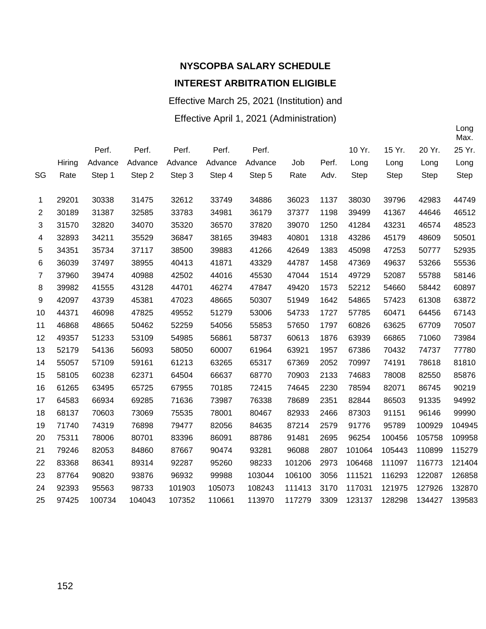Effective March 25, 2021 (Institution) and

Effective April 1, 2021 (Administration)

|                |        |         |         |         |         |         |        |       |             |             |             | Max.   |
|----------------|--------|---------|---------|---------|---------|---------|--------|-------|-------------|-------------|-------------|--------|
|                |        | Perf.   | Perf.   | Perf.   | Perf.   | Perf.   |        |       | 10 Yr.      | 15 Yr.      | 20 Yr.      | 25 Yr. |
|                | Hiring | Advance | Advance | Advance | Advance | Advance | Job    | Perf. | Long        | Long        | Long        | Long   |
| SG             | Rate   | Step 1  | Step 2  | Step 3  | Step 4  | Step 5  | Rate   | Adv.  | <b>Step</b> | <b>Step</b> | <b>Step</b> | Step   |
|                |        |         |         |         |         |         |        |       |             |             |             |        |
| 1              | 29201  | 30338   | 31475   | 32612   | 33749   | 34886   | 36023  | 1137  | 38030       | 39796       | 42983       | 44749  |
| $\overline{2}$ | 30189  | 31387   | 32585   | 33783   | 34981   | 36179   | 37377  | 1198  | 39499       | 41367       | 44646       | 46512  |
| 3              | 31570  | 32820   | 34070   | 35320   | 36570   | 37820   | 39070  | 1250  | 41284       | 43231       | 46574       | 48523  |
| 4              | 32893  | 34211   | 35529   | 36847   | 38165   | 39483   | 40801  | 1318  | 43286       | 45179       | 48609       | 50501  |
| 5              | 34351  | 35734   | 37117   | 38500   | 39883   | 41266   | 42649  | 1383  | 45098       | 47253       | 50777       | 52935  |
| 6              | 36039  | 37497   | 38955   | 40413   | 41871   | 43329   | 44787  | 1458  | 47369       | 49637       | 53266       | 55536  |
| 7              | 37960  | 39474   | 40988   | 42502   | 44016   | 45530   | 47044  | 1514  | 49729       | 52087       | 55788       | 58146  |
| 8              | 39982  | 41555   | 43128   | 44701   | 46274   | 47847   | 49420  | 1573  | 52212       | 54660       | 58442       | 60897  |
| 9              | 42097  | 43739   | 45381   | 47023   | 48665   | 50307   | 51949  | 1642  | 54865       | 57423       | 61308       | 63872  |
| 10             | 44371  | 46098   | 47825   | 49552   | 51279   | 53006   | 54733  | 1727  | 57785       | 60471       | 64456       | 67143  |
| 11             | 46868  | 48665   | 50462   | 52259   | 54056   | 55853   | 57650  | 1797  | 60826       | 63625       | 67709       | 70507  |
| 12             | 49357  | 51233   | 53109   | 54985   | 56861   | 58737   | 60613  | 1876  | 63939       | 66865       | 71060       | 73984  |
| 13             | 52179  | 54136   | 56093   | 58050   | 60007   | 61964   | 63921  | 1957  | 67386       | 70432       | 74737       | 77780  |
| 14             | 55057  | 57109   | 59161   | 61213   | 63265   | 65317   | 67369  | 2052  | 70997       | 74191       | 78618       | 81810  |
| 15             | 58105  | 60238   | 62371   | 64504   | 66637   | 68770   | 70903  | 2133  | 74683       | 78008       | 82550       | 85876  |
| 16             | 61265  | 63495   | 65725   | 67955   | 70185   | 72415   | 74645  | 2230  | 78594       | 82071       | 86745       | 90219  |
| 17             | 64583  | 66934   | 69285   | 71636   | 73987   | 76338   | 78689  | 2351  | 82844       | 86503       | 91335       | 94992  |
| 18             | 68137  | 70603   | 73069   | 75535   | 78001   | 80467   | 82933  | 2466  | 87303       | 91151       | 96146       | 99990  |
| 19             | 71740  | 74319   | 76898   | 79477   | 82056   | 84635   | 87214  | 2579  | 91776       | 95789       | 100929      | 104945 |
| 20             | 75311  | 78006   | 80701   | 83396   | 86091   | 88786   | 91481  | 2695  | 96254       | 100456      | 105758      | 109958 |
| 21             | 79246  | 82053   | 84860   | 87667   | 90474   | 93281   | 96088  | 2807  | 101064      | 105443      | 110899      | 115279 |
| 22             | 83368  | 86341   | 89314   | 92287   | 95260   | 98233   | 101206 | 2973  | 106468      | 111097      | 116773      | 121404 |
| 23             | 87764  | 90820   | 93876   | 96932   | 99988   | 103044  | 106100 | 3056  | 111521      | 116293      | 122087      | 126858 |
| 24             | 92393  | 95563   | 98733   | 101903  | 105073  | 108243  | 111413 | 3170  | 117031      | 121975      | 127926      | 132870 |
| 25             | 97425  | 100734  | 104043  | 107352  | 110661  | 113970  | 117279 | 3309  | 123137      | 128298      | 134427      | 139583 |
|                |        |         |         |         |         |         |        |       |             |             |             |        |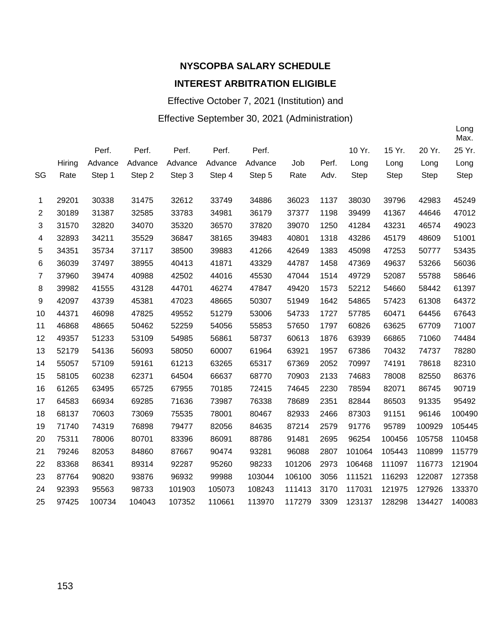## **NYSCOPBA SALARY SCHEDULE**

#### **INTEREST ARBITRATION ELIGIBLE**

Effective October 7, 2021 (Institution) and

#### Effective September 30, 2021 (Administration)

|                |        |         |         |         |         |         |        |       |             |             |             | Max.        |
|----------------|--------|---------|---------|---------|---------|---------|--------|-------|-------------|-------------|-------------|-------------|
|                |        | Perf.   | Perf.   | Perf.   | Perf.   | Perf.   |        |       | 10 Yr.      | 15 Yr.      | 20 Yr.      | 25 Yr.      |
|                | Hiring | Advance | Advance | Advance | Advance | Advance | Job    | Perf. | Long        | Long        | Long        | Long        |
| SG             | Rate   | Step 1  | Step 2  | Step 3  | Step 4  | Step 5  | Rate   | Adv.  | <b>Step</b> | <b>Step</b> | <b>Step</b> | <b>Step</b> |
|                |        |         |         |         |         |         |        |       |             |             |             |             |
| 1              | 29201  | 30338   | 31475   | 32612   | 33749   | 34886   | 36023  | 1137  | 38030       | 39796       | 42983       | 45249       |
| 2              | 30189  | 31387   | 32585   | 33783   | 34981   | 36179   | 37377  | 1198  | 39499       | 41367       | 44646       | 47012       |
| 3              | 31570  | 32820   | 34070   | 35320   | 36570   | 37820   | 39070  | 1250  | 41284       | 43231       | 46574       | 49023       |
| 4              | 32893  | 34211   | 35529   | 36847   | 38165   | 39483   | 40801  | 1318  | 43286       | 45179       | 48609       | 51001       |
| 5              | 34351  | 35734   | 37117   | 38500   | 39883   | 41266   | 42649  | 1383  | 45098       | 47253       | 50777       | 53435       |
| 6              | 36039  | 37497   | 38955   | 40413   | 41871   | 43329   | 44787  | 1458  | 47369       | 49637       | 53266       | 56036       |
| $\overline{7}$ | 37960  | 39474   | 40988   | 42502   | 44016   | 45530   | 47044  | 1514  | 49729       | 52087       | 55788       | 58646       |
| 8              | 39982  | 41555   | 43128   | 44701   | 46274   | 47847   | 49420  | 1573  | 52212       | 54660       | 58442       | 61397       |
| 9              | 42097  | 43739   | 45381   | 47023   | 48665   | 50307   | 51949  | 1642  | 54865       | 57423       | 61308       | 64372       |
| 10             | 44371  | 46098   | 47825   | 49552   | 51279   | 53006   | 54733  | 1727  | 57785       | 60471       | 64456       | 67643       |
| 11             | 46868  | 48665   | 50462   | 52259   | 54056   | 55853   | 57650  | 1797  | 60826       | 63625       | 67709       | 71007       |
| 12             | 49357  | 51233   | 53109   | 54985   | 56861   | 58737   | 60613  | 1876  | 63939       | 66865       | 71060       | 74484       |
| 13             | 52179  | 54136   | 56093   | 58050   | 60007   | 61964   | 63921  | 1957  | 67386       | 70432       | 74737       | 78280       |
| 14             | 55057  | 57109   | 59161   | 61213   | 63265   | 65317   | 67369  | 2052  | 70997       | 74191       | 78618       | 82310       |
| 15             | 58105  | 60238   | 62371   | 64504   | 66637   | 68770   | 70903  | 2133  | 74683       | 78008       | 82550       | 86376       |
| 16             | 61265  | 63495   | 65725   | 67955   | 70185   | 72415   | 74645  | 2230  | 78594       | 82071       | 86745       | 90719       |
| 17             | 64583  | 66934   | 69285   | 71636   | 73987   | 76338   | 78689  | 2351  | 82844       | 86503       | 91335       | 95492       |
| 18             | 68137  | 70603   | 73069   | 75535   | 78001   | 80467   | 82933  | 2466  | 87303       | 91151       | 96146       | 100490      |
| 19             | 71740  | 74319   | 76898   | 79477   | 82056   | 84635   | 87214  | 2579  | 91776       | 95789       | 100929      | 105445      |
| 20             | 75311  | 78006   | 80701   | 83396   | 86091   | 88786   | 91481  | 2695  | 96254       | 100456      | 105758      | 110458      |
| 21             | 79246  | 82053   | 84860   | 87667   | 90474   | 93281   | 96088  | 2807  | 101064      | 105443      | 110899      | 115779      |
| 22             | 83368  | 86341   | 89314   | 92287   | 95260   | 98233   | 101206 | 2973  | 106468      | 111097      | 116773      | 121904      |
| 23             | 87764  | 90820   | 93876   | 96932   | 99988   | 103044  | 106100 | 3056  | 111521      | 116293      | 122087      | 127358      |
| 24             | 92393  | 95563   | 98733   | 101903  | 105073  | 108243  | 111413 | 3170  | 117031      | 121975      | 127926      | 133370      |
| 25             | 97425  | 100734  | 104043  | 107352  | 110661  | 113970  | 117279 | 3309  | 123137      | 128298      | 134427      | 140083      |
|                |        |         |         |         |         |         |        |       |             |             |             |             |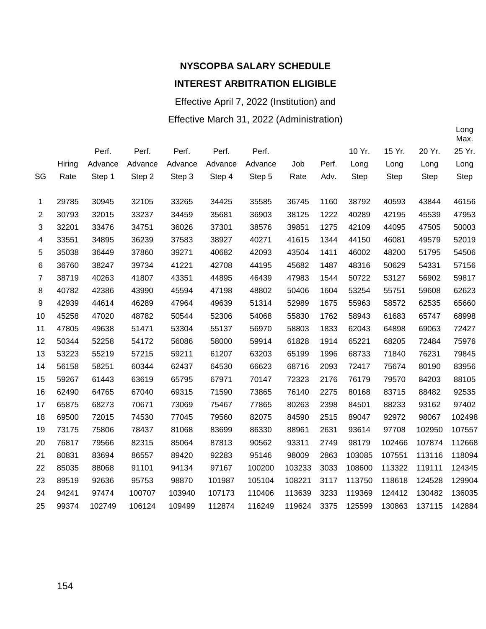Effective April 7, 2022 (Institution) and

Effective March 31, 2022 (Administration)

|                |        |         |         |         |         |         |        |       |             |        |             | Max.   |
|----------------|--------|---------|---------|---------|---------|---------|--------|-------|-------------|--------|-------------|--------|
|                |        | Perf.   | Perf.   | Perf.   | Perf.   | Perf.   |        |       | 10 Yr.      | 15 Yr. | 20 Yr.      | 25 Yr. |
|                | Hiring | Advance | Advance | Advance | Advance | Advance | Job    | Perf. | Long        | Long   | Long        | Long   |
| SG             | Rate   | Step 1  | Step 2  | Step 3  | Step 4  | Step 5  | Rate   | Adv.  | <b>Step</b> | Step   | <b>Step</b> | Step   |
|                |        |         |         |         |         |         |        |       |             |        |             |        |
| 1              | 29785  | 30945   | 32105   | 33265   | 34425   | 35585   | 36745  | 1160  | 38792       | 40593  | 43844       | 46156  |
| 2              | 30793  | 32015   | 33237   | 34459   | 35681   | 36903   | 38125  | 1222  | 40289       | 42195  | 45539       | 47953  |
| 3              | 32201  | 33476   | 34751   | 36026   | 37301   | 38576   | 39851  | 1275  | 42109       | 44095  | 47505       | 50003  |
| 4              | 33551  | 34895   | 36239   | 37583   | 38927   | 40271   | 41615  | 1344  | 44150       | 46081  | 49579       | 52019  |
| 5              | 35038  | 36449   | 37860   | 39271   | 40682   | 42093   | 43504  | 1411  | 46002       | 48200  | 51795       | 54506  |
| 6              | 36760  | 38247   | 39734   | 41221   | 42708   | 44195   | 45682  | 1487  | 48316       | 50629  | 54331       | 57156  |
| $\overline{7}$ | 38719  | 40263   | 41807   | 43351   | 44895   | 46439   | 47983  | 1544  | 50722       | 53127  | 56902       | 59817  |
| 8              | 40782  | 42386   | 43990   | 45594   | 47198   | 48802   | 50406  | 1604  | 53254       | 55751  | 59608       | 62623  |
| 9              | 42939  | 44614   | 46289   | 47964   | 49639   | 51314   | 52989  | 1675  | 55963       | 58572  | 62535       | 65660  |
| 10             | 45258  | 47020   | 48782   | 50544   | 52306   | 54068   | 55830  | 1762  | 58943       | 61683  | 65747       | 68998  |
| 11             | 47805  | 49638   | 51471   | 53304   | 55137   | 56970   | 58803  | 1833  | 62043       | 64898  | 69063       | 72427  |
| 12             | 50344  | 52258   | 54172   | 56086   | 58000   | 59914   | 61828  | 1914  | 65221       | 68205  | 72484       | 75976  |
| 13             | 53223  | 55219   | 57215   | 59211   | 61207   | 63203   | 65199  | 1996  | 68733       | 71840  | 76231       | 79845  |
| 14             | 56158  | 58251   | 60344   | 62437   | 64530   | 66623   | 68716  | 2093  | 72417       | 75674  | 80190       | 83956  |
| 15             | 59267  | 61443   | 63619   | 65795   | 67971   | 70147   | 72323  | 2176  | 76179       | 79570  | 84203       | 88105  |
| 16             | 62490  | 64765   | 67040   | 69315   | 71590   | 73865   | 76140  | 2275  | 80168       | 83715  | 88482       | 92535  |
| 17             | 65875  | 68273   | 70671   | 73069   | 75467   | 77865   | 80263  | 2398  | 84501       | 88233  | 93162       | 97402  |
| 18             | 69500  | 72015   | 74530   | 77045   | 79560   | 82075   | 84590  | 2515  | 89047       | 92972  | 98067       | 102498 |
| 19             | 73175  | 75806   | 78437   | 81068   | 83699   | 86330   | 88961  | 2631  | 93614       | 97708  | 102950      | 107557 |
| 20             | 76817  | 79566   | 82315   | 85064   | 87813   | 90562   | 93311  | 2749  | 98179       | 102466 | 107874      | 112668 |
| 21             | 80831  | 83694   | 86557   | 89420   | 92283   | 95146   | 98009  | 2863  | 103085      | 107551 | 113116      | 118094 |
| 22             | 85035  | 88068   | 91101   | 94134   | 97167   | 100200  | 103233 | 3033  | 108600      | 113322 | 119111      | 124345 |
| 23             | 89519  | 92636   | 95753   | 98870   | 101987  | 105104  | 108221 | 3117  | 113750      | 118618 | 124528      | 129904 |
| 24             | 94241  | 97474   | 100707  | 103940  | 107173  | 110406  | 113639 | 3233  | 119369      | 124412 | 130482      | 136035 |
| 25             | 99374  | 102749  | 106124  | 109499  | 112874  | 116249  | 119624 | 3375  | 125599      | 130863 | 137115      | 142884 |
|                |        |         |         |         |         |         |        |       |             |        |             |        |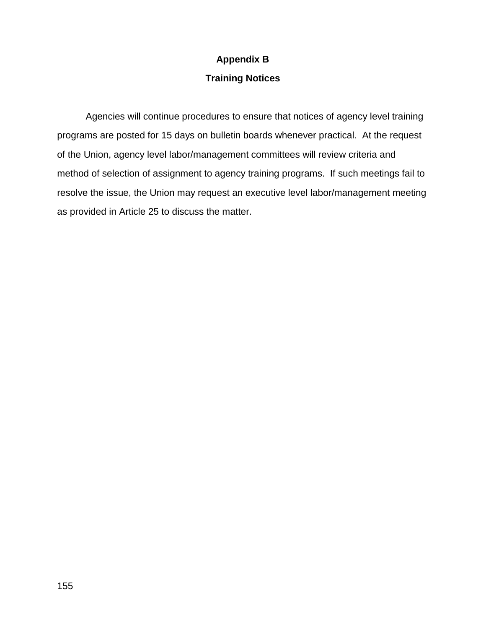#### **Appendix B**

#### **Training Notices**

Agencies will continue procedures to ensure that notices of agency level training programs are posted for 15 days on bulletin boards whenever practical. At the request of the Union, agency level labor/management committees will review criteria and method of selection of assignment to agency training programs. If such meetings fail to resolve the issue, the Union may request an executive level labor/management meeting as provided in Article 25 to discuss the matter.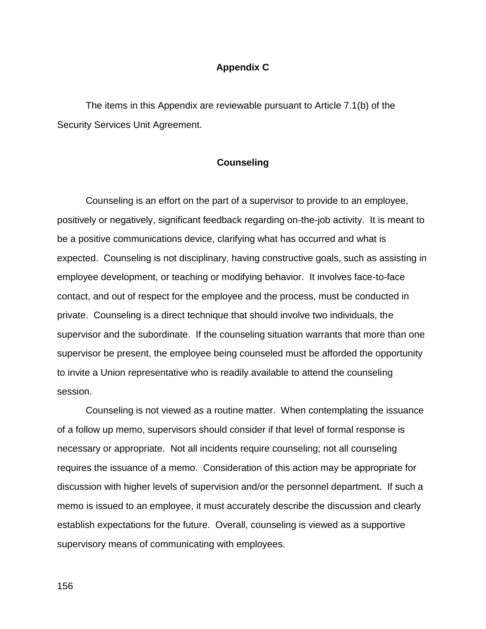#### **Appendix C**

The items in this Appendix are reviewable pursuant to Article 7.1(b) of the Security Services Unit Agreement.

#### **Counseling**

Counseling is an effort on the part of a supervisor to provide to an employee, positively or negatively, significant feedback regarding on-the-job activity. It is meant to be a positive communications device, clarifying what has occurred and what is expected. Counseling is not disciplinary, having constructive goals, such as assisting in employee development, or teaching or modifying behavior. It involves face-to-face contact, and out of respect for the employee and the process, must be conducted in private. Counseling is a direct technique that should involve two individuals, the supervisor and the subordinate. If the counseling situation warrants that more than one supervisor be present, the employee being counseled must be afforded the opportunity to invite a Union representative who is readily available to attend the counseling session.

Counseling is not viewed as a routine matter. When contemplating the issuance of a follow up memo, supervisors should consider if that level of formal response is necessary or appropriate. Not all incidents require counseling; not all counseling requires the issuance of a memo. Consideration of this action may be appropriate for discussion with higher levels of supervision and/or the personnel department. If such a memo is issued to an employee, it must accurately describe the discussion and clearly establish expectations for the future. Overall, counseling is viewed as a supportive supervisory means of communicating with employees.

156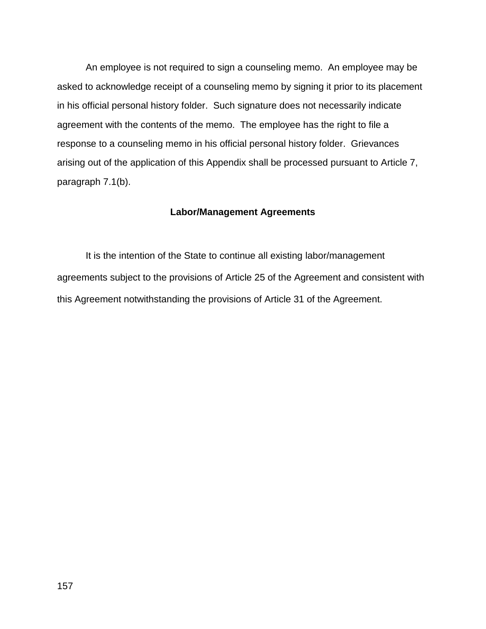An employee is not required to sign a counseling memo. An employee may be asked to acknowledge receipt of a counseling memo by signing it prior to its placement in his official personal history folder. Such signature does not necessarily indicate agreement with the contents of the memo. The employee has the right to file a response to a counseling memo in his official personal history folder. Grievances arising out of the application of this Appendix shall be processed pursuant to Article 7, paragraph 7.1(b).

#### **Labor/Management Agreements**

It is the intention of the State to continue all existing labor/management agreements subject to the provisions of Article 25 of the Agreement and consistent with this Agreement notwithstanding the provisions of Article 31 of the Agreement.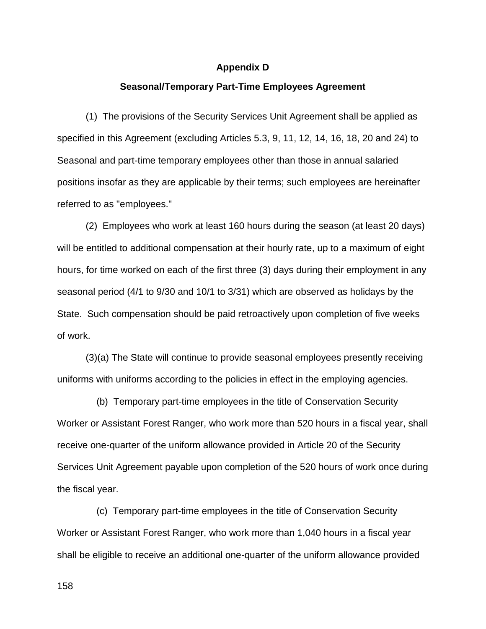#### **Appendix D**

#### **Seasonal/Temporary Part-Time Employees Agreement**

(1) The provisions of the Security Services Unit Agreement shall be applied as specified in this Agreement (excluding Articles 5.3, 9, 11, 12, 14, 16, 18, 20 and 24) to Seasonal and part-time temporary employees other than those in annual salaried positions insofar as they are applicable by their terms; such employees are hereinafter referred to as "employees."

(2) Employees who work at least 160 hours during the season (at least 20 days) will be entitled to additional compensation at their hourly rate, up to a maximum of eight hours, for time worked on each of the first three (3) days during their employment in any seasonal period (4/1 to 9/30 and 10/1 to 3/31) which are observed as holidays by the State. Such compensation should be paid retroactively upon completion of five weeks of work.

(3)(a) The State will continue to provide seasonal employees presently receiving uniforms with uniforms according to the policies in effect in the employing agencies.

(b) Temporary part-time employees in the title of Conservation Security Worker or Assistant Forest Ranger, who work more than 520 hours in a fiscal year, shall receive one-quarter of the uniform allowance provided in Article 20 of the Security Services Unit Agreement payable upon completion of the 520 hours of work once during the fiscal year.

(c) Temporary part-time employees in the title of Conservation Security Worker or Assistant Forest Ranger, who work more than 1,040 hours in a fiscal year shall be eligible to receive an additional one-quarter of the uniform allowance provided

158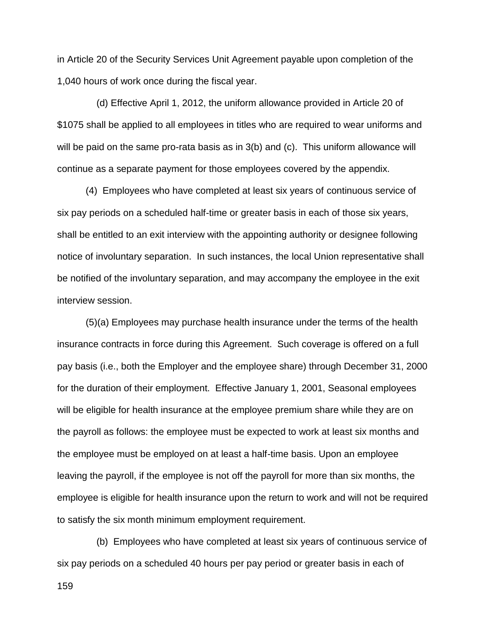in Article 20 of the Security Services Unit Agreement payable upon completion of the 1,040 hours of work once during the fiscal year.

(d) Effective April 1, 2012, the uniform allowance provided in Article 20 of \$1075 shall be applied to all employees in titles who are required to wear uniforms and will be paid on the same pro-rata basis as in 3(b) and (c). This uniform allowance will continue as a separate payment for those employees covered by the appendix.

(4) Employees who have completed at least six years of continuous service of six pay periods on a scheduled half-time or greater basis in each of those six years, shall be entitled to an exit interview with the appointing authority or designee following notice of involuntary separation. In such instances, the local Union representative shall be notified of the involuntary separation, and may accompany the employee in the exit interview session.

(5)(a) Employees may purchase health insurance under the terms of the health insurance contracts in force during this Agreement. Such coverage is offered on a full pay basis (i.e., both the Employer and the employee share) through December 31, 2000 for the duration of their employment. Effective January 1, 2001, Seasonal employees will be eligible for health insurance at the employee premium share while they are on the payroll as follows: the employee must be expected to work at least six months and the employee must be employed on at least a half-time basis. Upon an employee leaving the payroll, if the employee is not off the payroll for more than six months, the employee is eligible for health insurance upon the return to work and will not be required to satisfy the six month minimum employment requirement.

(b) Employees who have completed at least six years of continuous service of six pay periods on a scheduled 40 hours per pay period or greater basis in each of

159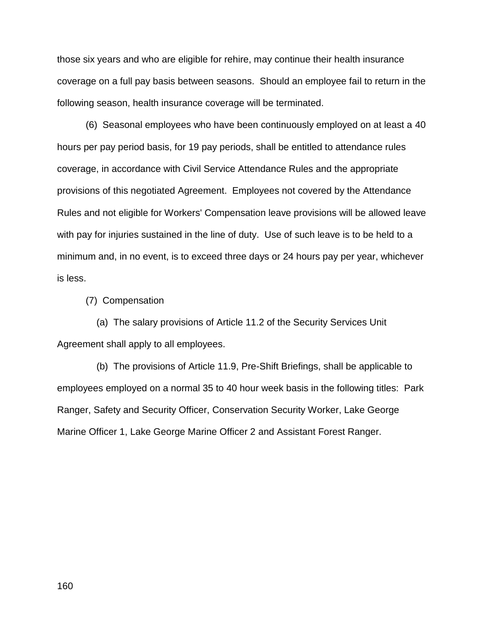those six years and who are eligible for rehire, may continue their health insurance coverage on a full pay basis between seasons. Should an employee fail to return in the following season, health insurance coverage will be terminated.

(6) Seasonal employees who have been continuously employed on at least a 40 hours per pay period basis, for 19 pay periods, shall be entitled to attendance rules coverage, in accordance with Civil Service Attendance Rules and the appropriate provisions of this negotiated Agreement. Employees not covered by the Attendance Rules and not eligible for Workers' Compensation leave provisions will be allowed leave with pay for injuries sustained in the line of duty. Use of such leave is to be held to a minimum and, in no event, is to exceed three days or 24 hours pay per year, whichever is less.

(7) Compensation

(a) The salary provisions of Article 11.2 of the Security Services Unit Agreement shall apply to all employees.

(b) The provisions of Article 11.9, Pre-Shift Briefings, shall be applicable to employees employed on a normal 35 to 40 hour week basis in the following titles: Park Ranger, Safety and Security Officer, Conservation Security Worker, Lake George Marine Officer 1, Lake George Marine Officer 2 and Assistant Forest Ranger.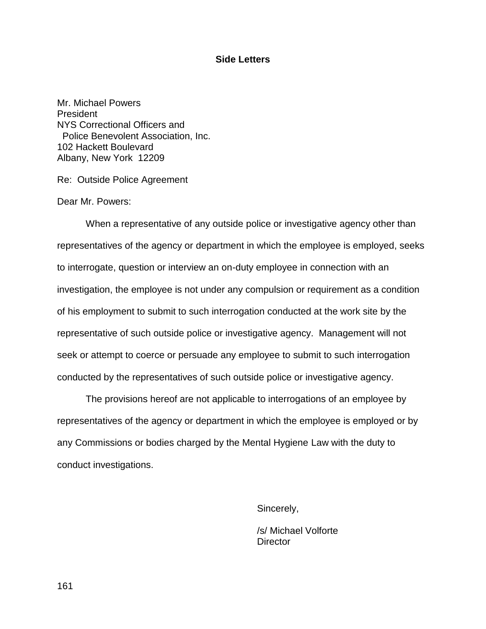#### **Side Letters**

Mr. Michael Powers President NYS Correctional Officers and Police Benevolent Association, Inc. 102 Hackett Boulevard Albany, New York 12209

Re: Outside Police Agreement

Dear Mr. Powers:

When a representative of any outside police or investigative agency other than representatives of the agency or department in which the employee is employed, seeks to interrogate, question or interview an on-duty employee in connection with an investigation, the employee is not under any compulsion or requirement as a condition of his employment to submit to such interrogation conducted at the work site by the representative of such outside police or investigative agency. Management will not seek or attempt to coerce or persuade any employee to submit to such interrogation conducted by the representatives of such outside police or investigative agency.

The provisions hereof are not applicable to interrogations of an employee by representatives of the agency or department in which the employee is employed or by any Commissions or bodies charged by the Mental Hygiene Law with the duty to conduct investigations.

Sincerely,

/s/ Michael Volforte **Director** 

161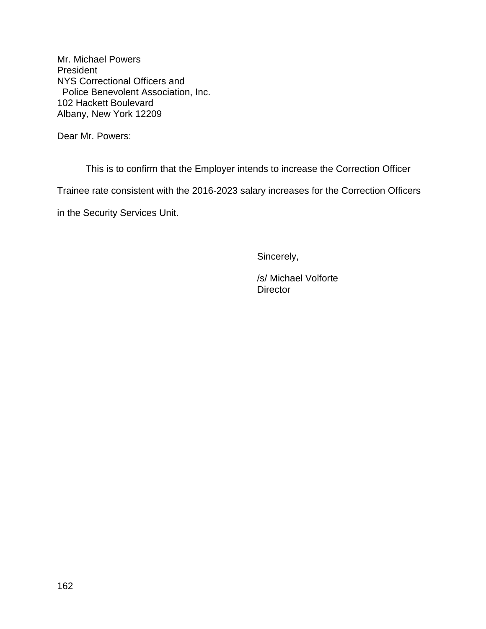Dear Mr. Powers:

This is to confirm that the Employer intends to increase the Correction Officer

Trainee rate consistent with the 2016-2023 salary increases for the Correction Officers

in the Security Services Unit.

Sincerely,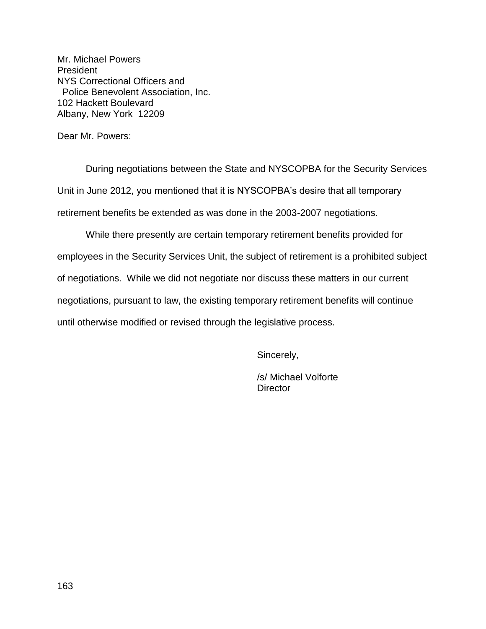Dear Mr. Powers:

During negotiations between the State and NYSCOPBA for the Security Services Unit in June 2012, you mentioned that it is NYSCOPBA's desire that all temporary retirement benefits be extended as was done in the 2003-2007 negotiations.

While there presently are certain temporary retirement benefits provided for employees in the Security Services Unit, the subject of retirement is a prohibited subject of negotiations. While we did not negotiate nor discuss these matters in our current negotiations, pursuant to law, the existing temporary retirement benefits will continue until otherwise modified or revised through the legislative process.

Sincerely,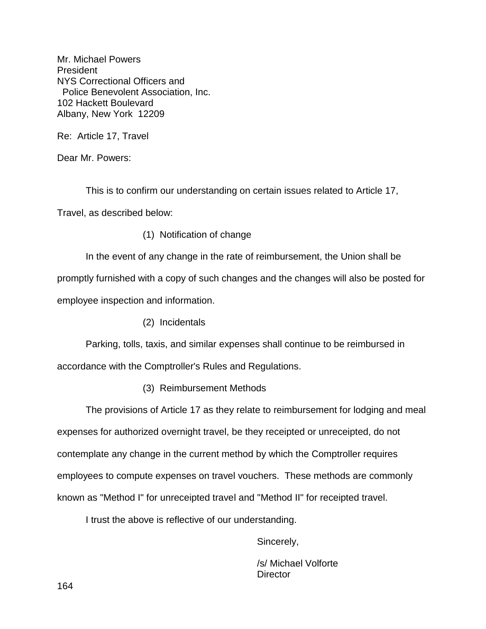Re: Article 17, Travel

Dear Mr. Powers:

This is to confirm our understanding on certain issues related to Article 17,

Travel, as described below:

(1) Notification of change

In the event of any change in the rate of reimbursement, the Union shall be promptly furnished with a copy of such changes and the changes will also be posted for employee inspection and information.

(2) Incidentals

Parking, tolls, taxis, and similar expenses shall continue to be reimbursed in accordance with the Comptroller's Rules and Regulations.

(3) Reimbursement Methods

The provisions of Article 17 as they relate to reimbursement for lodging and meal expenses for authorized overnight travel, be they receipted or unreceipted, do not contemplate any change in the current method by which the Comptroller requires employees to compute expenses on travel vouchers. These methods are commonly known as "Method I" for unreceipted travel and "Method II" for receipted travel.

I trust the above is reflective of our understanding.

Sincerely,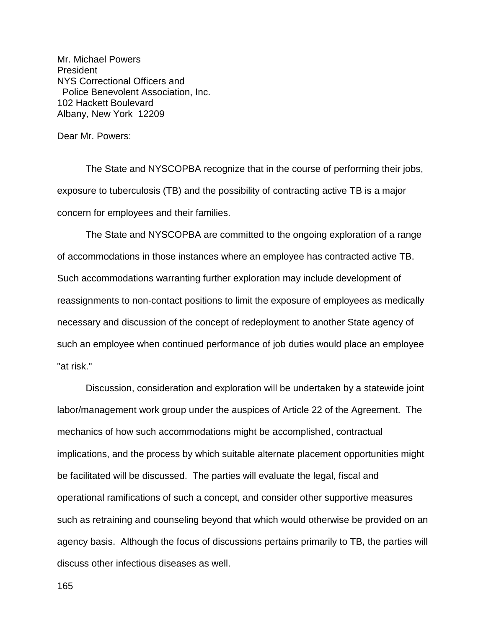Dear Mr. Powers:

The State and NYSCOPBA recognize that in the course of performing their jobs, exposure to tuberculosis (TB) and the possibility of contracting active TB is a major concern for employees and their families.

The State and NYSCOPBA are committed to the ongoing exploration of a range of accommodations in those instances where an employee has contracted active TB. Such accommodations warranting further exploration may include development of reassignments to non-contact positions to limit the exposure of employees as medically necessary and discussion of the concept of redeployment to another State agency of such an employee when continued performance of job duties would place an employee "at risk."

Discussion, consideration and exploration will be undertaken by a statewide joint labor/management work group under the auspices of Article 22 of the Agreement. The mechanics of how such accommodations might be accomplished, contractual implications, and the process by which suitable alternate placement opportunities might be facilitated will be discussed. The parties will evaluate the legal, fiscal and operational ramifications of such a concept, and consider other supportive measures such as retraining and counseling beyond that which would otherwise be provided on an agency basis. Although the focus of discussions pertains primarily to TB, the parties will discuss other infectious diseases as well.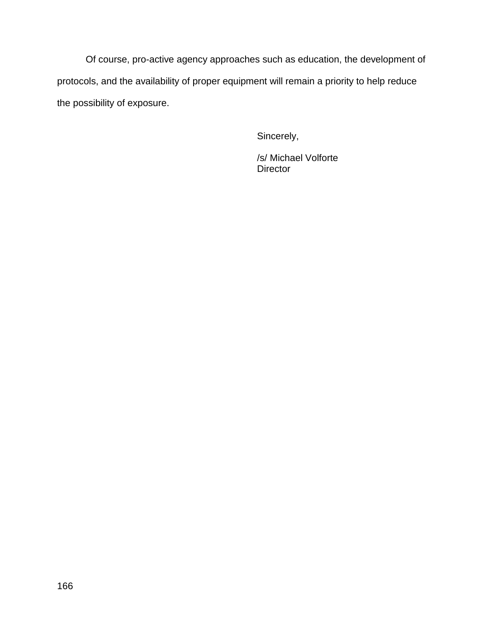Of course, pro-active agency approaches such as education, the development of protocols, and the availability of proper equipment will remain a priority to help reduce the possibility of exposure.

Sincerely,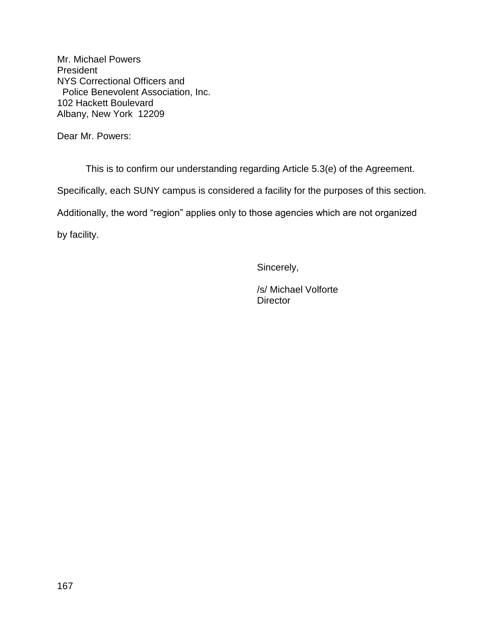Dear Mr. Powers:

This is to confirm our understanding regarding Article 5.3(e) of the Agreement.

Specifically, each SUNY campus is considered a facility for the purposes of this section.

Additionally, the word "region" applies only to those agencies which are not organized

by facility.

Sincerely,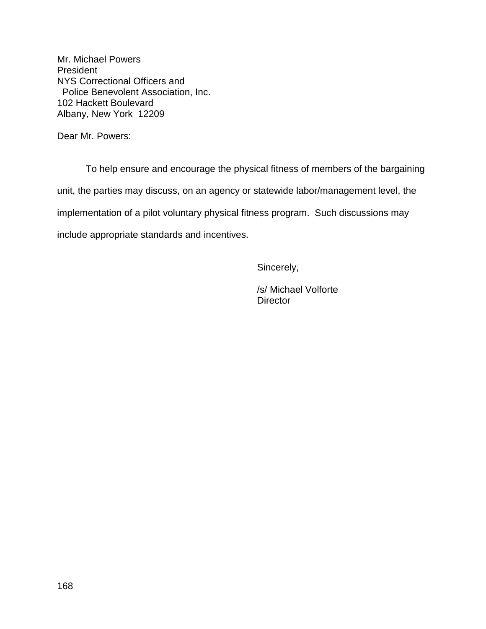Dear Mr. Powers:

To help ensure and encourage the physical fitness of members of the bargaining unit, the parties may discuss, on an agency or statewide labor/management level, the implementation of a pilot voluntary physical fitness program. Such discussions may include appropriate standards and incentives.

Sincerely,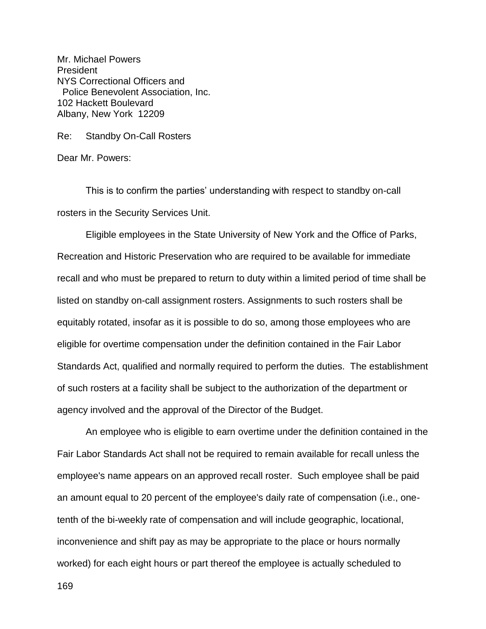Re: Standby On-Call Rosters

Dear Mr. Powers:

This is to confirm the parties' understanding with respect to standby on-call rosters in the Security Services Unit.

Eligible employees in the State University of New York and the Office of Parks, Recreation and Historic Preservation who are required to be available for immediate recall and who must be prepared to return to duty within a limited period of time shall be listed on standby on-call assignment rosters. Assignments to such rosters shall be equitably rotated, insofar as it is possible to do so, among those employees who are eligible for overtime compensation under the definition contained in the Fair Labor Standards Act, qualified and normally required to perform the duties. The establishment of such rosters at a facility shall be subject to the authorization of the department or agency involved and the approval of the Director of the Budget.

An employee who is eligible to earn overtime under the definition contained in the Fair Labor Standards Act shall not be required to remain available for recall unless the employee's name appears on an approved recall roster. Such employee shall be paid an amount equal to 20 percent of the employee's daily rate of compensation (i.e., onetenth of the bi-weekly rate of compensation and will include geographic, locational, inconvenience and shift pay as may be appropriate to the place or hours normally worked) for each eight hours or part thereof the employee is actually scheduled to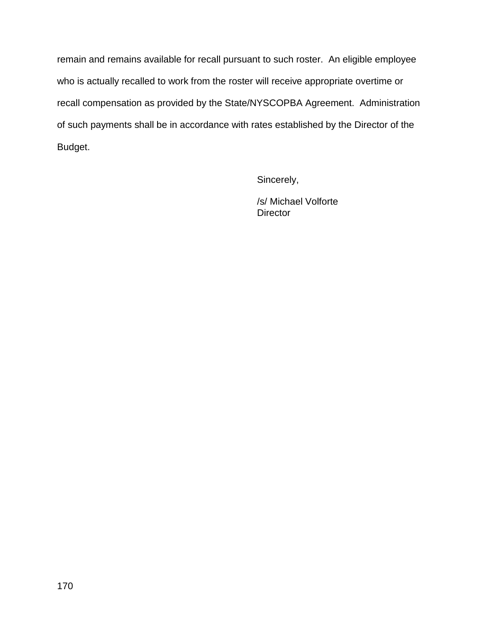remain and remains available for recall pursuant to such roster. An eligible employee who is actually recalled to work from the roster will receive appropriate overtime or recall compensation as provided by the State/NYSCOPBA Agreement. Administration of such payments shall be in accordance with rates established by the Director of the Budget.

Sincerely,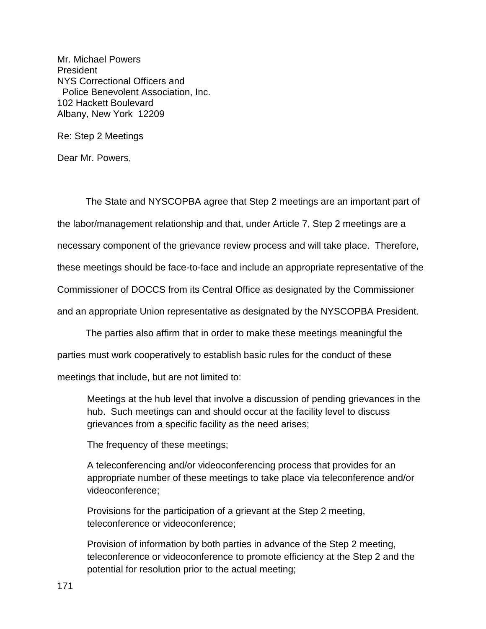Re: Step 2 Meetings

Dear Mr. Powers,

The State and NYSCOPBA agree that Step 2 meetings are an important part of the labor/management relationship and that, under Article 7, Step 2 meetings are a necessary component of the grievance review process and will take place. Therefore, these meetings should be face-to-face and include an appropriate representative of the Commissioner of DOCCS from its Central Office as designated by the Commissioner and an appropriate Union representative as designated by the NYSCOPBA President.

The parties also affirm that in order to make these meetings meaningful the

parties must work cooperatively to establish basic rules for the conduct of these

meetings that include, but are not limited to:

Meetings at the hub level that involve a discussion of pending grievances in the hub. Such meetings can and should occur at the facility level to discuss grievances from a specific facility as the need arises;

The frequency of these meetings;

A teleconferencing and/or videoconferencing process that provides for an appropriate number of these meetings to take place via teleconference and/or videoconference;

Provisions for the participation of a grievant at the Step 2 meeting, teleconference or videoconference;

Provision of information by both parties in advance of the Step 2 meeting, teleconference or videoconference to promote efficiency at the Step 2 and the potential for resolution prior to the actual meeting;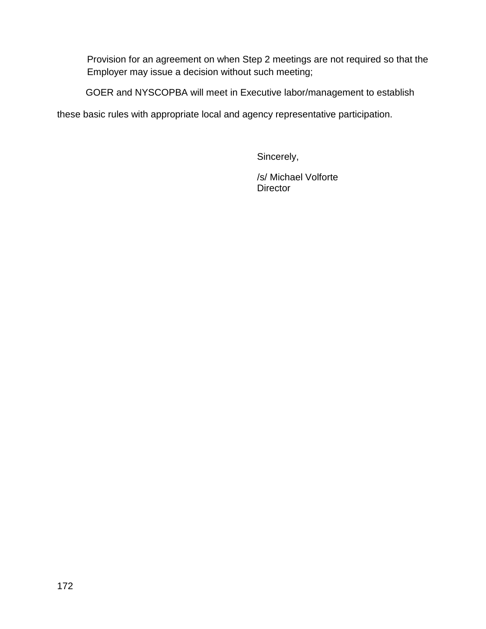Provision for an agreement on when Step 2 meetings are not required so that the Employer may issue a decision without such meeting;

GOER and NYSCOPBA will meet in Executive labor/management to establish

these basic rules with appropriate local and agency representative participation.

Sincerely,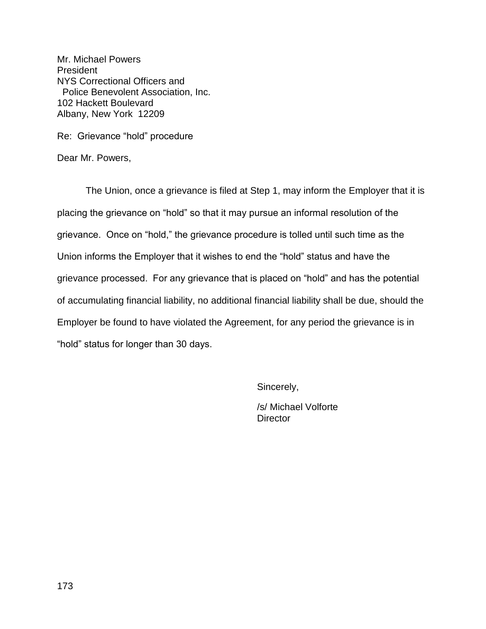Re: Grievance "hold" procedure

Dear Mr. Powers,

The Union, once a grievance is filed at Step 1, may inform the Employer that it is placing the grievance on "hold" so that it may pursue an informal resolution of the grievance. Once on "hold," the grievance procedure is tolled until such time as the Union informs the Employer that it wishes to end the "hold" status and have the grievance processed. For any grievance that is placed on "hold" and has the potential of accumulating financial liability, no additional financial liability shall be due, should the Employer be found to have violated the Agreement, for any period the grievance is in "hold" status for longer than 30 days.

Sincerely,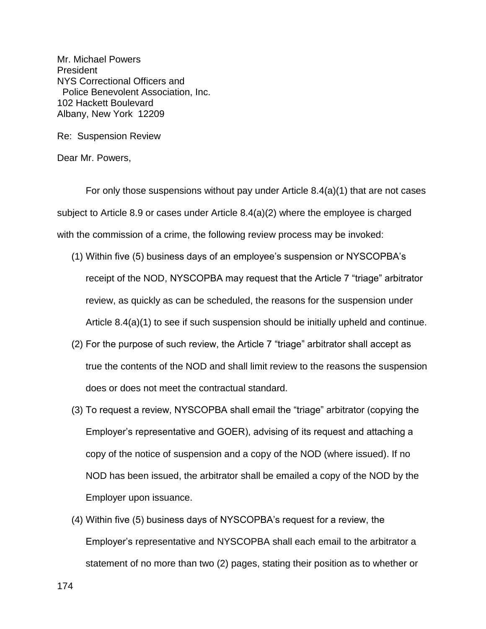Re: Suspension Review

Dear Mr. Powers,

For only those suspensions without pay under Article 8.4(a)(1) that are not cases subject to Article 8.9 or cases under Article 8.4(a)(2) where the employee is charged with the commission of a crime, the following review process may be invoked:

- (1) Within five (5) business days of an employee's suspension or NYSCOPBA's receipt of the NOD, NYSCOPBA may request that the Article 7 "triage" arbitrator review, as quickly as can be scheduled, the reasons for the suspension under Article 8.4(a)(1) to see if such suspension should be initially upheld and continue.
- (2) For the purpose of such review, the Article 7 "triage" arbitrator shall accept as true the contents of the NOD and shall limit review to the reasons the suspension does or does not meet the contractual standard.
- (3) To request a review, NYSCOPBA shall email the "triage" arbitrator (copying the Employer's representative and GOER), advising of its request and attaching a copy of the notice of suspension and a copy of the NOD (where issued). If no NOD has been issued, the arbitrator shall be emailed a copy of the NOD by the Employer upon issuance.
- (4) Within five (5) business days of NYSCOPBA's request for a review, the Employer's representative and NYSCOPBA shall each email to the arbitrator a statement of no more than two (2) pages, stating their position as to whether or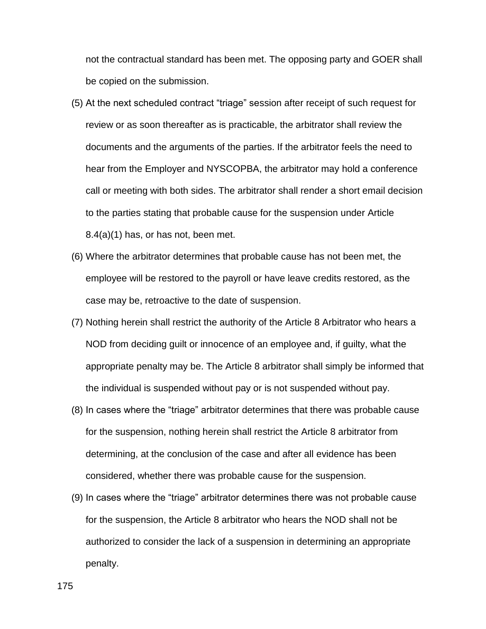not the contractual standard has been met. The opposing party and GOER shall be copied on the submission.

- (5) At the next scheduled contract "triage" session after receipt of such request for review or as soon thereafter as is practicable, the arbitrator shall review the documents and the arguments of the parties. If the arbitrator feels the need to hear from the Employer and NYSCOPBA, the arbitrator may hold a conference call or meeting with both sides. The arbitrator shall render a short email decision to the parties stating that probable cause for the suspension under Article 8.4(a)(1) has, or has not, been met.
- (6) Where the arbitrator determines that probable cause has not been met, the employee will be restored to the payroll or have leave credits restored, as the case may be, retroactive to the date of suspension.
- (7) Nothing herein shall restrict the authority of the Article 8 Arbitrator who hears a NOD from deciding guilt or innocence of an employee and, if guilty, what the appropriate penalty may be. The Article 8 arbitrator shall simply be informed that the individual is suspended without pay or is not suspended without pay.
- (8) In cases where the "triage" arbitrator determines that there was probable cause for the suspension, nothing herein shall restrict the Article 8 arbitrator from determining, at the conclusion of the case and after all evidence has been considered, whether there was probable cause for the suspension.
- (9) In cases where the "triage" arbitrator determines there was not probable cause for the suspension, the Article 8 arbitrator who hears the NOD shall not be authorized to consider the lack of a suspension in determining an appropriate penalty.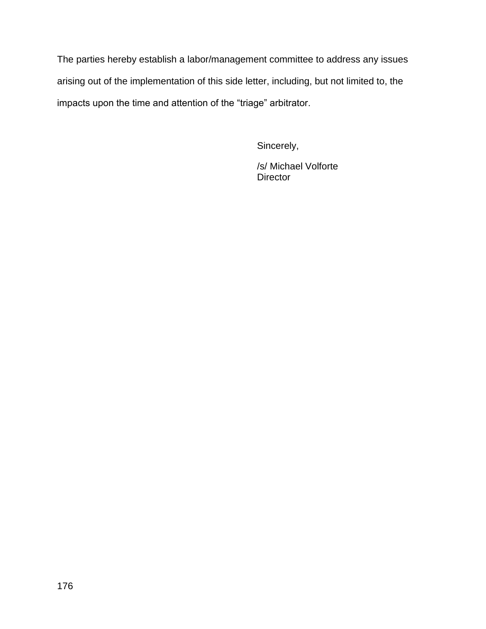The parties hereby establish a labor/management committee to address any issues arising out of the implementation of this side letter, including, but not limited to, the impacts upon the time and attention of the "triage" arbitrator.

Sincerely,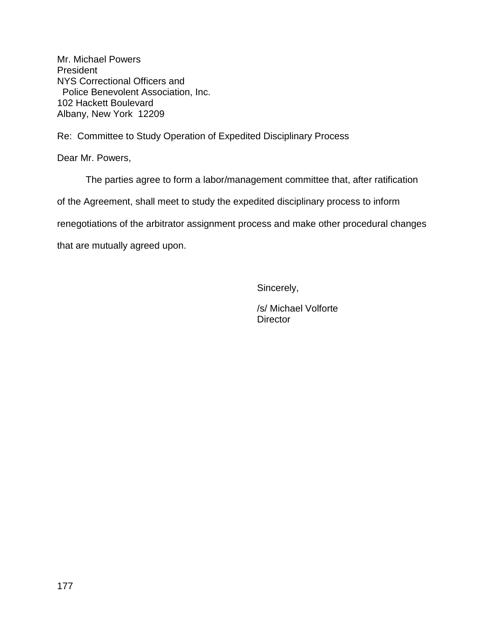Re: Committee to Study Operation of Expedited Disciplinary Process

Dear Mr. Powers,

The parties agree to form a labor/management committee that, after ratification

of the Agreement, shall meet to study the expedited disciplinary process to inform

renegotiations of the arbitrator assignment process and make other procedural changes

that are mutually agreed upon.

Sincerely,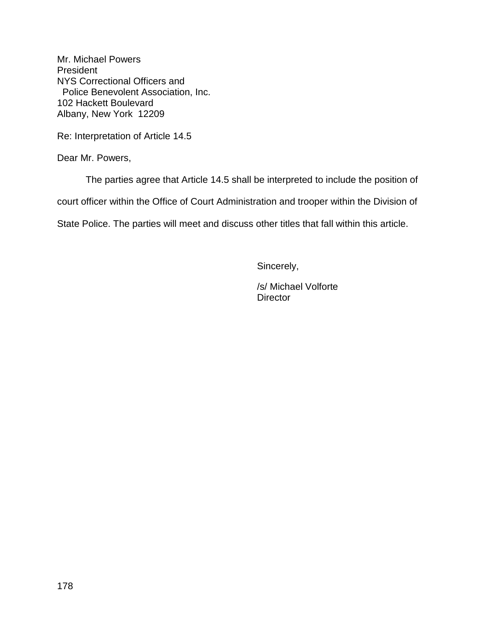Re: Interpretation of Article 14.5

Dear Mr. Powers,

The parties agree that Article 14.5 shall be interpreted to include the position of

court officer within the Office of Court Administration and trooper within the Division of

State Police. The parties will meet and discuss other titles that fall within this article.

Sincerely,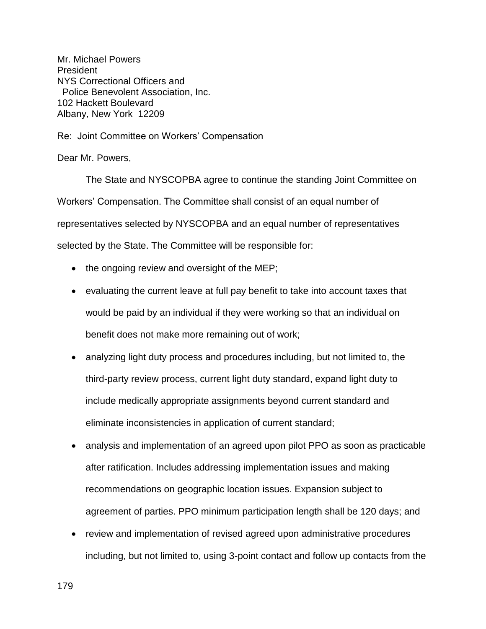Re: Joint Committee on Workers' Compensation

Dear Mr. Powers,

The State and NYSCOPBA agree to continue the standing Joint Committee on Workers' Compensation. The Committee shall consist of an equal number of representatives selected by NYSCOPBA and an equal number of representatives selected by the State. The Committee will be responsible for:

- the ongoing review and oversight of the MEP;
- evaluating the current leave at full pay benefit to take into account taxes that would be paid by an individual if they were working so that an individual on benefit does not make more remaining out of work;
- analyzing light duty process and procedures including, but not limited to, the third-party review process, current light duty standard, expand light duty to include medically appropriate assignments beyond current standard and eliminate inconsistencies in application of current standard;
- analysis and implementation of an agreed upon pilot PPO as soon as practicable after ratification. Includes addressing implementation issues and making recommendations on geographic location issues. Expansion subject to agreement of parties. PPO minimum participation length shall be 120 days; and
- review and implementation of revised agreed upon administrative procedures including, but not limited to, using 3-point contact and follow up contacts from the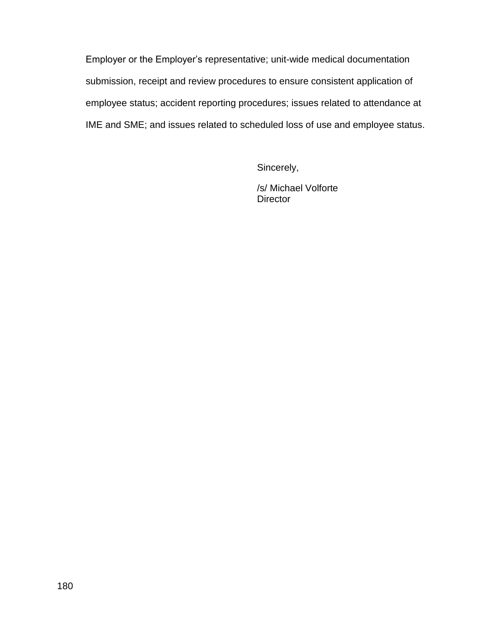Employer or the Employer's representative; unit-wide medical documentation submission, receipt and review procedures to ensure consistent application of employee status; accident reporting procedures; issues related to attendance at IME and SME; and issues related to scheduled loss of use and employee status.

Sincerely,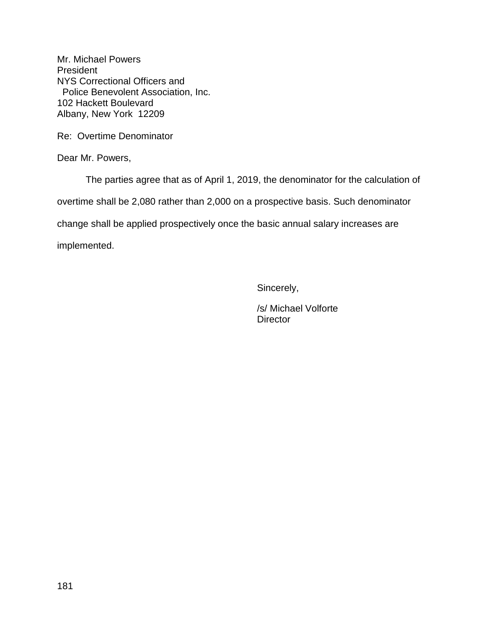Re: Overtime Denominator

Dear Mr. Powers,

The parties agree that as of April 1, 2019, the denominator for the calculation of

overtime shall be 2,080 rather than 2,000 on a prospective basis. Such denominator

change shall be applied prospectively once the basic annual salary increases are

implemented.

Sincerely,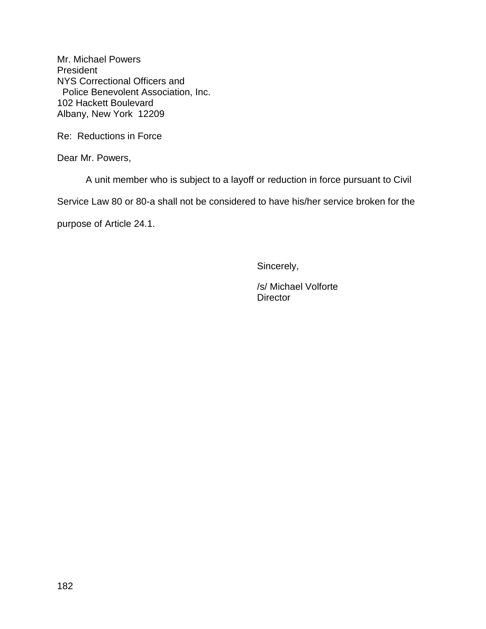Re: Reductions in Force

Dear Mr. Powers,

A unit member who is subject to a layoff or reduction in force pursuant to Civil

Service Law 80 or 80-a shall not be considered to have his/her service broken for the

purpose of Article 24.1.

Sincerely,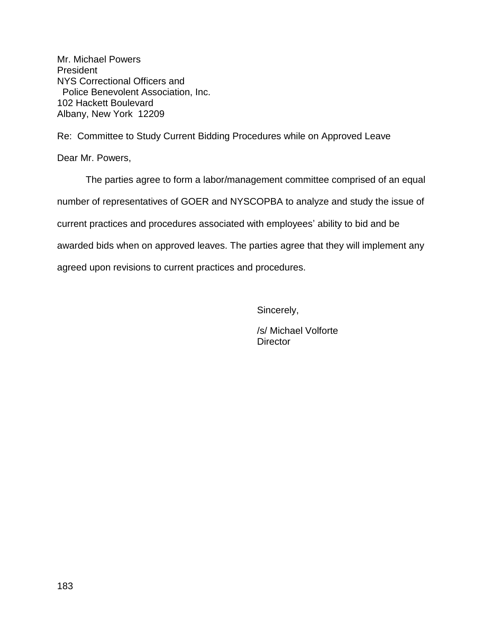Re: Committee to Study Current Bidding Procedures while on Approved Leave

Dear Mr. Powers,

The parties agree to form a labor/management committee comprised of an equal number of representatives of GOER and NYSCOPBA to analyze and study the issue of current practices and procedures associated with employees' ability to bid and be awarded bids when on approved leaves. The parties agree that they will implement any agreed upon revisions to current practices and procedures.

Sincerely,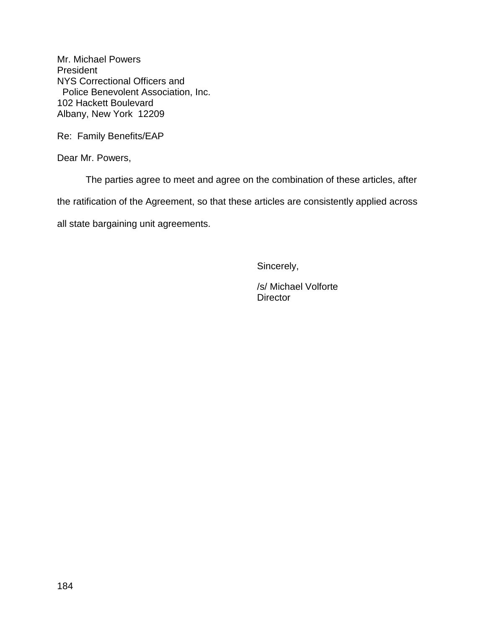Re: Family Benefits/EAP

Dear Mr. Powers,

The parties agree to meet and agree on the combination of these articles, after

the ratification of the Agreement, so that these articles are consistently applied across

all state bargaining unit agreements.

Sincerely,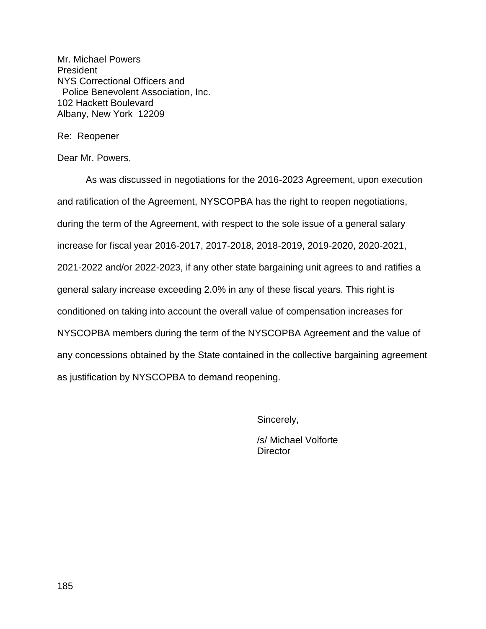Re: Reopener

Dear Mr. Powers,

As was discussed in negotiations for the 2016-2023 Agreement, upon execution and ratification of the Agreement, NYSCOPBA has the right to reopen negotiations, during the term of the Agreement, with respect to the sole issue of a general salary increase for fiscal year 2016-2017, 2017-2018, 2018-2019, 2019-2020, 2020-2021, 2021-2022 and/or 2022-2023, if any other state bargaining unit agrees to and ratifies a general salary increase exceeding 2.0% in any of these fiscal years. This right is conditioned on taking into account the overall value of compensation increases for NYSCOPBA members during the term of the NYSCOPBA Agreement and the value of any concessions obtained by the State contained in the collective bargaining agreement as justification by NYSCOPBA to demand reopening.

Sincerely,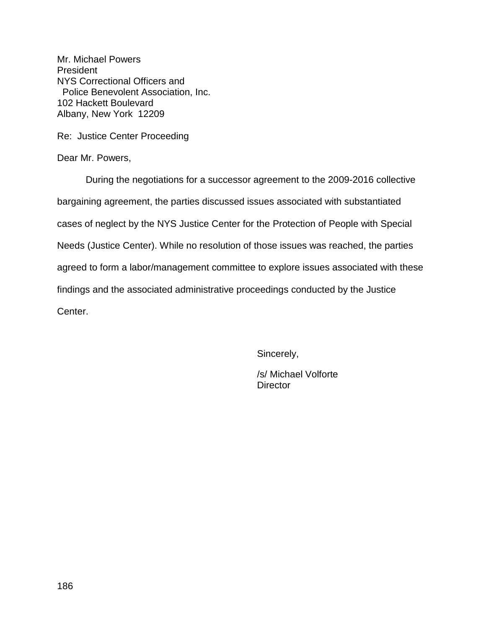Re: Justice Center Proceeding

Dear Mr. Powers,

During the negotiations for a successor agreement to the 2009-2016 collective bargaining agreement, the parties discussed issues associated with substantiated cases of neglect by the NYS Justice Center for the Protection of People with Special Needs (Justice Center). While no resolution of those issues was reached, the parties agreed to form a labor/management committee to explore issues associated with these findings and the associated administrative proceedings conducted by the Justice Center.

Sincerely,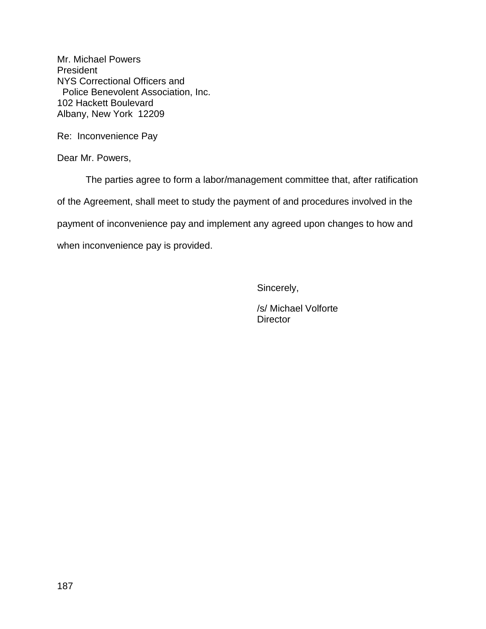Re: Inconvenience Pay

Dear Mr. Powers,

The parties agree to form a labor/management committee that, after ratification of the Agreement, shall meet to study the payment of and procedures involved in the payment of inconvenience pay and implement any agreed upon changes to how and when inconvenience pay is provided.

Sincerely,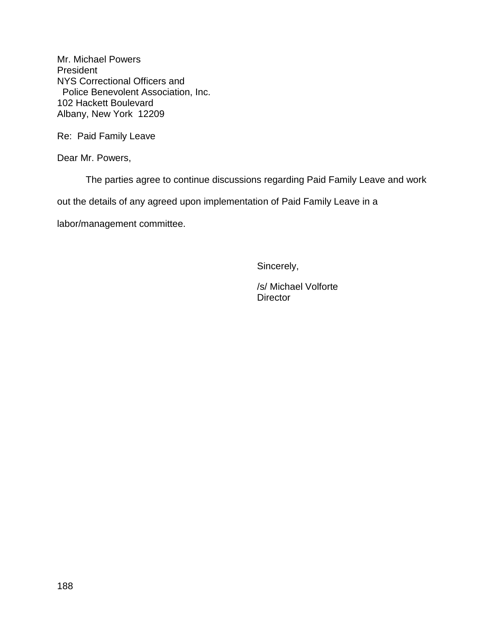Re: Paid Family Leave

Dear Mr. Powers,

The parties agree to continue discussions regarding Paid Family Leave and work

out the details of any agreed upon implementation of Paid Family Leave in a

labor/management committee.

Sincerely,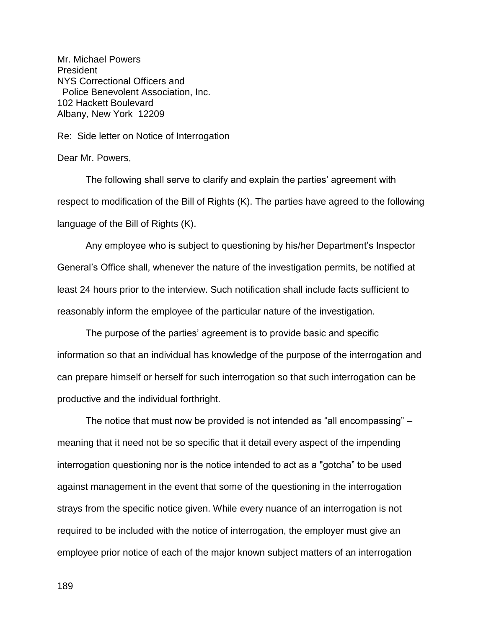Re: Side letter on Notice of Interrogation

Dear Mr. Powers,

The following shall serve to clarify and explain the parties' agreement with respect to modification of the Bill of Rights (K). The parties have agreed to the following language of the Bill of Rights (K).

Any employee who is subject to questioning by his/her Department's Inspector General's Office shall, whenever the nature of the investigation permits, be notified at least 24 hours prior to the interview. Such notification shall include facts sufficient to reasonably inform the employee of the particular nature of the investigation.

The purpose of the parties' agreement is to provide basic and specific information so that an individual has knowledge of the purpose of the interrogation and can prepare himself or herself for such interrogation so that such interrogation can be productive and the individual forthright.

The notice that must now be provided is not intended as "all encompassing" – meaning that it need not be so specific that it detail every aspect of the impending interrogation questioning nor is the notice intended to act as a "gotcha" to be used against management in the event that some of the questioning in the interrogation strays from the specific notice given. While every nuance of an interrogation is not required to be included with the notice of interrogation, the employer must give an employee prior notice of each of the major known subject matters of an interrogation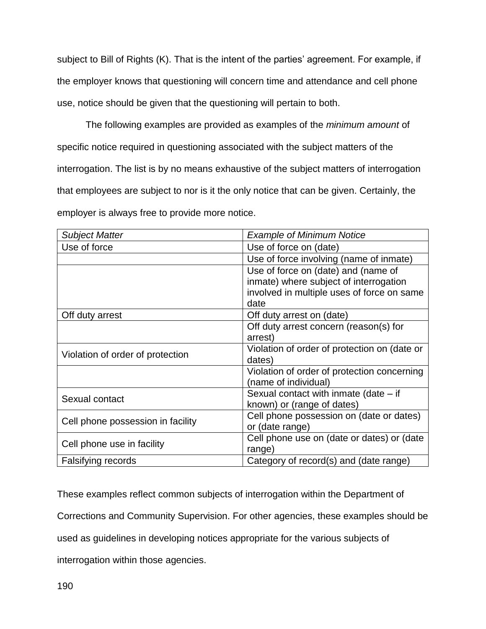subject to Bill of Rights (K). That is the intent of the parties' agreement. For example, if the employer knows that questioning will concern time and attendance and cell phone use, notice should be given that the questioning will pertain to both.

The following examples are provided as examples of the *minimum amount* of specific notice required in questioning associated with the subject matters of the interrogation. The list is by no means exhaustive of the subject matters of interrogation that employees are subject to nor is it the only notice that can be given. Certainly, the employer is always free to provide more notice.

| <b>Subject Matter</b>             | <b>Example of Minimum Notice</b>             |
|-----------------------------------|----------------------------------------------|
| Use of force                      | Use of force on (date)                       |
|                                   | Use of force involving (name of inmate)      |
|                                   | Use of force on (date) and (name of          |
|                                   | inmate) where subject of interrogation       |
|                                   | involved in multiple uses of force on same   |
|                                   | date                                         |
| Off duty arrest                   | Off duty arrest on (date)                    |
|                                   | Off duty arrest concern (reason(s) for       |
|                                   | arrest)                                      |
| Violation of order of protection  | Violation of order of protection on (date or |
|                                   | dates)                                       |
|                                   | Violation of order of protection concerning  |
|                                   | (name of individual)                         |
| Sexual contact                    | Sexual contact with inmate (date $-$ if      |
|                                   | known) or (range of dates)                   |
| Cell phone possession in facility | Cell phone possession on (date or dates)     |
|                                   | or (date range)                              |
| Cell phone use in facility        | Cell phone use on (date or dates) or (date   |
|                                   | range)                                       |
| Falsifying records                | Category of record(s) and (date range)       |

These examples reflect common subjects of interrogation within the Department of Corrections and Community Supervision. For other agencies, these examples should be used as guidelines in developing notices appropriate for the various subjects of interrogation within those agencies.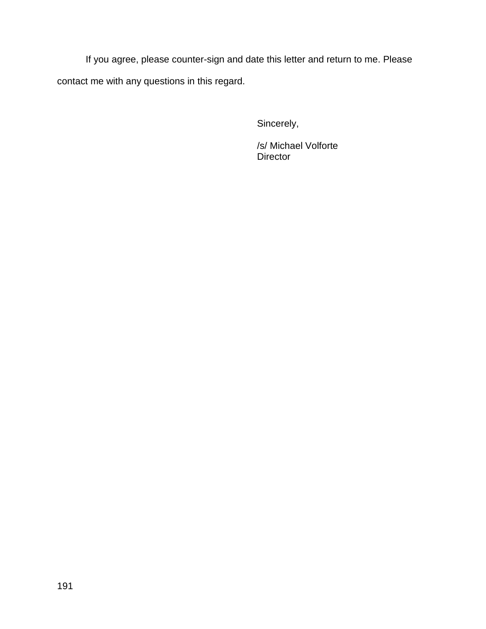If you agree, please counter-sign and date this letter and return to me. Please contact me with any questions in this regard.

Sincerely,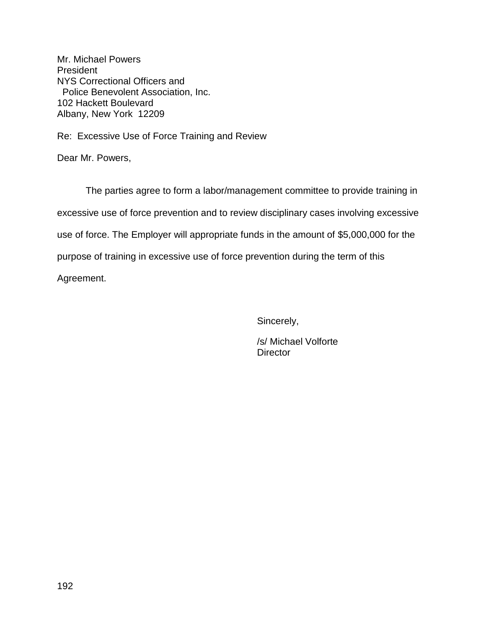Re: Excessive Use of Force Training and Review

Dear Mr. Powers,

The parties agree to form a labor/management committee to provide training in excessive use of force prevention and to review disciplinary cases involving excessive use of force. The Employer will appropriate funds in the amount of \$5,000,000 for the purpose of training in excessive use of force prevention during the term of this Agreement.

Sincerely,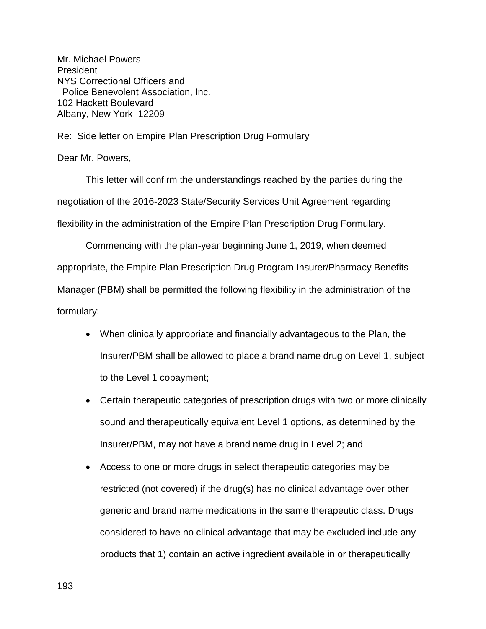Re: Side letter on Empire Plan Prescription Drug Formulary

Dear Mr. Powers,

This letter will confirm the understandings reached by the parties during the negotiation of the 2016-2023 State/Security Services Unit Agreement regarding flexibility in the administration of the Empire Plan Prescription Drug Formulary.

Commencing with the plan-year beginning June 1, 2019, when deemed appropriate, the Empire Plan Prescription Drug Program Insurer/Pharmacy Benefits Manager (PBM) shall be permitted the following flexibility in the administration of the formulary:

- When clinically appropriate and financially advantageous to the Plan, the Insurer/PBM shall be allowed to place a brand name drug on Level 1, subject to the Level 1 copayment;
- Certain therapeutic categories of prescription drugs with two or more clinically sound and therapeutically equivalent Level 1 options, as determined by the Insurer/PBM, may not have a brand name drug in Level 2; and
- Access to one or more drugs in select therapeutic categories may be restricted (not covered) if the drug(s) has no clinical advantage over other generic and brand name medications in the same therapeutic class. Drugs considered to have no clinical advantage that may be excluded include any products that 1) contain an active ingredient available in or therapeutically